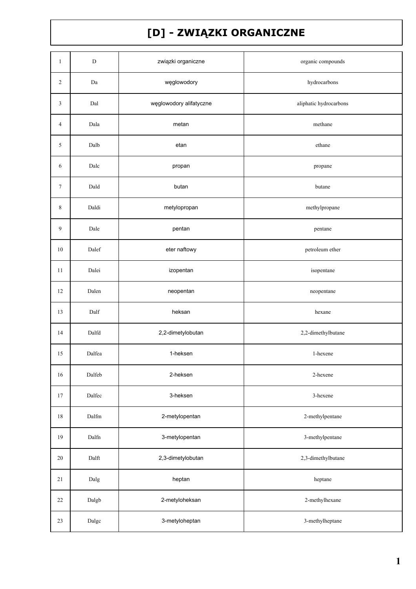## [D] - ZWIĄZKI ORGANICZNE

| $\mathbf{1}$   | $\mathbf D$  | związki organiczne      | organic compounds      |
|----------------|--------------|-------------------------|------------------------|
| $\overline{c}$ | Da           | węglowodory             | hydrocarbons           |
| 3              | Dal          | węglowodory alifatyczne | aliphatic hydrocarbons |
| 4              | Dala         | metan                   | methane                |
| 5              | Dalb         | etan                    | ethane                 |
| 6              | Dalc         | propan                  | propane                |
| $\tau$         | Dald         | butan                   | butane                 |
| 8              | Daldi        | metylopropan            | methylpropane          |
| 9              | Dale         | pentan                  | pentane                |
| $10\,$         | Dalef        | eter naftowy            | petroleum ether        |
| $11\,$         | Dalei        | izopentan               | isopentane             |
| 12             | Dalen        | neopentan               | neopentane             |
| 13             | Dalf         | heksan                  | hexane                 |
| 14             | Dalfd        | 2,2-dimetylobutan       | 2,2-dimethylbutane     |
| 15             | Dalfea       | 1-heksen                | 1-hexene               |
| $16\,$         | Dalfeb       | 2-heksen                | 2-hexene               |
| 17             | Dalfec       | 3-heksen                | 3-hexene               |
| 18             | Dalfm        | 2-metylopentan          | 2-methylpentane        |
| 19             | Dalfn        | 3-metylopentan          | 3-methylpentane        |
| $20\,$         | Dalft        | 2,3-dimetylobutan       | 2,3-dimethylbutane     |
| 21             | Dalg         | heptan                  | heptane                |
| 22             | Dalgb        | 2-metyloheksan          | 2-methylhexane         |
| 23             | $\rm{Dalgc}$ | 3-metyloheptan          | 3-methylheptane        |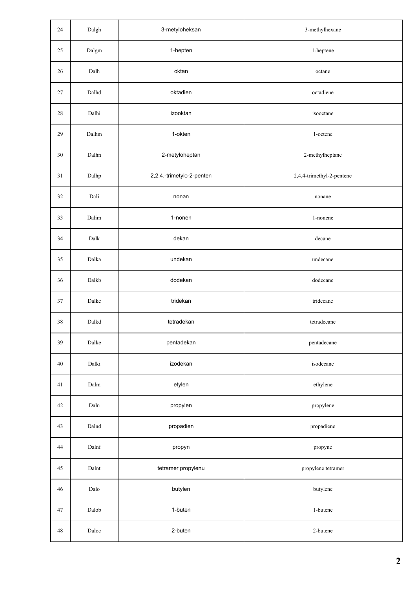| 24          | Dalgh                  | 3-metyloheksan            | 3-methylhexane            |
|-------------|------------------------|---------------------------|---------------------------|
| 25          | $\operatorname{Dalgm}$ | 1-hepten                  | 1-heptene                 |
| 26          | Dalh                   | oktan                     | octane                    |
| 27          | Dalhd                  | oktadien                  | octadiene                 |
| $28\,$      | Dalhi                  | izooktan                  | isooctane                 |
| 29          | Dalhm                  | 1-okten                   | 1-octene                  |
| 30          | Dalhn                  | 2-metyloheptan            | 2-methylheptane           |
| 31          | Dalhp                  | 2,2,4,-trimetylo-2-penten | 2,4,4-trimethyl-2-pentene |
| 32          | Dali                   | nonan                     | nonane                    |
| 33          | Dalim                  | 1-nonen                   | 1-nonene                  |
| 34          | Dalk                   | dekan                     | decane                    |
| 35          | Dalka                  | undekan                   | undecane                  |
| 36          | Dalkb                  | dodekan                   | dodecane                  |
| 37          | Dalkc                  | tridekan                  | tridecane                 |
| 38          | Dalkd                  | tetradekan                | tetradecane               |
| 39          | Dalke                  | pentadekan                | pentadecane               |
| 40          | Dalki                  | izodekan                  | isodecane                 |
| 41          | Dalm                   | etylen                    | ethylene                  |
| 42          | $\mathop{\rm Dahn}$    | propylen                  | propylene                 |
| 43          | Dalnd                  | propadien                 | propadiene                |
| 44          | Dalnf                  | propyn                    | propyne                   |
| 45          | Dalnt                  | tetramer propylenu        | propylene tetramer        |
| 46          | Dalo                   | butylen                   | butylene                  |
| 47          | Dalob                  | 1-buten                   | 1-butene                  |
| $\sqrt{48}$ | Daloc                  | 2-buten                   | 2-butene                  |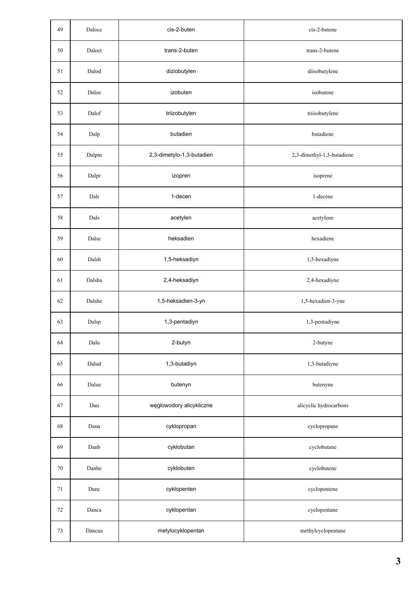| 49     | Dalocc | cis-2-buten               | cis-2-butene               |
|--------|--------|---------------------------|----------------------------|
| 50     | Daloct | trans-2-buten             | trans-2-butene             |
| 51     | Dalod  | diziobutylen              | diisobutylene              |
| 52     | Daloe  | izobuten                  | isobutene                  |
| 53     | Dalof  | triizobutylen             | triisobutylene             |
| 54     | Dalp   | butadien                  | butadiene                  |
| 55     | Dalpm  | 2,3-dimetylo-1,3-butadien | 2,3-dimethyl-1,3-butadiene |
| 56     | Dalpr  | izopren                   | isoprene                   |
| 57     | Dalr   | 1-decen                   | 1-decene                   |
| 58     | Dals   | acetylen                  | acetylene                  |
| 59     | Dalse  | heksadien                 | hexadiene                  |
| 60     | Dalsh  | 1,5-heksadiyn             | 1,5-hexadiyne              |
| 61     | Dalsha | 2,4-heksadiyn             | 2,4-hexadiyne              |
| 62     | Dalshe | 1,5-heksadien-3-yn        | 1,5-hexadien-3-yne         |
| 63     | Dalsp  | 1,3-pentadiyn             | 1,3-pentadiyne             |
| 64     | Dalu   | 2-butyn                   | 2-butyne                   |
| 65     | Dalud  | 1,3-butadiyn              | 1,3-butadiyne              |
| 66     | Dalue  | butenyn                   | butenyne                   |
| 67     | Dan    | węglowodory alicykliczne  | alicyclic hydrocarbons     |
| 68     | Dana   | cyklopropan               | cyclopropane               |
| 69     | Danb   | cyklobutan                | cyclobutane                |
| $70\,$ | Danbe  | cyklobuten                | cyclobutene                |
| 71     | Danc   | cyklopenten               | cyclopentene               |
| $72\,$ | Danca  | cyklopentan               | cyclopentane               |
| $73\,$ | Dancaa | metylocyklopentan         | methylcyclopentane         |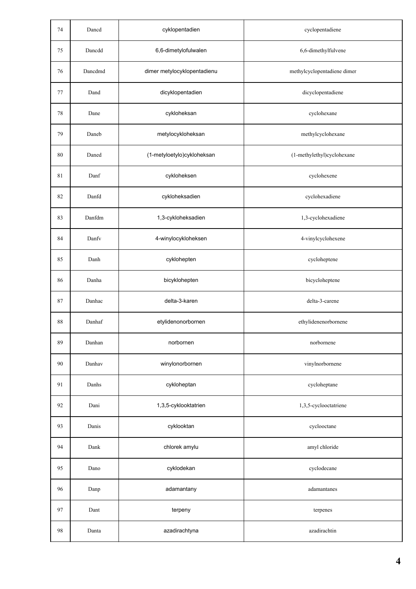| 74     | Dancd   | cyklopentadien              | cyclopentadiene             |
|--------|---------|-----------------------------|-----------------------------|
| 75     | Dancdd  | 6,6-dimetylofulwalen        | 6,6-dimethylfulvene         |
| 76     | Dancdmd | dimer metylocyklopentadienu | methylcyclopentadiene dimer |
| 77     | Dand    | dicyklopentadien            | dicyclopentadiene           |
| $78\,$ | Dane    | cykloheksan                 | cyclohexane                 |
| 79     | Daneb   | metylocykloheksan           | methylcyclohexane           |
| 80     | Daned   | (1-metyloetylo)cykloheksan  | (1-methylethyl)cyclohexane  |
| 81     | Danf    | cykloheksen                 | cyclohexene                 |
| 82     | Danfd   | cykloheksadien              | cyclohexadiene              |
| 83     | Danfdm  | 1,3-cykloheksadien          | 1,3-cyclohexadiene          |
| 84     | Danfy   | 4-winylocykloheksen         | 4-vinylcyclohexene          |
| 85     | Danh    | cyklohepten                 | cycloheptene                |
| 86     | Danha   | bicyklohepten               | bicycloheptene              |
| 87     | Danhac  | delta-3-karen               | delta-3-carene              |
| 88     | Danhaf  | etylidenonorbornen          | ethylidenenorbornene        |
| 89     | Danhan  | norbornen                   | norbornene                  |
| 90     | Danhav  | winylonorbornen             | vinylnorbornene             |
| 91     | Danhs   | cykloheptan                 | cycloheptane                |
| 92     | Dani    | 1,3,5-cyklooktatrien        | 1,3,5-cyclooctatriene       |
| 93     | Danis   | cyklooktan                  | cyclooctane                 |
| 94     | Dank    | chlorek amylu               | amyl chloride               |
| 95     | Dano    | cyklodekan                  | cyclodecane                 |
| 96     | Danp    | adamantany                  | adamantanes                 |
| 97     | Dant    | terpeny                     | terpenes                    |
| 98     | Danta   | azadirachtyna               | azadirachtin                |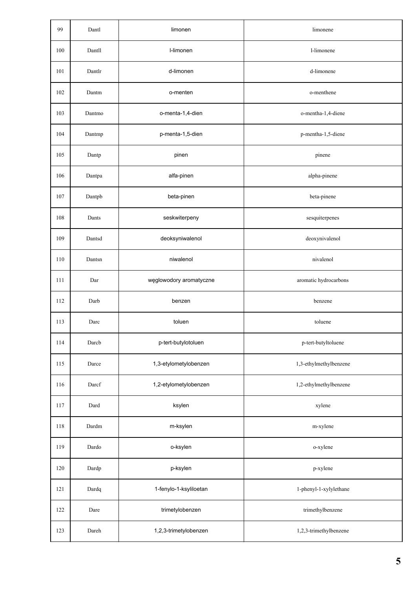| 99  | Dantl  | limonen                 | limonene               |
|-----|--------|-------------------------|------------------------|
| 100 | Dantll | I-limonen               | 1-limonene             |
| 101 | Dantlr | d-limonen               | d-limonene             |
| 102 | Dantm  | o-menten                | o-menthene             |
| 103 | Dantmo | o-menta-1,4-dien        | o-mentha-1,4-diene     |
| 104 | Dantmp | p-menta-1,5-dien        | p-mentha-1,5-diene     |
| 105 | Dantp  | pinen                   | pinene                 |
| 106 | Dantpa | alfa-pinen              | alpha-pinene           |
| 107 | Dantpb | beta-pinen              | beta-pinene            |
| 108 | Dants  | seskwiterpeny           | sesquiterpenes         |
| 109 | Dantsd | deoksyniwalenol         | deoxynivalenol         |
| 110 | Dantsn | niwalenol               | nivalenol              |
| 111 | Dar    | węglowodory aromatyczne | aromatic hydrocarbons  |
| 112 | Darb   | benzen                  | benzene                |
| 113 | Darc   | toluen                  | toluene                |
| 114 | Darcb  | p-tert-butylotoluen     | p-tert-butyltoluene    |
| 115 | Darce  | 1,3-etylometylobenzen   | 1,3-ethylmethylbenzene |
| 116 | Darcf  | 1,2-etylometylobenzen   | 1,2-ethylmethylbenzene |
| 117 | Dard   | ksylen                  | xylene                 |
| 118 | Dardm  | m-ksylen                | m-xylene               |
| 119 | Dardo  | o-ksylen                | o-xylene               |
| 120 | Dardp  | p-ksylen                | p-xylene               |
| 121 | Dardq  | 1-fenylo-1-ksyliloetan  | 1-phenyl-1-xylylethane |
| 122 | Dare   | trimetylobenzen         | trimethylbenzene       |
| 123 | Dareh  | 1,2,3-trimetylobenzen   | 1,2,3-trimethylbenzene |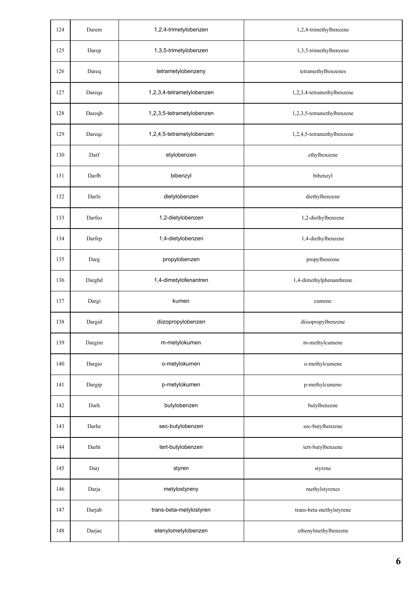| 124 | Darem  | 1,2,4-trimetylobenzen     | 1,2,4-trimethylbenzene     |
|-----|--------|---------------------------|----------------------------|
| 125 | Darep  | 1,3,5-trimetylobenzen     | 1,3,5-trimethylbenzene     |
| 126 | Dareq  | tetrametylobenzeny        | tetramethylbenzenes        |
| 127 | Dareqa | 1,2,3,4-tetrametylobenzen | 1,2,3,4-tetramethylbenzene |
| 128 | Dareqb | 1,2,3,5-tetrametylobenzen | 1,2,3,5-tetramethylbenzene |
| 129 | Dareqc | 1,2,4,5-tetrametylobenzen | 1,2,4,5-tetramethylbenzene |
| 130 | Darf   | etylobenzen               | ethylbenzene               |
| 131 | Darfb  | bibenzyl                  | bibenzyl                   |
| 132 | Darfe  | dietylobenzen             | diethylbenzene             |
| 133 | Darfeo | 1,2-dietylobenzen         | 1,2-diethylbenzene         |
| 134 | Darfep | 1,4-dietylobenzen         | 1,4-diethylbenzene         |
| 135 | Darg   | propylobenzen             | propylbenzene              |
| 136 | Dargbd | 1,4-dimetylofenantren     | 1,4-dimethylphenanthrene   |
| 137 | Dargi  | kumen                     | cumene                     |
| 138 | Dargid | diizopropylobenzen        | diisopropylbenzene         |
| 139 | Dargim | m-metylokumen             | m-methylcumene             |
| 140 | Dargio | o-metylokumen             | o-methylcumene             |
| 141 | Dargip | p-metylokumen             | p-methylcumene             |
| 142 | Darh   | butylobenzen              | butylbenzene               |
| 143 | Darhe  | sec-butylobenzen          | sec-butylbenzene           |
| 144 | Darht  | tert-butylobenzen         | tert-butylbenzene          |
| 145 | Darj   | styren                    | styrene                    |
| 146 | Darja  | metylostyreny             | methylstyrenes             |
| 147 | Darjab | trans-beta-metylostyren   | trans-beta-methylstyrene   |
| 148 | Darjae | etenylometylobenzen       | ethenylmethylbenzene       |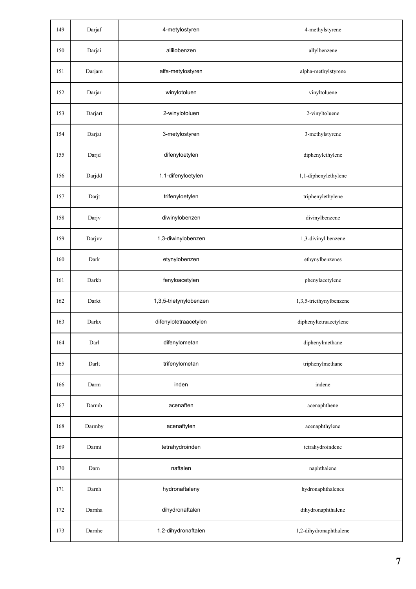| 149 | Darjaf  | 4-metylostyren         | 4-methylstyrene         |
|-----|---------|------------------------|-------------------------|
| 150 | Darjai  | allilobenzen           | allylbenzene            |
| 151 | Darjam  | alfa-metylostyren      | alpha-methylstyrene     |
| 152 | Darjar  | winylotoluen           | vinyltoluene            |
| 153 | Darjart | 2-winylotoluen         | 2-vinyltoluene          |
| 154 | Darjat  | 3-metylostyren         | 3-methylstyrene         |
| 155 | Darjd   | difenyloetylen         | diphenylethylene        |
| 156 | Darjdd  | 1,1-difenyloetylen     | 1,1-diphenylethylene    |
| 157 | Darjt   | trifenyloetylen        | triphenylethylene       |
| 158 | Darjv   | diwinylobenzen         | divinylbenzene          |
| 159 | Darjvv  | 1,3-diwinylobenzen     | 1,3-divinyl benzene     |
| 160 | Dark    | etynylobenzen          | ethynylbenzenes         |
| 161 | Darkb   | fenyloacetylen         | phenylacetylene         |
| 162 | Darkt   | 1,3,5-trietynylobenzen | 1,3,5-triethynylbenzene |
| 163 | Darkx   | difenylotetraacetylen  | diphenyltetraacetylene  |
| 164 | Darl    | difenylometan          | diphenylmethane         |
| 165 | Darlt   | trifenylometan         | triphenylmethane        |
| 166 | Darm    | inden                  | indene                  |
| 167 | Darmb   | acenaften              | acenaphthene            |
| 168 | Darmby  | acenaftylen            | acenaphthylene          |
| 169 | Darmt   | tetrahydroinden        | tetrahydroindene        |
| 170 | Darn    | naftalen               | naphthalene             |
| 171 | Darnh   | hydronaftaleny         | hydronaphthalenes       |
| 172 | Darnha  | dihydronaftalen        | dihydronaphthalene      |
| 173 | Darnhe  | 1,2-dihydronaftalen    | 1,2-dihydronaphthalene  |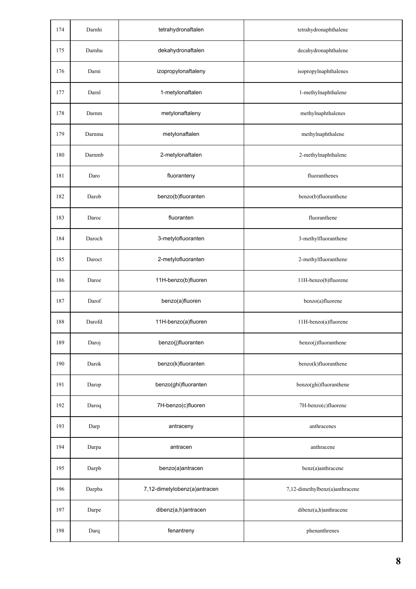| 174 | Darnhi | tetrahydronaftalen           | tetrahydronaphthalene          |
|-----|--------|------------------------------|--------------------------------|
| 175 | Darnhu | dekahydronaftalen            | decahydronaphthalene           |
| 176 | Darni  | izopropylonaftaleny          | isopropylnaphthalenes          |
| 177 | Darnl  | 1-metylonaftalen             | 1-methylnaphthalene            |
| 178 | Darnm  | metylonaftaleny              | methylnaphthalenes             |
| 179 | Darnma | metylonaftalen               | methylnaphthalene              |
| 180 | Darnmb | 2-metylonaftalen             | 2-methylnaphthalene            |
| 181 | Daro   | fluoranteny                  | fluoranthenes                  |
| 182 | Darob  | benzo(b)fluoranten           | benzo(b)fluoranthene           |
| 183 | Daroc  | fluoranten                   | fluoranthene                   |
| 184 | Daroch | 3-metylofluoranten           | 3-methylfluoranthene           |
| 185 | Daroct | 2-metylofluoranten           | 2-methylfluoranthene           |
| 186 | Daroe  | 11H-benzo(b)fluoren          | 11H-benzo(b)fluorene           |
| 187 | Darof  | benzo(a)fluoren              | benzo(a)fluorene               |
| 188 | Darofd | 11H-benzo(a)fluoren          | 11H-benzo(a)fluorene           |
| 189 | Daroj  | benzo(j)fluoranten           | benzo(j)fluoranthene           |
| 190 | Darok  | benzo(k)fluoranten           | benzo(k)fluoranthene           |
| 191 | Darop  | benzo(ghi)fluoranten         | benzo(ghi)fluoranthene         |
| 192 | Daroq  | 7H-benzo(c)fluoren           | 7H-benzo(c)fluorene            |
| 193 | Darp   | antraceny                    | anthracenes                    |
| 194 | Darpa  | antracen                     | anthracene                     |
| 195 | Darpb  | benzo(a)antracen             | benz(a)anthracene              |
| 196 | Darpba | 7,12-dimetylobenz(a)antracen | 7,12-dimethylbenz(a)anthracene |
| 197 | Darpe  | dibenz(a,h)antracen          | dibenz(a,h)anthracene          |
| 198 | Darq   | fenantreny                   | phenanthrenes                  |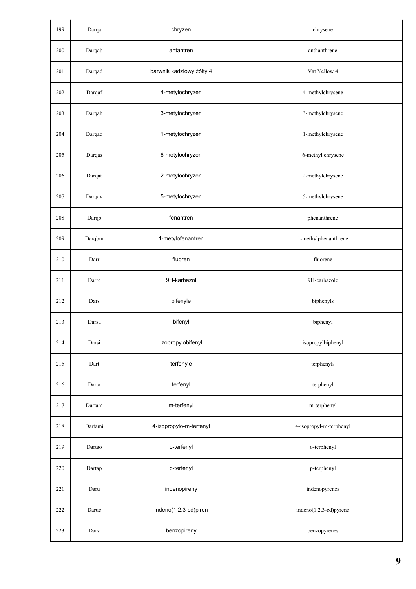| 199 | Darqa   | chryzen                  | chrysene                |
|-----|---------|--------------------------|-------------------------|
| 200 | Darqab  | antantren                | anthanthrene            |
| 201 | Darqad  | barwnik kadziowy żółty 4 | Vat Yellow 4            |
| 202 | Darqaf  | 4-metylochryzen          | 4-methylchrysene        |
| 203 | Darqah  | 3-metylochryzen          | 3-methylchrysene        |
| 204 | Darqao  | 1-metylochryzen          | 1-methylchrysene        |
| 205 | Darqas  | 6-metylochryzen          | 6-methyl chrysene       |
| 206 | Darqat  | 2-metylochryzen          | 2-methylchrysene        |
| 207 | Darqav  | 5-metylochryzen          | 5-methylchrysene        |
| 208 | Darqb   | fenantren                | phenanthrene            |
| 209 | Darqbm  | 1-metylofenantren        | 1-methylphenanthrene    |
| 210 | Darr    | fluoren                  | fluorene                |
| 211 | Darrc   | 9H-karbazol              | 9H-carbazole            |
| 212 | Dars    | bifenyle                 | biphenyls               |
| 213 | Darsa   | bifenyl                  | biphenyl                |
| 214 | Darsi   | izopropylobifenyl        | isopropylbiphenyl       |
| 215 | Dart    | terfenyle                | terphenyls              |
| 216 | Darta   | terfenyl                 | terphenyl               |
| 217 | Dartam  | m-terfenyl               | m-terphenyl             |
| 218 | Dartami | 4-izopropylo-m-terfenyl  | 4-isopropyl-m-terphenyl |
| 219 | Dartao  | o-terfenyl               | o-terphenyl             |
| 220 | Dartap  | p-terfenyl               | p-terphenyl             |
| 221 | Daru    | indenopireny             | indenopyrenes           |
| 222 | Daruc   | indeno(1,2,3-cd)piren    | indeno(1,2,3-cd)pyrene  |
| 223 | Darv    | benzopireny              | benzopyrenes            |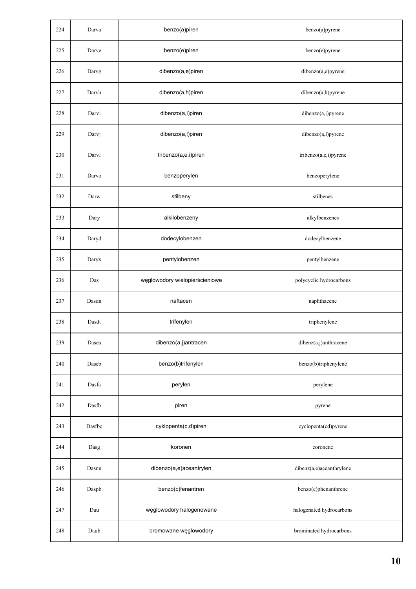| 224 | Darva  | benzo(a)piren                  | benzo(a)pyrene           |
|-----|--------|--------------------------------|--------------------------|
| 225 | Darve  | benzo(e)piren                  | benzo(e)pyrene           |
| 226 | Darvg  | dibenzo(a,e)piren              | dibenzo(a,e)pyrene       |
| 227 | Darvh  | dibenzo(a,h)piren              | dibenzo(a,h)pyrene       |
| 228 | Darvi  | dibenzo(a,i)piren              | dibenzo(a,i)pyrene       |
| 229 | Darvj  | dibenzo(a,l)piren              | dibenzo(a,l)pyrene       |
| 230 | Darvl  | tribenzo(a,e,i)piren           | tribenzo(a,e,i)pyrene    |
| 231 | Darvo  | benzoperylen                   | benzoperylene            |
| 232 | Darw   | stilbeny                       | stilbenes                |
| 233 | Dary   | alkilobenzeny                  | alkylbenzenes            |
| 234 | Daryd  | dodecylobenzen                 | dodecylbenzene           |
| 235 | Daryx  | pentylobenzen                  | pentylbenzene            |
| 236 | Das    | węglowodory wielopierścieniowe | polycyclic hydrocarbons  |
| 237 | Dasdn  | naftacen                       | naphthacene              |
| 238 | Dasdt  | trifenylen                     | triphenylene             |
| 239 | Dasea  | dibenzo(a,j)antracen           | dibenz(a,j)anthracene    |
| 240 | Daseb  | benzo(b)trifenylen             | benzo(b)triphenylene     |
| 241 | Dasfa  | perylen                        | perylene                 |
| 242 | Dasfb  | piren                          | pyrene                   |
| 243 | Dasfbc | cyklopenta(c,d)piren           | cyclopenta(cd)pyrene     |
| 244 | Dasg   | koronen                        | coronene                 |
| 245 | Dasnn  | dibenzo(a,e)aceantrylen        | dibenz(a,e)aceanthrylene |
| 246 | Daspb  | benzo(c)fenantren              | benzo(c)phenanthrene     |
| 247 | Dau    | węglowodory halogenowane       | halogenated hydrocarbons |
| 248 | Daub   | bromowane węglowodory          | brominated hydrocarbons  |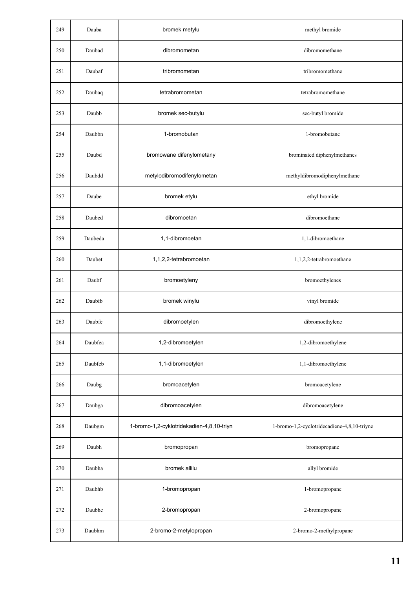| 249 | Dauba   | bromek metylu                             | methyl bromide                              |
|-----|---------|-------------------------------------------|---------------------------------------------|
| 250 | Daubad  | dibromometan                              | dibromomethane                              |
| 251 | Daubaf  | tribromometan                             | tribromomethane                             |
| 252 | Daubaq  | tetrabromometan                           | tetrabromomethane                           |
| 253 | Daubb   | bromek sec-butylu                         | sec-butyl bromide                           |
| 254 | Daubbn  | 1-bromobutan                              | 1-bromobutane                               |
| 255 | Daubd   | bromowane difenylometany                  | brominated diphenylmethanes                 |
| 256 | Daubdd  | metylodibromodifenylometan                | methyldibromodiphenylmethane                |
| 257 | Daube   | bromek etylu                              | ethyl bromide                               |
| 258 | Daubed  | dibromoetan                               | dibromoethane                               |
| 259 | Daubeda | 1,1-dibromoetan                           | 1,1-dibromoethane                           |
| 260 | Daubet  | 1,1,2,2-tetrabromoetan                    | 1,1,2,2-tetrabromoethane                    |
| 261 | Daubf   | bromoetyleny                              | bromoethylenes                              |
| 262 | Daubfb  | bromek winylu                             | vinyl bromide                               |
| 263 | Daubfe  | dibromoetylen                             | dibromoethylene                             |
| 264 | Daubfea | 1,2-dibromoetylen                         | 1,2-dibromoethylene                         |
| 265 | Daubfeb | 1,1-dibromoetylen                         | 1,1-dibromoethylene                         |
| 266 | Daubg   | bromoacetylen                             | bromoacetylene                              |
| 267 | Daubga  | dibromoacetylen                           | dibromoacetylene                            |
| 268 | Daubgm  | 1-bromo-1,2-cyklotridekadien-4,8,10-triyn | 1-bromo-1,2-cyclotridecadiene-4,8,10-triyne |
| 269 | Daubh   | bromopropan                               | bromopropane                                |
| 270 | Daubha  | bromek allilu                             | allyl bromide                               |
| 271 | Daubhb  | 1-bromopropan                             | 1-bromopropane                              |
| 272 | Daubhc  | 2-bromopropan                             | 2-bromopropane                              |
| 273 | Daubhm  | 2-bromo-2-metylopropan                    | 2-bromo-2-methylpropane                     |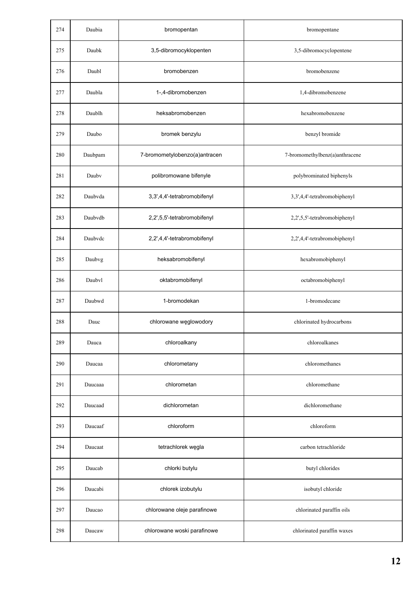| 274 | Daubia  | bromopentan                   | bromopentane                   |
|-----|---------|-------------------------------|--------------------------------|
| 275 | Daubk   | 3,5-dibromocyklopenten        | 3,5-dibromocyclopentene        |
| 276 | Daubl   | bromobenzen                   | bromobenzene                   |
| 277 | Daubla  | 1-,4-dibromobenzen            | 1,4-dibromobenzene             |
| 278 | Daublh  | heksabromobenzen              | hexabromobenzene               |
| 279 | Daubo   | bromek benzylu                | benzyl bromide                 |
| 280 | Daubpam | 7-bromometylobenzo(a)antracen | 7-bromomethylbenz(a)anthracene |
| 281 | Dauby   | polibromowane bifenyle        | polybrominated biphenyls       |
| 282 | Daubvda | 3,3',4,4'-tetrabromobifenyl   | 3,3',4,4'-tetrabromobiphenyl   |
| 283 | Daubvdb | 2,2',5,5'-tetrabromobifenyl   | 2,2',5,5'-tetrabromobiphenyl   |
| 284 | Daubvdc | 2,2',4,4'-tetrabromobifenyl   | 2,2',4,4'-tetrabromobiphenyl   |
| 285 | Daubvg  | heksabromobifenyl             | hexabromobiphenyl              |
| 286 | Daubyl  | oktabromobifenyl              | octabromobiphenyl              |
| 287 | Daubwd  | 1-bromodekan                  | 1-bromodecane                  |
| 288 | Dauc    | chlorowane węglowodory        | chlorinated hydrocarbons       |
| 289 | Dauca   | chloroalkany                  | chloroalkanes                  |
| 290 | Daucaa  | chlorometany                  | chloromethanes                 |
| 291 | Daucaaa | chlorometan                   | chloromethane                  |
| 292 | Daucaad | dichlorometan                 | dichloromethane                |
| 293 | Daucaaf | chloroform                    | chloroform                     |
| 294 | Daucaat | tetrachlorek węgla            | carbon tetrachloride           |
| 295 | Daucab  | chlorki butylu                | butyl chlorides                |
| 296 | Daucabi | chlorek izobutylu             | isobutyl chloride              |
| 297 | Daucao  | chlorowane oleje parafinowe   | chlorinated paraffin oils      |
| 298 | Daucaw  | chlorowane woski parafinowe   | chlorinated paraffin waxes     |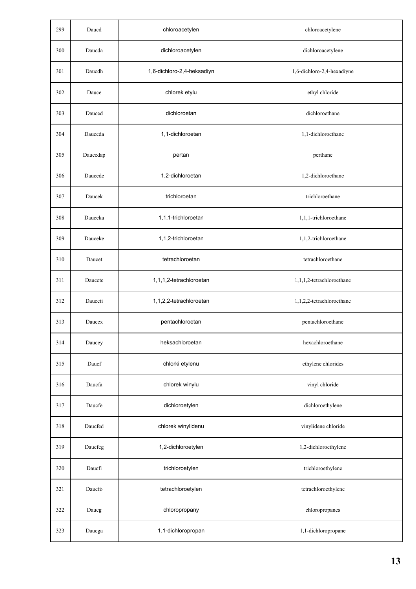| 299 | Daucd    | chloroacetylen             | chloroacetylene            |
|-----|----------|----------------------------|----------------------------|
| 300 | Daucda   | dichloroacetylen           | dichloroacetylene          |
| 301 | Daucdh   | 1,6-dichloro-2,4-heksadiyn | 1,6-dichloro-2,4-hexadiyne |
| 302 | Dauce    | chlorek etylu              | ethyl chloride             |
| 303 | Dauced   | dichloroetan               | dichloroethane             |
| 304 | Dauceda  | 1,1-dichloroetan           | 1,1-dichloroethane         |
| 305 | Daucedap | pertan                     | perthane                   |
| 306 | Daucede  | 1,2-dichloroetan           | 1,2-dichloroethane         |
| 307 | Daucek   | trichloroetan              | trichloroethane            |
| 308 | Dauceka  | 1,1,1-trichloroetan        | 1,1,1-trichloroethane      |
| 309 | Dauceke  | 1,1,2-trichloroetan        | 1,1,2-trichloroethane      |
| 310 | Daucet   | tetrachloroetan            | tetrachloroethane          |
| 311 | Daucete  | 1,1,1,2-tetrachloroetan    | 1,1,1,2-tetrachloroethane  |
| 312 | Dauceti  | 1,1,2,2-tetrachloroetan    | 1,1,2,2-tetrachloroethane  |
| 313 | Daucex   | pentachloroetan            | pentachloroethane          |
| 314 | Daucey   | heksachloroetan            | hexachloroethane           |
| 315 | Daucf    | chlorki etylenu            | ethylene chlorides         |
| 316 | Daucfa   | chlorek winylu             | vinyl chloride             |
| 317 | Daucfe   | dichloroetylen             | dichloroethylene           |
| 318 | Daucfed  | chlorek winylidenu         | vinylidene chloride        |
| 319 | Daucfeg  | 1,2-dichloroetylen         | 1,2-dichloroethylene       |
| 320 | Daucfi   | trichloroetylen            | trichloroethylene          |
| 321 | Daucfo   | tetrachloroetylen          | tetrachloroethylene        |
| 322 | Daucg    | chloropropany              | chloropropanes             |
| 323 | Daucga   | 1,1-dichloropropan         | 1,1-dichloropropane        |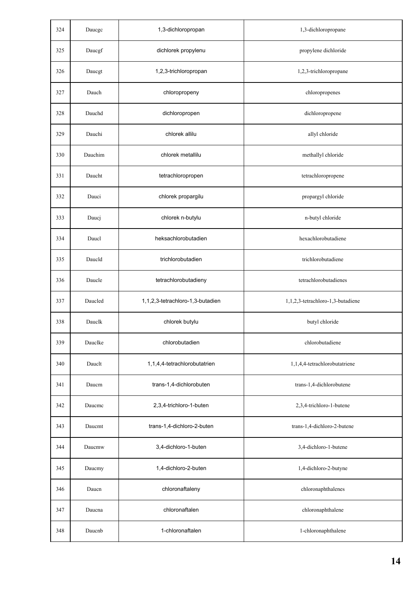| 324 | Daucgc  | 1,3-dichloropropan               | 1,3-dichloropropane               |
|-----|---------|----------------------------------|-----------------------------------|
| 325 | Daucgf  | dichlorek propylenu              | propylene dichloride              |
| 326 | Daucgt  | 1,2,3-trichloropropan            | 1,2,3-trichloropropane            |
| 327 | Dauch   | chloropropeny                    | chloropropenes                    |
| 328 | Dauchd  | dichloropropen                   | dichloropropene                   |
| 329 | Dauchi  | chlorek allilu                   | allyl chloride                    |
| 330 | Dauchim | chlorek metallilu                | methallyl chloride                |
| 331 | Daucht  | tetrachloropropen                | tetrachloropropene                |
| 332 | Dauci   | chlorek propargilu               | propargyl chloride                |
| 333 | Daucj   | chlorek n-butylu                 | n-butyl chloride                  |
| 334 | Daucl   | heksachlorobutadien              | hexachlorobutadiene               |
| 335 | Daucld  | trichlorobutadien                | trichlorobutadiene                |
| 336 | Daucle  | tetrachlorobutadieny             | tetrachlorobutadienes             |
| 337 | Daucled | 1,1,2,3-tetrachloro-1,3-butadien | 1,1,2,3-tetrachloro-1,3-butadiene |
| 338 | Dauclk  | chlorek butylu                   | butyl chloride                    |
| 339 | Dauclke | chlorobutadien                   | chlorobutadiene                   |
| 340 | Daucht  | 1,1,4,4-tetrachlorobutatrien     | 1,1,4,4-tetrachlorobutatriene     |
| 341 | Daucm   | trans-1,4-dichlorobuten          | trans-1,4-dichlorobutene          |
| 342 | Daucme  | 2,3,4-trichloro-1-buten          | 2,3,4-trichloro-1-butene          |
| 343 | Daucmt  | trans-1,4-dichloro-2-buten       | trans-1,4-dichloro-2-butene       |
| 344 | Daucmw  | 3,4-dichloro-1-buten             | 3,4-dichloro-1-butene             |
| 345 | Daucmy  | 1,4-dichloro-2-buten             | 1,4-dichloro-2-butyne             |
| 346 | Daucn   | chloronaftaleny                  | chloronaphthalenes                |
| 347 | Daucna  | chloronaftalen                   | chloronaphthalene                 |
| 348 | Daucnb  | 1-chloronaftalen                 | 1-chloronaphthalene               |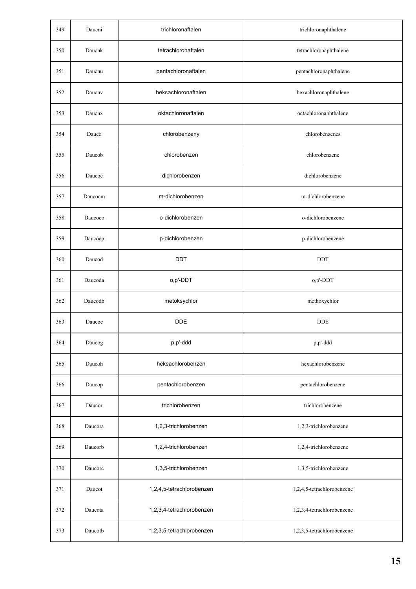| 349 | Daucni  | trichloronaftalen         | trichloronaphthalene       |
|-----|---------|---------------------------|----------------------------|
| 350 | Daucnk  | tetrachloronaftalen       | tetrachloronaphthalene     |
| 351 | Daucnu  | pentachloronaftalen       | pentachloronaphthalene     |
| 352 | Daucny  | heksachloronaftalen       | hexachloronaphthalene      |
| 353 | Daucnx  | oktachloronaftalen        | octachloronaphthalene      |
| 354 | Dauco   | chlorobenzeny             | chlorobenzenes             |
| 355 | Daucob  | chlorobenzen              | chlorobenzene              |
| 356 | Daucoc  | dichlorobenzen            | dichlorobenzene            |
| 357 | Daucocm | m-dichlorobenzen          | m-dichlorobenzene          |
| 358 | Daucoco | o-dichlorobenzen          | o-dichlorobenzene          |
| 359 | Daucocp | p-dichlorobenzen          | p-dichlorobenzene          |
| 360 | Daucod  | <b>DDT</b>                | DDT                        |
| 361 | Daucoda | o,p'-DDT                  | o,p'-DDT                   |
| 362 | Daucodb | metoksychlor              | methoxychlor               |
| 363 | Daucoe  | <b>DDE</b>                | <b>DDE</b>                 |
| 364 | Daucog  | p,p'-ddd                  | p,p'-ddd                   |
| 365 | Daucoh  | heksachlorobenzen         | hexachlorobenzene          |
| 366 | Daucop  | pentachlorobenzen         | pentachlorobenzene         |
| 367 | Daucor  | trichlorobenzen           | trichlorobenzene           |
| 368 | Daucora | 1,2,3-trichlorobenzen     | 1,2,3-trichlorobenzene     |
| 369 | Daucorb | 1,2,4-trichlorobenzen     | 1,2,4-trichlorobenzene     |
| 370 | Daucorc | 1,3,5-trichlorobenzen     | 1,3,5-trichlorobenzene     |
| 371 | Daucot  | 1,2,4,5-tetrachlorobenzen | 1,2,4,5-tetrachlorobenzene |
| 372 | Daucota | 1,2,3,4-tetrachlorobenzen | 1,2,3,4-tetrachlorobenzene |
| 373 | Daucotb | 1,2,3,5-tetrachlorobenzen | 1,2,3,5-tetrachlorobenzene |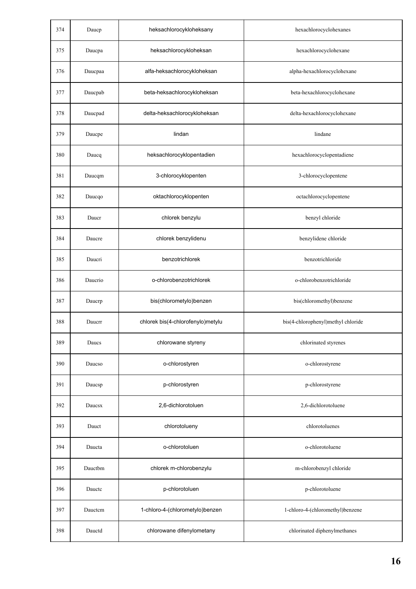| 374 | Daucp   | heksachlorocykloheksany           | hexachlorocyclohexanes             |
|-----|---------|-----------------------------------|------------------------------------|
| 375 | Daucpa  | heksachlorocykloheksan            | hexachlorocyclohexane              |
| 376 | Daucpaa | alfa-heksachlorocykloheksan       | alpha-hexachlorocyclohexane        |
| 377 | Daucpab | beta-heksachlorocykloheksan       | beta-hexachlorocyclohexane         |
| 378 | Daucpad | delta-heksachlorocykloheksan      | delta-hexachlorocyclohexane        |
| 379 | Daucpe  | lindan                            | lindane                            |
| 380 | Daucq   | heksachlorocyklopentadien         | hexachlorocyclopentadiene          |
| 381 | Daucqm  | 3-chlorocyklopenten               | 3-chlorocyclopentene               |
| 382 | Daucqo  | oktachlorocyklopenten             | octachlorocyclopentene             |
| 383 | Daucr   | chlorek benzylu                   | benzyl chloride                    |
| 384 | Daucre  | chlorek benzylidenu               | benzylidene chloride               |
| 385 | Daucri  | benzotrichlorek                   | benzotrichloride                   |
| 386 | Daucrio | o-chlorobenzotrichlorek           | o-chlorobenzotrichloride           |
| 387 | Daucrp  | bis(chlorometylo)benzen           | bis(chloromethyl)benzene           |
| 388 | Daucrr  | chlorek bis(4-chlorofenylo)metylu | bis(4-chlorophenyl)methyl chloride |
| 389 | Daucs   | chlorowane styreny                | chlorinated styrenes               |
| 390 | Daucso  | o-chlorostyren                    | o-chlorostyrene                    |
| 391 | Daucsp  | p-chlorostyren                    | p-chlorostyrene                    |
| 392 | Daucsx  | 2,6-dichlorotoluen                | 2,6-dichlorotoluene                |
| 393 | Dauct   | chlorotolueny                     | chlorotoluenes                     |
| 394 | Daucta  | o-chlorotoluen                    | o-chlorotoluene                    |
| 395 | Dauctbm | chlorek m-chlorobenzylu           | m-chlorobenzyl chloride            |
| 396 | Dauctc  | p-chlorotoluen                    | p-chlorotoluene                    |
| 397 | Dauctem | 1-chloro-4-(chlorometylo)benzen   | 1-chloro-4-(chloromethyl)benzene   |
| 398 | Dauctd  | chlorowane difenylometany         | chlorinated diphenylmethanes       |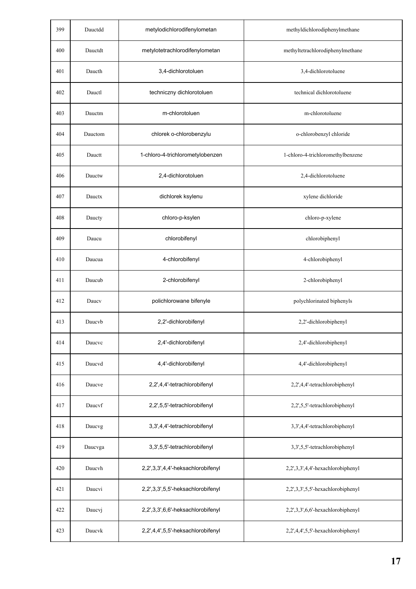| 399 | Dauctdd | metylodichlorodifenylometan       | methyldichlorodiphenylmethane     |
|-----|---------|-----------------------------------|-----------------------------------|
| 400 | Dauctdt | metylotetrachlorodifenylometan    | methyltetrachlorodiphenylmethane  |
| 401 | Daucth  | 3,4-dichlorotoluen                | 3,4-dichlorotoluene               |
| 402 | Dauctl  | techniczny dichlorotoluen         | technical dichlorotoluene         |
| 403 | Dauctm  | m-chlorotoluen                    | m-chlorotoluene                   |
| 404 | Dauctom | chlorek o-chlorobenzylu           | o-chlorobenzyl chloride           |
| 405 | Dauctt  | 1-chloro-4-trichlorometylobenzen  | 1-chloro-4-trichloromethylbenzene |
| 406 | Dauctw  | 2,4-dichlorotoluen                | 2,4-dichlorotoluene               |
| 407 | Dauctx  | dichlorek ksylenu                 | xylene dichloride                 |
| 408 | Daucty  | chloro-p-ksylen                   | chloro-p-xylene                   |
| 409 | Daucu   | chlorobifenyl                     | chlorobiphenyl                    |
| 410 | Daucua  | 4-chlorobifenyl                   | 4-chlorobiphenyl                  |
| 411 | Daucub  | 2-chlorobifenyl                   | 2-chlorobiphenyl                  |
| 412 | Daucy   | polichlorowane bifenyle           | polychlorinated biphenyls         |
| 413 | Daucyb  | 2,2'-dichlorobifenyl              | 2,2'-dichlorobiphenyl             |
| 414 | Daucvc  | 2,4'-dichlorobifenyl              | 2,4'-dichlorobiphenyl             |
| 415 | Daucyd  | 4,4'-dichlorobifenyl              | 4,4'-dichlorobiphenyl             |
| 416 | Daucve  | 2,2',4,4'-tetrachlorobifenyl      | 2,2',4,4'-tetrachlorobiphenyl     |
| 417 | Daucyf  | 2,2',5,5'-tetrachlorobifenyl      | 2,2',5,5'-tetrachlorobiphenyl     |
| 418 | Daucvg  | 3,3',4,4'-tetrachlorobifenyl      | 3,3',4,4'-tetrachlorobiphenyl     |
| 419 | Daucvga | 3,3',5,5'-tetrachlorobifenyl      | 3,3',5,5'-tetrachlorobiphenyl     |
| 420 | Daucyh  | 2,2',3,3',4,4'-heksachlorobifenyl | 2,2',3,3',4,4'-hexachlorobiphenyl |
| 421 | Daucvi  | 2,2',3,3',5,5'-heksachlorobifenyl | 2,2',3,3',5,5'-hexachlorobiphenyl |
| 422 | Daucvj  | 2,2',3,3',6,6'-heksachlorobifenyl | 2,2',3,3',6,6'-hexachlorobiphenyl |
| 423 | Daucvk  | 2,2',4,4',5,5'-heksachlorobifenyl | 2,2',4,4',5,5'-hexachlorobiphenyl |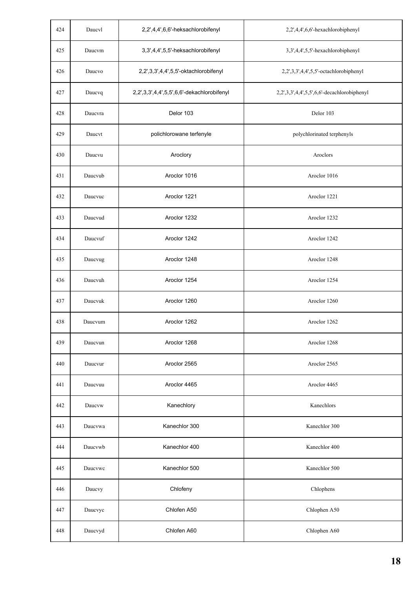| 424 | Daucyl  | 2,2',4,4',6,6'-heksachlorobifenyl          | 2,2',4,4',6,6'-hexachlorobiphenyl           |
|-----|---------|--------------------------------------------|---------------------------------------------|
| 425 | Daucvm  | 3,3',4,4',5,5'-heksachlorobifenyl          | 3,3',4,4',5,5'-hexachlorobiphenyl           |
| 426 | Daucvo  | 2,2',3,3',4,4',5,5'-oktachlorobifenyl      | 2,2',3,3',4,4',5,5'-octachlorobiphenyl      |
| 427 | Daucvq  | 2,2',3,3',4,4',5,5',6,6'-dekachlorobifenyl | 2,2',3,3',4,4',5,5',6,6'-decachlorobiphenyl |
| 428 | Daucvra | Delor 103                                  | Delor 103                                   |
| 429 | Daucyt  | polichlorowane terfenyle                   | polychlorinated terphenyls                  |
| 430 | Daucvu  | Aroclory                                   | Aroclors                                    |
| 431 | Daucvub | Aroclor 1016                               | Aroclor 1016                                |
| 432 | Daucvuc | Aroclor 1221                               | Aroclor 1221                                |
| 433 | Daucvud | Aroclor 1232                               | Aroclor 1232                                |
| 434 | Daucvuf | Aroclor 1242                               | Aroclor 1242                                |
| 435 | Daucvug | Aroclor 1248                               | Aroclor 1248                                |
| 436 | Daucvuh | Aroclor 1254                               | Aroclor 1254                                |
| 437 | Daucvuk | Aroclor 1260                               | Aroclor 1260                                |
| 438 | Daucvum | Aroclor 1262                               | Aroclor 1262                                |
| 439 | Daucvun | Aroclor 1268                               | Aroclor 1268                                |
| 440 | Daucvur | Aroclor 2565                               | Aroclor 2565                                |
| 441 | Daucvuu | Aroclor 4465                               | Aroclor 4465                                |
| 442 | Daucvw  | Kanechlory                                 | Kanechlors                                  |
| 443 | Daucvwa | Kanechlor 300                              | Kanechlor 300                               |
| 444 | Daucvwb | Kanechlor 400                              | Kanechlor 400                               |
| 445 | Daucvwc | Kanechlor 500                              | Kanechlor 500                               |
| 446 | Daucvy  | Chlofeny                                   | Chlophens                                   |
| 447 | Daucvyc | Chlofen A50                                | Chlophen A50                                |
| 448 | Daucvyd | Chlofen A60                                | Chlophen A60                                |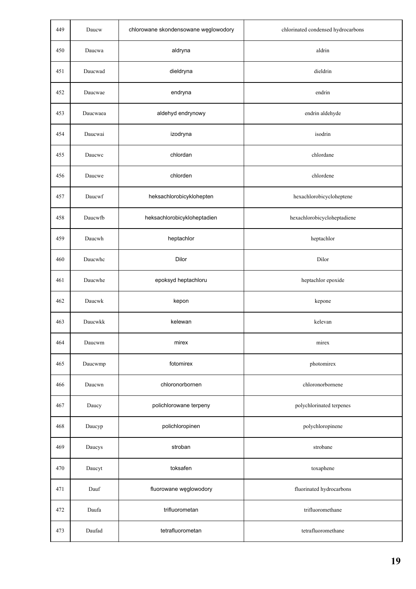| 449 | Daucw    | chlorowane skondensowane węglowodory | chlorinated condensed hydrocarbons |
|-----|----------|--------------------------------------|------------------------------------|
| 450 | Daucwa   | aldryna                              | aldrin                             |
| 451 | Daucwad  | dieldryna                            | dieldrin                           |
| 452 | Daucwae  | endryna                              | endrin                             |
| 453 | Daucwaea | aldehyd endrynowy                    | endrin aldehyde                    |
| 454 | Daucwai  | izodryna                             | isodrin                            |
| 455 | Daucwc   | chlordan                             | chlordane                          |
| 456 | Daucwe   | chlorden                             | chlordene                          |
| 457 | Daucwf   | heksachlorobicyklohepten             | hexachlorobicycloheptene           |
| 458 | Daucwfb  | heksachlorobicykloheptadien          | hexachlorobicycloheptadiene        |
| 459 | Daucwh   | heptachlor                           | heptachlor                         |
| 460 | Daucwhc  | Dilor                                | Dilor                              |
| 461 | Daucwhe  | epoksyd heptachloru                  | heptachlor epoxide                 |
| 462 | Daucwk   | kepon                                | kepone                             |
| 463 | Daucwkk  | kelewan                              | kelevan                            |
| 464 | Daucwm   | mirex                                | mirex                              |
| 465 | Daucwmp  | fotomirex                            | photomirex                         |
| 466 | Daucwn   | chloronorbornen                      | chloronorbornene                   |
| 467 | Daucy    | polichlorowane terpeny               | polychlorinated terpenes           |
| 468 | Daucyp   | polichloropinen                      | polychloropinene                   |
| 469 | Daucys   | stroban                              | strobane                           |
| 470 | Daucyt   | toksafen                             | toxaphene                          |
| 471 | Dauf     | fluorowane węglowodory               | fluorinated hydrocarbons           |
| 472 | Daufa    | trifluorometan                       | trifluoromethane                   |
| 473 | Daufad   | tetrafluorometan                     | tetrafluoromethane                 |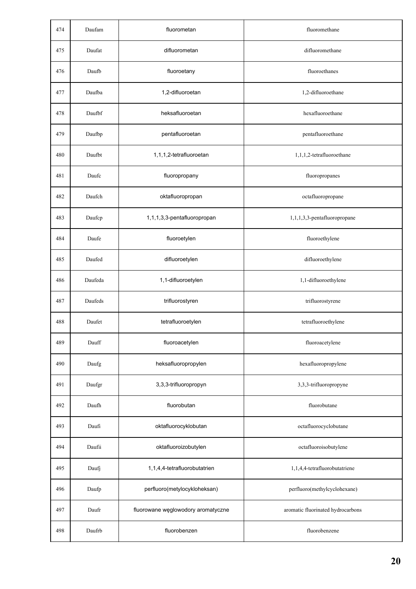| 474 | Daufam  | fluorometan                        | fluoromethane                     |
|-----|---------|------------------------------------|-----------------------------------|
| 475 | Daufat  | difluorometan                      | difluoromethane                   |
| 476 | Daufb   | fluoroetany                        | fluoroethanes                     |
| 477 | Daufba  | 1,2-difluoroetan                   | 1,2-difluoroethane                |
| 478 | Daufbf  | heksafluoroetan                    | hexafluoroethane                  |
| 479 | Daufbp  | pentafluoroetan                    | pentafluoroethane                 |
| 480 | Daufbt  | 1,1,1,2-tetrafluoroetan            | 1,1,1,2-tetrafluoroethane         |
| 481 | Daufc   | fluoropropany                      | fluoropropanes                    |
| 482 | Daufch  | oktafluoropropan                   | octafluoropropane                 |
| 483 | Daufcp  | 1,1,1,3,3-pentafluoropropan        | 1,1,1,3,3-pentafluoropropane      |
| 484 | Daufe   | fluoroetylen                       | fluoroethylene                    |
| 485 | Daufed  | difluoroetylen                     | difluoroethylene                  |
| 486 | Daufeda | 1,1-difluoroetylen                 | 1,1-difluoroethylene              |
| 487 | Daufeds | trifluorostyren                    | trifluorostyrene                  |
| 488 | Daufet  | tetrafluoroetylen                  | tetrafluoroethylene               |
| 489 | Dauff   | fluoroacetylen                     | fluoroacetylene                   |
| 490 | Daufg   | heksafluoropropylen                | hexafluoropropylene               |
| 491 | Daufgr  | 3,3,3-trifluoropropyn              | 3,3,3-trifluoropropyne            |
| 492 | Daufh   | fluorobutan                        | fluorobutane                      |
| 493 | Daufi   | oktafluorocyklobutan               | octafluorocyclobutane             |
| 494 | Daufii  | oktafluoroizobutylen               | octafluoroisobutylene             |
| 495 | Daufj   | 1,1,4,4-tetrafluorobutatrien       | 1,1,4,4-tetrafluorobutatriene     |
| 496 | Daufp   | perfluoro(metylocykloheksan)       | perfluoro(methylcyclohexane)      |
| 497 | Daufr   | fluorowane węglowodory aromatyczne | aromatic fluorinated hydrocarbons |
| 498 | Daufrb  | fluorobenzen                       | fluorobenzene                     |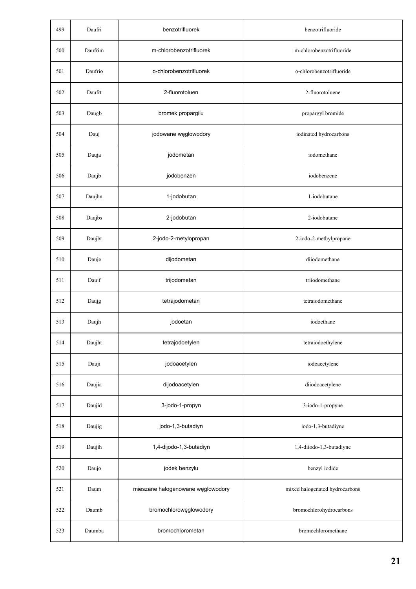| 499 | Daufri  | benzotrifluorek                   | benzotrifluoride               |
|-----|---------|-----------------------------------|--------------------------------|
| 500 | Daufrim | m-chlorobenzotrifluorek           | m-chlorobenzotrifluoride       |
| 501 | Daufrio | o-chlorobenzotrifluorek           | o-chlorobenzotrifluoride       |
| 502 | Daufrt  | 2-fluorotoluen                    | 2-fluorotoluene                |
| 503 | Daugb   | bromek propargilu                 | propargyl bromide              |
| 504 | Dauj    | jodowane węglowodory              | iodinated hydrocarbons         |
| 505 | Dauja   | jodometan                         | iodomethane                    |
| 506 | Daujb   | jodobenzen                        | iodobenzene                    |
| 507 | Daujbn  | 1-jodobutan                       | 1-iodobutane                   |
| 508 | Daujbs  | 2-jodobutan                       | 2-iodobutane                   |
| 509 | Daujbt  | 2-jodo-2-metylopropan             | 2-iodo-2-methylpropane         |
| 510 | Dauje   | dijodometan                       | diiodomethane                  |
| 511 | Daujf   | trijodometan                      | triiodomethane                 |
| 512 | Daujg   | tetrajodometan                    | tetraiodomethane               |
| 513 | Daujh   | jodoetan                          | iodoethane                     |
| 514 | Daujht  | tetrajodoetylen                   | tetraiodoethylene              |
| 515 | Dauji   | jodoacetylen                      | iodoacetylene                  |
| 516 | Daujia  | dijodoacetylen                    | diiodoacetylene                |
| 517 | Daujid  | 3-jodo-1-propyn                   | 3-iodo-1-propyne               |
| 518 | Daujig  | jodo-1,3-butadiyn                 | iodo-1,3-butadiyne             |
| 519 | Daujih  | 1,4-dijodo-1,3-butadiyn           | 1,4-diiodo-1,3-butadiyne       |
| 520 | Daujo   | jodek benzylu                     | benzyl iodide                  |
| 521 | Daum    | mieszane halogenowane węglowodory | mixed halogenated hydrocarbons |
| 522 | Daumb   | bromochlorowęglowodory            | bromochlorohydrocarbons        |
| 523 | Daumba  | bromochlorometan                  | bromochloromethane             |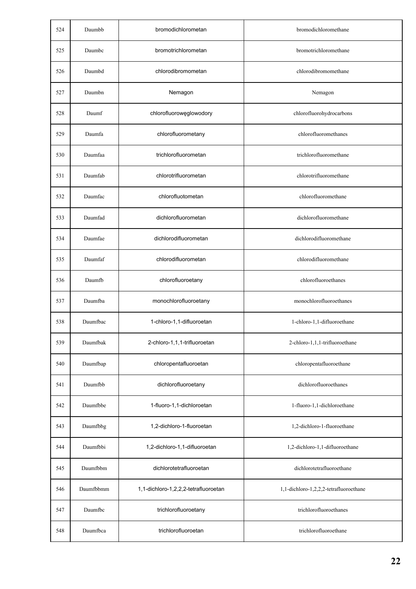| 524 | Daumbb    | bromodichlorometan                   | bromodichloromethane                   |
|-----|-----------|--------------------------------------|----------------------------------------|
| 525 | Daumbc    | bromotrichlorometan                  | bromotrichloromethane                  |
| 526 | Daumbd    | chlorodibromometan                   | chlorodibromomethane                   |
| 527 | Daumbn    | Nemagon                              | Nemagon                                |
| 528 | Daumf     | chlorofluorowęglowodory              | chlorofluorohydrocarbons               |
| 529 | Daumfa    | chlorofluorometany                   | chlorofluoromethanes                   |
| 530 | Daumfaa   | trichlorofluorometan                 | trichlorofluoromethane                 |
| 531 | Daumfab   | chlorotrifluorometan                 | chlorotrifluoromethane                 |
| 532 | Daumfac   | chlorofluotometan                    | chlorofluoromethane                    |
| 533 | Daumfad   | dichlorofluorometan                  | dichlorofluoromethane                  |
| 534 | Daumfae   | dichlorodifluorometan                | dichlorodifluoromethane                |
| 535 | Daumfaf   | chlorodifluorometan                  | chlorodifluoromethane                  |
| 536 | Daumfb    | chlorofluoroetany                    | chlorofluoroethanes                    |
| 537 | Daumfba   | monochlorofluoroetany                | monochlorofluoroethanes                |
| 538 | Daumfbac  | 1-chloro-1,1-difluoroetan            | 1-chloro-1,1-difluoroethane            |
| 539 | Daumfbak  | 2-chloro-1,1,1-trifluoroetan         | 2-chloro-1,1,1-trifluoroethane         |
| 540 | Daumfbap  | chloropentafluoroetan                | chloropentafluoroethane                |
| 541 | Daumfbb   | dichlorofluoroetany                  | dichlorofluoroethanes                  |
| 542 | Daumfbbe  | 1-fluoro-1,1-dichloroetan            | 1-fluoro-1,1-dichloroethane            |
| 543 | Daumfbbg  | 1,2-dichloro-1-fluoroetan            | 1,2-dichloro-1-fluoroethane            |
| 544 | Daumfbbi  | 1,2-dichloro-1,1-difluoroetan        | 1,2-dichloro-1,1-difluoroethane        |
| 545 | Daumfbbm  | dichlorotetrafluoroetan              | dichlorotetrafluoroethane              |
| 546 | Daumfbbmm | 1,1-dichloro-1,2,2,2-tetrafluoroetan | 1,1-dichloro-1,2,2,2-tetrafluoroethane |
| 547 | Daumfbc   | trichlorofluoroetany                 | trichlorofluoroethanes                 |
| 548 | Daumfbca  | trichlorofluoroetan                  | trichlorofluoroethane                  |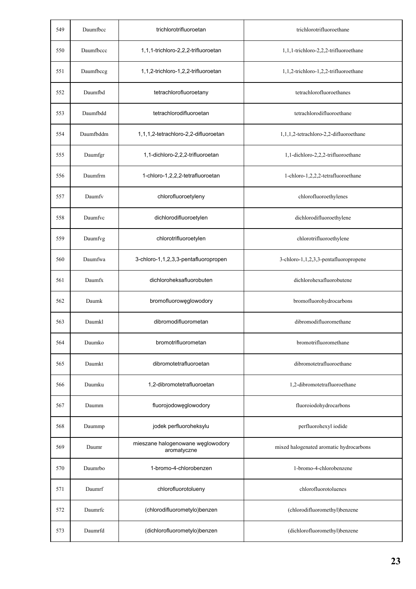| 549 | Daumfbcc  | trichlorotrifluoroetan                           | trichlorotrifluoroethane                |
|-----|-----------|--------------------------------------------------|-----------------------------------------|
| 550 | Daumfbccc | 1,1,1-trichloro-2,2,2-trifluoroetan              | 1,1,1-trichloro-2,2,2-trifluoroethane   |
| 551 | Daumfbccg | 1,1,2-trichloro-1,2,2-trifluoroetan              | 1,1,2-trichloro-1,2,2-trifluoroethane   |
| 552 | Daumfbd   | tetrachlorofluoroetany                           | tetrachlorofluoroethanes                |
| 553 | Daumfbdd  | tetrachlorodifluoroetan                          | tetrachlorodifluoroethane               |
| 554 | Daumfbddm | 1,1,1,2-tetrachloro-2,2-difluoroetan             | 1,1,1,2-tetrachloro-2,2-difluoroethane  |
| 555 | Daumfgr   | 1,1-dichloro-2,2,2-trifluoroetan                 | 1,1-dichloro-2,2,2-trifluoroethane      |
| 556 | Daumfrm   | 1-chloro-1,2,2,2-tetrafluoroetan                 | 1-chloro-1,2,2,2-tetrafluoroethane      |
| 557 | Daumfy    | chlorofluoroetyleny                              | chlorofluoroethylenes                   |
| 558 | Daumfvc   | dichlorodifluoroetylen                           | dichlorodifluoroethylene                |
| 559 | Daumfvg   | chlorotrifluoroetylen                            | chlorotrifluoroethylene                 |
| 560 | Daumfwa   | 3-chloro-1,1,2,3,3-pentafluoropropen             | 3-chloro-1,1,2,3,3-pentafluoropropene   |
| 561 | Daumfx    | dichloroheksafluorobuten                         | dichlorohexafluorobutene                |
| 562 | Daumk     | bromofluorowęglowodory                           | bromofluorohydrocarbons                 |
| 563 | Daumkl    | dibromodifluorometan                             | dibromodifluoromethane                  |
| 564 | Daumko    | bromotrifluorometan                              | bromotrifluoromethane                   |
| 565 | Daumkt    | dibromotetrafluoroetan                           | dibromotetrafluoroethane                |
| 566 | Daumku    | 1,2-dibromotetrafluoroetan                       | 1,2-dibromotetrafluoroethane            |
| 567 | Daumm     | fluorojodowęglowodory                            | fluoroiodohydrocarbons                  |
| 568 | Daummp    | jodek perfluoroheksylu                           | perfluorohexyl iodide                   |
| 569 | Daumr     | mieszane halogenowane węglowodory<br>aromatyczne | mixed halogenated aromatic hydrocarbons |
| 570 | Daumrbo   | 1-bromo-4-chlorobenzen                           | 1-bromo-4-chlorobenzene                 |
| 571 | Daumrf    | chlorofluorotolueny                              | chlorofluorotoluenes                    |
| 572 | Daumrfc   | (chlorodifluorometylo)benzen                     | (chlorodifluoromethyl)benzene           |
| 573 | Daumrfd   | (dichlorofluorometylo)benzen                     | (dichlorofluoromethyl)benzene           |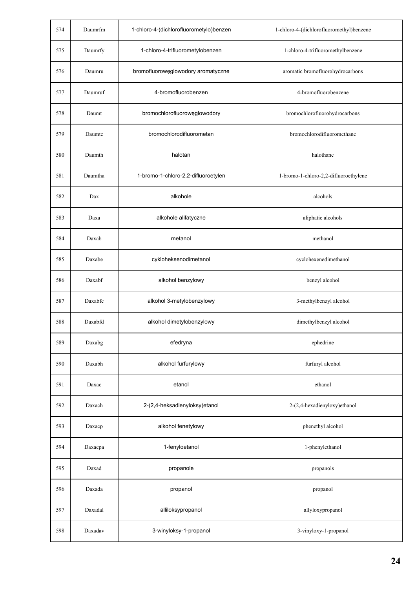| 574 | Daumrfm | 1-chloro-4-(dichlorofluorometylo)benzen | 1-chloro-4-(dichlorofluoromethyl)benzene |
|-----|---------|-----------------------------------------|------------------------------------------|
| 575 | Daumrfy | 1-chloro-4-trifluorometylobenzen        | 1-chloro-4-trifluoromethylbenzene        |
| 576 | Daumru  | bromofluorowęglowodory aromatyczne      | aromatic bromofluorohydrocarbons         |
| 577 | Daumruf | 4-bromofluorobenzen                     | 4-bromofluorobenzene                     |
| 578 | Daumt   | bromochlorofluorowęglowodory            | bromochlorofluorohydrocarbons            |
| 579 | Daumte  | bromochlorodifluorometan                | bromochlorodifluoromethane               |
| 580 | Daumth  | halotan                                 | halothane                                |
| 581 | Daumtha | 1-bromo-1-chloro-2,2-difluoroetylen     | 1-bromo-1-chloro-2,2-difluoroethylene    |
| 582 | Dax     | alkohole                                | alcohols                                 |
| 583 | Daxa    | alkohole alifatyczne                    | aliphatic alcohols                       |
| 584 | Daxab   | metanol                                 | methanol                                 |
| 585 | Daxabe  | cykloheksenodimetanol                   | cyclohexenedimethanol                    |
| 586 | Daxabf  | alkohol benzylowy                       | benzyl alcohol                           |
| 587 | Daxabfc | alkohol 3-metylobenzylowy               | 3-methylbenzyl alcohol                   |
| 588 | Daxabfd | alkohol dimetylobenzylowy               | dimethylbenzyl alcohol                   |
| 589 | Daxabg  | efedryna                                | ephedrine                                |
| 590 | Daxabh  | alkohol furfurylowy                     | furfuryl alcohol                         |
| 591 | Daxac   | etanol                                  | ethanol                                  |
| 592 | Daxach  | 2-(2,4-heksadienyloksy)etanol           | 2-(2,4-hexadienyloxy)ethanol             |
| 593 | Daxacp  | alkohol fenetylowy                      | phenethyl alcohol                        |
| 594 | Daxacpa | 1-fenyloetanol                          | 1-phenylethanol                          |
| 595 | Daxad   | propanole                               | propanols                                |
| 596 | Daxada  | propanol                                | propanol                                 |
| 597 | Daxadal | alliloksypropanol                       | allyloxypropanol                         |
| 598 | Daxadav | 3-winyloksy-1-propanol                  | 3-vinyloxy-1-propanol                    |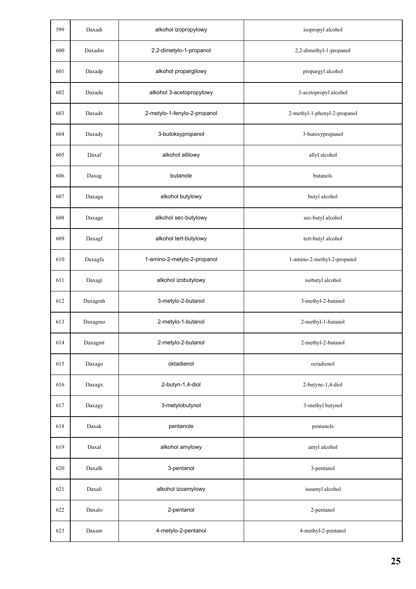| 599 | Daxadi  | alkohol izopropylowy         | isopropyl alcohol            |
|-----|---------|------------------------------|------------------------------|
| 600 | Daxadm  | 2,2-dimetylo-1-propanol      | 2,2-dimethyl-1-propanol      |
| 601 | Daxadp  | alkohol propargilowy         | propargyl alcohol            |
| 602 | Daxadu  | alkohol 3-acetopropylowy     | 3-acetopropyl alcohol        |
| 603 | Daxadx  | 2-metylo-1-fenylo-2-propanol | 2-methyl-1-phenyl-2-propanol |
| 604 | Daxady  | 3-butoksypropanol            | 3-butoxypropanol             |
| 605 | Daxaf   | alkohol allilowy             | allyl alcohol                |
| 606 | Daxag   | butanole                     | butanols                     |
| 607 | Daxaga  | alkohol butylowy             | butyl alcohol                |
| 608 | Daxage  | alkohol sec-butylowy         | sec-butyl alcohol            |
| 609 | Daxagf  | alkohol tert-butylowy        | tert-butyl alcohol           |
| 610 | Daxagfa | 1-amino-2-metylo-2-propanol  | 1-amino-2-methyl-2-propanol  |
| 611 | Daxagi  | alkohol izobutylowy          | isobutyl alcohol             |
| 612 | Daxagmh | 3-metylo-2-butanol           | 3-methyl-2-butanol           |
| 613 | Daxagmo | 2-metylo-1-butanol           | 2-methyl-1-butanol           |
| 614 | Daxagmt | 2-metylo-2-butanol           | 2-methyl-2-butanol           |
| 615 | Daxago  | oktadienol                   | octadienol                   |
| 616 | Daxagx  | 2-butyn-1,4-diol             | 2-butyne-1,4-diol            |
| 617 | Daxagy  | 3-metylobutynol              | 3-methyl butynol             |
| 618 | Daxak   | pentanole                    | pentanols                    |
| 619 | Daxal   | alkohol amylowy              | amyl alcohol                 |
| 620 | Daxalh  | 3-pentanol                   | 3-pentanol                   |
| 621 | Daxali  | alkohol izoamylowy           | isoamyl alcohol              |
| 622 | Daxalo  | 2-pentanol                   | 2-pentanol                   |
| 623 | Daxam   | 4-metylo-2-pentanol          | 4-methyl-2-pentanol          |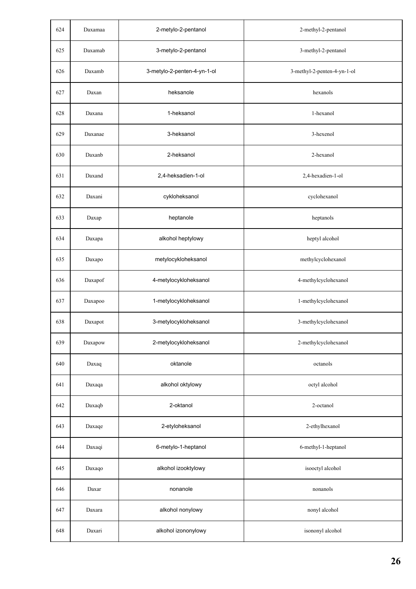| 624 | Daxamaa | 2-metylo-2-pentanol         | 2-methyl-2-pentanol         |
|-----|---------|-----------------------------|-----------------------------|
| 625 | Daxamab | 3-metylo-2-pentanol         | 3-methyl-2-pentanol         |
| 626 | Daxamb  | 3-metylo-2-penten-4-yn-1-ol | 3-methyl-2-penten-4-yn-1-ol |
| 627 | Daxan   | heksanole                   | hexanols                    |
| 628 | Daxana  | 1-heksanol                  | 1-hexanol                   |
| 629 | Daxanae | 3-heksanol                  | 3-hexenol                   |
| 630 | Daxanb  | 2-heksanol                  | 2-hexanol                   |
| 631 | Daxand  | 2,4-heksadien-1-ol          | 2,4-hexadien-1-ol           |
| 632 | Daxani  | cykloheksanol               | cyclohexanol                |
| 633 | Daxap   | heptanole                   | heptanols                   |
| 634 | Daxapa  | alkohol heptylowy           | heptyl alcohol              |
| 635 | Daxapo  | metylocykloheksanol         | methylcyclohexanol          |
| 636 | Daxapof | 4-metylocykloheksanol       | 4-methylcyclohexanol        |
| 637 | Daxapoo | 1-metylocykloheksanol       | 1-methylcyclohexanol        |
| 638 | Daxapot | 3-metylocykloheksanol       | 3-methylcyclohexanol        |
| 639 | Daxapow | 2-metylocykloheksanol       | 2-methylcyclohexanol        |
| 640 | Daxaq   | oktanole                    | octanols                    |
| 641 | Daxaqa  | alkohol oktylowy            | octyl alcohol               |
| 642 | Daxaqb  | 2-oktanol                   | 2-octanol                   |
| 643 | Daxaqe  | 2-etyloheksanol             | 2-ethylhexanol              |
| 644 | Daxaqi  | 6-metylo-1-heptanol         | 6-methyl-1-heptanol         |
| 645 | Daxaqo  | alkohol izooktylowy         | isooctyl alcohol            |
| 646 | Daxar   | nonanole                    | nonanols                    |
| 647 | Daxara  | alkohol nonylowy            | nonyl alcohol               |
| 648 | Daxari  | alkohol izononylowy         | isononyl alcohol            |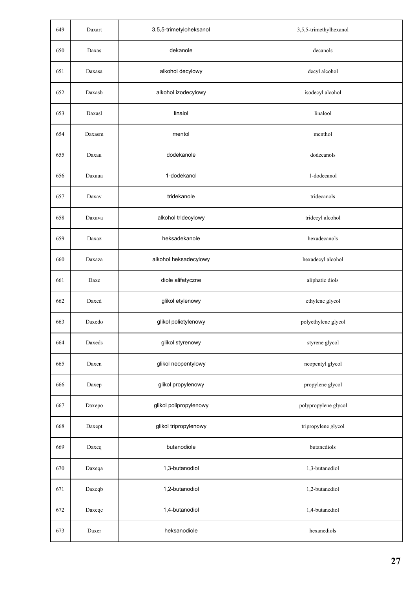| 649 | Daxart       | 3,5,5-trimetyloheksanol | 3,5,5-trimethylhexanol |
|-----|--------------|-------------------------|------------------------|
| 650 | $\rm{Daxas}$ | dekanole                | decanols               |
| 651 | Daxasa       | alkohol decylowy        | decyl alcohol          |
| 652 | Daxasb       | alkohol izodecylowy     | isodecyl alcohol       |
| 653 | Daxasl       | linalol                 | linalool               |
| 654 | Daxasm       | mentol                  | menthol                |
| 655 | Daxau        | dodekanole              | dodecanols             |
| 656 | Daxaua       | 1-dodekanol             | 1-dodecanol            |
| 657 | Daxav        | tridekanole             | tridecanols            |
| 658 | Daxava       | alkohol tridecylowy     | tridecyl alcohol       |
| 659 | Daxaz        | heksadekanole           | hexadecanols           |
| 660 | Daxaza       | alkohol heksadecylowy   | hexadecyl alcohol      |
| 661 | Daxe         | diole alifatyczne       | aliphatic diols        |
| 662 | Daxed        | glikol etylenowy        | ethylene glycol        |
| 663 | Daxedo       | glikol polietylenowy    | polyethylene glycol    |
| 664 | Daxeds       | glikol styrenowy        | styrene glycol         |
| 665 | Daxen        | glikol neopentylowy     | neopentyl glycol       |
| 666 | Daxep        | glikol propylenowy      | propylene glycol       |
| 667 | Daxepo       | glikol polipropylenowy  | polypropylene glycol   |
| 668 | Daxept       | glikol tripropylenowy   | tripropylene glycol    |
| 669 | Daxeq        | butanodiole             | butanediols            |
| 670 | Daxeqa       | 1,3-butanodiol          | 1,3-butanediol         |
| 671 | Daxeqb       | 1,2-butanodiol          | 1,2-butanediol         |
| 672 | Daxeqc       | 1,4-butanodiol          | 1,4-butanediol         |
| 673 | Daxer        | heksanodiole            | hexanediols            |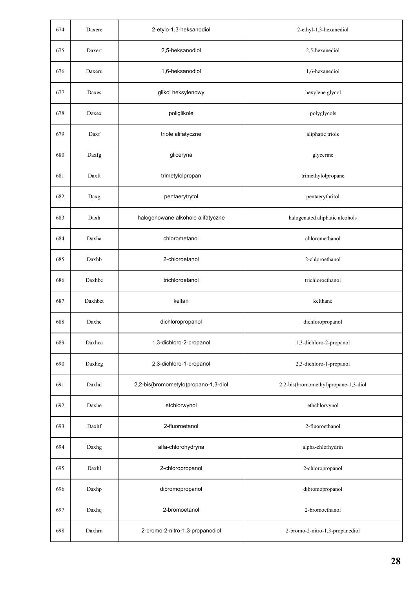| 674 | Daxere  | 2-etylo-1,3-heksanodiol              | 2-ethyl-1,3-hexanediol               |
|-----|---------|--------------------------------------|--------------------------------------|
| 675 | Daxert  | 2,5-heksanodiol                      | 2,5-hexanediol                       |
| 676 | Daxeru  | 1,6-heksanodiol                      | 1,6-hexanediol                       |
| 677 | Daxes   | glikol heksylenowy                   | hexylene glycol                      |
| 678 | Daxex   | poliglikole                          | polyglycols                          |
| 679 | Daxf    | triole alifatyczne                   | aliphatic triols                     |
| 680 | Daxfg   | gliceryna                            | glycerine                            |
| 681 | Daxft   | trimetylolpropan                     | trimethylolpropane                   |
| 682 | Daxg    | pentaerytrytol                       | pentaerythritol                      |
| 683 | Daxh    | halogenowane alkohole alifatyczne    | halogenated aliphatic alcohols       |
| 684 | Daxha   | chlorometanol                        | chloromethanol                       |
| 685 | Daxhb   | 2-chloroetanol                       | 2-chloroethanol                      |
| 686 | Daxhbe  | trichloroetanol                      | trichloroethanol                     |
| 687 | Daxhbet | keltan                               | kelthane                             |
| 688 | Daxhc   | dichloropropanol                     | dichloropropanol                     |
| 689 | Daxhca  | 1,3-dichloro-2-propanol              | 1,3-dichloro-2-propanol              |
| 690 | Daxhcg  | 2,3-dichloro-1-propanol              | 2,3-dichloro-1-propanol              |
| 691 | Daxhd   | 2,2-bis(bromometylo)propano-1,3-diol | 2,2-bis(bromomethyl)propane-1,3-diol |
| 692 | Daxhe   | etchlorwynol                         | ethchlorvynol                        |
| 693 | Daxhf   | 2-fluoroetanol                       | 2-fluoroethanol                      |
| 694 | Daxhg   | alfa-chlorohydryna                   | alpha-chlorhydrin                    |
| 695 | Daxhl   | 2-chloropropanol                     | 2-chloropropanol                     |
| 696 | Daxhp   | dibromopropanol                      | dibromopropanol                      |
| 697 | Daxhq   | 2-bromoetanol                        | 2-bromoethanol                       |
| 698 | Daxhrn  | 2-bromo-2-nitro-1,3-propanodiol      | 2-bromo-2-nitro-1,3-propanediol      |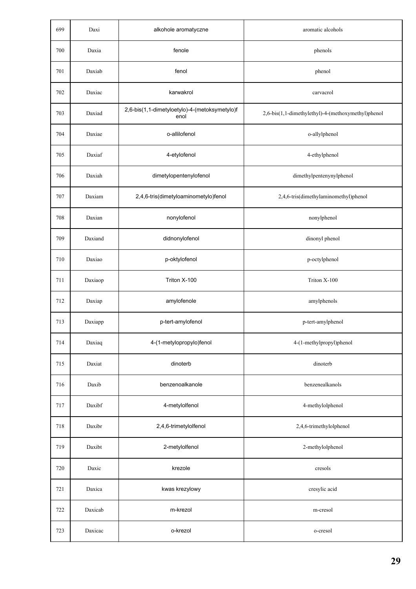| 699 | Daxi    | alkohole aromatyczne                                  | aromatic alcohols                                  |
|-----|---------|-------------------------------------------------------|----------------------------------------------------|
| 700 | Daxia   | fenole                                                | phenols                                            |
| 701 | Daxiab  | fenol                                                 | phenol                                             |
| 702 | Daxiac  | karwakrol                                             | carvacrol                                          |
| 703 | Daxiad  | 2,6-bis(1,1-dimetyloetylo)-4-(metoksymetylo)f<br>enol | 2,6-bis(1,1-dimethylethyl)-4-(methoxymethyl)phenol |
| 704 | Daxiae  | o-allilofenol                                         | o-allylphenol                                      |
| 705 | Daxiaf  | 4-etylofenol                                          | 4-ethylphenol                                      |
| 706 | Daxiah  | dimetylopentenylofenol                                | dimethylpentenynylphenol                           |
| 707 | Daxiam  | 2,4,6-tris(dimetyloaminometylo)fenol                  | 2,4,6-tris(dimethylaminomethyl)phenol              |
| 708 | Daxian  | nonylofenol                                           | nonylphenol                                        |
| 709 | Daxiand | didnonylofenol                                        | dinonyl phenol                                     |
| 710 | Daxiao  | p-oktylofenol                                         | p-octylphenol                                      |
| 711 | Daxiaop | Triton X-100                                          | Triton X-100                                       |
| 712 | Daxiap  | amylofenole                                           | amylphenols                                        |
| 713 | Daxiapp | p-tert-amylofenol                                     | p-tert-amylphenol                                  |
| 714 | Daxiaq  | 4-(1-metylopropylo)fenol                              | 4-(1-methylpropyl)phenol                           |
| 715 | Daxiat  | dinoterb                                              | dinoterb                                           |
| 716 | Daxib   | benzenoalkanole                                       | benzenealkanols                                    |
| 717 | Daxibf  | 4-metylolfenol                                        | 4-methylolphenol                                   |
| 718 | Daxibr  | 2,4,6-trimetylolfenol                                 | 2,4,6-trimethylolphenol                            |
| 719 | Daxibt  | 2-metylolfenol                                        | 2-methylolphenol                                   |
| 720 | Daxic   | krezole                                               | cresols                                            |
| 721 | Daxica  | kwas krezylowy                                        | cresylic acid                                      |
| 722 | Daxicab | m-krezol                                              | m-cresol                                           |
| 723 | Daxicac | o-krezol                                              | o-cresol                                           |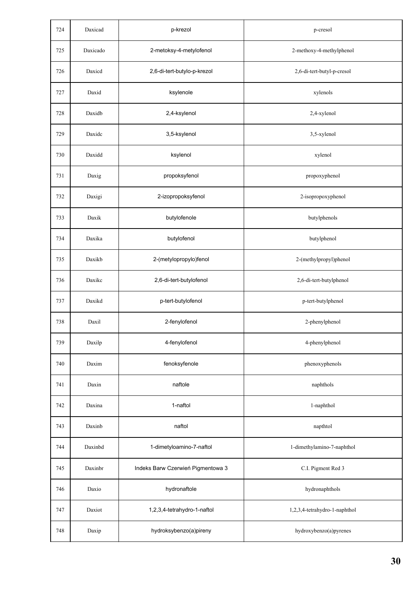| 724 | Daxicad  | p-krezol                          | p-cresol                      |
|-----|----------|-----------------------------------|-------------------------------|
| 725 | Daxicado | 2-metoksy-4-metylofenol           | 2-methoxy-4-methylphenol      |
| 726 | Daxied   | 2,6-di-tert-butylo-p-krezol       | 2,6-di-tert-butyl-p-cresol    |
| 727 | Daxid    | ksylenole                         | xylenols                      |
| 728 | Daxidb   | 2,4-ksylenol                      | 2,4-xylenol                   |
| 729 | Daxidc   | 3,5-ksylenol                      | 3,5-xylenol                   |
| 730 | Daxidd   | ksylenol                          | xylenol                       |
| 731 | Daxig    | propoksyfenol                     | propoxyphenol                 |
| 732 | Daxigi   | 2-izopropoksyfenol                | 2-isopropoxyphenol            |
| 733 | Daxik    | butylofenole                      | butylphenols                  |
| 734 | Daxika   | butylofenol                       | butylphenol                   |
| 735 | Daxikb   | 2-(metylopropylo)fenol            | 2-(methylpropyl)phenol        |
| 736 | Daxikc   | 2,6-di-tert-butylofenol           | 2,6-di-tert-butylphenol       |
| 737 | Daxikd   | p-tert-butylofenol                | p-tert-butylphenol            |
| 738 | Daxil    | 2-fenylofenol                     | 2-phenylphenol                |
| 739 | Daxilp   | 4-fenylofenol                     | 4-phenylphenol                |
| 740 | Daxim    | fenoksyfenole                     | phenoxyphenols                |
| 741 | Daxin    | naftole                           | naphthols                     |
| 742 | Daxina   | 1-naftol                          | 1-naphthol                    |
| 743 | Daxinb   | naftol                            | napthtol                      |
| 744 | Daxinbd  | 1-dimetyloamino-7-naftol          | 1-dimethylamino-7-naphthol    |
| 745 | Daxinbr  | Indeks Barw Czerwień Pigmentowa 3 | C.I. Pigment Red 3            |
| 746 | Daxio    | hydronaftole                      | hydronaphthols                |
| 747 | Daxiot   | 1,2,3,4-tetrahydro-1-naftol       | 1,2,3,4-tetrahydro-1-naphthol |
| 748 | Daxip    | hydroksybenzo(a)pireny            | hydroxybenzo(a)pyrenes        |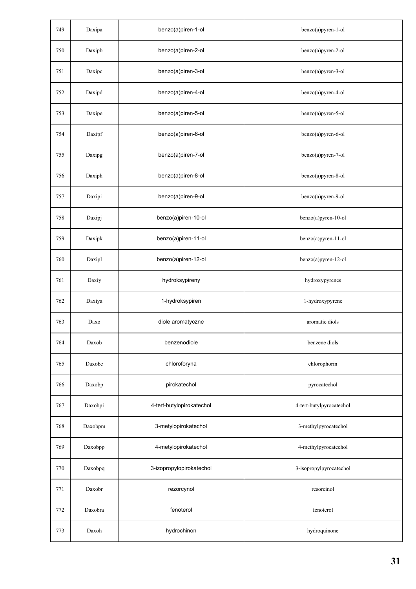| 749 | Daxipa  | benzo(a)piren-1-ol        | benzo(a)pyren-1-ol       |
|-----|---------|---------------------------|--------------------------|
| 750 | Daxipb  | benzo(a)piren-2-ol        | benzo(a)pyren-2-ol       |
| 751 | Daxipc  | benzo(a)piren-3-ol        | benzo(a)pyren-3-ol       |
| 752 | Daxipd  | benzo(a)piren-4-ol        | benzo(a)pyren-4-ol       |
| 753 | Daxipe  | benzo(a)piren-5-ol        | benzo(a)pyren-5-ol       |
| 754 | Daxipf  | benzo(a)piren-6-ol        | benzo(a)pyren-6-ol       |
| 755 | Daxipg  | benzo(a)piren-7-ol        | benzo(a)pyren-7-ol       |
| 756 | Daxiph  | benzo(a)piren-8-ol        | benzo(a)pyren-8-ol       |
| 757 | Daxipi  | benzo(a)piren-9-ol        | benzo(a)pyren-9-ol       |
| 758 | Daxipj  | benzo(a)piren-10-ol       | benzo(a)pyren-10-ol      |
| 759 | Daxipk  | benzo(a)piren-11-ol       | benzo(a)pyren-11-ol      |
| 760 | Daxipl  | benzo(a)piren-12-ol       | benzo(a)pyren-12-ol      |
| 761 | Daxiy   | hydroksypireny            | hydroxypyrenes           |
| 762 | Daxiya  | 1-hydroksypiren           | 1-hydroxypyrene          |
| 763 | Daxo    | diole aromatyczne         | aromatic diols           |
| 764 | Daxob   | benzenodiole              | benzene diols            |
| 765 | Daxobe  | chloroforyna              | chlorophorin             |
| 766 | Daxobp  | pirokatechol              | pyrocatechol             |
| 767 | Daxobpi | 4-tert-butylopirokatechol | 4-tert-butylpyrocatechol |
| 768 | Daxobpm | 3-metylopirokatechol      | 3-methylpyrocatechol     |
| 769 | Daxobpp | 4-metylopirokatechol      | 4-methylpyrocatechol     |
| 770 | Daxobpq | 3-izopropylopirokatechol  | 3-isopropylpyrocatechol  |
| 771 | Daxobr  | rezorcynol                | resorcinol               |
| 772 | Daxobra | fenoterol                 | fenoterol                |
| 773 | Daxoh   | hydrochinon               | hydroquinone             |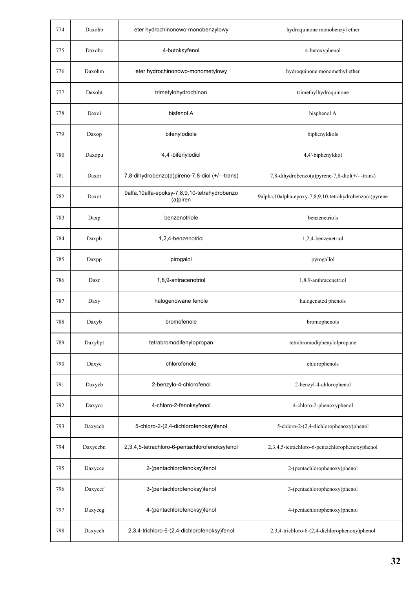| 774 | Daxohb   | eter hydrochinonowo-monobenzylowy                         | hydroquinone monobenzyl ether                           |
|-----|----------|-----------------------------------------------------------|---------------------------------------------------------|
| 775 | Daxohc   | 4-butoksyfenol                                            | 4-butoxyphenol                                          |
| 776 | Daxohm   | eter hydrochinonowo-monometylowy                          | hydroquinone monomethyl ether                           |
| 777 | Daxoht   | trimetylohydrochinon                                      | trimethylhydroquinone                                   |
| 778 | Daxoi    | bisfenol A                                                | bisphenol A                                             |
| 779 | Daxop    | bifenylodiole                                             | biphenyldiols                                           |
| 780 | Daxopu   | 4,4'-bifenylodiol                                         | 4,4'-biphenyldiol                                       |
| 781 | Daxor    | 7,8-dihydrobenzo(a)pireno-7,8-diol (+/- -trans)           | 7,8-dihydrobenzo(a)pyrene-7,8-diol(+/--trans)           |
| 782 | Daxot    | 9alfa, 10alfa-epoksy-7,8,9,10-tetrahydrobenzo<br>(a)piren | 9alpha, 10alpha-epoxy-7,8,9,10-tetrahydrobenzo(a)pyrene |
| 783 | Daxp     | benzenotriole                                             | benzenetriols                                           |
| 784 | Daxpb    | 1,2,4-benzenotriol                                        | 1,2,4-benzenetriol                                      |
| 785 | Daxpp    | pirogalol                                                 | pyrogallol                                              |
| 786 | Daxr     | 1,8,9-antracenotriol                                      | 1,8,9-anthracenetriol                                   |
| 787 | Daxy     | halogenowane fenole                                       | halogenated phenols                                     |
| 788 | Daxyb    | bromofenole                                               | bromophenols                                            |
| 789 | Daxybpt  | tetrabromodifenylopropan                                  | tetrabromodiphenylolpropane                             |
| 790 | Daxyc    | chlorofenole                                              | chlorophenols                                           |
| 791 | Daxycb   | 2-benzylo-4-chlorofenol                                   | 2-benzyl-4-chlorophenol                                 |
| 792 | Daxycc   | 4-chloro-2-fenoksyfenol                                   | 4-chloro-2-phenoxyphenol                                |
| 793 | Daxyccb  | 5-chloro-2-(2,4-dichlorofenoksy)fenol                     | 5-chloro-2-(2,4-dichlorophenoxy)phenol                  |
| 794 | Daxyccbn | 2,3,4,5-tetrachloro-6-pentachlorofenoksyfenol             | 2,3,4,5-tetrachloro-6-pentachlorophenoxyphenol          |
| 795 | Daxycce  | 2-(pentachlorofenoksy)fenol                               | 2-(pentachlorophenoxy)phenol                            |
| 796 | Daxyccf  | 3-(pentachlorofenoksy)fenol                               | 3-(pentachlorophenoxy)phenol                            |
| 797 | Daxyceg  | 4-(pentachlorofenoksy)fenol                               | 4-(pentachlorophenoxy)phenol                            |
| 798 | Daxycch  | 2,3,4-trichloro-6-(2,4-dichlorofenoksy)fenol              | 2,3,4-trichloro-6-(2,4-dichlorophenoxy)phenol           |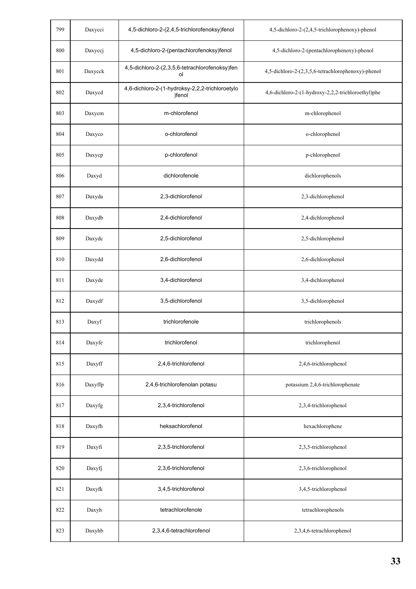| 799 | Daxycci          | 4,5-dichloro-2-(2,4,5-trichlorofenoksy)fenol              | 4,5-dichloro-2-(2,4,5-trichlorophenoxy)-phenol     |
|-----|------------------|-----------------------------------------------------------|----------------------------------------------------|
| 800 | Daxyccj          | 4,5-dichloro-2-(pentachlorofenoksy)fenol                  | 4,5-dichloro-2-(pentachlorophenoxy)-phenol         |
| 801 | Daxycck          | 4,5-dichloro-2-(2,3,5,6-tetrachlorofenoksy)fen<br>ol      | 4,5-dichloro-2-(2,3,5,6-tetrachlorophenoxy)-phenol |
| 802 | Daxycd           | 4,6-dichloro-2-(1-hydroksy-2,2,2-trichloroetylo<br>)fenol | 4,6-dichloro-2-(1-hydroxy-2,2,2-trichloroethyl)phe |
| 803 | Daxycm           | m-chlorofenol                                             | m-chlorophenol                                     |
| 804 | Daxyco           | o-chlorofenol                                             | o-chlorophenol                                     |
| 805 | Daxycp           | p-chlorofenol                                             | p-chlorophenol                                     |
| 806 | Daxyd            | dichlorofenole                                            | dichlorophenols                                    |
| 807 | Daxyda           | 2,3-dichlorofenol                                         | 2,3-dichlorophenol                                 |
| 808 | Daxydb           | 2,4-dichlorofenol                                         | 2,4-dichlorophenol                                 |
| 809 | Daxydc           | 2,5-dichlorofenol                                         | 2,5-dichlorophenol                                 |
| 810 | Daxydd           | 2,6-dichlorofenol                                         | 2,6-dichlorophenol                                 |
| 811 | Daxyde           | 3,4-dichlorofenol                                         | 3,4-dichlorophenol                                 |
| 812 | Daxydf           | 3,5-dichlorofenol                                         | 3,5-dichlorophenol                                 |
| 813 | Daxyf            | trichlorofenole                                           | trichlorophenols                                   |
| 814 | Daxyfe           | trichlorofenol                                            | trichlorophenol                                    |
| 815 | Daxyff           | 2,4,6-trichlorofenol                                      | 2,4,6-trichlorophenol                              |
| 816 | Daxyffp          | 2,4,6-trichlorofenolan potasu                             | potassium 2,4,6-trichlorophenate                   |
| 817 | Daxyfg           | 2,3,4-trichlorofenol                                      | 2,3,4-trichlorophenol                              |
| 818 | $_{\rm{Daxyfh}}$ | heksachlorofenol                                          | hexachlorophene                                    |
| 819 | Daxyfi           | 2,3,5-trichlorofenol                                      | 2,3,5-trichlorophenol                              |
| 820 | Daxyfj           | 2,3,6-trichlorofenol                                      | 2,3,6-trichlorophenol                              |
| 821 | Daxyfk           | 3,4,5-trichlorofenol                                      | 3,4,5-trichlorophenol                              |
| 822 | Daxyh            | tetrachlorofenole                                         | tetrachlorophenols                                 |
| 823 | Daxyhb           | 2,3,4,6-tetrachlorofenol                                  | 2,3,4,6-tetrachlorophenol                          |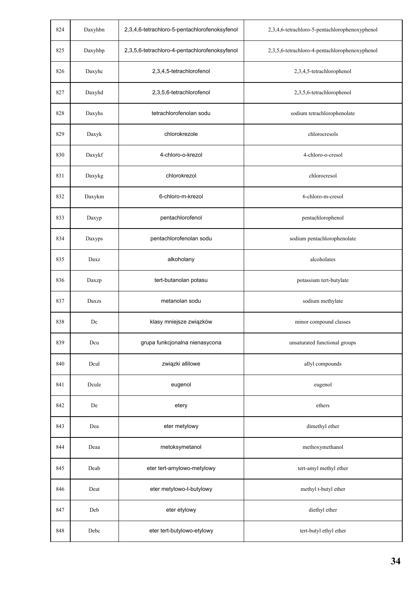| 824 | Daxyhbn | 2,3,4,6-tetrachloro-5-pentachlorofenoksyfenol | 2,3,4,6-tetrachloro-5-pentachlorophenoxyphenol |
|-----|---------|-----------------------------------------------|------------------------------------------------|
| 825 | Daxyhbp | 2,3,5,6-tetrachloro-4-pentachlorofenoksyfenol | 2,3,5,6-tetrachloro-4-pentachlorophenoxyphenol |
| 826 | Daxyhc  | 2,3,4,5-tetrachlorofenol                      | 2,3,4,5-tetrachlorophenol                      |
| 827 | Daxyhd  | 2,3,5,6-tetrachlorofenol                      | 2,3,5,6-tetrachlorophenol                      |
| 828 | Daxyhs  | tetrachlorofenolan sodu                       | sodium tetrachlorophenolate                    |
| 829 | Daxyk   | chlorokrezole                                 | chlorocresols                                  |
| 830 | Daxykf  | 4-chloro-o-krezol                             | 4-chloro-o-cresol                              |
| 831 | Daxykg  | chlorokrezol                                  | chlorocresol                                   |
| 832 | Daxykm  | 6-chloro-m-krezol                             | 6-chloro-m-cresol                              |
| 833 | Daxyp   | pentachlorofenol                              | pentachlorophenol                              |
| 834 | Daxyps  | pentachlorofenolan sodu                       | sodium pentachlorophenolate                    |
| 835 | Daxz    | alkoholany                                    | alcoholates                                    |
| 836 | Daxzp   | tert-butanolan potasu                         | potassium tert-butylate                        |
| 837 | Daxzs   | metanolan sodu                                | sodium methylate                               |
| 838 | Dc      | klasy mniejsze związków                       | minor compound classes                         |
| 839 | Dcu     | grupa funkcjonalna nienasycona                | unsaturated functional groups                  |
| 840 | Dcul    | związki allilowe                              | allyl compounds                                |
| 841 | Dcule   | eugenol                                       | eugenol                                        |
| 842 | De      | etery                                         | ethers                                         |
| 843 | Dea     | eter metylowy                                 | dimethyl ether                                 |
| 844 | Deaa    | metoksymetanol                                | methoxymethanol                                |
| 845 | Deab    | eter tert-amylowo-metylowy                    | tert-amyl methyl ether                         |
| 846 | Deat    | eter metylowo-t-butylowy                      | methyl t-butyl ether                           |
| 847 | Deb     | eter etylowy                                  | diethyl ether                                  |
| 848 | Debc    | eter tert-butylowo-etylowy                    | tert-butyl ethyl ether                         |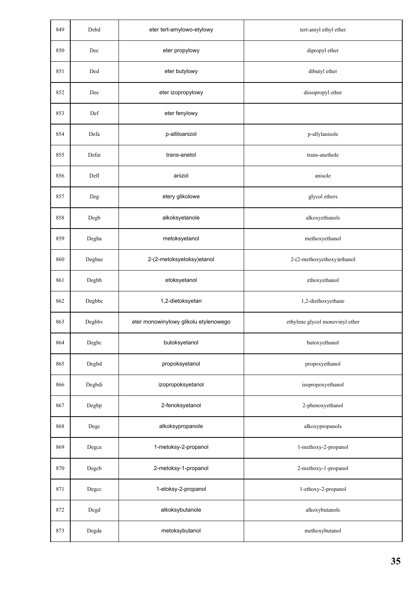| 849 | Debd           | eter tert-amylowo-etylowy             | tert-amyl ethyl ether           |
|-----|----------------|---------------------------------------|---------------------------------|
| 850 | Dec            | eter propylowy                        | dipropyl ether                  |
| 851 | Ded            | eter butylowy                         | dibutyl ether                   |
| 852 | Dee            | eter izopropylowy                     | diisopropyl ether               |
| 853 | Def            | eter fenylowy                         |                                 |
| 854 | Defa           | p-alliloanizol                        | p-allylanisole                  |
| 855 | Defat          | trans-anetol                          | trans-anethole                  |
| 856 | Defl           | anizol                                | anisole                         |
| 857 | Deg            | etery glikolowe                       | glycol ethers                   |
| 858 | Degb           | alkoksyetanole                        | alkoxyethanols                  |
| 859 | $\bold{Degba}$ | metoksyetanol                         | methoxyethanol                  |
| 860 | Degbae         | 2-(2-metoksyetoksy)etanol             | 2-(2-methoxyethoxy)ethanol      |
| 861 | Degbb          | etoksyetanol                          | ethoxyethanol                   |
| 862 | Degbbc         | 1,2-dietoksyetan                      | 1,2-diethoxyethane              |
| 863 | Degbbv         | eter monowinylowy glikolu etylenowego | ethylene glycol monovinyl ether |
| 864 | Degbc          | butoksyetanol                         | butoxyethanol                   |
| 865 | Degbd          | propoksyetanol                        | propoxyethanol                  |
| 866 | Degbdi         | izopropoksyetanol                     | isopropoxyethanol               |
| 867 | Degbp          | 2-fenoksyetanol                       | 2-phenoxyethanol                |
| 868 | Degc           | alkoksypropanole                      | alkoxypropanols                 |
| 869 | Degca          | 1-metoksy-2-propanol                  | 1-methoxy-2-propanol            |
| 870 | Degcb          | 2-metoksy-1-propanol                  | 2-methoxy-1-propanol            |
| 871 | Degcc          | 1-etoksy-2-propanol                   | 1-ethoxy-2-propanol             |
| 872 | Degd           | alkoksybutanole                       | alkoxybutanols                  |
| 873 | Degda          | metoksybutanol                        | methoxybutanol                  |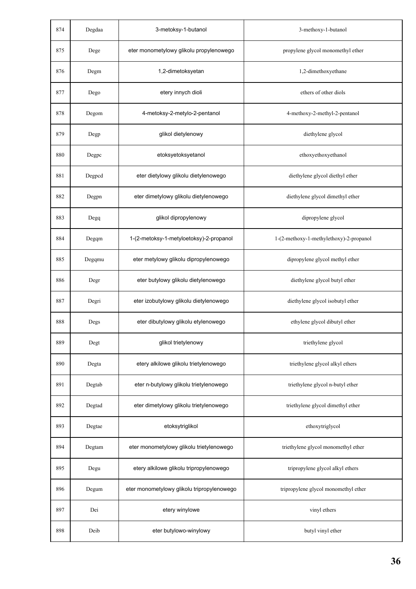| 874 | Degdaa | 3-metoksy-1-butanol                        | 3-methoxy-1-butanol                     |
|-----|--------|--------------------------------------------|-----------------------------------------|
| 875 | Dege   | eter monometylowy glikolu propylenowego    | propylene glycol monomethyl ether       |
| 876 | Degm   | 1,2-dimetoksyetan                          | 1,2-dimethoxyethane                     |
| 877 | Dego   | etery innych dioli                         | ethers of other diols                   |
| 878 | Degom  | 4-metoksy-2-metylo-2-pentanol              | 4-methoxy-2-methyl-2-pentanol           |
| 879 | Degp   | glikol dietylenowy                         | diethylene glycol                       |
| 880 | Degpc  | etoksyetoksyetanol                         | ethoxyethoxyethanol                     |
| 881 | Degpcd | eter dietylowy glikolu dietylenowego       | diethylene glycol diethyl ether         |
| 882 | Degpn  | eter dimetylowy glikolu dietylenowego      | diethylene glycol dimethyl ether        |
| 883 | Degq   | glikol dipropylenowy                       | dipropylene glycol                      |
| 884 | Degqm  | 1-(2-metoksy-1-metyloetoksy)-2-propanol    | 1-(2-methoxy-1-methylethoxy)-2-propanol |
| 885 | Degqmu | eter metylowy glikolu dipropylenowego      | dipropylene glycol methyl ether         |
| 886 | Degr   | eter butylowy glikolu dietylenowego        | diethylene glycol butyl ether           |
| 887 | Degri  | eter izobutylowy glikolu dietylenowego     | diethylene glycol isobutyl ether        |
| 888 | Degs   | eter dibutylowy glikolu etylenowego        | ethylene glycol dibutyl ether           |
| 889 | Degt   | glikol trietylenowy                        | triethylene glycol                      |
| 890 | Degta  | etery alkilowe glikolu trietylenowego      | triethylene glycol alkyl ethers         |
| 891 | Degtab | eter n-butylowy glikolu trietylenowego     | triethylene glycol n-butyl ether        |
| 892 | Degtad | eter dimetylowy glikolu trietylenowego     | triethylene glycol dimethyl ether       |
| 893 | Degtae | etoksytriglikol                            | ethoxytriglycol                         |
| 894 | Degtam | eter monometylowy glikolu trietylenowego   | triethylene glycol monomethyl ether     |
| 895 | Degu   | etery alkilowe glikolu tripropylenowego    | tripropylene glycol alkyl ethers        |
| 896 | Degum  | eter monometylowy glikolu tripropylenowego | tripropylene glycol monomethyl ether    |
| 897 | Dei    | etery winylowe                             | vinyl ethers                            |
| 898 | Deib   | eter butylowo-winylowy                     | butyl vinyl ether                       |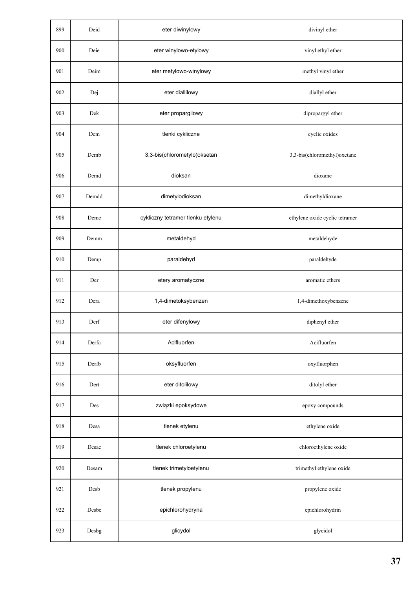| 899 | Deid  | eter diwinylowy                   | divinyl ether                  |
|-----|-------|-----------------------------------|--------------------------------|
| 900 | Deie  | eter winylowo-etylowy             | vinyl ethyl ether              |
| 901 | Deim  | eter metylowo-winylowy            | methyl vinyl ether             |
| 902 | Dej   | eter diallilowy                   | diallyl ether                  |
| 903 | Dek   | eter propargilowy                 | dipropargyl ether              |
| 904 | Dem   | tlenki cykliczne                  | cyclic oxides                  |
| 905 | Demb  | 3,3-bis(chlorometylo)oksetan      | 3,3-bis(chloromethyl)oxetane   |
| 906 | Demd  | dioksan                           | dioxane                        |
| 907 | Demdd | dimetylodioksan                   | dimethyldioxane                |
| 908 | Deme  | cykliczny tetramer tlenku etylenu | ethylene oxide cyclic tetramer |
| 909 | Demm  | metaldehyd                        | metaldehyde                    |
| 910 | Demp  | paraldehyd                        | paraldehyde                    |
| 911 | Der   | etery aromatyczne                 | aromatic ethers                |
| 912 | Dera  | 1,4-dimetoksybenzen               | 1,4-dimethoxybenzene           |
| 913 | Derf  | eter difenylowy                   | diphenyl ether                 |
| 914 | Derfa | Acifluorfen                       | Acifluorfen                    |
| 915 | Derfb | oksyfluorfen                      | oxyfluorphen                   |
| 916 | Dert  | eter ditolilowy                   | ditolyl ether                  |
| 917 | Des   | związki epoksydowe                | epoxy compounds                |
| 918 | Desa  | tlenek etylenu                    | ethylene oxide                 |
| 919 | Desac | tlenek chloroetylenu              | chloroethylene oxide           |
| 920 | Desam | tlenek trimetyloetylenu           | trimethyl ethylene oxide       |
| 921 | Desb  | tlenek propylenu                  | propylene oxide                |
| 922 | Desbe | epichlorohydryna                  | epichlorohydrin                |
| 923 | Desbg | glicydol                          | glycidol                       |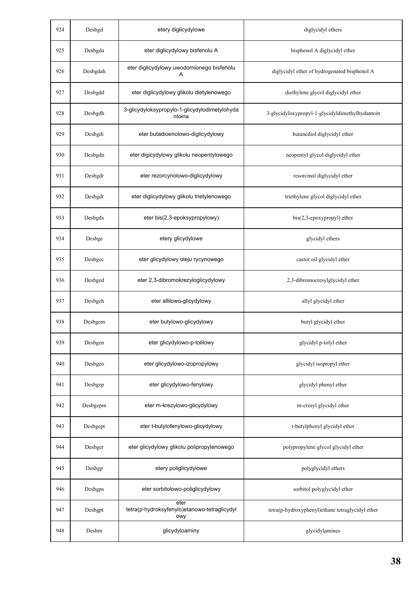| 924 | Desbgd   | etery diglicydylowe                                         | diglycidyl ethers                                |
|-----|----------|-------------------------------------------------------------|--------------------------------------------------|
| 925 | Desbgda  | eter diglicydylowy bisfenolu A                              | bisphenol A diglycidyl ether                     |
| 926 | Desbgdah | eter diglicydylowy uwodornionego bisfenolu<br>A             | diglycidyl ether of hydrogenated bisphenol A     |
| 927 | Desbgdd  | eter diglicydylowy glikolu dietylenowego                    | diethylene glycol diglycidyl ether               |
| 928 | Desbgdh  | 3-glicydyloksypropylo-1-glicydylodimetylohyda<br>ntoina     | 3-glycidyloxypropyl-1-glycidyldimethylhydantoin  |
| 929 | Desbgdi  | eter butadioenolowo-diglicydylowy                           | butanediol diglycidyl ether                      |
| 930 | Desbgdn  | eter digicydylowy glikolu neopentylowego                    | neopentyl glycol diglycidyl ether                |
| 931 | Desbgdr  | eter rezorcynolowo-diglicydylowy                            | resorcinol diglycidyl ether                      |
| 932 | Desbgdt  | eter diglicydylowy glikolu trietylenowego                   | triethylene glycol diglycidyl ether              |
| 933 | Desbgdx  | eter bis(2,3-epoksypropylowy)                               | bis(2,3-epoxypropyl) ether                       |
| 934 | Desbge   | etery glicydylowe                                           | glycidyl ethers                                  |
| 935 | Desbgec  | eter glicydylowy oleju rycynowego                           | castor oil glycidyl ether                        |
| 936 | Desbged  | eter 2,3-dibromokrezyloglicydylowy                          | 2,3-dibromocresylglycidyl ether                  |
| 937 | Desbgeh  | eter allilowo-glicydylowy                                   | allyl glycidyl ether                             |
| 938 | Desbgem  | eter butylowo-glicydylowy                                   | butyl glycidyl ether                             |
| 939 | Desbgen  | eter glicydylowo-p-tolilowy                                 | glycidyl p-tolyl ether                           |
| 940 | Desbgeo  | eter glicydylowo-izopropylowy                               | glycidyl isopropyl ether                         |
| 941 | Desbgep  | eter glicydylowo-fenylowy                                   | glycidyl phenyl ether                            |
| 942 | Desbgepm | eter m-krezylowo-glicydylowy                                | m-cresyl glycidyl ether                          |
| 943 | Desbgept | eter t-butylofenylowo-glicydylowy                           | t-butylphenyl glycidyl ether                     |
| 944 | Desbger  | eter glicydylowy glikolu polipropylenowego                  | polypropylene glycol glycidyl ether              |
| 945 | Desbgp   | etery poliglicydylowe                                       | polyglycidyl ethers                              |
| 946 | Desbgps  | eter sorbitolowo-poliglicydylowy                            | sorbitol polyglycidyl ether                      |
| 947 | Desbgpt  | eter<br>tetra(p-hydroksyfenylo)etanowo-tetraglicydyl<br>owy | tetra(p-hydroxyphenyl)ethane tetraglycidyl ether |
| 948 | Desbm    | glicydyloaminy                                              | glycidylamines                                   |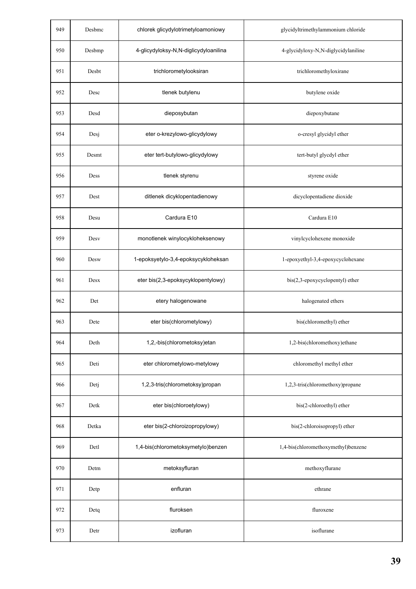| 949 | Desbmc | chlorek glicydylotrimetyloamoniowy    | glycidyltrimethylammonium chloride  |
|-----|--------|---------------------------------------|-------------------------------------|
| 950 | Desbmp | 4-glicydyloksy-N,N-diglicydyloanilina | 4-glycidyloxy-N,N-diglycidylaniline |
| 951 | Desbt  | trichlorometylooksiran                | trichloromethyloxirane              |
| 952 | Desc   | tlenek butylenu                       | butylene oxide                      |
| 953 | Desd   | dieposybutan                          | diepoxybutane                       |
| 954 | Desj   | eter o-krezylowo-glicydylowy          | o-cresyl glycidyl ether             |
| 955 | Desmt  | eter tert-butylowo-glicydylowy        | tert-butyl glycdyl ether            |
| 956 | Dess   | tlenek styrenu                        | styrene oxide                       |
| 957 | Dest   | ditlenek dicyklopentadienowy          | dicyclopentadiene dioxide           |
| 958 | Desu   | Cardura E10                           | Cardura E10                         |
| 959 | Desv   | monotlenek winylocykloheksenowy       | vinylcyclohexene monoxide           |
| 960 | Desw   | 1-epoksyetylo-3,4-epoksycykloheksan   | 1-epoxyethyl-3,4-epoxycyclohexane   |
| 961 | Desx   | eter bis(2,3-epoksycyklopentylowy)    | bis(2,3-epoxycyclopentyl) ether     |
| 962 | Det    | etery halogenowane                    | halogenated ethers                  |
| 963 | Dete   | eter bis(chlorometylowy)              | bis(chloromethyl) ether             |
| 964 | Deth   | 1,2,-bis(chlorometoksy)etan           | 1,2-bis(chloromethoxy)ethane        |
| 965 | Deti   | eter chlorometylowo-metylowy          | chloromethyl methyl ether           |
| 966 | Detj   | 1,2,3-tris(chlorometoksy)propan       | 1,2,3-tris(chloromethoxy)propane    |
| 967 | Detk   | eter bis(chloroetylowy)               | bis(2-chloroethyl) ether            |
| 968 | Detka  | eter bis(2-chloroizopropylowy)        | bis(2-chloroisopropyl) ether        |
| 969 | Detl   | 1,4-bis(chlorometoksymetylo)benzen    | 1,4-bis(chloromethoxymethyl)benzene |
| 970 | Detm   | metoksyfluran                         | methoxyflurane                      |
| 971 | Detp   | enfluran                              | ethrane                             |
| 972 | Detq   | fluroksen                             | fluroxene                           |
| 973 | Detr   | izofluran                             | isoflurane                          |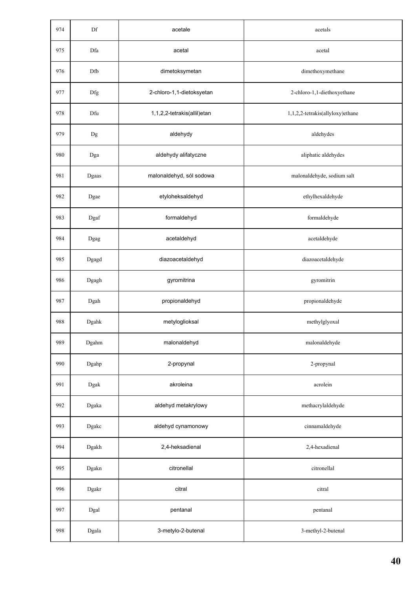| 974 | Df                     | acetale                     | acetals                          |
|-----|------------------------|-----------------------------|----------------------------------|
| 975 | Dfa                    | acetal                      | acetal                           |
| 976 | Dfb                    | dimetoksymetan              | dimethoxymethane                 |
| 977 | Dfg                    | 2-chloro-1,1-dietoksyetan   | 2-chloro-1,1-diethoxyethane      |
| 978 | Dfu                    | 1,1,2,2-tetrakis(allil)etan | 1,1,2,2-tetrakis(allyloxy)ethane |
| 979 | $_{\rm Dg}$            | aldehydy                    | aldehydes                        |
| 980 | Dga                    | aldehydy alifatyczne        | aliphatic aldehydes              |
| 981 | Dgaas                  | malonaldehyd, sól sodowa    | malonaldehyde, sodium salt       |
| 982 | Dgae                   | etyloheksaldehyd            | ethylhexaldehyde                 |
| 983 | Dgaf                   | formaldehyd                 | formaldehyde                     |
| 984 | Dgag                   | acetaldehyd                 | acetaldehyde                     |
| 985 | Dgagd                  | diazoacetaldehyd            | diazoacetaldehyde                |
| 986 | Dgagh                  | gyromitrina                 | gyromitrin                       |
| 987 | Dgah                   | propionaldehyd              | propionaldehyde                  |
| 988 | $\operatorname{Dgahk}$ | metyloglioksal              | methylglyoxal                    |
| 989 | Dgahm                  | malonaldehyd                | malonaldehyde                    |
| 990 | Dgahp                  | 2-propynal                  | 2-propynal                       |
| 991 | Dgak                   | akroleina                   | acrolein                         |
| 992 | Dgaka                  | aldehyd metakrylowy         | methacrylaldehyde                |
| 993 | Dgakc                  | aldehyd cynamonowy          | cinnamaldehyde                   |
| 994 | Dgakh                  | 2,4-heksadienal             | 2,4-hexadienal                   |
| 995 | Dgakn                  | citronellal                 | citronellal                      |
| 996 | Dgakr                  | citral                      | citral                           |
| 997 | Dgal                   | pentanal                    | pentanal                         |
| 998 | Dgala                  | 3-metylo-2-butenal          | 3-methyl-2-butenal               |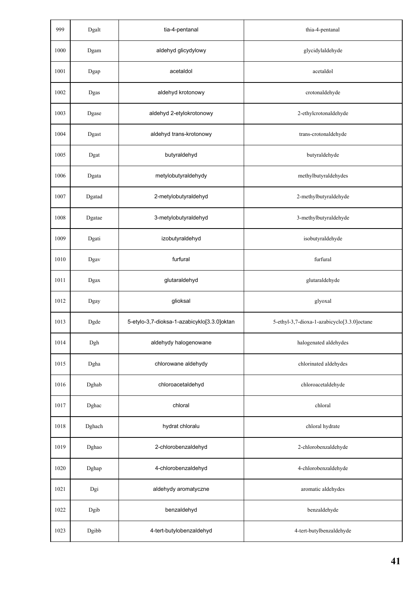| 999  | Dgalt  | tia-4-pentanal                              | thia-4-pentanal                             |
|------|--------|---------------------------------------------|---------------------------------------------|
| 1000 | Dgam   | aldehyd glicydylowy                         | glycidylaldehyde                            |
| 1001 | Dgap   | acetaldol                                   | acetaldol                                   |
| 1002 | Dgas   | aldehyd krotonowy                           | crotonaldehyde                              |
| 1003 | Dgase  | aldehyd 2-etylokrotonowy                    | 2-ethylcrotonaldehyde                       |
| 1004 | Dgast  | aldehyd trans-krotonowy                     | trans-crotonaldehyde                        |
| 1005 | Dgat   | butyraldehyd                                | butyraldehyde                               |
| 1006 | Dgata  | metylobutyraldehydy                         | methylbutyraldehydes                        |
| 1007 | Dgatad | 2-metylobutyraldehyd                        | 2-methylbutyraldehyde                       |
| 1008 | Dgatae | 3-metylobutyraldehyd                        | 3-methylbutyraldehyde                       |
| 1009 | Dgati  | izobutyraldehyd                             | isobutyraldehyde                            |
| 1010 | Dgav   | furfural                                    | furfural                                    |
| 1011 | Dgax   | glutaraldehyd                               | glutaraldehyde                              |
| 1012 | Dgay   | glioksal                                    | glyoxal                                     |
| 1013 | Dgde   | 5-etylo-3,7-dioksa-1-azabicyklo[3.3.0]oktan | 5-ethyl-3,7-dioxa-1-azabicyclo[3.3.0]octane |
| 1014 | Dgh    | aldehydy halogenowane                       | halogenated aldehydes                       |
| 1015 | Dgha   | chlorowane aldehydy                         | chlorinated aldehydes                       |
| 1016 | Dghab  | chloroacetaldehyd                           | chloroacetaldehyde                          |
| 1017 | Dghac  | chloral                                     | chloral                                     |
| 1018 | Dghach | hydrat chloralu                             | chloral hydrate                             |
| 1019 | Dghao  | 2-chlorobenzaldehyd                         | 2-chlorobenzaldehyde                        |
| 1020 | Dghap  | 4-chlorobenzaldehyd                         | 4-chlorobenzaldehyde                        |
| 1021 | Dgi    | aldehydy aromatyczne                        | aromatic aldehydes                          |
| 1022 | Dgib   | benzaldehyd                                 | benzaldehyde                                |
| 1023 | Dgibb  | 4-tert-butylobenzaldehyd                    | 4-tert-butylbenzaldehyde                    |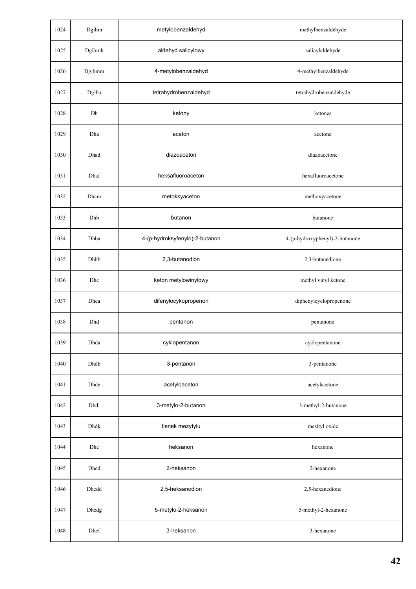| 1024 | Dgibm  | metylobenzaldehyd              | methylbenzaldehyde             |
|------|--------|--------------------------------|--------------------------------|
| 1025 | Dgibmh | aldehyd salicylowy             | salicylaldehyde                |
| 1026 | Dgibmm | 4-metylobenzaldehyd            | 4-methylbenzaldehyde           |
| 1027 | Dgibu  | tetrahydrobenzaldehyd          | tetrahydrobenzaldehyde         |
| 1028 | Dh     | ketony                         | ketones                        |
| 1029 | Dha    | aceton                         | acetone                        |
| 1030 | Dhad   | diazoaceton                    | diazoacetone                   |
| 1031 | Dhaf   | heksafluoroaceton              | hexafluoroacetone              |
| 1032 | Dham   | metoksyaceton                  | methoxyacetone                 |
| 1033 | Dhb    | butanon                        | butanone                       |
| 1034 | Dhba   | 4-(p-hydroksyfenylo)-2-butanon | 4-(p-hydroxyphenyl)-2-butanone |
| 1035 | Dhbb   | 2,3-butanodion                 | 2,3-butanedione                |
| 1036 | Dhc    | keton metylowinylowy           | methyl vinyl ketone            |
| 1037 | Dhca   | difenylocykopropenon           | diphenylcyclopropenone         |
| 1038 | Dhd    | pentanon                       | pentanone                      |
| 1039 | Dhda   | cyklopentanon                  | cyclopentanone                 |
| 1040 | Dhdb   | 3-pentanon                     | 3-pentanone                    |
| 1041 | Dhde   | acetyloaceton                  | acetylacetone                  |
| 1042 | Dhdi   | 3-metylo-2-butanon             | 3-methyl-2-butanone            |
| 1043 | Dhdk   | tlenek mezytylu                | mesityl oxide                  |
| 1044 | Dhe    | heksanon                       | hexanone                       |
| 1045 | Dhed   | 2-heksanon                     | 2-hexanone                     |
| 1046 | Dhedd  | 2,5-heksanodion                | 2,5-hexanedione                |
| 1047 | Dhedg  | 5-metylo-2-heksanon            | 5-methyl-2-hexanone            |
| 1048 | Dhef   | 3-heksanon                     | 3-hexanone                     |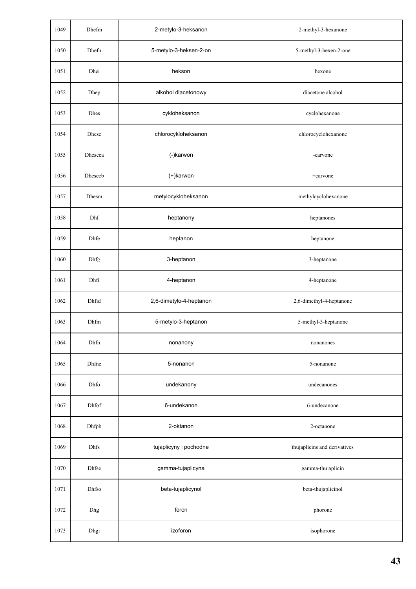| 1049 | Dhefm   | 2-metylo-3-heksanon     | 2-methyl-3-hexanone          |
|------|---------|-------------------------|------------------------------|
| 1050 | Dhefn   | 5-metylo-3-heksen-2-on  | 5-methyl-3-hexen-2-one       |
| 1051 | Dhei    | hekson                  | hexone                       |
| 1052 | Dhep    | alkohol diacetonowy     | diacetone alcohol            |
| 1053 | Dhes    | cykloheksanon           | cyclohexanone                |
| 1054 | Dhesc   | chlorocykloheksanon     | chlorocyclohexanone          |
| 1055 | Dheseca | (-)karwon               | -carvone                     |
| 1056 | Dhesecb | (+)karwon               | +carvone                     |
| 1057 | Dhesm   | metylocykloheksanon     | methylcyclohexanone          |
| 1058 | Dhf     | heptanony               | heptanones                   |
| 1059 | Dhfe    | heptanon                | heptanone                    |
| 1060 | Dhfg    | 3-heptanon              | 3-heptanone                  |
| 1061 | Dhfi    | 4-heptanon              | 4-heptanone                  |
| 1062 | Dhfid   | 2,6-dimetylo-4-heptanon | 2,6-dimethyl-4-heptanone     |
| 1063 | Dhfm    | 5-metylo-3-heptanon     | 5-methyl-3-heptanone         |
| 1064 | Dhfn    | nonanony                | nonanones                    |
| 1065 | Dhfne   | 5-nonanon               | 5-nonanone                   |
| 1066 | Dhfo    | undekanony              | undecanones                  |
| 1067 | Dhfof   | 6-undekanon             | 6-undecanone                 |
| 1068 | Dhfpb   | 2-oktanon               | 2-octanone                   |
| 1069 | Dhfs    | tujaplicyny i pochodne  | thujaplicins and derivatives |
| 1070 | Dhfse   | gamma-tujaplicyna       | gamma-thujaplicin            |
| 1071 | Dhfso   | beta-tujaplicynol       | beta-thujaplicinol           |
| 1072 | Dhg     | foron                   | phorone                      |
| 1073 | Dhgi    | izoforon                | isophorone                   |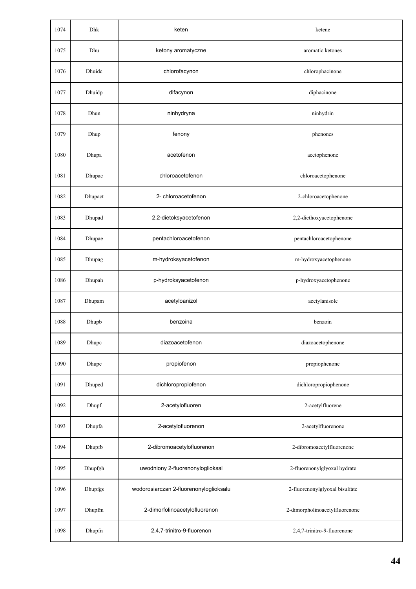| 1074 | Dhk     | keten                                  | ketene                         |
|------|---------|----------------------------------------|--------------------------------|
| 1075 | Dhu     | ketony aromatyczne                     | aromatic ketones               |
| 1076 | Dhuidc  | chlorofacynon                          | chlorophacinone                |
| 1077 | Dhuidp  | difacynon                              | diphacinone                    |
| 1078 | Dhun    | ninhydryna                             | ninhydrin                      |
| 1079 | Dhup    | fenony                                 | phenones                       |
| 1080 | Dhupa   | acetofenon                             | acetophenone                   |
| 1081 | Dhupac  | chloroacetofenon                       | chloroacetophenone             |
| 1082 | Dhupact | 2- chloroacetofenon                    | 2-chloroacetophenone           |
| 1083 | Dhupad  | 2,2-dietoksyacetofenon                 | 2,2-diethoxyacetophenone       |
| 1084 | Dhupae  | pentachloroacetofenon                  | pentachloroacetophenone        |
| 1085 | Dhupag  | m-hydroksyacetofenon                   | m-hydroxyacetophenone          |
| 1086 | Dhupah  | p-hydroksyacetofenon                   | p-hydroxyacetophenone          |
| 1087 | Dhupam  | acetyloanizol                          | acetylanisole                  |
| 1088 | Dhupb   | benzoina                               | benzoin                        |
| 1089 | Dhupc   | diazoacetofenon                        | diazoacetophenone              |
| 1090 | Dhupe   | propiofenon                            | propiophenone                  |
| 1091 | Dhuped  | dichloropropiofenon                    | dichloropropiophenone          |
| 1092 | Dhupf   | 2-acetylofluoren                       | 2-acetylfluorene               |
| 1093 | Dhupfa  | 2-acetylofluorenon                     | 2-acetylfluorenone             |
| 1094 | Dhupfb  | 2-dibromoacetylofluorenon              | 2-dibromoacetylfluorenone      |
| 1095 | Dhupfgh | uwodniony 2-fluorenonyloglioksal       | 2-fluorenonylglyoxal hydrate   |
| 1096 | Dhupfgs | wodorosiarczan 2-fluorenonyloglioksalu | 2-fluorenonylglyoxal bisulfate |
| 1097 | Dhupfm  | 2-dimorfolinoacetylofluorenon          | 2-dimorpholinoacetylfluorenone |
| 1098 | Dhupfn  | 2,4,7-trinitro-9-fluorenon             | 2,4,7-trinitro-9-fluorenone    |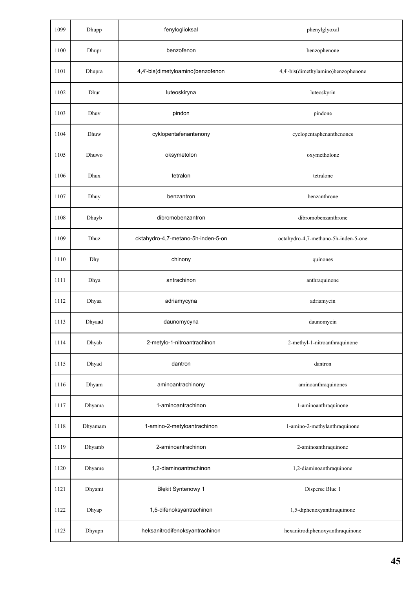| 1099 | Dhupp   | fenyloglioksal                     | phenylglyoxal                        |
|------|---------|------------------------------------|--------------------------------------|
| 1100 | Dhupr   | benzofenon                         | benzophenone                         |
| 1101 | Dhupra  | 4,4'-bis(dimetyloamino)benzofenon  | 4,4'-bis(dimethylamino)benzophenone  |
| 1102 | Dhur    | luteoskiryna                       | luteoskyrin                          |
| 1103 | Dhuv    | pindon                             | pindone                              |
| 1104 | Dhuw    | cyklopentafenantenony              | cyclopentaphenanthenones             |
| 1105 | Dhuwo   | oksymetolon                        | oxymetholone                         |
| 1106 | Dhux    | tetralon                           | tetralone                            |
| 1107 | Dhuy    | benzantron                         | benzanthrone                         |
| 1108 | Dhuyb   | dibromobenzantron                  | dibromobenzanthrone                  |
| 1109 | Dhuz    | oktahydro-4,7-metano-5h-inden-5-on | octahydro-4,7-methano-5h-inden-5-one |
| 1110 | Dhy     | chinony                            | quinones                             |
| 1111 | Dhya    | antrachinon                        | anthraquinone                        |
| 1112 | Dhyaa   | adriamycyna                        | adriamycin                           |
| 1113 | Dhyaad  | daunomycyna                        | daunomycin                           |
| 1114 | Dhyab   | 2-metylo-1-nitroantrachinon        | 2-methyl-1-nitroanthraquinone        |
| 1115 | Dhyad   | dantron                            | dantron                              |
| 1116 | Dhyam   | aminoantrachinony                  | aminoanthraquinones                  |
| 1117 | Dhyama  | 1-aminoantrachinon                 | 1-aminoanthraquinone                 |
| 1118 | Dhyamam | 1-amino-2-metyloantrachinon        | 1-amino-2-methylanthraquinone        |
| 1119 | Dhyamb  | 2-aminoantrachinon                 | 2-aminoanthraquinone                 |
| 1120 | Dhyame  | 1,2-diaminoantrachinon             | 1,2-diaminoanthraquinone             |
| 1121 | Dhyamt  | Błękit Syntenowy 1                 | Disperse Blue 1                      |
| 1122 | Dhyap   | 1,5-difenoksyantrachinon           | 1,5-diphenoxyanthraquinone           |
| 1123 | Dhyapn  | heksanitrodifenoksyantrachinon     | hexanitrodiphenoxyanthraquinone      |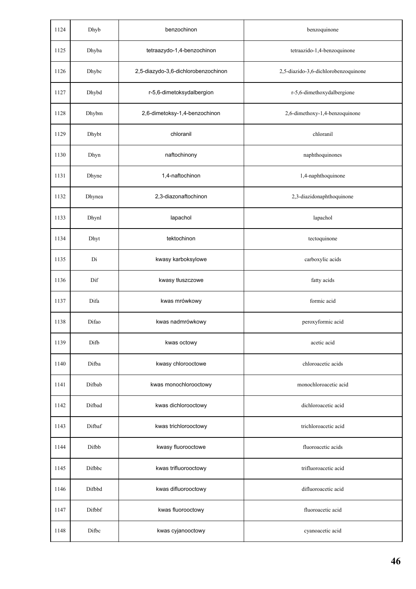| 1124 | Dhyb   | benzochinon                         | benzoquinone                         |
|------|--------|-------------------------------------|--------------------------------------|
| 1125 | Dhyba  | tetraazydo-1,4-benzochinon          | tetraazido-1,4-benzoquinone          |
| 1126 | Dhybc  | 2,5-diazydo-3,6-dichlorobenzochinon | 2,5-diazido-3,6-dichlorobenzoquinone |
| 1127 | Dhybd  | r-5,6-dimetoksydalbergion           | r-5,6-dimethoxydalbergione           |
| 1128 | Dhybm  | 2,6-dimetoksy-1,4-benzochinon       | 2,6-dimethoxy-1,4-benzoquinone       |
| 1129 | Dhybt  | chloranil                           | chloranil                            |
| 1130 | Dhyn   | naftochinony                        | naphthoquinones                      |
| 1131 | Dhyne  | 1,4-naftochinon                     | 1,4-naphthoquinone                   |
| 1132 | Dhynea | 2,3-diazonaftochinon                | 2,3-diazidonaphthoquinone            |
| 1133 | Dhynl  | lapachol                            | lapachol                             |
| 1134 | Dhyt   | tektochinon                         | tectoquinone                         |
| 1135 | Di     | kwasy karboksylowe                  | carboxylic acids                     |
| 1136 | Dif    | kwasy tłuszczowe                    | fatty acids                          |
| 1137 | Difa   | kwas mrówkowy                       | formic acid                          |
| 1138 | Difao  | kwas nadmrówkowy                    | peroxyformic acid                    |
| 1139 | Difb   | kwas octowy                         | acetic acid                          |
| 1140 | Difba  | kwasy chlorooctowe                  | chloroacetic acids                   |
| 1141 | Difbab | kwas monochlorooctowy               | monochloroacetic acid                |
| 1142 | Difbad | kwas dichlorooctowy                 | dichloroacetic acid                  |
| 1143 | Difbaf | kwas trichlorooctowy                | trichloroacetic acid                 |
| 1144 | Difbb  | kwasy fluorooctowe                  | fluoroacetic acids                   |
| 1145 | Difbbc | kwas trifluorooctowy                | trifluoroacetic acid                 |
| 1146 | Difbbd | kwas difluorooctowy                 | difluoroacetic acid                  |
| 1147 | Difbbf | kwas fluorooctowy                   | fluoroacetic acid                    |
| 1148 | Difbc  | kwas cyjanooctowy                   | cyanoacetic acid                     |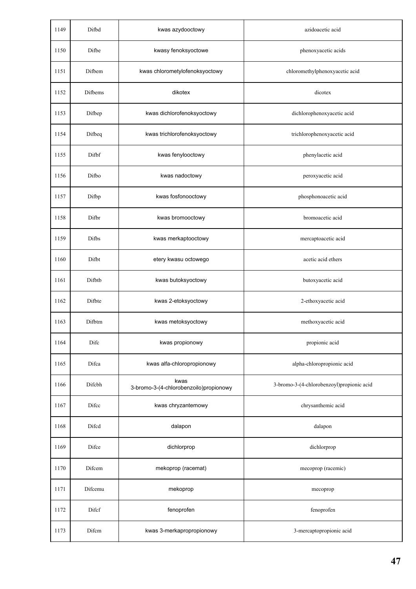| 1149 | Difbd   | kwas azydooctowy                               | azidoacetic acid                          |
|------|---------|------------------------------------------------|-------------------------------------------|
| 1150 | Difbe   | kwasy fenoksyoctowe                            | phenoxyacetic acids                       |
| 1151 | Difbem  | kwas chlorometylofenoksyoctowy                 | chloromethylphenoxyacetic acid            |
| 1152 | Difbems | dikotex                                        | dicotex                                   |
| 1153 | Difbep  | kwas dichlorofenoksyoctowy                     | dichlorophenoxyacetic acid                |
| 1154 | Difbeq  | kwas trichlorofenoksyoctowy                    | trichlorophenoxyacetic acid               |
| 1155 | Difbf   | kwas fenylooctowy                              | phenylacetic acid                         |
| 1156 | Difbo   | kwas nadoctowy                                 | peroxyacetic acid                         |
| 1157 | Difbp   | kwas fosfonooctowy                             | phosphonoacetic acid                      |
| 1158 | Difbr   | kwas bromooctowy                               | bromoacetic acid                          |
| 1159 | Difbs   | kwas merkaptooctowy                            | mercaptoacetic acid                       |
| 1160 | Difbt   | etery kwasu octowego                           | acetic acid ethers                        |
| 1161 | Difbtb  | kwas butoksyoctowy                             | butoxyacetic acid                         |
| 1162 | Difbte  | kwas 2-etoksyoctowy                            | 2-ethoxyacetic acid                       |
| 1163 | Difbtm  | kwas metoksyoctowy                             | methoxyacetic acid                        |
| 1164 | Difc    | kwas propionowy                                | propionic acid                            |
| 1165 | Difca   | kwas alfa-chloropropionowy                     | alpha-chloropropionic acid                |
| 1166 | Difcbh  | kwas<br>3-bromo-3-(4-chlorobenzoilo)propionowy | 3-bromo-3-(4-chlorobenzoyl)propionic acid |
| 1167 | Difcc   | kwas chryzantemowy                             | chrysanthemic acid                        |
| 1168 | Difcd   | dalapon                                        | dalapon                                   |
| 1169 | Difce   | dichlorprop                                    | dichlorprop                               |
| 1170 | Difcem  | mekoprop (racemat)                             | mecoprop (racemic)                        |
| 1171 | Difcemu | mekoprop                                       | mecoprop                                  |
| 1172 | Difcf   | fenoprofen                                     | fenoprofen                                |
| 1173 | Difcm   | kwas 3-merkapropropionowy                      | 3-mercaptopropionic acid                  |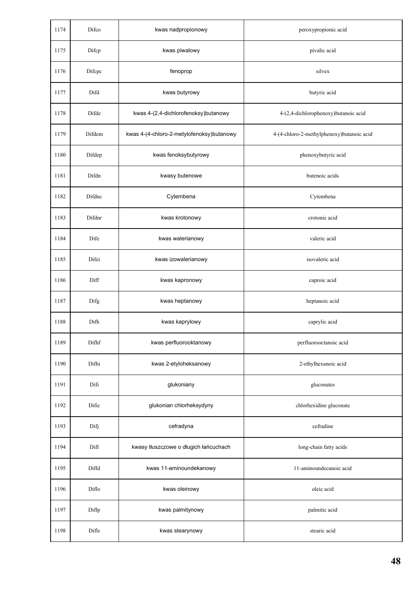| 1174 | Difco  | kwas nadpropionowy                        | peroxypropionic acid                      |
|------|--------|-------------------------------------------|-------------------------------------------|
| 1175 | Difcp  | kwas piwalowy                             | pivalic acid                              |
| 1176 | Difepe | fenoprop                                  | silvex                                    |
| 1177 | Difd   | kwas butyrowy                             | butyric acid                              |
| 1178 | Difde  | kwas 4-(2,4-dichlorofenoksy) butanowy     | 4-(2,4-dichlorophenoxy)butanoic acid      |
| 1179 | Difdem | kwas 4-(4-chloro-2-metylofenoksy)butanowy | 4-(4-chloro-2-methylphenoxy)butanoic acid |
| 1180 | Difdep | kwas fenoksybutyrowy                      | phenoxybutyric acid                       |
| 1181 | Difdn  | kwasy butenowe                            | butenoic acids                            |
| 1182 | Difdnc | Cytembena                                 | Cytembena                                 |
| 1183 | Difdnr | kwas krotonowy                            | crotonic acid                             |
| 1184 | Dife   | kwas walerianowy                          | valeric acid                              |
| 1185 | Difei  | kwas izowalerianowy                       | isovaleric acid                           |
| 1186 | Diff   | kwas kapronowy                            | caproic acid                              |
| 1187 | Difg   | kwas heptanowy                            | heptanoic acid                            |
| 1188 | Difh   | kwas kaprylowy                            | caprylic acid                             |
| 1189 | Difhf  | kwas perfluorooktanowy                    | perfluorooctanoic acid                    |
| 1190 | Difhi  | kwas 2-etyloheksanowy                     | 2-ethylhexanoic acid                      |
| 1191 | Difi   | glukoniany                                | gluconates                                |
| 1192 | Dific  | glukonian chlorheksydyny                  | chlorhexidine gluconate                   |
| 1193 | Difj   | cefradyna                                 | cefradine                                 |
| 1194 | Difl   | kwasy tłuszczowe o długich łańcuchach     | long-chain fatty acids                    |
| 1195 | Difld  | kwas 11-aminoundekanowy                   | 11-aminoundecanoic acid                   |
| 1196 | Diflo  | kwas oleinowy                             | oleic acid                                |
| 1197 | Diflp  | kwas palmitynowy                          | palmitic acid                             |
| 1198 | Difls  | kwas stearynowy                           | stearic acid                              |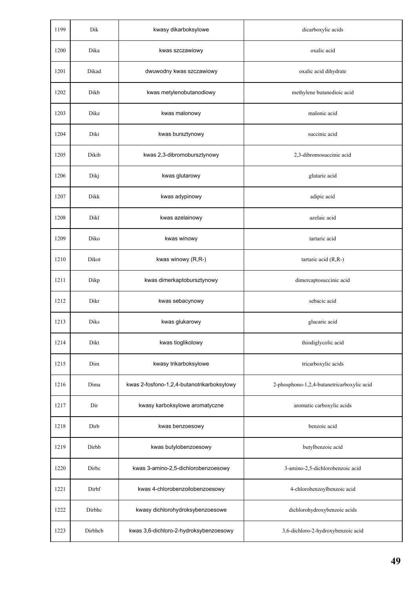| 1199 | Dik     | kwasy dikarboksylowe                       | dicarboxylic acids                         |
|------|---------|--------------------------------------------|--------------------------------------------|
| 1200 | Dika    | kwas szczawiowy                            | oxalic acid                                |
| 1201 | Dikad   | dwuwodny kwas szczawiowy                   | oxalic acid dihydrate                      |
| 1202 | Dikb    | kwas metylenobutanodiowy                   | methylene butanedioic acid                 |
| 1203 | Dike    | kwas malonowy                              | malonic acid                               |
| 1204 | Diki    | kwas bursztynowy                           | succinic acid                              |
| 1205 | Dikib   | kwas 2,3-dibromobursztynowy                | 2,3-dibromosuccinic acid                   |
| 1206 | Dikj    | kwas glutarowy                             | glutaric acid                              |
| 1207 | Dikk    | kwas adypinowy                             | adipic acid                                |
| 1208 | Dikl    | kwas azelainowy                            | azelaic acid                               |
| 1209 | Diko    | kwas winowy                                | tartaric acid                              |
| 1210 | Dikot   | kwas winowy (R,R-)                         | tartaric acid (R,R-)                       |
| 1211 | Dikp    | kwas dimerkaptobursztynowy                 | dimercaptosuccinic acid                    |
| 1212 | Dikr    | kwas sebacynowy                            | sebacic acid                               |
| 1213 | Diks    | kwas glukarowy                             | glucaric acid                              |
| 1214 | Dikt    | kwas tioglikolowy                          | thiodiglycolic acid                        |
| 1215 | Dim     | kwasy trikarboksylowe                      | tricarboxylic acids                        |
| 1216 | Dima    | kwas 2-fosfono-1,2,4-butanotrikarboksylowy | 2-phosphono-1,2,4-butanetricarboxylic acid |
| 1217 | Dir     | kwasy karboksylowe aromatyczne             | aromatic carboxylic acids                  |
| 1218 | Dirb    | kwas benzoesowy                            | benzoic acid                               |
| 1219 | Dirbb   | kwas butylobenzoesowy                      | butylbenzoic acid                          |
| 1220 | Dirbc   | kwas 3-amino-2,5-dichlorobenzoesowy        | 3-amino-2,5-dichlorobenzoic acid           |
| 1221 | Dirbf   | kwas 4-chlorobenzoilobenzoesowy            | 4-chlorobenzoylbenzoic acid                |
| 1222 | Dirbhc  | kwasy dichlorohydroksybenzoesowe           | dichlorohydroxybenzoic acids               |
| 1223 | Dirbhcb | kwas 3,6-dichloro-2-hydroksybenzoesowy     | 3,6-dichloro-2-hydroxybenzoic acid         |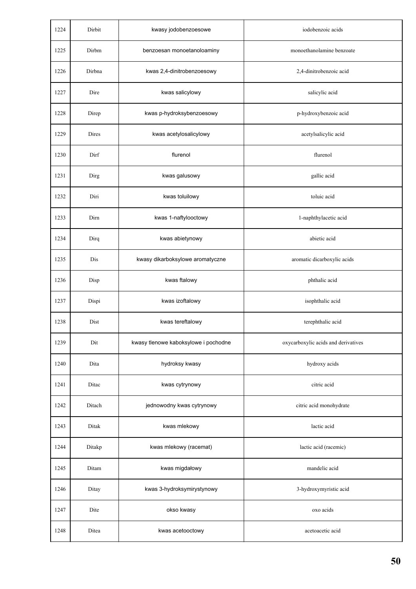| 1224 | Dirbit | kwasy jodobenzoesowe                 | iodobenzoic acids                   |
|------|--------|--------------------------------------|-------------------------------------|
| 1225 | Dirbm  | benzoesan monoetanoloaminy           | monoethanolamine benzoate           |
| 1226 | Dirbna | kwas 2,4-dinitrobenzoesowy           | 2,4-dinitrobenzoic acid             |
| 1227 | Dire   | kwas salicylowy                      | salicylic acid                      |
| 1228 | Direp  | kwas p-hydroksybenzoesowy            | p-hydroxybenzoic acid               |
| 1229 | Dires  | kwas acetylosalicylowy               | acetylsalicylic acid                |
| 1230 | Dirf   | flurenol                             | flurenol                            |
| 1231 | Dirg   | kwas galusowy                        | gallic acid                         |
| 1232 | Diri   | kwas toluilowy                       | toluic acid                         |
| 1233 | Dirn   | kwas 1-naftylooctowy                 | 1-naphthylacetic acid               |
| 1234 | Dirq   | kwas abietynowy                      | abietic acid                        |
| 1235 | Dis    | kwasy dikarboksylowe aromatyczne     | aromatic dicarboxylic acids         |
| 1236 | Disp   | kwas ftalowy                         | phthalic acid                       |
| 1237 | Dispi  | kwas izoftalowy                      | isophthalic acid                    |
| 1238 | Dist   | kwas tereftalowy                     | terephthalic acid                   |
| 1239 | Dit    | kwasy tlenowe kaboksylowe i pochodne | oxycarboxylic acids and derivatives |
| 1240 | Dita   | hydroksy kwasy                       | hydroxy acids                       |
| 1241 | Ditac  | kwas cytrynowy                       | citric acid                         |
| 1242 | Ditach | jednowodny kwas cytrynowy            | citric acid monohydrate             |
| 1243 | Ditak  | kwas mlekowy                         | lactic acid                         |
| 1244 | Ditakp | kwas mlekowy (racemat)               | lactic acid (racemic)               |
| 1245 | Ditam  | kwas migdałowy                       | mandelic acid                       |
| 1246 | Ditay  | kwas 3-hydroksymirystynowy           | 3-hydroxymyristic acid              |
| 1247 | Dite   | okso kwasy                           | oxo acids                           |
| 1248 | Ditea  | kwas acetooctowy                     | acetoacetic acid                    |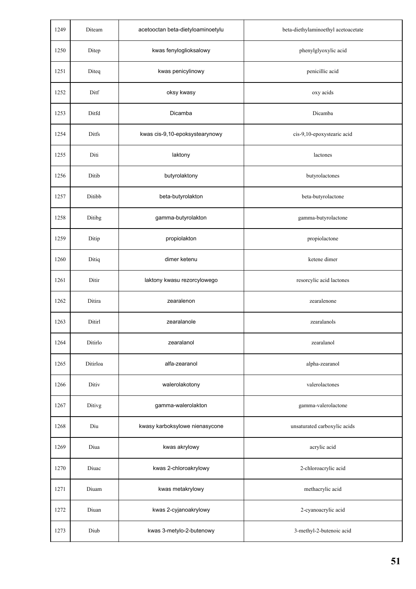| 1249 | Diteam   | acetooctan beta-dietyloaminoetylu | beta-diethylaminoethyl acetoacetate |
|------|----------|-----------------------------------|-------------------------------------|
| 1250 | Ditep    | kwas fenyloglioksalowy            | phenylglyoxylic acid                |
| 1251 | Diteq    | kwas penicylinowy                 | penicillic acid                     |
| 1252 | Ditf     | oksy kwasy                        | oxy acids                           |
| 1253 | Ditfd    | Dicamba                           | Dicamba                             |
| 1254 | Ditfs    | kwas cis-9,10-epoksystearynowy    | cis-9,10-epoxystearic acid          |
| 1255 | Diti     | laktony                           | lactones                            |
| 1256 | Ditib    | butyrolaktony                     | butyrolactones                      |
| 1257 | Ditibb   | beta-butyrolakton                 | beta-butyrolactone                  |
| 1258 | Ditibg   | gamma-butyrolakton                | gamma-butyrolactone                 |
| 1259 | Ditip    | propiolakton                      | propiolactone                       |
| 1260 | Ditiq    | dimer ketenu                      | ketene dimer                        |
| 1261 | Ditir    | laktony kwasu rezorcylowego       | resorcylic acid lactones            |
| 1262 | Ditira   | zearalenon                        | zearalenone                         |
| 1263 | Ditirl   | zearalanole                       | zearalanols                         |
| 1264 | Ditirlo  | zearalanol                        | zearalanol                          |
| 1265 | Ditirloa | alfa-zearanol                     | alpha-zearanol                      |
| 1266 | Ditiv    | walerolakotony                    | valerolactones                      |
| 1267 | Ditivg   | gamma-walerolakton                | gamma-valerolactone                 |
| 1268 | Diu      | kwasy karboksylowe nienasycone    | unsaturated carboxylic acids        |
| 1269 | Diua     | kwas akrylowy                     | acrylic acid                        |
| 1270 | Diuac    | kwas 2-chloroakrylowy             | 2-chloroacrylic acid                |
| 1271 | Diuam    | kwas metakrylowy                  | methacrylic acid                    |
| 1272 | Diuan    | kwas 2-cyjanoakrylowy             | 2-cyanoacrylic acid                 |
| 1273 | Diub     | kwas 3-metylo-2-butenowy          | 3-methyl-2-butenoic acid            |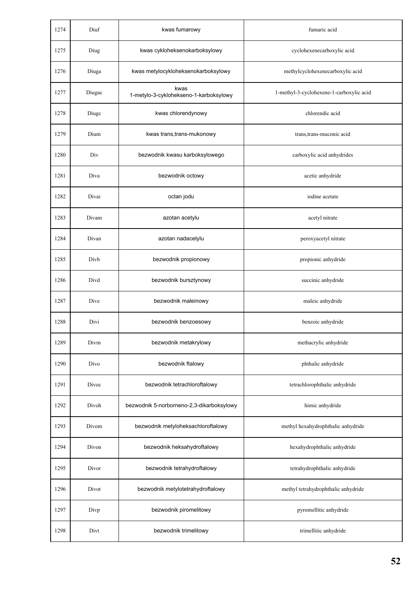| 1274 | Diuf   | kwas fumarowy                                  | fumaric acid                             |
|------|--------|------------------------------------------------|------------------------------------------|
| 1275 | Diug   | kwas cykloheksenokarboksylowy                  | cyclohexenecarboxylic acid               |
| 1276 | Diuga  | kwas metylocykloheksenokarboksylowy            | methylcyclohexenecarboxylic acid         |
| 1277 | Diugac | kwas<br>1-metylo-3-cyklohekseno-1-karboksylowy | 1-methyl-3-cyclohexene-1-carboxylic acid |
| 1278 | Diugo  | kwas chlorendynowy                             | chlorendic acid                          |
| 1279 | Dium   | kwas trans, trans-mukonowy                     | trans, trans-muconic acid                |
| 1280 | Div    | bezwodnik kwasu karboksylowego                 | carboxylic acid anhydrides               |
| 1281 | Diva   | bezwodnik octowy                               | acetic anhydride                         |
| 1282 | Divai  | octan jodu                                     | iodine acetate                           |
| 1283 | Divam  | azotan acetylu                                 | acetyl nitrate                           |
| 1284 | Divan  | azotan nadacetylu                              | peroxyacetyl nitrate                     |
| 1285 | Divb   | bezwodnik propionowy                           | propionic anhydride                      |
| 1286 | Divd   | bezwodnik bursztynowy                          | succinic anhydride                       |
| 1287 | Dive   | bezwodnik maleinowy                            | maleic anhydride                         |
| 1288 | Divi   | bezwodnik benzoesowy                           | benzoic anhydride                        |
| 1289 | Divm   | bezwodnik metakrylowy                          | methacrylic anhydride                    |
| 1290 | Divo   | bezwodnik ftalowy                              | phthalic anhydride                       |
| 1291 | Divoc  | bezwodnik tetrachloroftalowy                   | tetrachlorophthalic anhydride            |
| 1292 | Divoh  | bezwodnik 5-norborneno-2,3-dikarboksylowy      | himic anhydride                          |
| 1293 | Divom  | bezwodnik metyloheksachloroftalowy             | methyl hexahydrophthalic anhydride       |
| 1294 | Divon  | bezwodnik heksahydroftalowy                    | hexahydrophthalic anhydride              |
| 1295 | Divor  | bezwodnik tetrahydroftalowy                    | tetrahydrophthalic anhydride             |
| 1296 | Divot  | bezwodnik metylotetrahydroftalowy              | methyl tetrahydrophthalic anhydride      |
| 1297 | Divp   | bezwodnik piromelitowy                         | pyromellitic anhydride                   |
| 1298 | Divt   | bezwodnik trimelitowy                          | trimellitic anhydride                    |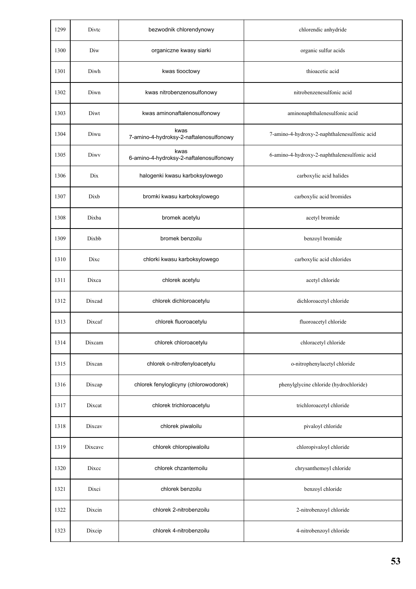| 1299 | Divtc   | bezwodnik chlorendynowy                         | chlorendic anhydride                         |
|------|---------|-------------------------------------------------|----------------------------------------------|
| 1300 | Diw     | organiczne kwasy siarki                         | organic sulfur acids                         |
| 1301 | Diwh    | kwas tiooctowy                                  | thioacetic acid                              |
| 1302 | Diwn    | kwas nitrobenzenosulfonowy                      | nitrobenzenesulfonic acid                    |
| 1303 | Diwt    | kwas aminonaftalenosulfonowy                    | aminonaphthalenesulfonic acid                |
| 1304 | Diwu    | kwas<br>7-amino-4-hydroksy-2-naftalenosulfonowy | 7-amino-4-hydroxy-2-naphthalenesulfonic acid |
| 1305 | Diwy    | kwas<br>6-amino-4-hydroksy-2-naftalenosulfonowy | 6-amino-4-hydroxy-2-naphthalenesulfonic acid |
| 1306 | Dix     | halogenki kwasu karboksylowego                  | carboxylic acid halides                      |
| 1307 | Dixb    | bromki kwasu karboksylowego                     | carboxylic acid bromides                     |
| 1308 | Dixba   | bromek acetylu                                  | acetyl bromide                               |
| 1309 | Dixbb   | bromek benzoilu                                 | benzoyl bromide                              |
| 1310 | Dixc    | chlorki kwasu karboksylowego                    | carboxylic acid chlorides                    |
| 1311 | Dixca   | chlorek acetylu                                 | acetyl chloride                              |
| 1312 | Dixcad  | chlorek dichloroacetylu                         | dichloroacetyl chloride                      |
| 1313 | Dixcaf  | chlorek fluoroacetylu                           | fluoroacetyl chloride                        |
| 1314 | Dixcam  | chlorek chloroacetylu                           | chloracetyl chloride                         |
| 1315 | Dixcan  | chlorek o-nitrofenyloacetylu                    | o-nitrophenylacetyl chloride                 |
| 1316 | Dixcap  | chlorek fenyloglicyny (chlorowodorek)           | phenylglycine chloride (hydrochloride)       |
| 1317 | Dixcat  | chlorek trichloroacetylu                        | trichloroacetyl chloride                     |
| 1318 | Dixcav  | chlorek piwaloilu                               | pivaloyl chloride                            |
| 1319 | Dixcavc | chlorek chloropiwaloilu                         | chloropivaloyl chloride                      |
| 1320 | Dixcc   | chlorek chzantemoilu                            | chrysanthemoyl chloride                      |
| 1321 | Dixci   | chlorek benzoilu                                | benzoyl chloride                             |
| 1322 | Dixcin  | chlorek 2-nitrobenzoilu                         | 2-nitrobenzoyl chloride                      |
| 1323 | Dixcip  | chlorek 4-nitrobenzoilu                         | 4-nitrobenzoyl chloride                      |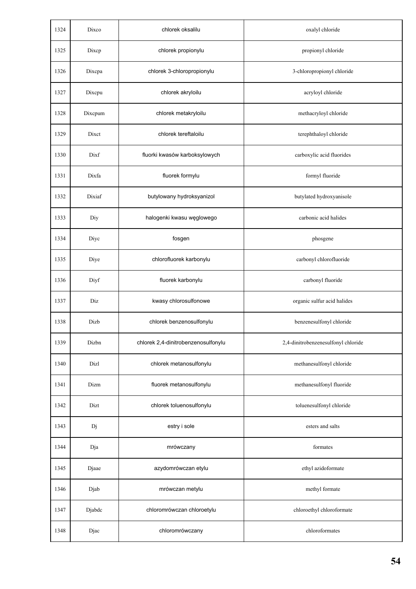| 1324 | Dixco   | chlorek oksalilu                    | oxalyl chloride                     |
|------|---------|-------------------------------------|-------------------------------------|
| 1325 | Dixcp   | chlorek propionylu                  | propionyl chloride                  |
| 1326 | Dixcpa  | chlorek 3-chloropropionylu          | 3-chloropropionyl chloride          |
| 1327 | Dixcpu  | chlorek akryloilu                   | acryloyl chloride                   |
| 1328 | Dixcpum | chlorek metakryloilu                | methacryloyl chloride               |
| 1329 | Dixct   | chlorek tereftaloilu                | terephthaloyl chloride              |
| 1330 | Dixf    | fluorki kwasów karboksylowych       | carboxylic acid fluorides           |
| 1331 | Dixfa   | fluorek formylu                     | formyl fluoride                     |
| 1332 | Dixiaf  | butylowany hydroksyanizol           | butylated hydroxyanisole            |
| 1333 | Diy     | halogenki kwasu węglowego           | carbonic acid halides               |
| 1334 | Diyc    | fosgen                              | phosgene                            |
| 1335 | Diye    | chlorofluorek karbonylu             | carbonyl chlorofluoride             |
| 1336 | Diyf    | fluorek karbonylu                   | carbonyl fluoride                   |
| 1337 | Diz     | kwasy chlorosulfonowe               | organic sulfur acid halides         |
| 1338 | Dizb    | chlorek benzenosulfonylu            | benzenesulfonyl chloride            |
| 1339 | Dizbn   | chlorek 2,4-dinitrobenzenosulfonylu | 2,4-dinitrobenzenesulfonyl chloride |
| 1340 | Dizl    | chlorek metanosulfonylu             | methanesulfonyl chloride            |
| 1341 | Dizm    | fluorek metanosulfonylu             | methanesulfonyl fluoride            |
| 1342 | Dizt    | chlorek toluenosulfonylu            | toluenesulfonyl chloride            |
| 1343 | Dj      | estry i sole                        | esters and salts                    |
| 1344 | Dja     | mrówczany                           | formates                            |
| 1345 | Djaae   | azydomrówczan etylu                 | ethyl azidoformate                  |
| 1346 | Djab    | mrówczan metylu                     | methyl formate                      |
| 1347 | Djabdc  | chloromrówczan chloroetylu          | chloroethyl chloroformate           |
| 1348 | Djac    | chloromrówczany                     | chloroformates                      |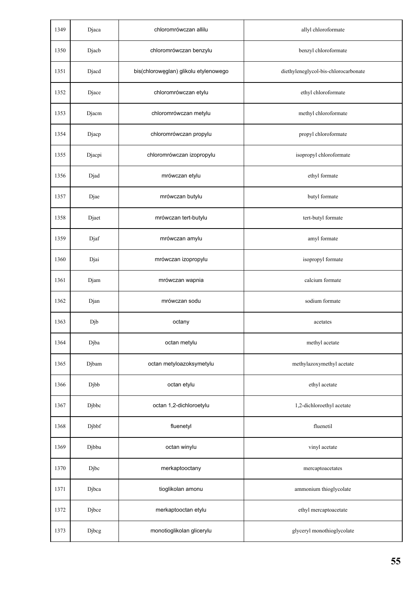| 1349 | Djaca  | chloromrówczan allilu                 | allyl chloroformate                  |
|------|--------|---------------------------------------|--------------------------------------|
| 1350 | Djacb  | chloromrówczan benzylu                | benzyl chloroformate                 |
| 1351 | Djacd  | bis(chlorowęglan) glikolu etylenowego | diethyleneglycol-bis-chlorocarbonate |
| 1352 | Djace  | chloromrówczan etylu                  | ethyl chloroformate                  |
| 1353 | Djacm  | chloromrówczan metylu                 | methyl chloroformate                 |
| 1354 | Djacp  | chloromrówczan propylu                | propyl chloroformate                 |
| 1355 | Djacpi | chloromrówczan izopropylu             | isopropyl chloroformate              |
| 1356 | Djad   | mrówczan etylu                        | ethyl formate                        |
| 1357 | Djae   | mrówczan butylu                       | butyl formate                        |
| 1358 | Djaet  | mrówczan tert-butylu                  | tert-butyl formate                   |
| 1359 | Djaf   | mrówczan amylu                        | amyl formate                         |
| 1360 | Djai   | mrówczan izopropylu                   | isopropyl formate                    |
| 1361 | Djam   | mrówczan wapnia                       | calcium formate                      |
| 1362 | Djan   | mrówczan sodu                         | sodium formate                       |
| 1363 | Djb    | octany                                | acetates                             |
| 1364 | Djba   | octan metylu                          | methyl acetate                       |
| 1365 | Djbam  | octan metyloazoksymetylu              | methylazoxymethyl acetate            |
| 1366 | Djbb   | octan etylu                           | ethyl acetate                        |
| 1367 | Djbbc  | octan 1,2-dichloroetylu               | 1,2-dichloroethyl acetate            |
| 1368 | Djbbf  | fluenetyl                             | fluenetil                            |
| 1369 | Djbbu  | octan winylu                          | vinyl acetate                        |
| 1370 | Djbc   | merkaptooctany                        | mercaptoacetates                     |
| 1371 | Djbca  | tioglikolan amonu                     | ammonium thioglycolate               |
| 1372 | Djbce  | merkaptooctan etylu                   | ethyl mercaptoacetate                |
| 1373 | Djbcg  | monotioglikolan glicerylu             | glyceryl monothioglycolate           |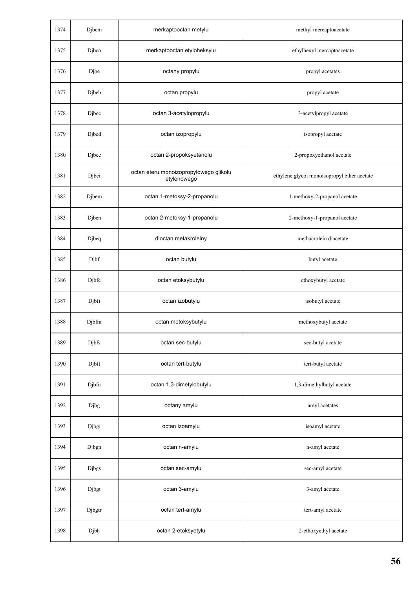| 1374 | Djbcm        | merkaptooctan metylu                                  | methyl mercaptoacetate                      |
|------|--------------|-------------------------------------------------------|---------------------------------------------|
| 1375 | Djbco        | merkaptooctan etyloheksylu                            | ethylhexyl mercaptoacetate                  |
| 1376 | Djbe         | octany propylu                                        | propyl acetates                             |
| 1377 | Djbeb        | octan propylu                                         | propyl acetate                              |
| 1378 | Djbec        | octan 3-acetylopropylu                                | 3-acetylpropyl acetate                      |
| 1379 | Djbed        | octan izopropylu                                      | isopropyl acetate                           |
| 1380 | Djbee        | octan 2-propoksyetanolu                               | 2-propoxyethanol acetate                    |
| 1381 | Djbei        | octan eteru monoizopropylowego glikolu<br>etylenowego | ethylene glycol monoisopropyl ether acetate |
| 1382 | Djbem        | octan 1-metoksy-2-propanolu                           | 1-methoxy-2-propanol acetate                |
| 1383 | Djben        | octan 2-metoksy-1-propanolu                           | 2-methoxy-1-propanol acetate                |
| 1384 | Djbeq        | dioctan metakroleiny                                  | methacrolein diacetate                      |
| 1385 | Djbf         | octan butylu                                          | butyl acetate                               |
| 1386 | Djbfe        | octan etoksybutylu                                    | ethoxybutyl acetate                         |
| 1387 | Djbfi        | octan izobutylu                                       | isobutyl acetate                            |
| 1388 | Djbfm        | octan metoksybutylu                                   | methoxybutyl acetate                        |
| 1389 | Djbfs        | octan sec-butylu                                      | sec-butyl acetate                           |
| 1390 | Djbft        | octan tert-butylu                                     | tert-butyl acetate                          |
| 1391 | Djbfu        | octan 1,3-dimetylobutylu                              | 1,3-dimethylbutyl acetate                   |
| 1392 | Djbg         | octany amylu                                          | amyl acetates                               |
| 1393 | Djbgi        | octan izoamylu                                        | isoamyl acetate                             |
| 1394 | Djbgn        | octan n-amylu                                         | n-amyl acetate                              |
| 1395 | <b>Djbgs</b> | octan sec-amylu                                       | sec-amyl acetate                            |
| 1396 | Djbgt        | octan 3-amylu                                         | 3-amyl acetate                              |
| 1397 | Djbgtr       | octan tert-amylu                                      | tert-amyl acetate                           |
| 1398 | Djbh         | octan 2-etoksyetylu                                   | 2-ethoxyethyl acetate                       |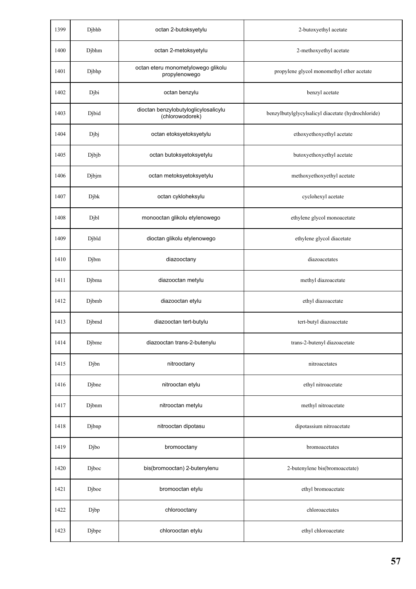| 1399 | Djbhb | octan 2-butoksyetylu                                    | 2-butoxyethyl acetate                              |
|------|-------|---------------------------------------------------------|----------------------------------------------------|
| 1400 | Djbhm | octan 2-metoksyetylu                                    | 2-methoxyethyl acetate                             |
| 1401 | Djbhp | octan eteru monometylowego glikolu<br>propylenowego     | propylene glycol monomethyl ether acetate          |
| 1402 | Djbi  | octan benzylu                                           | benzyl acetate                                     |
| 1403 | Djbid | dioctan benzylobutyloglicylosalicylu<br>(chlorowodorek) | benzylbutylglycylsalicyl diacetate (hydrochloride) |
| 1404 | Djbj  | octan etoksyetoksyetylu                                 | ethoxyethoxyethyl acetate                          |
| 1405 | Djbjb | octan butoksyetoksyetylu                                | butoxyethoxyethyl acetate                          |
| 1406 | Djbjm | octan metoksyetoksyetylu                                | methoxyethoxyethyl acetate                         |
| 1407 | Djbk  | octan cykloheksylu                                      | cyclohexyl acetate                                 |
| 1408 | Djbl  | monooctan glikolu etylenowego                           | ethylene glycol monoacetate                        |
| 1409 | Djbld | dioctan glikolu etylenowego                             | ethylene glycol diacetate                          |
| 1410 | Djbm  | diazooctany                                             | diazoacetates                                      |
| 1411 | Djbma | diazooctan metylu                                       | methyl diazoacetate                                |
| 1412 | Djbmb | diazooctan etylu                                        | ethyl diazoacetate                                 |
| 1413 | Djbmd | diazooctan tert-butylu                                  | tert-butyl diazoacetate                            |
| 1414 | Djbme | diazooctan trans-2-butenylu                             | trans-2-butenyl diazoacetate                       |
| 1415 | Djbn  | nitrooctany                                             | nitroacetates                                      |
| 1416 | Djbne | nitrooctan etylu                                        | ethyl nitroacetate                                 |
| 1417 | Djbnm | nitrooctan metylu                                       | methyl nitroacetate                                |
| 1418 | Djbnp | nitrooctan dipotasu                                     | dipotassium nitroacetate                           |
| 1419 | Djbo  | bromooctany                                             | bromoacetates                                      |
| 1420 | Djboc | bis(bromooctan) 2-butenylenu                            | 2-butenylene bis(bromoacetate)                     |
| 1421 | Djboe | bromooctan etylu                                        | ethyl bromoacetate                                 |
| 1422 | Djbp  | chlorooctany                                            | chloroacetates                                     |
| 1423 | Djbpe | chlorooctan etylu                                       | ethyl chloroacetate                                |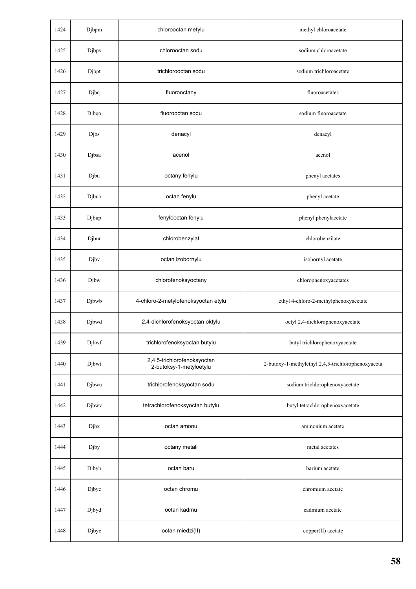| 1424 | Djbpm | chlorooctan metylu                                     | methyl chloroacetate                               |
|------|-------|--------------------------------------------------------|----------------------------------------------------|
| 1425 | Djbps | chlorooctan sodu                                       | sodium chloroacetate                               |
| 1426 | Djbpt | trichlorooctan sodu                                    | sodium trichloroacetate                            |
| 1427 | Djbq  | fluorooctany                                           | fluoroacetates                                     |
| 1428 | Djbqo | fluorooctan sodu                                       | sodium fluoroacetate                               |
| 1429 | Djbs  | denacyl                                                | denacyl                                            |
| 1430 | Djbsa | acenol                                                 | acenol                                             |
| 1431 | Djbu  | octany fenylu                                          | phenyl acetates                                    |
| 1432 | Djbua | octan fenylu                                           | phenyl acetate                                     |
| 1433 | Djbup | fenylooctan fenylu                                     | phenyl phenylacetate                               |
| 1434 | Djbur | chlorobenzylat                                         | chlorobenzilate                                    |
| 1435 | Djbv  | octan izobornylu                                       | isobornyl acetate                                  |
| 1436 | Djbw  | chlorofenoksyoctany                                    | chlorophenoxyacetates                              |
| 1437 | Djbwb | 4-chloro-2-metylofenoksyoctan etylu                    | ethyl 4-chloro-2-methylphenoxyacetate              |
| 1438 | Djbwd | 2,4-dichlorofenoksyoctan oktylu                        | octyl 2,4-dichlorophenoxyacetate                   |
| 1439 | Djbwf | trichlorofenoksyoctan butylu                           | butyl trichlorophenoxyacetate                      |
| 1440 | Djbwt | 2,4,5-trichlorofenoksyoctan<br>2-butoksy-1-metyloetylu | 2-butoxy-1-methylethyl 2,4,5-trichlorophenoxyaceta |
| 1441 | Djbwu | trichlorofenoksyoctan sodu                             | sodium trichlorophenoxyacetate                     |
| 1442 | Djbwv | tetrachlorofenoksyoctan butylu                         | butyl tetrachlorophenoxyacetate                    |
| 1443 | Djbx  | octan amonu                                            | ammonium acetate                                   |
| 1444 | Djby  | octany metali                                          | metal acetates                                     |
| 1445 | Djbyb | octan baru                                             | barium acetate                                     |
| 1446 | Djbyc | octan chromu                                           | chromium acetate                                   |
| 1447 | Djbyd | octan kadmu                                            | cadmium acetate                                    |
| 1448 | Djbye | octan miedzi(II)                                       | copper(II) acetate                                 |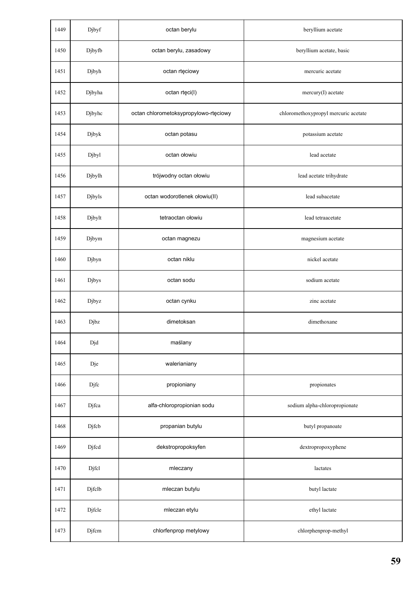| 1449 | Djbyf  | octan berylu                          | beryllium acetate                    |
|------|--------|---------------------------------------|--------------------------------------|
| 1450 | Djbyfb | octan berylu, zasadowy                | beryllium acetate, basic             |
| 1451 | Djbyh  | octan rtęciowy                        | mercuric acetate                     |
| 1452 | Djbyha | octan rtęci(I)                        | mercury(I) acetate                   |
| 1453 | Djbyhc | octan chlorometoksypropylowo-rtęciowy | chloromethoxypropyl mercuric acetate |
| 1454 | Djbyk  | octan potasu                          | potassium acetate                    |
| 1455 | Djbyl  | octan ołowiu                          | lead acetate                         |
| 1456 | Djbylh | trójwodny octan ołowiu                | lead acetate trihydrate              |
| 1457 | Djbyls | octan wodorotlenek ołowiu(II)         | lead subacetate                      |
| 1458 | Djbylt | tetraoctan ołowiu                     | lead tetraacetate                    |
| 1459 | Djbym  | octan magnezu                         | magnesium acetate                    |
| 1460 | Djbyn  | octan niklu                           | nickel acetate                       |
| 1461 | Djbys  | octan sodu                            | sodium acetate                       |
| 1462 | Djbyz  | octan cynku                           | zinc acetate                         |
| 1463 | Djbz   | dimetoksan                            | dimethoxane                          |
| 1464 | Djd    | maślany                               |                                      |
| 1465 | Dje    | walerianiany                          |                                      |
| 1466 | Djfc   | propioniany                           | propionates                          |
| 1467 | Djfca  | alfa-chloropropionian sodu            | sodium alpha-chloropropionate        |
| 1468 | Djfcb  | propanian butylu                      | butyl propanoate                     |
| 1469 | Djfcd  | dekstropropoksyfen                    | dextropropoxyphene                   |
| 1470 | Djfcl  | mleczany                              | lactates                             |
| 1471 | Djfclb | mleczan butylu                        | butyl lactate                        |
| 1472 | Djfcle | mleczan etylu                         | ethyl lactate                        |
| 1473 | Djfcm  | chlorfenprop metylowy                 | chlorphenprop-methyl                 |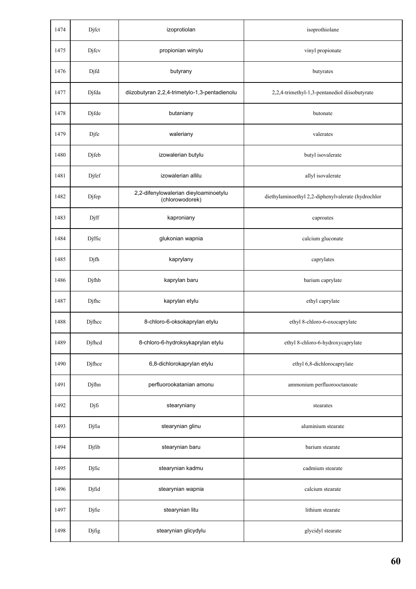| 1474 | Djfct  | izoprotiolan                                             | isoprothiolane                                     |
|------|--------|----------------------------------------------------------|----------------------------------------------------|
| 1475 | Djfcv  | propionian winylu                                        | vinyl propionate                                   |
| 1476 | Djfd   | butyrany                                                 | butyrates                                          |
| 1477 | Djfda  | diizobutyran 2,2,4-trimetylo-1,3-pentadienolu            | 2,2,4-trimethyl-1,3-pentanediol diisobutyrate      |
| 1478 | Djfde  | butaniany                                                | butonate                                           |
| 1479 | Djfe   | waleriany                                                | valerates                                          |
| 1480 | Djfeb  | izowalerian butylu                                       | butyl isovalerate                                  |
| 1481 | Djfef  | izowalerian allilu                                       | allyl isovalerate                                  |
| 1482 | Djfep  | 2,2-difenylowalerian dieyloaminoetylu<br>(chlorowodorek) | diethylaminoethyl 2,2-diphenylvalerate (hydrochlor |
| 1483 | Djff   | kaproniany                                               | caproates                                          |
| 1484 | Djffic | glukonian wapnia                                         | calcium gluconate                                  |
| 1485 | Djfh   | kaprylany                                                | caprylates                                         |
| 1486 | Djfhb  | kaprylan baru                                            | barium caprylate                                   |
| 1487 | Djfhc  | kaprylan etylu                                           | ethyl caprylate                                    |
| 1488 | Djfhcc | 8-chloro-6-oksokaprylan etylu                            | ethyl 8-chloro-6-oxocaprylate                      |
| 1489 | Djfhcd | 8-chloro-6-hydroksykaprylan etylu                        | ethyl 8-chloro-6-hydroxycaprylate                  |
| 1490 | Djfhce | 6,8-dichlorokaprylan etylu                               | ethyl 6,8-dichlorocaprylate                        |
| 1491 | Djfhn  | perfluorookatanian amonu                                 | ammonium perfluorooctanoate                        |
| 1492 | Djfi   | stearyniany                                              | stearates                                          |
| 1493 | Djfia  | stearynian glinu                                         | aluminium stearate                                 |
| 1494 | Djfib  | stearynian baru                                          | barium stearate                                    |
| 1495 | Djfic  | stearynian kadmu                                         | cadmium stearate                                   |
| 1496 | Djfid  | stearynian wapnia                                        | calcium stearate                                   |
| 1497 | Djfie  | stearynian litu                                          | lithium stearate                                   |
| 1498 | Djfig  | stearynian glicydylu                                     | glycidyl stearate                                  |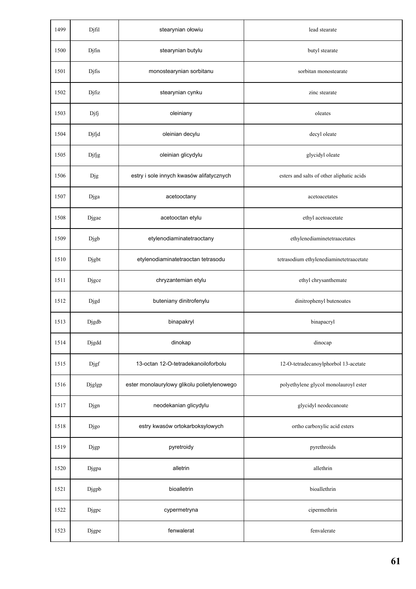| 1499 | Djfil  | stearynian ołowiu                           | lead stearate                             |
|------|--------|---------------------------------------------|-------------------------------------------|
| 1500 | Djfin  | stearynian butylu                           | butyl stearate                            |
| 1501 | Djfis  | monostearynian sorbitanu                    | sorbitan monostearate                     |
| 1502 | Djfiz  | stearynian cynku                            | zinc stearate                             |
| 1503 | Djfj   | oleiniany                                   | oleates                                   |
| 1504 | Djfjd  | oleinian decylu                             | decyl oleate                              |
| 1505 | Djfjg  | oleinian glicydylu                          | glycidyl oleate                           |
| 1506 | Djg    | estry i sole innych kwasów alifatycznych    | esters and salts of other aliphatic acids |
| 1507 | Djga   | acetooctany                                 | acetoacetates                             |
| 1508 | Djgae  | acetooctan etylu                            | ethyl acetoacetate                        |
| 1509 | Djgb   | etylenodiaminatetraoctany                   | ethylenediaminetetraacetates              |
| 1510 | Djgbt  | etylenodiaminatetraoctan tetrasodu          | tetrasodium ethylenediaminetetraacetate   |
| 1511 | Djgce  | chryzantemian etylu                         | ethyl chrysanthemate                      |
| 1512 | Djgd   | buteniany dinitrofenylu                     | dinitrophenyl butenoates                  |
| 1513 | Djgdb  | binapakryl                                  | binapacryl                                |
| 1514 | Djgdd  | dinokap                                     | dinocap                                   |
| 1515 | Djgf   | 13-octan 12-O-tetradekanoiloforbolu         | 12-O-tetradecanoylphorbol 13-acetate      |
| 1516 | Djglgp | ester monolaurylowy glikolu polietylenowego | polyethylene glycol monolauroyl ester     |
| 1517 | Djgn   | neodekanian glicydylu                       | glycidyl neodecanoate                     |
| 1518 | Djgo   | estry kwasów ortokarboksylowych             | ortho carboxylic acid esters              |
| 1519 | Djgp   | pyretroidy                                  | pyrethroids                               |
| 1520 | Djgpa  | alletrin                                    | allethrin                                 |
| 1521 | Djgpb  | bioalletrin                                 | bioallethrin                              |
| 1522 | Djgpc  | cypermetryna                                | cipermethrin                              |
| 1523 | Djgpe  | fenwalerat                                  | fenvalerate                               |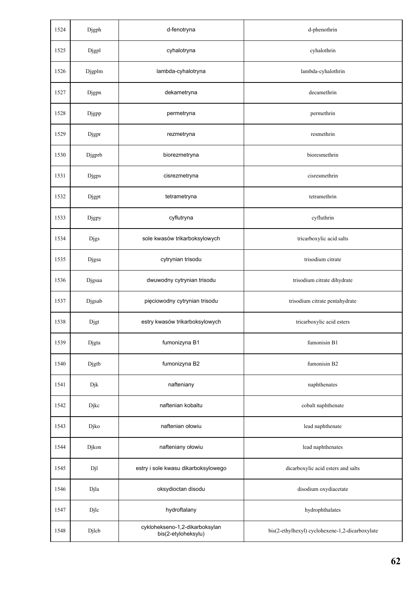| 1524 | Djgph        | d-fenotryna                                           | d-phenothrin                                    |
|------|--------------|-------------------------------------------------------|-------------------------------------------------|
| 1525 | Djgpl        | cyhalotryna                                           | cyhalothrin                                     |
| 1526 | Djgplm       | lambda-cyhalotryna                                    | lambda-cyhalothrin                              |
| 1527 | Djgpn        | dekametryna                                           | decamethrin                                     |
| 1528 | Djgpp        | permetryna                                            | permethrin                                      |
| 1529 | Djgpr        | rezmetryna                                            | resmethrin                                      |
| 1530 | Djgprb       | biorezmetryna                                         | bioresmethrin                                   |
| 1531 | <b>Djgps</b> | cisrezmetryna                                         | cisresmethrin                                   |
| 1532 | Djgpt        | tetrametryna                                          | tetramethrin                                    |
| 1533 | Djgpy        | cyflutryna                                            | cyfluthrin                                      |
| 1534 | <b>Djgs</b>  | sole kwasów trikarboksylowych                         | tricarboxylic acid salts                        |
| 1535 | Djgsa        | cytrynian trisodu                                     | trisodium citrate                               |
| 1536 | Djgsaa       | dwuwodny cytrynian trisodu                            | trisodium citrate dihydrate                     |
| 1537 | Djgsab       | pięciowodny cytrynian trisodu                         | trisodium citrate pentahydrate                  |
| 1538 | Djgt         | estry kwasów trikarboksylowych                        | tricarboxylic acid esters                       |
| 1539 | Djgta        | fumonizyna B1                                         | fumonisin B1                                    |
| 1540 | Djgtb        | fumonizyna B2                                         | fumonisin B2                                    |
| 1541 | Djk          | nafteniany                                            | naphthenates                                    |
| 1542 | Djkc         | naftenian kobaltu                                     | cobalt naphthenate                              |
| 1543 | Djko         | naftenian ołowiu                                      | lead naphthenate                                |
| 1544 | Djkon        | nafteniany ołowiu                                     | lead naphthenates                               |
| 1545 | Djl          | estry i sole kwasu dikarboksylowego                   | dicarboxylic acid esters and salts              |
| 1546 | Djla         | oksydioctan disodu                                    | disodium oxydiacetate                           |
| 1547 | Djlc         | hydroftalany                                          | hydrophthalates                                 |
| 1548 | Djlcb        | cyklohekseno-1,2-dikarboksylan<br>bis(2-etyloheksylu) | bis(2-ethylhexyl) cyclohexene-1,2-dicarboxylate |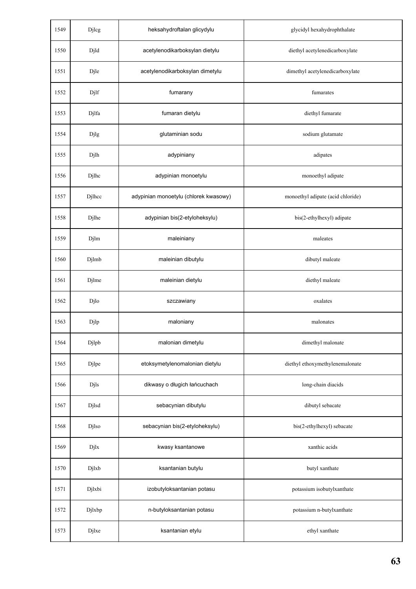| 1549 | Djlcg  | heksahydroftalan glicydylu            | glycidyl hexahydrophthalate       |
|------|--------|---------------------------------------|-----------------------------------|
| 1550 | Djld   | acetylenodikarboksylan dietylu        | diethyl acetylenedicarboxylate    |
| 1551 | Djle   | acetylenodikarboksylan dimetylu       | dimethyl acetylenedicarboxylate   |
| 1552 | Djlf   | fumarany                              | fumarates                         |
| 1553 | Djlfa  | fumaran dietylu                       | diethyl fumarate                  |
| 1554 | Djlg   | glutaminian sodu                      | sodium glutamate                  |
| 1555 | Djlh   | adypiniany                            | adipates                          |
| 1556 | Djlhc  | adypinian monoetylu                   | monoethyl adipate                 |
| 1557 | Djlhcc | adypinian monoetylu (chlorek kwasowy) | monoethyl adipate (acid chloride) |
| 1558 | Djlhe  | adypinian bis(2-etyloheksylu)         | bis(2-ethylhexyl) adipate         |
| 1559 | Djlm   | maleiniany                            | maleates                          |
| 1560 | Djlmb  | maleinian dibutylu                    | dibutyl maleate                   |
| 1561 | Djlme  | maleinian dietylu                     | diethyl maleate                   |
| 1562 | Djlo   | szczawiany                            | oxalates                          |
| 1563 | Djlp   | maloniany                             | malonates                         |
| 1564 | Djlpb  | malonian dimetylu                     | dimethyl malonate                 |
| 1565 | Djlpe  | etoksymetylenomalonian dietylu        | diethyl ethoxymethylenemalonate   |
| 1566 | Djls   | dikwasy o długich łańcuchach          | long-chain diacids                |
| 1567 | Djlsd  | sebacynian dibutylu                   | dibutyl sebacate                  |
| 1568 | Djlso  | sebacynian bis(2-etyloheksylu)        | bis(2-ethylhexyl) sebacate        |
| 1569 | Djlx   | kwasy ksantanowe                      | xanthic acids                     |
| 1570 | Djlxb  | ksantanian butylu                     | butyl xanthate                    |
| 1571 | Djlxbi | izobutyloksantanian potasu            | potassium isobutylxanthate        |
| 1572 | Djlxbp | n-butyloksantanian potasu             | potassium n-butylxanthate         |
| 1573 | Djlxe  | ksantanian etylu                      | ethyl xanthate                    |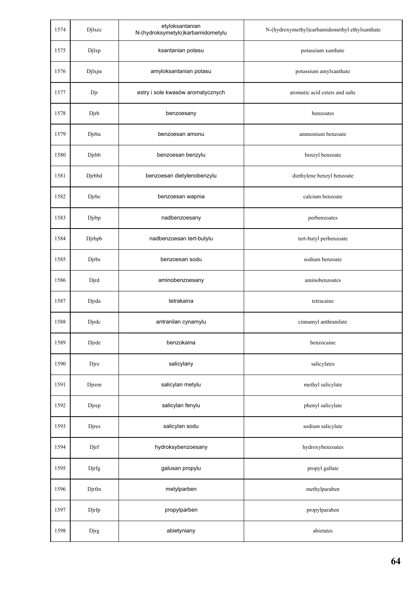| 1574 | Djlxec | etyloksantanian<br>N-(hydroksymetylo)karbamidometylu | N-(hydroxymethyl)carbamidomethyl ethylxanthate |
|------|--------|------------------------------------------------------|------------------------------------------------|
| 1575 | Djlxp  | ksantanian potasu                                    | potassium xanthate                             |
| 1576 | Djlxpa | amyloksantanian potasu                               | potassium amylxanthate                         |
| 1577 | Djr    | estry i sole kwasów aromatycznych                    | aromatic acid esters and salts                 |
| 1578 | Djrb   | benzoesany                                           | benzoates                                      |
| 1579 | Djrba  | benzoesan amonu                                      | ammonium benzoate                              |
| 1580 | Djrbb  | benzoesan benzylu                                    | benzyl benzoate                                |
| 1581 | Djrbbd | benzoesan dietylenobenzylu                           | diethylene benzyl benzoate                     |
| 1582 | Djrbc  | benzoesan wapnia                                     | calcium benzoate                               |
| 1583 | Djrbp  | nadbenzoesany                                        | perbenzoates                                   |
| 1584 | Djrbpb | nadbenzoesan tert-butylu                             | tert-butyl perbenzoate                         |
| 1585 | Djrbs  | benzoesan sodu                                       | sodium benzoate                                |
| 1586 | Djrd   | aminobenzoesany                                      | aminobenzoates                                 |
| 1587 | Djrda  | tetrakaina                                           | tetracaine                                     |
| 1588 | Djrdc  | antranilan cynamylu                                  | cinnamyl anthranilate                          |
| 1589 | Djrde  | benzokaina                                           | benzocaine                                     |
| 1590 | Djre   | salicylany                                           | salicylates                                    |
| 1591 | Djrem  | salicylan metylu                                     | methyl salicylate                              |
| 1592 | Djrep  | salicylan fenylu                                     | phenyl salicylate                              |
| 1593 | Djres  | salicylan sodu                                       | sodium salicylate                              |
| 1594 | Djrf   | hydroksybenzoesany                                   | hydroxybenzoates                               |
| 1595 | Djrfg  | galusan propylu                                      | propyl gallate                                 |
| 1596 | Djrfm  | metylparben                                          | methylparaben                                  |
| 1597 | Djrfp  | propylparben                                         | propylparaben                                  |
| 1598 | Djrg   | abietyniany                                          | abietates                                      |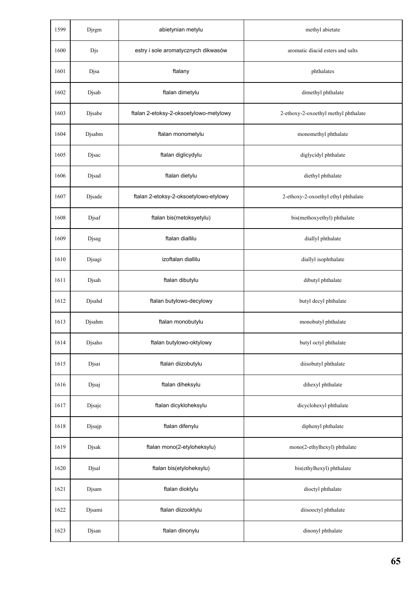| 1599 | Djrgm  | abietynian metylu                      | methyl abietate                      |
|------|--------|----------------------------------------|--------------------------------------|
| 1600 | Djs    | estry i sole aromatycznych dikwasów    | aromatic diacid esters and salts     |
| 1601 | Djsa   | ftalany                                | phthalates                           |
| 1602 | Djsab  | ftalan dimetylu                        | dimethyl phthalate                   |
| 1603 | Djsabe | ftalan 2-etoksy-2-oksoetylowo-metylowy | 2-ethoxy-2-oxoethyl methyl phthalate |
| 1604 | Djsabm | ftalan monometylu                      | monomethyl phthalate                 |
| 1605 | Djsac  | ftalan diglicydylu                     | diglycidyl phthalate                 |
| 1606 | Djsad  | ftalan dietylu                         | diethyl phthalate                    |
| 1607 | Djsade | ftalan 2-etoksy-2-oksoetylowo-etylowy  | 2-ethoxy-2-oxoethyl ethyl phthalate  |
| 1608 | Djsaf  | ftalan bis(metoksyetylu)               | bis(methoxyethyl) phthalate          |
| 1609 | Djsag  | ftalan diallilu                        | diallyl phthalate                    |
| 1610 | Djsagi | izoftalan diallilu                     | diallyl isophthalate                 |
| 1611 | Djsah  | ftalan dibutylu                        | dibutyl phthalate                    |
| 1612 | Djsahd | ftalan butylowo-decylowy               | butyl decyl phthalate                |
| 1613 | Djsahm | ftalan monobutylu                      | monobutyl phthalate                  |
| 1614 | Djsaho | ftalan butylowo-oktylowy               | butyl octyl phthalate                |
| 1615 | Djsai  | ftalan diizobutylu                     | diisobutyl phthalate                 |
| 1616 | Djsaj  | ftalan diheksylu                       | dihexyl phthalate                    |
| 1617 | Djsajc | ftalan dicykloheksylu                  | dicyclohexyl phthalate               |
| 1618 | Djsajp | ftalan difenylu                        | diphenyl phthalate                   |
| 1619 | Djsak  | ftalan mono(2-etyloheksylu)            | mono(2-ethylhexyl) phthalate         |
| 1620 | Djsal  | ftalan bis(etyloheksylu)               | bis(ethylhexyl) phthalate            |
| 1621 | Djsam  | ftalan dioktylu                        | dioctyl phthalate                    |
| 1622 | Djsami | ftalan diizooktylu                     | diisooctyl phthalate                 |
| 1623 | Djsan  | ftalan dinonylu                        | dinonyl phthalate                    |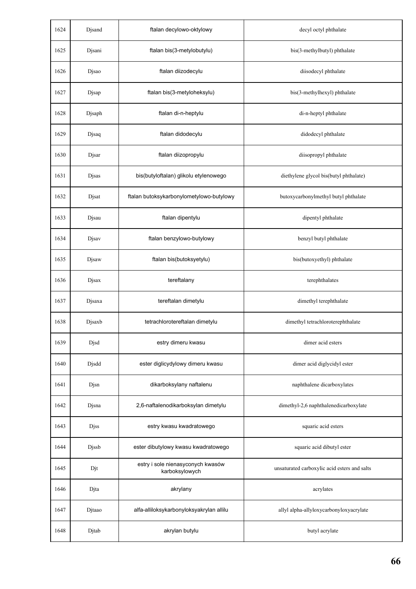| 1624 | Djsand | ftalan decylowo-oktylowy                            | decyl octyl phthalate                        |
|------|--------|-----------------------------------------------------|----------------------------------------------|
| 1625 | Djsani | ftalan bis(3-metylobutylu)                          | bis(3-methylbutyl) phthalate                 |
| 1626 | Djsao  | ftalan diizodecylu                                  | diisodecyl phthalate                         |
| 1627 | Djsap  | ftalan bis(3-metyloheksylu)                         | bis(3-methylhexyl) phthalate                 |
| 1628 | Djsaph | ftalan di-n-heptylu                                 | di-n-heptyl phthalate                        |
| 1629 | Djsaq  | ftalan didodecylu                                   | didodecyl phthalate                          |
| 1630 | Djsar  | ftalan diizopropylu                                 | diisopropyl phthalate                        |
| 1631 | Djsas  | bis(butyloftalan) glikolu etylenowego               | diethylene glycol bis(butyl phthalate)       |
| 1632 | Djsat  | ftalan butoksykarbonylometylowo-butylowy            | butoxycarbonylmethyl butyl phthalate         |
| 1633 | Djsau  | ftalan dipentylu                                    | dipentyl phthalate                           |
| 1634 | Djsav  | ftalan benzylowo-butylowy                           | benzyl butyl phthalate                       |
| 1635 | Djsaw  | ftalan bis(butoksyetylu)                            | bis(butoxyethyl) phthalate                   |
| 1636 | Djsax  | tereftalany                                         | terephthalates                               |
| 1637 | Djsaxa | tereftalan dimetylu                                 | dimethyl terephthalate                       |
| 1638 | Djsaxb | tetrachlorotereftalan dimetylu                      | dimethyl tetrachloroterephthalate            |
| 1639 | Djsd   | estry dimeru kwasu                                  | dimer acid esters                            |
| 1640 | Djsdd  | ester diglicydylowy dimeru kwasu                    | dimer acid diglycidyl ester                  |
| 1641 | Djsn   | dikarboksylany naftalenu                            | naphthalene dicarboxylates                   |
| 1642 | Djsna  | 2,6-naftalenodikarboksylan dimetylu                 | dimethyl-2,6 naphthalenedicarboxylate        |
| 1643 | Djss   | estry kwasu kwadratowego                            | squaric acid esters                          |
| 1644 | Djssb  | ester dibutylowy kwasu kwadratowego                 | squaric acid dibutyl ester                   |
| 1645 | Djt    | estry i sole nienasyconych kwasów<br>karboksylowych | unsaturated carboxylic acid esters and salts |
| 1646 | Djta   | akrylany                                            | acrylates                                    |
| 1647 | Djtaao | alfa-alliloksykarbonyloksyakrylan allilu            | allyl alpha-allyloxycarbonyloxyacrylate      |
| 1648 | Djtab  | akrylan butylu                                      | butyl acrylate                               |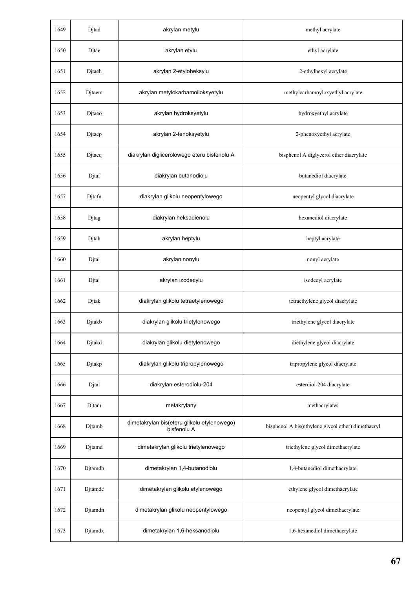| 1649 | Djtad   | akrylan metylu                                             | methyl acrylate                                    |
|------|---------|------------------------------------------------------------|----------------------------------------------------|
| 1650 | Djtae   | akrylan etylu                                              | ethyl acrylate                                     |
| 1651 | Djtaeh  | akrylan 2-etyloheksylu                                     | 2-ethylhexyl acrylate                              |
| 1652 | Djtaem  | akrylan metylokarbamoiloksyetylu                           | methylcarbamoyloxyethyl acrylate                   |
| 1653 | Djtaeo  | akrylan hydroksyetylu                                      | hydroxyethyl acrylate                              |
| 1654 | Djtaep  | akrylan 2-fenoksyetylu                                     | 2-phenoxyethyl acrylate                            |
| 1655 | Djtaeq  | diakrylan diglicerolowego eteru bisfenolu A                | bisphenol A diglycerol ether diacrylate            |
| 1656 | Djtaf   | diakrylan butanodiolu                                      | butanediol diacrylate                              |
| 1657 | Djtafn  | diakrylan glikolu neopentylowego                           | neopentyl glycol diacrylate                        |
| 1658 | Djtag   | diakrylan heksadienolu                                     | hexanediol diacrylate                              |
| 1659 | Djtah   | akrylan heptylu                                            | heptyl acrylate                                    |
| 1660 | Djtai   | akrylan nonylu                                             | nonyl acrylate                                     |
| 1661 | Djtaj   | akrylan izodecylu                                          | isodecyl acrylate                                  |
| 1662 | Djtak   | diakrylan glikolu tetraetylenowego                         | tetraethylene glycol diacrylate                    |
| 1663 | Djtakb  | diakrylan glikolu trietylenowego                           | triethylene glycol diacrylate                      |
| 1664 | Djtakd  | diakrylan glikolu dietylenowego                            | diethylene glycol diacrylate                       |
| 1665 | Djtakp  | diakrylan glikolu tripropylenowego                         | tripropylene glycol diacrylate                     |
| 1666 | Djtal   | diakrylan esterodiolu-204                                  | esterdiol-204 diacrylate                           |
| 1667 | Djtam   | metakrylany                                                | methacrylates                                      |
| 1668 | Djtamb  | dimetakrylan bis(eteru glikolu etylenowego)<br>bisfenolu A | bisphenol A bis(ethylene glycol ether) dimethacryl |
| 1669 | Djtamd  | dimetakrylan glikolu trietylenowego                        | triethylene glycol dimethacrylate                  |
| 1670 | Djtamdb | dimetakrylan 1,4-butanodiolu                               | 1,4-butanediol dimethacrylate                      |
| 1671 | Djtamde | dimetakrylan glikolu etylenowego                           | ethylene glycol dimethacrylate                     |
| 1672 | Djtamdn | dimetakrylan glikolu neopentylowego                        | neopentyl glycol dimethacrylate                    |
| 1673 | Djtamdx | dimetakrylan 1,6-heksanodiolu                              | 1,6-hexanediol dimethacrylate                      |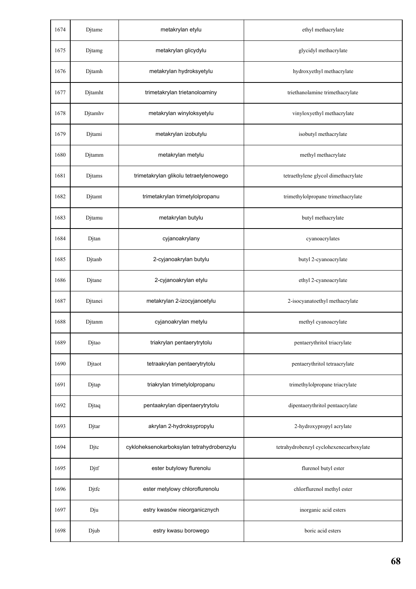| 1674 | Djtame  | metakrylan etylu                          | ethyl methacrylate                      |
|------|---------|-------------------------------------------|-----------------------------------------|
| 1675 | Djtamg  | metakrylan glicydylu                      | glycidyl methacrylate                   |
| 1676 | Djtamh  | metakrylan hydroksyetylu                  | hydroxyethyl methacrylate               |
| 1677 | Djtamht | trimetakrylan trietanoloaminy             | triethanolamine trimethacrylate         |
| 1678 | Djtamhv | metakrylan winyloksyetylu                 | vinyloxyethyl methacrylate              |
| 1679 | Djtami  | metakrylan izobutylu                      | isobutyl methacrylate                   |
| 1680 | Djtamm  | metakrylan metylu                         | methyl methacrylate                     |
| 1681 | Djtams  | trimetakrylan glikolu tetraetylenowego    | tetraethylene glycol dimethacrylate     |
| 1682 | Djtamt  | trimetakrylan trimetylolpropanu           | trimethylolpropane trimethacrylate      |
| 1683 | Djtamu  | metakrylan butylu                         | butyl methacrylate                      |
| 1684 | Djtan   | cyjanoakrylany                            | cyanoacrylates                          |
| 1685 | Djtanb  | 2-cyjanoakrylan butylu                    | butyl 2-cyanoacrylate                   |
| 1686 | Djtane  | 2-cyjanoakrylan etylu                     | ethyl 2-cyanoacrylate                   |
| 1687 | Djtanei | metakrylan 2-izocyjanoetylu               | 2-isocyanatoethyl methacrylate          |
| 1688 | Djtanm  | cyjanoakrylan metylu                      | methyl cyanoacrylate                    |
| 1689 | Djtao   | triakrylan pentaerytrytolu                | pentaerythritol triacrylate             |
| 1690 | Djtaot  | tetraakrylan pentaerytrytolu              | pentaerythritol tetraacrylate           |
| 1691 | Djtap   | triakrylan trimetylolpropanu              | trimethylolpropane triacrylate          |
| 1692 | Djtaq   | pentaakrylan dipentaerytrytolu            | dipentaerythritol pentaacrylate         |
| 1693 | Djtar   | akrylan 2-hydroksypropylu                 | 2-hydroxypropyl acrylate                |
| 1694 | Djtc    | cykloheksenokarboksylan tetrahydrobenzylu | tetrahydrobenzyl cyclohexenecarboxylate |
| 1695 | Djtf    | ester butylowy flurenolu                  | flurenol butyl ester                    |
| 1696 | Djtfc   | ester metylowy chloroflurenolu            | chlorflurenol methyl ester              |
| 1697 | Dju     | estry kwasów nieorganicznych              | inorganic acid esters                   |
| 1698 | Djub    | estry kwasu borowego                      | boric acid esters                       |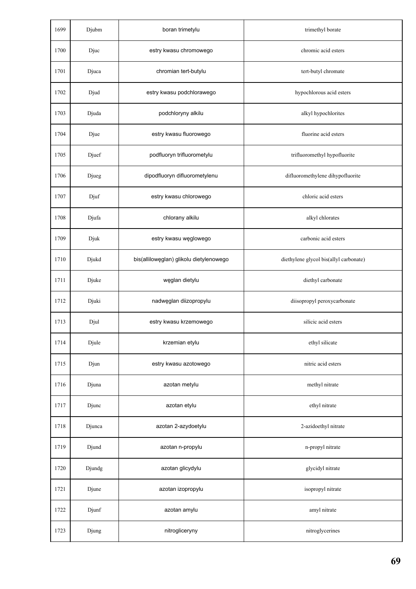| 1699 | Djubm  | boran trimetylu                         | trimethyl borate                       |
|------|--------|-----------------------------------------|----------------------------------------|
| 1700 | Djuc   | estry kwasu chromowego                  | chromic acid esters                    |
| 1701 | Djuca  | chromian tert-butylu                    | tert-butyl chromate                    |
| 1702 | Djud   | estry kwasu podchlorawego               | hypochlorous acid esters               |
| 1703 | Djuda  | podchloryny alkilu                      | alkyl hypochlorites                    |
| 1704 | Djue   | estry kwasu fluorowego                  | fluorine acid esters                   |
| 1705 | Djuef  | podfluoryn trifluorometylu              | trifluoromethyl hypofluorite           |
| 1706 | Djueg  | dipodfluoryn difluorometylenu           | difluoromethylene dihypofluorite       |
| 1707 | Djuf   | estry kwasu chlorowego                  | chloric acid esters                    |
| 1708 | Djufa  | chlorany alkilu                         | alkyl chlorates                        |
| 1709 | Djuk   | estry kwasu węglowego                   | carbonic acid esters                   |
| 1710 | Djukd  | bis(allilowęglan) glikolu dietylenowego | diethylene glycol bis(allyl carbonate) |
| 1711 | Djuke  | węglan dietylu                          | diethyl carbonate                      |
| 1712 | Djuki  | nadwęglan diizopropylu                  | diisopropyl peroxycarbonate            |
| 1713 | Djul   | estry kwasu krzemowego                  | silicic acid esters                    |
| 1714 | Djule  | krzemian etylu                          | ethyl silicate                         |
| 1715 | Djun   | estry kwasu azotowego                   | nitric acid esters                     |
| 1716 | Djuna  | azotan metylu                           | methyl nitrate                         |
| 1717 | Djunc  | azotan etylu                            | ethyl nitrate                          |
| 1718 | Djunca | azotan 2-azydoetylu                     | 2-azidoethyl nitrate                   |
| 1719 | Djund  | azotan n-propylu                        | n-propyl nitrate                       |
| 1720 | Djundg | azotan glicydylu                        | glycidyl nitrate                       |
| 1721 | Djune  | azotan izopropylu                       | isopropyl nitrate                      |
| 1722 | Djunf  | azotan amylu                            | amyl nitrate                           |
| 1723 | Djung  | nitrogliceryny                          | nitroglycerines                        |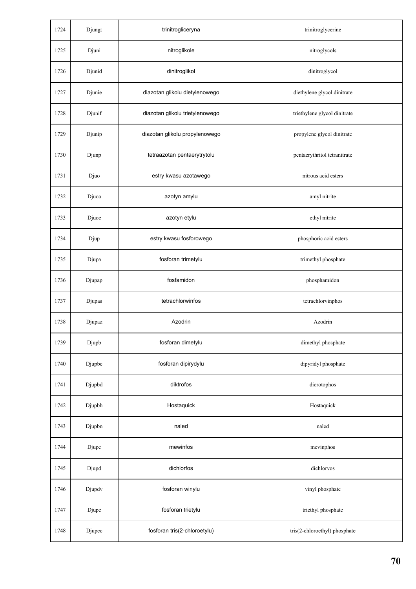| 1724 | Djungt | trinitrogliceryna               | trinitroglycerine             |
|------|--------|---------------------------------|-------------------------------|
| 1725 | Djuni  | nitroglikole                    | nitroglycols                  |
| 1726 | Djunid | dinitroglikol                   | dinitroglycol                 |
| 1727 | Djunie | diazotan glikolu dietylenowego  | diethylene glycol dinitrate   |
| 1728 | Djunif | diazotan glikolu trietylenowego | triethylene glycol dinitrate  |
| 1729 | Djunip | diazotan glikolu propylenowego  | propylene glycol dinitrate    |
| 1730 | Djunp  | tetraazotan pentaerytrytolu     | pentaerythritol tetranitrate  |
| 1731 | Djuo   | estry kwasu azotawego           | nitrous acid esters           |
| 1732 | Djuoa  | azotyn amylu                    | amyl nitrite                  |
| 1733 | Djuoe  | azotyn etylu                    | ethyl nitrite                 |
| 1734 | Djup   | estry kwasu fosforowego         | phosphoric acid esters        |
| 1735 | Djupa  | fosforan trimetylu              | trimethyl phosphate           |
| 1736 | Djupap | fosfamidon                      | phosphamidon                  |
| 1737 | Djupas | tetrachlorwinfos                | tetrachlorvinphos             |
| 1738 | Djupaz | Azodrin                         | Azodrin                       |
| 1739 | Djupb  | fosforan dimetylu               | dimethyl phosphate            |
| 1740 | Djupbc | fosforan dipirydylu             | dipyridyl phosphate           |
| 1741 | Djupbd | diktrofos                       | dicrotophos                   |
| 1742 | Djupbh | Hostaquick                      | Hostaquick                    |
| 1743 | Djupbn | naled                           | naled                         |
| 1744 | Djupc  | mewinfos                        | mevinphos                     |
| 1745 | Djupd  | dichlorfos                      | dichlorvos                    |
| 1746 | Djupdv | fosforan winylu                 | vinyl phosphate               |
| 1747 | Djupe  | fosforan trietylu               | triethyl phosphate            |
| 1748 | Djupec | fosforan tris(2-chloroetylu)    | tris(2-chloroethyl) phosphate |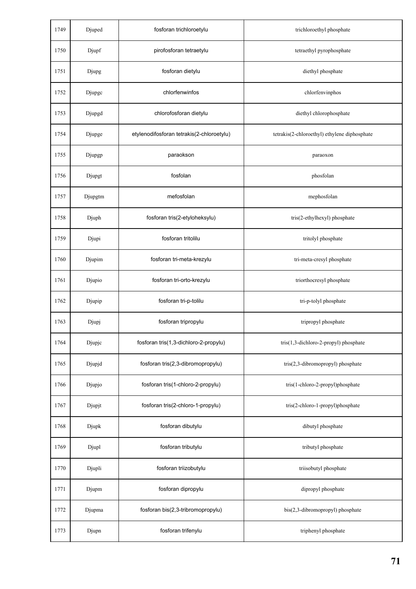| 1749 | Djuped  | fosforan trichloroetylu                   | trichloroethyl phosphate                     |
|------|---------|-------------------------------------------|----------------------------------------------|
| 1750 | Djupf   | pirofosforan tetraetylu                   | tetraethyl pyrophosphate                     |
| 1751 | Djupg   | fosforan dietylu                          | diethyl phosphate                            |
| 1752 | Djupge  | chlorfenwinfos                            | chlorfenvinphos                              |
| 1753 | Djupgd  | chlorofosforan dietylu                    | diethyl chlorophosphate                      |
| 1754 | Djupge  | etylenodifosforan tetrakis(2-chloroetylu) | tetrakis(2-chloroethyl) ethylene diphosphate |
| 1755 | Djupgp  | paraokson                                 | paraoxon                                     |
| 1756 | Djupgt  | fosfolan                                  | phosfolan                                    |
| 1757 | Djupgtm | mefosfolan                                | mephosfolan                                  |
| 1758 | Djuph   | fosforan tris(2-etyloheksylu)             | tris(2-ethylhexyl) phosphate                 |
| 1759 | Djupi   | fosforan tritolilu                        | tritolyl phosphate                           |
| 1760 | Djupim  | fosforan tri-meta-krezylu                 | tri-meta-cresyl phosphate                    |
| 1761 | Djupio  | fosforan tri-orto-krezylu                 | triorthocresyl phosphate                     |
| 1762 | Djupip  | fosforan tri-p-tolilu                     | tri-p-tolyl phosphate                        |
| 1763 | Djupj   | fosforan tripropylu                       | tripropyl phosphate                          |
| 1764 | Djupjc  | fosforan tris(1,3-dichloro-2-propylu)     | tris(1,3-dichloro-2-propyl) phosphate        |
| 1765 | Djupjd  | fosforan tris(2,3-dibromopropylu)         | tris(2,3-dibromopropyl) phosphate            |
| 1766 | Djupjo  | fosforan tris(1-chloro-2-propylu)         | tris(1-chloro-2-propyl)phosphate             |
| 1767 | Djupjt  | fosforan tris(2-chloro-1-propylu)         | tris(2-chloro-1-propyl)phosphate             |
| 1768 | Djupk   | fosforan dibutylu                         | dibutyl phosphate                            |
| 1769 | Djupl   | fosforan tributylu                        | tributyl phosphate                           |
| 1770 | Djupli  | fosforan triizobutylu                     | triisobutyl phosphate                        |
| 1771 | Djupm   | fosforan dipropylu                        | dipropyl phosphate                           |
| 1772 | Djupma  | fosforan bis(2,3-tribromopropylu)         | bis(2,3-dibromopropyl) phosphate             |
| 1773 | Djupn   | fosforan trifenylu                        | triphenyl phosphate                          |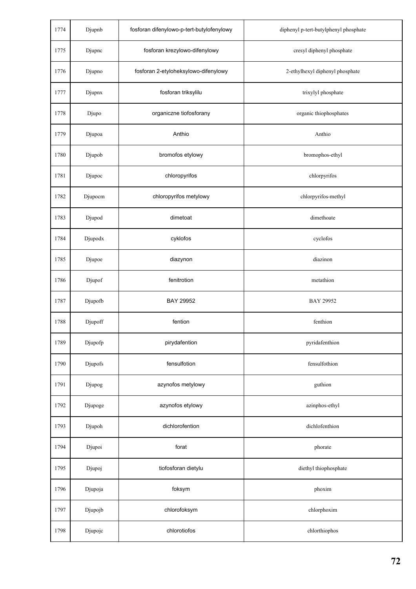| 1774 | Djupnb  | fosforan difenylowo-p-tert-butylofenylowy | diphenyl p-tert-butylphenyl phosphate |
|------|---------|-------------------------------------------|---------------------------------------|
| 1775 | Djupnc  | fosforan krezylowo-difenylowy             | cresyl diphenyl phosphate             |
| 1776 | Djupno  | fosforan 2-etyloheksylowo-difenylowy      | 2-ethylhexyl diphenyl phosphate       |
| 1777 | Djupnx  | fosforan triksylilu                       | trixylyl phosphate                    |
| 1778 | Djupo   | organiczne tiofosforany                   | organic thiophosphates                |
| 1779 | Djupoa  | Anthio                                    | Anthio                                |
| 1780 | Djupob  | bromofos etylowy                          | bromophos-ethyl                       |
| 1781 | Djupoc  | chloropyrifos                             | chlorpyrifos                          |
| 1782 | Djupocm | chloropyrifos metylowy                    | chlorpyrifos-methyl                   |
| 1783 | Djupod  | dimetoat                                  | dimethoate                            |
| 1784 | Djupodx | cyklofos                                  | cyclofos                              |
| 1785 | Djupoe  | diazynon                                  | diazinon                              |
| 1786 | Djupof  | fenitrotion                               | metathion                             |
| 1787 | Djupofb | BAY 29952                                 | <b>BAY 29952</b>                      |
| 1788 | Djupoff | fention                                   | fenthion                              |
| 1789 | Djupofp | pirydafention                             | pyridafenthion                        |
| 1790 | Djupofs | fensulfotion                              | fensulfothion                         |
| 1791 | Djupog  | azynofos metylowy                         | guthion                               |
| 1792 | Djupoge | azynofos etylowy                          | azinphos-ethyl                        |
| 1793 | Djupoh  | dichlorofention                           | dichlofenthion                        |
| 1794 | Djupoi  | forat                                     | phorate                               |
| 1795 | Djupoj  | tiofosforan dietylu                       | diethyl thiophosphate                 |
| 1796 | Djupoja | foksym                                    | phoxim                                |
| 1797 | Djupojb | chlorofoksym                              | chlorphoxim                           |
| 1798 | Djupojc | chlorotiofos                              | chlorthiophos                         |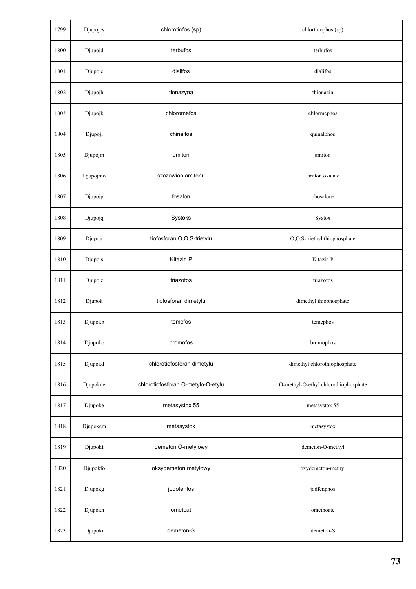| 1799 | Djupojcs | chlorotiofos (sp)                  | chlorthiophos (sp)                   |
|------|----------|------------------------------------|--------------------------------------|
| 1800 | Djupojd  | terbufos                           | terbufos                             |
| 1801 | Djupoje  | dialifos                           | dialifos                             |
| 1802 | Djupojh  | tionazyna                          | thionazin                            |
| 1803 | Djupojk  | chloromefos                        | chlormephos                          |
| 1804 | Djupojl  | chinalfos                          | quinalphos                           |
| 1805 | Djupojm  | amiton                             | amiton                               |
| 1806 | Djupojmo | szczawian amitonu                  | amiton oxalate                       |
| 1807 | Djupojp  | fosalon                            | phosalone                            |
| 1808 | Djupojq  | Systoks                            | Systox                               |
| 1809 | Djupojr  | tiofosforan O,O,S-trietylu         | O,O,S-triethyl thiophosphate         |
| 1810 | Djupojs  | Kitazin P                          | Kitazin P                            |
| 1811 | Djupojz  | triazofos                          | triazofos                            |
| 1812 | Djupok   | tiofosforan dimetylu               | dimethyl thiophosphate               |
| 1813 | Djupokb  | temefos                            | temephos                             |
| 1814 | Djupokc  | bromofos                           | bromophos                            |
| 1815 | Djupokd  | chlorotiofosforan dimetylu         | dimethyl chlorothiophosphate         |
| 1816 | Djupokde | chlorotiofosforan O-metylo-O-etylu | O-methyl-O-ethyl chlorothiophosphate |
| 1817 | Djupoke  | metasystox 55                      | metasystox 55                        |
| 1818 | Djupokem | metasystox                         | metasystox                           |
| 1819 | Djupokf  | demeton O-metylowy                 | demeton-O-methyl                     |
| 1820 | Djupokfo | oksydemeton metylowy               | oxydemeton-methyl                    |
| 1821 | Djupokg  | jodofenfos                         | jodfenphos                           |
| 1822 | Djupokh  | ometoat                            | omethoate                            |
| 1823 | Djupoki  | demeton-S                          | demeton-S                            |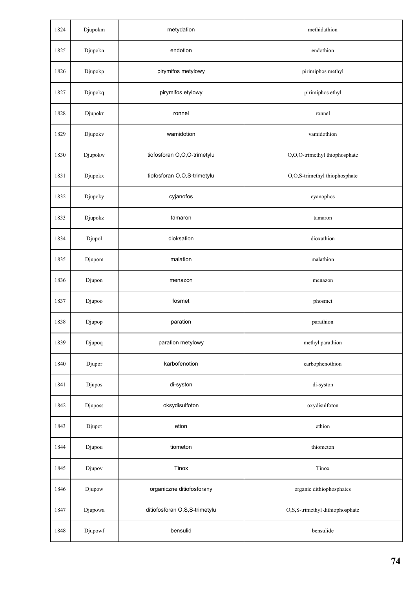| 1824 | Djupokm | metydation                    | methidathion                    |
|------|---------|-------------------------------|---------------------------------|
| 1825 | Djupokn | endotion                      | endothion                       |
| 1826 | Djupokp | pirymifos metylowy            | pirimiphos methyl               |
| 1827 | Djupokq | pirymifos etylowy             | pirimiphos ethyl                |
| 1828 | Djupokr | ronnel                        | ronnel                          |
| 1829 | Djupokv | wamidotion                    | vamidothion                     |
| 1830 | Djupokw | tiofosforan O,O,O-trimetylu   | O,O,O-trimethyl thiophosphate   |
| 1831 | Djupokx | tiofosforan O,O,S-trimetylu   | O,O,S-trimethyl thiophosphate   |
| 1832 | Djupoky | cyjanofos                     | cyanophos                       |
| 1833 | Djupokz | tamaron                       | tamaron                         |
| 1834 | Djupol  | dioksation                    | dioxathion                      |
| 1835 | Djupom  | malation                      | malathion                       |
| 1836 | Djupon  | menazon                       | menazon                         |
| 1837 | Djupoo  | fosmet                        | phosmet                         |
| 1838 | Djupop  | paration                      | parathion                       |
| 1839 | Djupoq  | paration metylowy             | methyl parathion                |
| 1840 | Djupor  | karbofenotion                 | carbophenothion                 |
| 1841 | Djupos  | di-syston                     | di-syston                       |
| 1842 | Djuposs | oksydisulfoton                | oxydisulfoton                   |
| 1843 | Djupot  | etion                         | ethion                          |
| 1844 | Djupou  | tiometon                      | thiometon                       |
| 1845 | Djupov  | Tinox                         | Tinox                           |
| 1846 | Djupow  | organiczne ditiofosforany     | organic dithiophosphates        |
| 1847 | Djupowa | ditiofosforan O,S,S-trimetylu | O,S,S-trimethyl dithiophosphate |
| 1848 | Djupowf | bensulid                      | bensulide                       |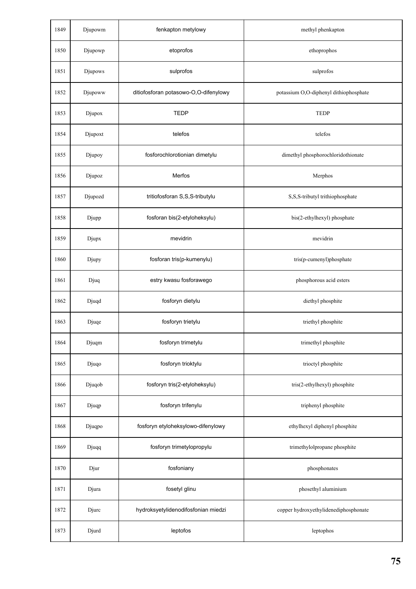| 1849 | Djupowm | fenkapton metylowy                    | methyl phenkapton                      |
|------|---------|---------------------------------------|----------------------------------------|
| 1850 | Djupowp | etoprofos                             | ethoprophos                            |
| 1851 | Djupows | sulprofos                             | sulprofos                              |
| 1852 | Djupoww | ditiofosforan potasowo-O,O-difenylowy | potassium O,O-diphenyl dithiophosphate |
| 1853 | Djupox  | <b>TEDP</b>                           | <b>TEDP</b>                            |
| 1854 | Djupoxt | telefos                               | telefos                                |
| 1855 | Djupoy  | fosforochlorotionian dimetylu         | dimethyl phosphorochloridothionate     |
| 1856 | Djupoz  | Merfos                                | Merphos                                |
| 1857 | Djupozd | tritiofosforan S,S,S-tributylu        | S,S,S-tributyl trithiophosphate        |
| 1858 | Djupp   | fosforan bis(2-etyloheksylu)          | bis(2-ethylhexyl) phosphate            |
| 1859 | Djupx   | mevidrin                              | mevidrin                               |
| 1860 | Djupy   | fosforan tris(p-kumenylu)             | tris(p-cumenyl)phosphate               |
| 1861 | Djuq    | estry kwasu fosforawego               | phosphorous acid esters                |
| 1862 | Djuqd   | fosforyn dietylu                      | diethyl phosphite                      |
| 1863 | Djuqe   | fosforyn trietylu                     | triethyl phosphite                     |
| 1864 | Djuqm   | fosforyn trimetylu                    | trimethyl phosphite                    |
| 1865 | Djuqo   | fosforyn trioktylu                    | trioctyl phosphite                     |
| 1866 | Djuqob  | fosforyn tris(2-etyloheksylu)         | tris(2-ethylhexyl) phosphite           |
| 1867 | Djuqp   | fosforyn trifenylu                    | triphenyl phosphite                    |
| 1868 | Djuqpo  | fosforyn etyloheksylowo-difenylowy    | ethylhexyl diphenyl phosphite          |
| 1869 | Djuqq   | fosforyn trimetylopropylu             | trimethylolpropane phosphite           |
| 1870 | Djur    | fosfoniany                            | phosphonates                           |
| 1871 | Djura   | fosetyl glinu                         | phosethyl aluminium                    |
| 1872 | Djurc   | hydroksyetylidenodifosfonian miedzi   | copper hydroxyethylidenediphosphonate  |
| 1873 | Djurd   | leptofos                              | leptophos                              |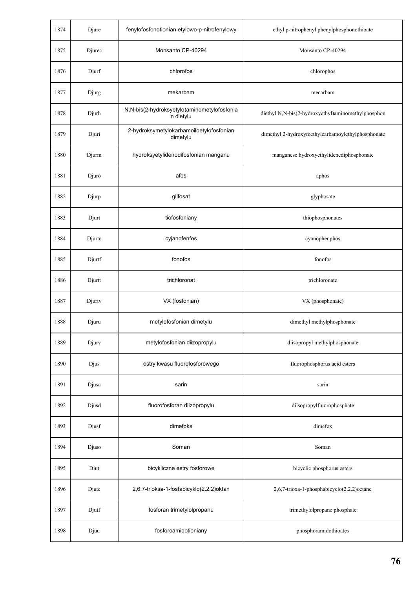| 1874 | Djure  | fenylofosfonotionian etylowo-p-nitrofenylowy             | ethyl p-nitrophenyl phenylphosphonothioate         |
|------|--------|----------------------------------------------------------|----------------------------------------------------|
| 1875 | Djurec | Monsanto CP-40294                                        | Monsanto CP-40294                                  |
| 1876 | Djurf  | chlorofos                                                | chlorophos                                         |
| 1877 | Djurg  | mekarbam                                                 | mecarbam                                           |
| 1878 | Djurh  | N,N-bis(2-hydroksyetylo)aminometylofosfonia<br>n dietylu | diethyl N,N-bis(2-hydroxyethyl)aminomethylphosphon |
| 1879 | Djuri  | 2-hydroksymetylokarbamoiloetylofosfonian<br>dimetylu     | dimethyl 2-hydroxymethylcarbamoylethylphosphonate  |
| 1880 | Djurm  | hydroksyetylidenodifosfonian manganu                     | manganese hydroxyethylidenediphosphonate           |
| 1881 | Djuro  | afos                                                     | aphos                                              |
| 1882 | Djurp  | glifosat                                                 | glyphosate                                         |
| 1883 | Djurt  | tiofosfoniany                                            | thiophosphonates                                   |
| 1884 | Djurtc | cyjanofenfos                                             | cyanophenphos                                      |
| 1885 | Djurtf | fonofos                                                  | fonofos                                            |
| 1886 | Djurtt | trichloronat                                             | trichloronate                                      |
| 1887 | Djurtv | VX (fosfonian)                                           | VX (phosphonate)                                   |
| 1888 | Djuru  | metylofosfonian dimetylu                                 | dimethyl methylphosphonate                         |
| 1889 | Djurv  | metylofosfonian diizopropylu                             | diisopropyl methylphosphonate                      |
| 1890 | Djus   | estry kwasu fluorofosforowego                            | fluorophosphorus acid esters                       |
| 1891 | Djusa  | sarin                                                    | sarin                                              |
| 1892 | Djusd  | fluorofosforan diizopropylu                              | diisopropylfluorophosphate                         |
| 1893 | Djusf  | dimefoks                                                 | dimefox                                            |
| 1894 | Djuso  | Soman                                                    | Soman                                              |
| 1895 | Djut   | bicykliczne estry fosforowe                              | bicyclic phosphorus esters                         |
| 1896 | Djute  | 2,6,7-trioksa-1-fosfabicyklo(2.2.2)oktan                 | 2,6,7-trioxa-1-phosphabicyclo(2.2.2)octane         |
| 1897 | Djutf  | fosforan trimetylolpropanu                               | trimethylolpropane phosphate                       |
| 1898 | Djuu   | fosforoamidotioniany                                     | phosphoramidothioates                              |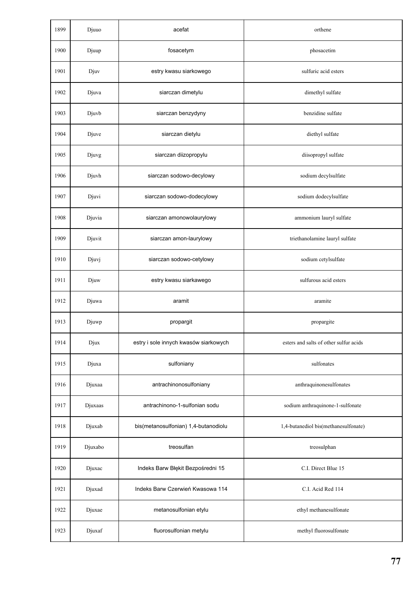| 1899 | Djuuo   | acefat                                | orthene                                |
|------|---------|---------------------------------------|----------------------------------------|
| 1900 | Djuup   | fosacetym                             | phosacetim                             |
| 1901 | Djuv    | estry kwasu siarkowego                | sulfuric acid esters                   |
| 1902 | Djuva   | siarczan dimetylu                     | dimethyl sulfate                       |
| 1903 | Djuvb   | siarczan benzydyny                    | benzidine sulfate                      |
| 1904 | Djuve   | siarczan dietylu                      | diethyl sulfate                        |
| 1905 | Djuvg   | siarczan diizopropylu                 | diisopropyl sulfate                    |
| 1906 | Djuvh   | siarczan sodowo-decylowy              | sodium decylsulfate                    |
| 1907 | Djuvi   | siarczan sodowo-dodecylowy            | sodium dodecylsulfate                  |
| 1908 | Djuvia  | siarczan amonowolaurylowy             | ammonium lauryl sulfate                |
| 1909 | Djuvit  | siarczan amon-laurylowy               | triethanolamine lauryl sulfate         |
| 1910 | Djuvj   | siarczan sodowo-cetylowy              | sodium cetylsulfate                    |
| 1911 | Djuw    | estry kwasu siarkawego                | sulfurous acid esters                  |
| 1912 | Djuwa   | aramit                                | aramite                                |
| 1913 | Djuwp   | propargit                             | propargite                             |
| 1914 | Djux    | estry i sole innych kwasów siarkowych | esters and salts of other sulfur acids |
| 1915 | Djuxa   | sulfoniany                            | sulfonates                             |
| 1916 | Djuxaa  | antrachinonosulfoniany                | anthraquinonesulfonates                |
| 1917 | Djuxaas | antrachinono-1-sulfonian sodu         | sodium anthraquinone-1-sulfonate       |
| 1918 | Djuxab  | bis(metanosulfonian) 1,4-butanodiolu  | 1,4-butanediol bis(methanesulfonate)   |
| 1919 | Djuxabo | treosulfan                            | treosulphan                            |
| 1920 | Djuxac  | Indeks Barw Błękit Bezpośredni 15     | C.I. Direct Blue 15                    |
| 1921 | Djuxad  | Indeks Barw Czerwień Kwasowa 114      | C.I. Acid Red 114                      |
| 1922 | Djuxae  | metanosulfonian etylu                 | ethyl methanesulfonate                 |
| 1923 | Djuxaf  | fluorosulfonian metylu                | methyl fluorosulfonate                 |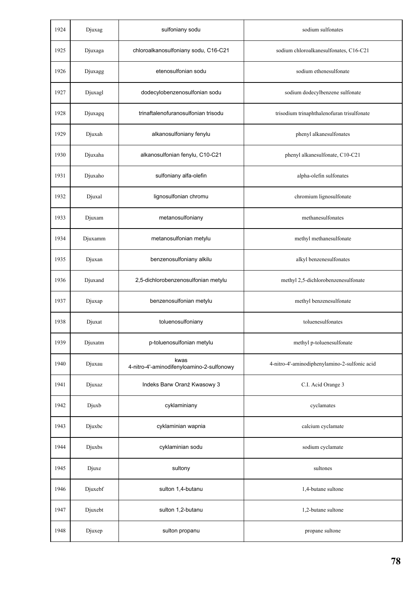| 1924 | Djuxag  | sulfoniany sodu                                   | sodium sulfonates                             |
|------|---------|---------------------------------------------------|-----------------------------------------------|
| 1925 | Djuxaga | chloroalkanosulfoniany sodu, C16-C21              | sodium chloroalkanesulfonates, C16-C21        |
| 1926 | Djuxagg | etenosulfonian sodu                               | sodium ethenesulfonate                        |
| 1927 | Djuxagl | dodecylobenzenosulfonian sodu                     | sodium dodecylbenzene sulfonate               |
| 1928 | Djuxagq | trinaftalenofuranosulfonian trisodu               | trisodium trinaphthalenofuran trisulfonate    |
| 1929 | Djuxah  | alkanosulfoniany fenylu                           | phenyl alkanesulfonates                       |
| 1930 | Djuxaha | alkanosulfonian fenylu, C10-C21                   | phenyl alkanesulfonate, C10-C21               |
| 1931 | Djuxaho | sulfoniany alfa-olefin                            | alpha-olefin sulfonates                       |
| 1932 | Djuxal  | lignosulfonian chromu                             | chromium lignosulfonate                       |
| 1933 | Djuxam  | metanosulfoniany                                  | methanesulfonates                             |
| 1934 | Djuxamm | metanosulfonian metylu                            | methyl methanesulfonate                       |
| 1935 | Djuxan  | benzenosulfoniany alkilu                          | alkyl benzenesulfonates                       |
| 1936 | Djuxand | 2,5-dichlorobenzenosulfonian metylu               | methyl 2,5-dichlorobenzenesulfonate           |
| 1937 | Djuxap  | benzenosulfonian metylu                           | methyl benzenesulfonate                       |
| 1938 | Djuxat  | toluenosulfoniany                                 | toluenesulfonates                             |
| 1939 | Djuxatm | p-toluenosulfonian metylu                         | methyl p-toluenesulfonate                     |
| 1940 | Djuxau  | kwas<br>4-nitro-4'-aminodifenyloamino-2-sulfonowy | 4-nitro-4'-aminodiphenylamino-2-sulfonic acid |
| 1941 | Djuxaz  | Indeks Barw Oranż Kwasowy 3                       | C.I. Acid Orange 3                            |
| 1942 | Djuxb   | cyklaminiany                                      | cyclamates                                    |
| 1943 | Djuxbc  | cyklaminian wapnia                                | calcium cyclamate                             |
| 1944 | Djuxbs  | cyklaminian sodu                                  | sodium cyclamate                              |
| 1945 | Djuxe   | sultony                                           | sultones                                      |
| 1946 | Djuxebf | sulton 1,4-butanu                                 | 1,4-butane sultone                            |
| 1947 | Djuxebt | sulton 1,2-butanu                                 | 1,2-butane sultone                            |
| 1948 | Djuxep  | sulton propanu                                    | propane sultone                               |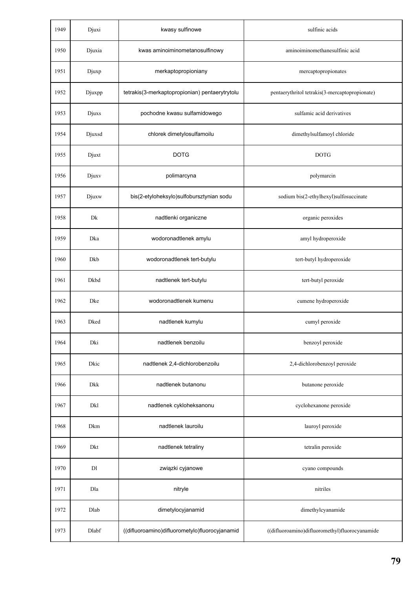| 1949 | Djuxi      | kwasy sulfinowe                                | sulfinic acids                                 |
|------|------------|------------------------------------------------|------------------------------------------------|
| 1950 | Djuxia     | kwas aminoiminometanosulfinowy                 | aminoiminomethanesulfinic acid                 |
| 1951 | Djuxp      | merkaptopropioniany                            | mercaptopropionates                            |
| 1952 | Djuxpp     | tetrakis(3-merkaptopropionian) pentaerytrytolu | pentaerythritol tetrakis(3-mercaptopropionate) |
| 1953 | Djuxs      | pochodne kwasu sulfamidowego                   | sulfamic acid derivatives                      |
| 1954 | Djuxsd     | chlorek dimetylosulfamoilu                     | dimethylsulfamoyl chloride                     |
| 1955 | Djuxt      | <b>DOTG</b>                                    | <b>DOTG</b>                                    |
| 1956 | Djuxy      | polimarcyna                                    | polymarcin                                     |
| 1957 | Djuxw      | bis(2-etyloheksylo)sulfobursztynian sodu       | sodium bis(2-ethylhexyl)sulfosuccinate         |
| 1958 | Dk         | nadtlenki organiczne                           | organic peroxides                              |
| 1959 | Dka        | wodoronadtlenek amylu                          | amyl hydroperoxide                             |
| 1960 | Dkb        | wodoronadtlenek tert-butylu                    | tert-butyl hydroperoxide                       |
| 1961 | Dkbd       | nadtlenek tert-butylu                          | tert-butyl peroxide                            |
| 1962 | Dke        | wodoronadtlenek kumenu                         | cumene hydroperoxide                           |
| 1963 | Dked       | nadtlenek kumylu                               | cumyl peroxide                                 |
| 1964 | Dki        | nadtlenek benzoilu                             | benzoyl peroxide                               |
| 1965 | Dkic       | nadtlenek 2,4-dichlorobenzoilu                 | 2,4-dichlorobenzoyl peroxide                   |
| 1966 | Dkk        | nadtlenek butanonu                             | butanone peroxide                              |
| 1967 | <b>Dkl</b> | nadtlenek cykloheksanonu                       | cyclohexanone peroxide                         |
| 1968 | Dkm        | nadtlenek lauroilu                             | lauroyl peroxide                               |
| 1969 | Dkt        | nadtlenek tetraliny                            | tetralin peroxide                              |
| 1970 | DI         | związki cyjanowe                               | cyano compounds                                |
| 1971 | Dla        | nitryle                                        | nitriles                                       |
| 1972 | Dlab       | dimetylocyjanamid                              | dimethylcyanamide                              |
| 1973 | Dlabf      | ((difluoroamino)difluorometylo)fluorocyjanamid | ((difluoroamino)difluoromethyl)fluorocyanamide |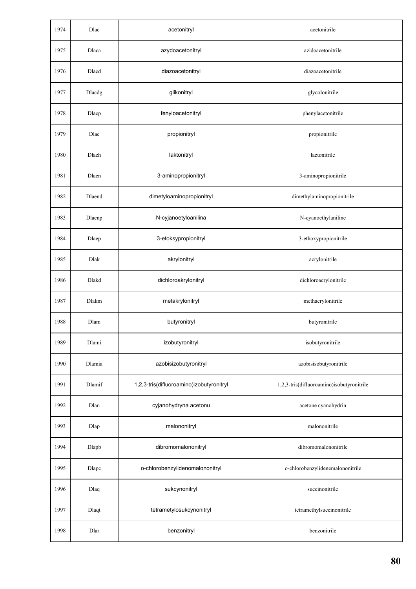| 1974 | Dlac   | acetonitryl                              | acetonitrile                              |
|------|--------|------------------------------------------|-------------------------------------------|
| 1975 | Dlaca  | azydoacetonitryl                         | azidoacetonitrile                         |
| 1976 | Dlacd  | diazoacetonitryl                         | diazoacetonitrile                         |
| 1977 | Dlacdg | glikonitryl                              | glycolonitrile                            |
| 1978 | Dlacp  | fenyloacetonitryl                        | phenylacetonitrile                        |
| 1979 | Dlae   | propionitryl                             | propionitrile                             |
| 1980 | Dlaeh  | laktonitryl                              | lactonitrile                              |
| 1981 | Dlaen  | 3-aminopropionitryl                      | 3-aminopropionitrile                      |
| 1982 | Dlaend | dimetyloaminopropionitryl                | dimethylaminopropionitrile                |
| 1983 | Dlaenp | N-cyjanoetyloanilina                     | N-cyanoethylaniline                       |
| 1984 | Dlaep  | 3-etoksypropionitryl                     | 3-ethoxypropionitrile                     |
| 1985 | Dlak   | akrylonitryl                             | acrylonitrile                             |
| 1986 | Dlakd  | dichloroakrylonitryl                     | dichloroacrylonitrile                     |
| 1987 | Dlakm  | metakrylonitryl                          | methacrylonitrile                         |
| 1988 | Dlam   | butyronitryl                             | butyronitrile                             |
| 1989 | Dlami  | izobutyronitryl                          | isobutyronitrile                          |
| 1990 | Dlamia | azobisizobutyronitryl                    | azobisisobutyronitrile                    |
| 1991 | Dlamif | 1,2,3-tris(difluoroamino)izobutyronitryl | 1,2,3-tris(difluoroamino)isobutyronitrile |
| 1992 | Dlan   | cyjanohydryna acetonu                    | acetone cyanohydrin                       |
| 1993 | Dlap   | malononitryl                             | malononitrile                             |
| 1994 | Dlapb  | dibromomalononitryl                      | dibromomalononitrile                      |
| 1995 | Dlapc  | o-chlorobenzylidenomalononitryl          | o-chlorobenzylidenemalononitrile          |
| 1996 | Dlaq   | sukcynonitryl                            | succinonitrile                            |
| 1997 | Dlaqt  | tetrametylosukcynonitryl                 | tetramethylsuccinonitrile                 |
| 1998 | Dlar   | benzonitryl                              | benzonitrile                              |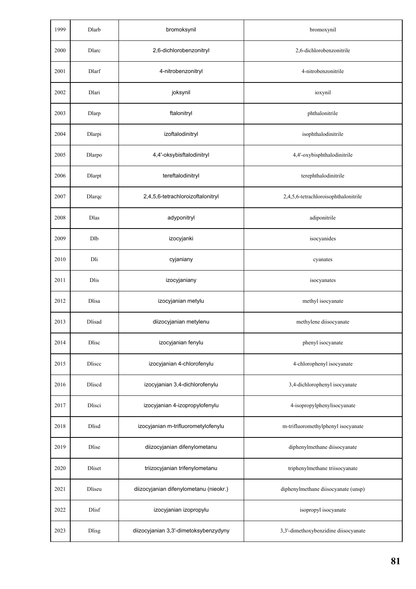| 1999 | Dlarb         | bromoksynil                            | bromoxynil                           |
|------|---------------|----------------------------------------|--------------------------------------|
| 2000 | Dlarc         | 2,6-dichlorobenzonitryl                | 2,6-dichlorobenzonitrile             |
| 2001 | Dlarf         | 4-nitrobenzonitryl                     | 4-nitrobenzonitrile                  |
| 2002 | Dlari         | joksynil                               | ioxynil                              |
| 2003 | Dlarp         | ftalonitryl                            | phthalonitrile                       |
| 2004 | Dlarpi        | izoftalodinitryl                       | isophthalodinitrile                  |
| 2005 | Dlarpo        | 4,4'-oksybisftalodinitryl              | 4,4'-oxybisphthalodinitrile          |
| 2006 | Dlarpt        | tereftalodinitryl                      | terephthalodinitrile                 |
| 2007 | Dlarqc        | 2,4,5,6-tetrachloroizoftalonitryl      | 2,4,5,6-tetrachloroisophthalonitrile |
| 2008 | Dlas          | adyponitryl                            | adiponitrile                         |
| 2009 | Dlb           | izocyjanki                             | isocyanides                          |
| 2010 | Dli           | cyjaniany                              | cyanates                             |
| 2011 | <b>Dlis</b>   | izocyjaniany                           | isocyanates                          |
| 2012 | Dlisa         | izocyjanian metylu                     | methyl isocyanate                    |
| 2013 | <b>Dlisad</b> | diizocyjanian metylenu                 | methylene diisocyanate               |
| 2014 | Dlisc         | izocyjanian fenylu                     | phenyl isocyanate                    |
| 2015 | Dliscc        | izocyjanian 4-chlorofenylu             | 4-chlorophenyl isocyanate            |
| 2016 | Dliscd        | izocyjanian 3,4-dichlorofenylu         | 3,4-dichlorophenyl isocyanate        |
| 2017 | Dlisci        | izocyjanian 4-izopropylofenylu         | 4-isopropylphenylisocyanate          |
| 2018 | <b>Dlisd</b>  | izocyjanian m-trifluorometylofenylu    | m-trifluoromethylphenyl isocyanate   |
| 2019 | Dlise         | diizocyjanian difenylometanu           | diphenylmethane diisocyanate         |
| 2020 | Dliset        | triizocyjanian trifenylometanu         | triphenylmethane triisocyanate       |
| 2021 | Dliseu        | diizocyjanian difenylometanu (nieokr.) | diphenylmethane diisocyanate (unsp)  |
| 2022 | Dlisf         | izocyjanian izopropylu                 | isopropyl isocyanate                 |
| 2023 | <b>Dlisg</b>  | diizocyjanian 3,3'-dimetoksybenzydyny  | 3,3'-dimethoxybenzidine diisocyanate |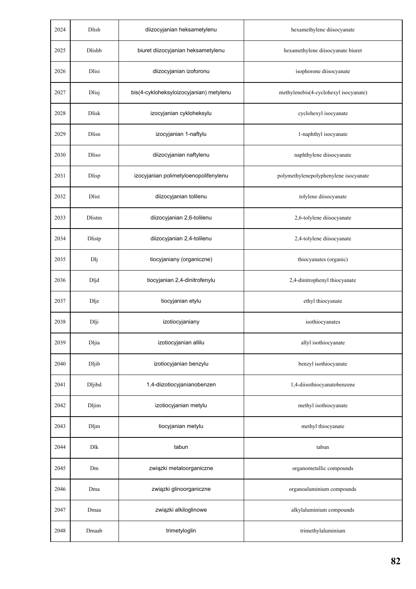| 2024 | Dlish        | diizocyjanian heksametylenu             | hexamethylene diisocyanate            |
|------|--------------|-----------------------------------------|---------------------------------------|
| 2025 | Dlishb       | biuret diizocyjanian heksametylenu      | hexamethylene diisocyanate biuret     |
| 2026 | Dlisi        | diizocyjanian izoforonu                 | isophorone diisocyanate               |
| 2027 | Dlisj        | bis(4-cykloheksyloizocyjanian) metylenu | methylenebis(4-cyclohexyl isocyanate) |
| 2028 | <b>Dlisk</b> | izocyjanian cykloheksylu                | cyclohexyl isocyanate                 |
| 2029 | Dlisn        | izocyjanian 1-naftylu                   | 1-naphthyl isocyanate                 |
| 2030 | Dliso        | diizocyjanian naftylenu                 | naphthylene diisocyanate              |
| 2031 | Dlisp        | izocyjanian polimetyloenopolifenylenu   | polymethylenepolyphenylene isocyanate |
| 2032 | Dlist        | diizocyjanian tolilenu                  | tolylene diisocyanate                 |
| 2033 | Dlistm       | diizocyjanian 2,6-tolilenu              | 2,6-tolylene diisocyanate             |
| 2034 | Dlistp       | diizocyjanian 2,4-tolilenu              | 2,4-tolylene diisocyanate             |
| 2035 | Dlj          | tiocyjaniany (organiczne)               | thiocyanates (organic)                |
| 2036 | Dljd         | tiocyjanian 2,4-dinitrofenylu           | 2,4-dinitrophenyl thiocyanate         |
| 2037 | Dlje         | tiocyjanian etylu                       | ethyl thiocyanate                     |
| 2038 | Dlji         | izotiocyjaniany                         | isothiocyanates                       |
| 2039 | <b>Dljia</b> | izotiocyjanian allilu                   | allyl isothiocyanate                  |
| 2040 | Dljib        | izotiocyjanian benzylu                  | benzyl isothiocyanate                 |
| 2041 | Dljibd       | 1,4-diizotiocyjanianobenzen             | 1,4-diisothiocyanatobenzene           |
| 2042 | Dljim        | izotiocyjanian metylu                   | methyl isothiocyanate                 |
| 2043 | Dljm         | tiocyjanian metylu                      | methyl thiocyanate                    |
| 2044 | Dlk          | tabun                                   | tabun                                 |
| 2045 | Dm           | związki metaloorganiczne                | organometallic compounds              |
| 2046 | Dma          | związki glinoorganiczne                 | organoaluminium compounds             |
| 2047 | Dmaa         | związki alkiloglinowe                   | alkylaluminium compounds              |
| 2048 | Dmaab        | trimetyloglin                           | trimethylaluminium                    |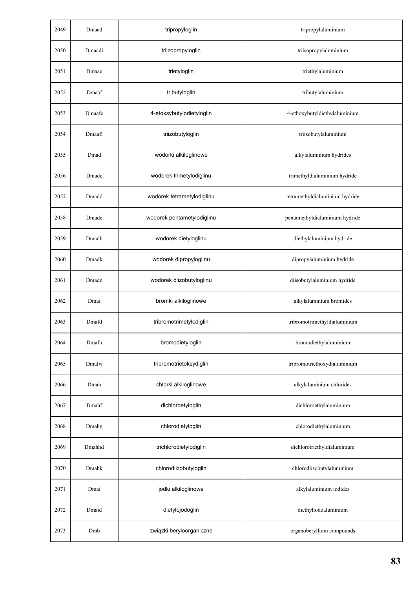| 2049 | Dmaad  | tripropyloglin             | tripropylaluminium             |
|------|--------|----------------------------|--------------------------------|
| 2050 | Dmaadi | triizopropyloglin          | triisopropylaluminium          |
| 2051 | Dmaae  | trietyloglin               | triethylaluminium              |
| 2052 | Dmaaf  | tributyloglin              | tributylaluminium              |
| 2053 | Dmaafe | 4-etoksybutylodietyloglin  | 4-ethoxybutyldiethylaluminium  |
| 2054 | Dmaafi | triizobutyloglin           | triisobutylaluminium           |
| 2055 | Dmad   | wodorki alkiloglinowe      | alkylaluminium hydrides        |
| 2056 | Dmadc  | wodorek trimetylodiglinu   | trimethyldialuminium hydride   |
| 2057 | Dmadd  | wodorek tetrametylodiglinu | tetramethyldialuminium hydride |
| 2058 | Dmade  | wodorek pentametylodiglinu | pentamethyldialuminium hydride |
| 2059 | Dmadh  | wodorek dietyloglinu       | diethylaluminium hydride       |
| 2060 | Dmadk  | wodorek dipropyloglinu     | dipropylaluminium hydride      |
| 2061 | Dmadn  | wodorek diizobutyloglinu   | diisobutylaluminium hydride    |
| 2062 | Dmaf   | bromki alkiloglinowe       | alkylaluminium bromides        |
| 2063 | Dmafd  | tribromotrimetylodiglin    | tribromotrimethyldialuminium   |
| 2064 | Dmafh  | bromodietyloglin           | bromodiethylaluminium          |
| 2065 | Dmafw  | tribromotrietoksydiglin    | tribromotriethoxydialuminium   |
| 2066 | Dmah   | chlorki alkiloglinowe      | alkylaluminium chlorides       |
| 2067 | Dmahf  | dichloroetyloglin          | dichloroethylaluminium         |
| 2068 | Dmahg  | chlorodietyloglin          | chlorodiethylaluminium         |
| 2069 | Dmahhd | trichlorodietylodiglin     | dichlorotriethyldialuminium    |
| 2070 | Dmahk  | chlorodiizobutyloglin      | chlorodiisobutylaluminium      |
| 2071 | Dmai   | jodki alkiloglinowe        | alkylaluminium iodides         |
| 2072 | Dmaid  | dietylojodoglin            | diethyliodoaluminium           |
| 2073 | Dmb    | związki beryloorganiczne   | organoberyllium compounds      |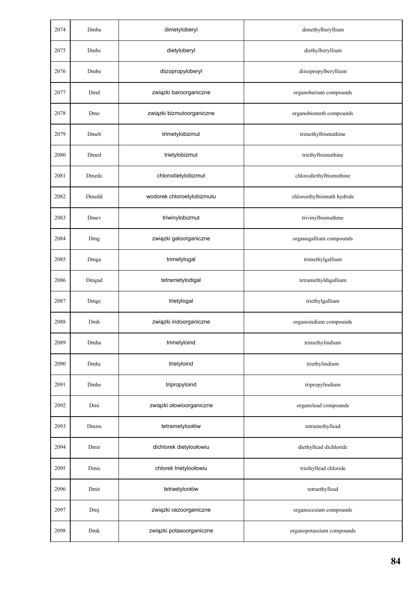| 2074 | Dmba  | dimetyloberyl              | dimethylberyllium          |
|------|-------|----------------------------|----------------------------|
| 2075 | Dmbc  | dietyloberyl               | diethylberyllium           |
| 2076 | Dmbe  | diizopropyloberyl          | diisopropylberyllium       |
| 2077 | Dmd   | związki baroorganiczne     | organobarium compounds     |
| 2078 | Dme   | związki bizmutoorganiczne  | organobismuth compounds    |
| 2079 | Dmeb  | trimetylobizmut            | trimethylbismuthine        |
| 2080 | Dmed  | trietylobizmut             | triethylbismuthine         |
| 2081 | Dmedc | chlorodietylobizmut        | chlorodiethylbismuthine    |
| 2082 | Dmedd | wodorek chloroetylobizmutu | chloroethylbismuth hydride |
| 2083 | Dmey  | triwinylobizmut            | trivinylbismuthine         |
| 2084 | Dmg   | związki galoorganiczne     | organogallium compounds    |
| 2085 | Dmga  | trimetylogal               | trimethylgallium           |
| 2086 | Dmgad | tetrametylodigal           | tetramethyldigallium       |
| 2087 | Dmgc  | trietylogal                | triethylgallium            |
| 2088 | Dmh   | związki indoorganiczne     | organoindium compounds     |
| 2089 | Dmha  | trimetyloind               | trimethylindium            |
| 2090 | Dmhc  | trietyloind                | triethylindium             |
| 2091 | Dmhe  | tripropyloind              | tripropylindium            |
| 2092 | Dmi   | związki ołowioorganiczne   | organolead compounds       |
| 2093 | Dmim  | tetrametyloołów            | tetramethyllead            |
| 2094 | Dmir  | dichlorek dietyloołowiu    | diethyllead dichloride     |
| 2095 | Dmis  | chlorek trietyloołowiu     | triethyllead chloride      |
| 2096 | Dmit  | tetraetyloołów             | tetraethyllead             |
| 2097 | Dmj   | związki cezoorganiczne     | organocesium compounds     |
| 2098 | Dmk   | związki potasoorganiczne   | organopotassium compounds  |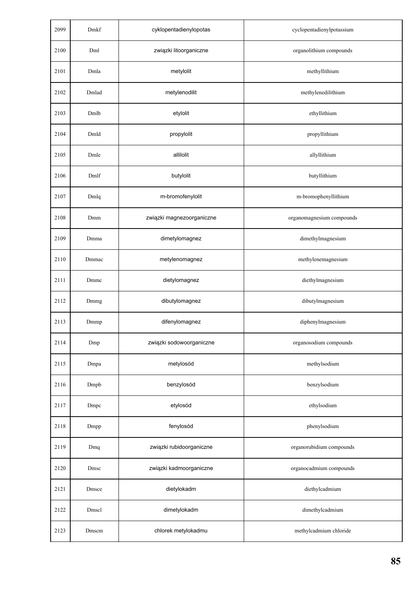| 2099 | Dmkf  | cyklopentadienylopotas    | cyclopentadienylpotassium |
|------|-------|---------------------------|---------------------------|
| 2100 | Dml   | związki litoorganiczne    | organolithium compounds   |
| 2101 | Dmla  | metylolit                 | methyllithium             |
| 2102 | Dmlad | metylenodilit             | methylenedilithium        |
| 2103 | Dmlb  | etylolit                  | ethyllithium              |
| 2104 | Dmld  | propylolit                | propyllithium             |
| 2105 | Dmle  | allilolit                 | allyllithium              |
| 2106 | Dmlf  | butylolit                 | butyllithium              |
| 2107 | Dmlq  | m-bromofenylolit          | m-bromophenyllithium      |
| 2108 | Dmm   | związki magnezoorganiczne | organomagnesium compounds |
| 2109 | Dmma  | dimetylomagnez            | dimethylmagnesium         |
| 2110 | Dmmac | metylenomagnez            | methylenemagnesium        |
| 2111 | Dmmc  | dietylomagnez             | diethylmagnesium          |
| 2112 | Dmmg  | dibutylomagnez            | dibutylmagnesium          |
| 2113 | Dmmp  | difenylomagnez            | diphenylmagnesium         |
| 2114 | Dmp   | związki sodowoorganiczne  | organosodium compounds    |
| 2115 | Dmpa  | metylosód                 | methylsodium              |
| 2116 | Dmpb  | benzylosód                | benzylsodium              |
| 2117 | Dmpc  | etylosód                  | ethylsodium               |
| 2118 | Dmpp  | fenylosód                 | phenylsodium              |
| 2119 | Dmq   | związki rubidoorganiczne  | organorubidium compounds  |
| 2120 | Dmsc  | związki kadmoorganiczne   | organocadmium compounds   |
| 2121 | Dmsce | dietylokadm               | diethylcadmium            |
| 2122 | Dmscl | dimetylokadm              | dimethylcadmium           |
| 2123 | Dmscm | chlorek metylokadmu       | methylcadmium chloride    |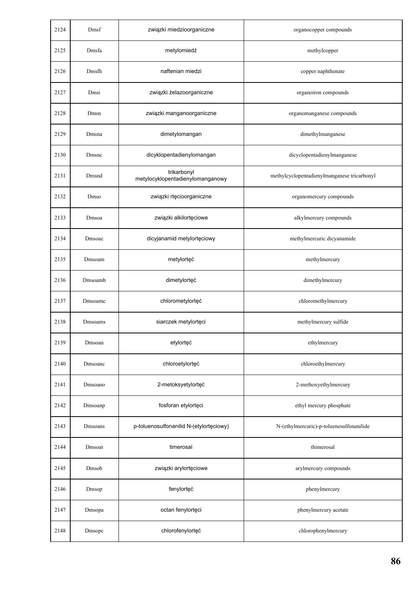| 2124 | Dmsf            | związki miedzioorganiczne                       | organocopper compounds                      |
|------|-----------------|-------------------------------------------------|---------------------------------------------|
| 2125 | Dmsfa           | metylomiedź                                     | methylcopper                                |
| 2126 | Dmsfh           | naftenian miedzi                                | copper naphthenate                          |
| 2127 | Dmsi            | związki żelazoorganiczne                        | organoiron compounds                        |
| 2128 | Dmsn            | związki manganoorganiczne                       | organomanganese compounds                   |
| 2129 | Dmsna           | dimetylomangan                                  | dimethylmanganese                           |
| 2130 | Dmsnc           | dicyklopentadienylomangan                       | dicyclopentadienylmanganese                 |
| 2131 | Dmsnd           | trikarbonyl<br>metylocyklopentadienylomanganowy | methylcyclopentadienylmanganese tricarbonyl |
| 2132 | Dmso            | związki rtęcioorganiczne                        | organomercury compounds                     |
| 2133 | Dmsoa           | związki alkilortęciowe                          | alkylmercury compounds                      |
| 2134 | Dmsoac          | dicyjanamid metylortęciowy                      | methylmercuric dicyanamide                  |
| 2135 | Dmsoam          | metylortęć                                      | methylmercury                               |
| 2136 | Dmsoamb         | dimetylortęć                                    | dimethylmercury                             |
| 2137 | Dmsoamc         | chlorometylortęć                                | chloromethylmercury                         |
| 2138 | <b>D</b> msoams | siarczek metylortęci                            | methylmercury sulfide                       |
| 2139 | Dmsoan          | etylortęć                                       | ethylmercury                                |
| 2140 | Dmsoanc         | chloroetylortęć                                 | chloroethylmercury                          |
| 2141 | Dmsoano         | 2-metoksyetylortęć                              | 2-methoxyethylmercury                       |
| 2142 | Dmsoanp         | fosforan etylortęci                             | ethyl mercury phosphate                     |
| 2143 | Dmsoans         | p-toluenosulfonanilid N-(etylortęciowy)         | N-(ethylmercuric)-p-toluenesulfonanilide    |
| 2144 | Dmsoat          | timerosal                                       | thimerosal                                  |
| 2145 | Dmsob           | związki arylortęciowe                           | arylmercury compounds                       |
| 2146 | Dmsop           | fenylortęć                                      | phenylmercury                               |
| 2147 | Dmsopa          | octan fenylortęci                               | phenylmercury acetate                       |
| 2148 | Dmsopc          | chlorofenylortęć                                | chlorophenylmercury                         |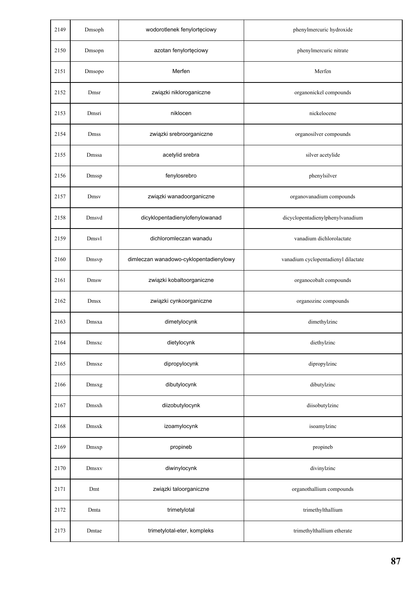| 2149 | Dmsoph | wodorotlenek fenylortęciowy            | phenylmercuric hydroxide            |
|------|--------|----------------------------------------|-------------------------------------|
| 2150 | Dmsopn | azotan fenylortęciowy                  | phenylmercuric nitrate              |
| 2151 | Dmsopo | Merfen                                 | Merfen                              |
| 2152 | Dmsr   | związki nikloroganiczne                | organonickel compounds              |
| 2153 | Dmsri  | niklocen                               | nickelocene                         |
| 2154 | Dmss   | związki srebroorganiczne               | organosilver compounds              |
| 2155 | Dmssa  | acetylid srebra                        | silver acetylide                    |
| 2156 | Dmssp  | fenylosrebro                           | phenylsilver                        |
| 2157 | Dmsv   | związki wanadoorganiczne               | organovanadium compounds            |
| 2158 | Dmsvd  | dicyklopentadienylofenylowanad         | dicyclopentadienylphenylvanadium    |
| 2159 | Dmsvl  | dichloromleczan wanadu                 | vanadium dichlorolactate            |
| 2160 | Dmsvp  | dimleczan wanadowo-cyklopentadienylowy | vanadium cyclopentadienyl dilactate |
| 2161 | Dmsw   | związki kobaltoorganiczne              | organocobalt compounds              |
| 2162 | Dmsx   | związki cynkoorganiczne                | organozinc compounds                |
| 2163 | Dmsxa  | dimetylocynk                           | dimethylzinc                        |
| 2164 | Dmsxc  | dietylocynk                            | diethylzinc                         |
| 2165 | Dmsxe  | dipropylocynk                          | dipropylzinc                        |
| 2166 | Dmsxg  | dibutylocynk                           | dibutylzinc                         |
| 2167 | Dmsxh  | diizobutylocynk                        | diisobutylzinc                      |
| 2168 | Dmsxk  | izoamylocynk                           | isoamylzinc                         |
| 2169 | Dmsxp  | propineb                               | propineb                            |
| 2170 | Dmsxv  | diwinylocynk                           | divinylzinc                         |
| 2171 | Dmt    | związki taloorganiczne                 | organothallium compounds            |
| 2172 | Dmta   | trimetylotal                           | trimethylthallium                   |
| 2173 | Dmtae  | trimetylotal-eter, kompleks            | trimethylthallium etherate          |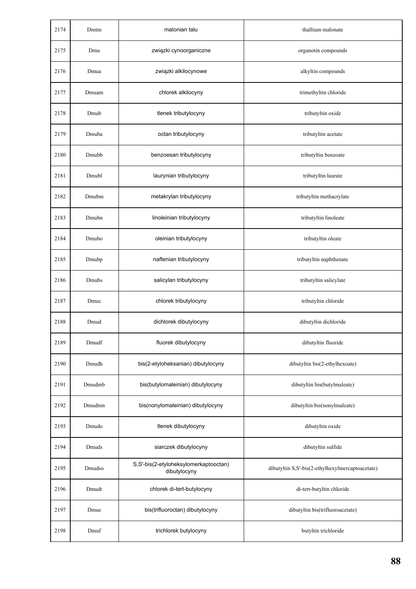| 2174 | Dmtm   | malonian talu                                         | thallium malonate                                |
|------|--------|-------------------------------------------------------|--------------------------------------------------|
| 2175 | Dmu    | związki cynoorganiczne                                | organotin compounds                              |
| 2176 | Dmua   | związki alkilocynowe                                  | alkyltin compounds                               |
| 2177 | Dmuam  | chlorek alkilocyny                                    | trimethyltin chloride                            |
| 2178 | Dmub   | tlenek tributylocyny                                  | tributyltin oxide                                |
| 2179 | Dmuba  | octan tributylocyny                                   | tributyltin acetate                              |
| 2180 | Dmubb  | benzoesan tributylocyny                               | tributyltin benzoate                             |
| 2181 | Dmubl  | laurynian tributylocyny                               | tributyltin laurate                              |
| 2182 | Dmubm  | metakrylan tributylocyny                              | tributyltin methacrylate                         |
| 2183 | Dmubn  | linoleinian tributylocyny                             | tributyltin linoleate                            |
| 2184 | Dmubo  | oleinian tributylocyny                                | tributyltin oleate                               |
| 2185 | Dmubp  | naftenian tributylocyny                               | tributyltin naphthenate                          |
| 2186 | Dmubs  | salicylan tributylocyny                               | tributyltin salicylate                           |
| 2187 | Dmuc   | chlorek tributylocyny                                 | tributyltin chloride                             |
| 2188 | Dmud   | dichlorek dibutylocyny                                | dibutyltin dichloride                            |
| 2189 | Dmudf  | fluorek dibutylocyny                                  | dibutyltin fluoride                              |
| 2190 | Dmudh  | bis(2-etyloheksanian) dibutylocyny                    | dibutyltin bis(2-ethylhexoate)                   |
| 2191 | Dmudmb | bis(butylomaleinian) dibutylocyny                     | dibutyltin bis(butylmaleate)                     |
| 2192 | Dmudmn | bis(nonylomaleinian) dibutylocyny                     | dibutyltin bis(nonylmaleate)                     |
| 2193 | Dmudo  | tlenek dibutylocyny                                   | dibutyltin oxide                                 |
| 2194 | Dmuds  | siarczek dibutylocyny                                 | dibutyltin sulfide                               |
| 2195 | Dmudso | S,S'-bis(2-etyloheksylomerkaptooctan)<br>dibutylocyny | dibutyltin S,S'-bis(2-ethylhexylmercaptoacetate) |
| 2196 | Dmudt  | chlorek di-tert-butylocyny                            | di-tert-butyltin chloride                        |
| 2197 | Dmue   | bis(trifluoroctan) dibutylocyny                       | dibutyltin bis(trifluoroacetate)                 |
| 2198 | Dmuf   | trichlorek butylocyny                                 | butyltin trichloride                             |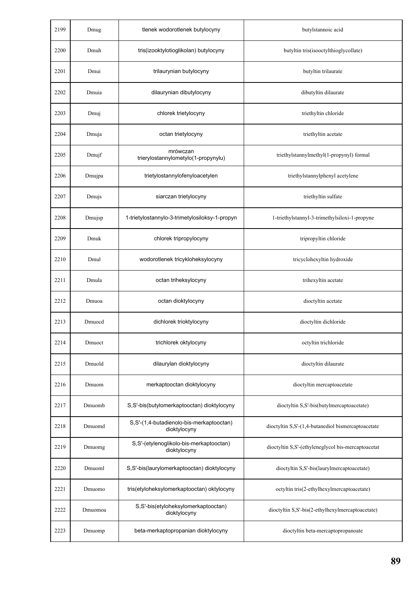| 2199 | Dmug    | tlenek wodorotlenek butylocyny                           | butylstannoic acid                                 |
|------|---------|----------------------------------------------------------|----------------------------------------------------|
| 2200 | Dmuh    | tris(izooktylotioglikolan) butylocyny                    | butyltin tris(isooctylthioglycollate)              |
| 2201 | Dmui    | trilaurynian butylocyny                                  | butyltin trilaurate                                |
| 2202 | Dmuia   | dilaurynian dibutylocyny                                 | dibutyltin dilaurate                               |
| 2203 | Dmuj    | chlorek trietylocyny                                     | triethyltin chloride                               |
| 2204 | Dmuja   | octan trietylocyny                                       | triethyltin acetate                                |
| 2205 | Dmujf   | mrówczan<br>trierylostannylometylo(1-propynylu)          | triethylstannylmethyl(1-propynyl) formal           |
| 2206 | Dmujpa  | trietylostannylofenyloacetylen                           | triethylstannylphenyl acetylene                    |
| 2207 | Dmujs   | siarczan trietylocyny                                    | triethyltin sulfate                                |
| 2208 | Dmujsp  | 1-trietylostannylo-3-trimetylosiloksy-1-propyn           | 1-triethylstannyl-3-trimethylsiloxi-1-propyne      |
| 2209 | Dmuk    | chlorek tripropylocyny                                   | tripropyltin chloride                              |
| 2210 | Dmul    | wodorotlenek tricykloheksylocyny                         | tricyclohexyltin hydroxide                         |
| 2211 | Dmula   | octan triheksylocyny                                     | trihexyltin acetate                                |
| 2212 | Dmuoa   | octan dioktylocyny                                       | dioctyltin acetate                                 |
| 2213 | Dmuocd  | dichlorek trioktylocyny                                  | dioctyltin dichloride                              |
| 2214 | Dmuoct  | trichlorek oktylocyny                                    | octyltin trichloride                               |
| 2215 | Dmuold  | dilaurylan dioktylocyny                                  | dioctyltin dilaurate                               |
| 2216 | Dmuom   | merkaptooctan dioktylocyny                               | dioctyltin mercaptoacetate                         |
| 2217 | Dmuomb  | S,S'-bis(butylomerkaptooctan) dioktylocyny               | dioctyltin S,S'-bis(butylmercaptoacetate)          |
| 2218 | Dmuomd  | S,S'-(1,4-butadienolo-bis-merkaptooctan)<br>dioktylocyny | dioctyltin S,S'-(1,4-butanediol bismercaptoacetate |
| 2219 | Dmuomg  | S,S'-(etylenoglikolo-bis-merkaptooctan)<br>dioktylocyny  | dioctyltin S,S'-(ethyleneglycol bis-mercaptoacetat |
| 2220 | Dmuoml  | S,S'-bis(laurylomerkaptooctan) dioktylocyny              | dioctyltin S,S'-bis(laurylmercaptoacetate)         |
| 2221 | Dmuomo  | tris(etyloheksylomerkaptooctan) oktylocyny               | octyltin tris(2-ethylhexylmercaptoacetate)         |
| 2222 | Dmuomoa | S,S'-bis(etyloheksylomerkaptooctan)<br>dioktylocyny      | dioctyltin S,S'-bis(2-ethylhexylmercaptoacetate)   |
| 2223 | Dmuomp  | beta-merkaptopropanian dioktylocyny                      | dioctyltin beta-mercaptopropanoate                 |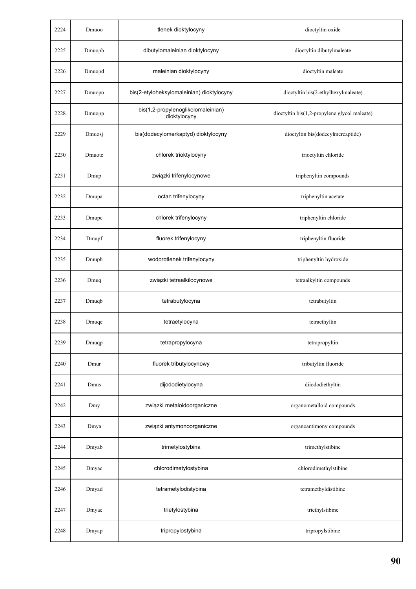| 2224 | Dmuoo  | tlenek dioktylocyny                                | dioctyltin oxide                             |
|------|--------|----------------------------------------------------|----------------------------------------------|
| 2225 | Dmuopb | dibutylomaleinian dioktylocyny                     | dioctyltin dibutylmaleate                    |
| 2226 | Dmuopd | maleinian dioktylocyny                             | dioctyltin maleate                           |
| 2227 | Dmuopo | bis(2-etyloheksylomaleinian) dioktylocyny          | dioctyltin bis(2-ethylhexylmaleate)          |
| 2228 | Dmuopp | bis(1,2-propylenoglikolomaleinian)<br>dioktylocyny | dioctyltin bis(1,2-propylene glycol maleate) |
| 2229 | Dmuosj | bis(dodecylomerkaptyd) dioktylocyny                | dioctyltin bis(dodecylmercaptide)            |
| 2230 | Dmuotc | chlorek trioktylocyny                              | trioctyltin chloride                         |
| 2231 | Dmup   | związki trifenylocynowe                            | triphenyltin compounds                       |
| 2232 | Dmupa  | octan trifenylocyny                                | triphenyltin acetate                         |
| 2233 | Dmupc  | chlorek trifenylocyny                              | triphenyltin chloride                        |
| 2234 | Dmupf  | fluorek trifenylocyny                              | triphenyltin fluoride                        |
| 2235 | Dmuph  | wodorotlenek trifenylocyny                         | triphenyltin hydroxide                       |
| 2236 | Dmuq   | związki tetraalkilocynowe                          | tetraalkyltin compounds                      |
| 2237 | Dmuqb  | tetrabutylocyna                                    | tetrabutyltin                                |
| 2238 | Dmuqe  | tetraetylocyna                                     | tetraethyltin                                |
| 2239 | Dmuqp  | tetrapropylocyna                                   | tetrapropyltin                               |
| 2240 | Dmur   | fluorek tributylocynowy                            | tributyltin fluoride                         |
| 2241 | Dmus   | dijododietylocyna                                  | diiododiethyltin                             |
| 2242 | Dmy    | związki metaloidoorganiczne                        | organometalloid compounds                    |
| 2243 | Dmya   | związki antymonoorganiczne                         | organoantimony compounds                     |
| 2244 | Dmyab  | trimetylostybina                                   | trimethylstibine                             |
| 2245 | Dmyac  | chlorodimetylostybina                              | chlorodimethylstibine                        |
| 2246 | Dmyad  | tetrametylodistybina                               | tetramethyldistibine                         |
| 2247 | Dmyae  | trietylostybina                                    | triethylstibine                              |
| 2248 | Dmyap  | tripropylostybina                                  | tripropylstibine                             |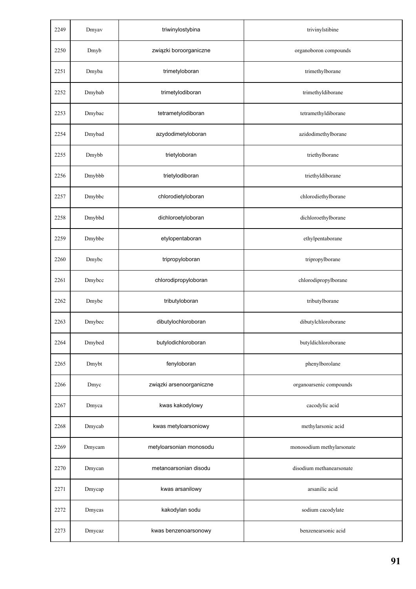| 2249 | Dmyav  | triwinylostybina         | trivinylstibine           |
|------|--------|--------------------------|---------------------------|
| 2250 | Dmyb   | związki boroorganiczne   | organoboron compounds     |
| 2251 | Dmyba  | trimetyloboran           | trimethylborane           |
| 2252 | Dmybab | trimetylodiboran         | trimethyldiborane         |
| 2253 | Dmybac | tetrametylodiboran       | tetramethyldiborane       |
| 2254 | Dmybad | azydodimetyloboran       | azidodimethylborane       |
| 2255 | Dmybb  | trietyloboran            | triethylborane            |
| 2256 | Dmybbb | trietylodiboran          | triethyldiborane          |
| 2257 | Dmybbc | chlorodietyloboran       | chlorodiethylborane       |
| 2258 | Dmybbd | dichloroetyloboran       | dichloroethylborane       |
| 2259 | Dmybbe | etylopentaboran          | ethylpentaborane          |
| 2260 | Dmybc  | tripropyloboran          | tripropylborane           |
| 2261 | Dmybcc | chlorodipropyloboran     | chlorodipropylborane      |
| 2262 | Dmybe  | tributyloboran           | tributylborane            |
| 2263 | Dmybec | dibutylochloroboran      | dibutylchloroborane       |
| 2264 | Dmybed | butylodichloroboran      | butyldichloroborane       |
| 2265 | Dmybt  | fenyloboran              | phenylborolane            |
| 2266 | Dmyc   | związki arsenoorganiczne | organoarsenic compounds   |
| 2267 | Dmyca  | kwas kakodylowy          | cacodylic acid            |
| 2268 | Dmycab | kwas metyloarsoniowy     | methylarsonic acid        |
| 2269 | Dmycam | metyloarsonian monosodu  | monosodium methylarsonate |
| 2270 | Dmycan | metanoarsonian disodu    | disodium methanearsonate  |
| 2271 | Dmycap | kwas arsanilowy          | arsanilic acid            |
| 2272 | Dmycas | kakodylan sodu           | sodium cacodylate         |
| 2273 | Dmycaz | kwas benzenoarsonowy     | benzenearsonic acid       |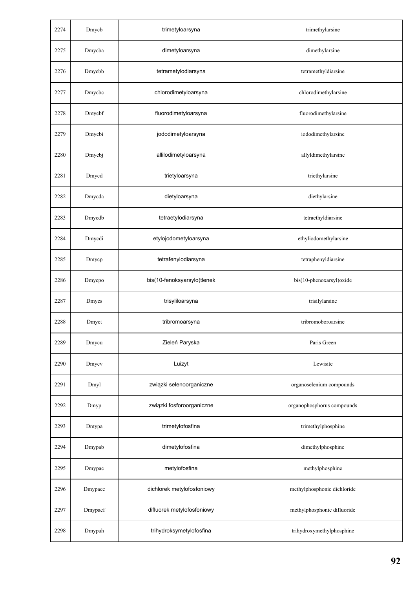| 2274 | Dmycb   | trimetyloarsyna             | trimethylarsine             |
|------|---------|-----------------------------|-----------------------------|
| 2275 | Dmycba  | dimetyloarsyna              | dimethylarsine              |
| 2276 | Dmycbb  | tetrametylodiarsyna         | tetramethyldiarsine         |
| 2277 | Dmycbc  | chlorodimetyloarsyna        | chlorodimethylarsine        |
| 2278 | Dmycbf  | fluorodimetyloarsyna        | fluorodimethylarsine        |
| 2279 | Dmycbi  | jododimetyloarsyna          | iododimethylarsine          |
| 2280 | Dmycbj  | allilodimetyloarsyna        | allyldimethylarsine         |
| 2281 | Dmycd   | trietyloarsyna              | triethylarsine              |
| 2282 | Dmycda  | dietyloarsyna               | diethylarsine               |
| 2283 | Dmycdb  | tetraetylodiarsyna          | tetraethyldiarsine          |
| 2284 | Dmycdi  | etylojodometyloarsyna       | ethyliodomethylarsine       |
| 2285 | Dmycp   | tetrafenylodiarsyna         | tetraphenyldiarsine         |
| 2286 | Dmycpo  | bis(10-fenoksyarsylo)tlenek | bis(10-phenoxarsyl)oxide    |
| 2287 | Dmycs   | trisyliloarsyna             | trisilylarsine              |
| 2288 | Dmyct   | tribromoarsyna              | tribromoboroarsine          |
| 2289 | Dmycu   | Zieleń Paryska              | Paris Green                 |
| 2290 | Dmycv   | Luizyt                      | Lewisite                    |
| 2291 | Dmyl    | związki selenoorganiczne    | organoselenium compounds    |
| 2292 | Dmyp    | związki fosforoorganiczne   | organophosphorus compounds  |
| 2293 | Dmypa   | trimetylofosfina            | trimethylphosphine          |
| 2294 | Dmypab  | dimetylofosfina             | dimethylphosphine           |
| 2295 | Dmypac  | metylofosfina               | methylphosphine             |
| 2296 | Dmypacc | dichlorek metylofosfoniowy  | methylphosphonic dichloride |
| 2297 | Dmypacf | difluorek metylofosfoniowy  | methylphosphonic difluoride |
| 2298 | Dmypah  | trihydroksymetylofosfina    | trihydroxymethylphosphine   |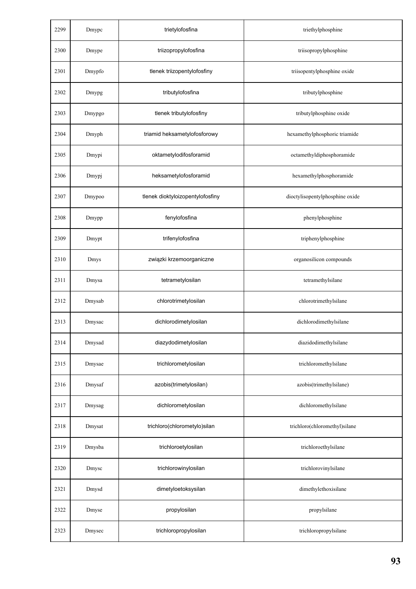| 2299 | Dmypc  | trietylofosfina                  | triethylphosphine               |
|------|--------|----------------------------------|---------------------------------|
| 2300 | Dmype  | triizopropylofosfina             | triisopropylphosphine           |
| 2301 | Dmypfo | tlenek triizopentylofosfiny      | triisopentylphosphine oxide     |
| 2302 | Dmypg  | tributylofosfina                 | tributylphosphine               |
| 2303 | Dmypgo | tlenek tributylofosfiny          | tributylphosphine oxide         |
| 2304 | Dmyph  | triamid heksametylofosforowy     | hexamethylphosphoric triamide   |
| 2305 | Dmypi  | oktametylodifosforamid           | octamethyldiphosphoramide       |
| 2306 | Dmypj  | heksametylofosforamid            | hexamethylphosphoramide         |
| 2307 | Dmypoo | tlenek dioktyloizopentylofosfiny | dioctylisopentylphosphine oxide |
| 2308 | Dmypp  | fenylofosfina                    | phenylphosphine                 |
| 2309 | Dmypt  | trifenylofosfina                 | triphenylphosphine              |
| 2310 | Dmys   | związki krzemoorganiczne         | organosilicon compounds         |
| 2311 | Dmysa  | tetrametylosilan                 | tetramethylsilane               |
| 2312 | Dmysab | chlorotrimetylosilan             | chlorotrimethylsilane           |
| 2313 | Dmysac | dichlorodimetylosilan            | dichlorodimethylsilane          |
| 2314 | Dmysad | diazydodimetylosilan             | diazidodimethylsilane           |
| 2315 | Dmysae | trichlorometylosilan             | trichloromethylsilane           |
| 2316 | Dmysaf | azobis(trimetylosilan)           | azobis(trimethylsilane)         |
| 2317 | Dmysag | dichlorometylosilan              | dichloromethylsilane            |
| 2318 | Dmysat | trichloro(chlorometylo)silan     | trichloro(chloromethyl)silane   |
| 2319 | Dmysba | trichloroetylosilan              | trichloroethylsilane            |
| 2320 | Dmysc  | trichlorowinylosilan             | trichlorovinylsilane            |
| 2321 | Dmysd  | dimetyloetoksysilan              | dimethylethoxisilane            |
| 2322 | Dmyse  | propylosilan                     | propylsilane                    |
| 2323 | Dmysec | trichloropropylosilan            | trichloropropylsilane           |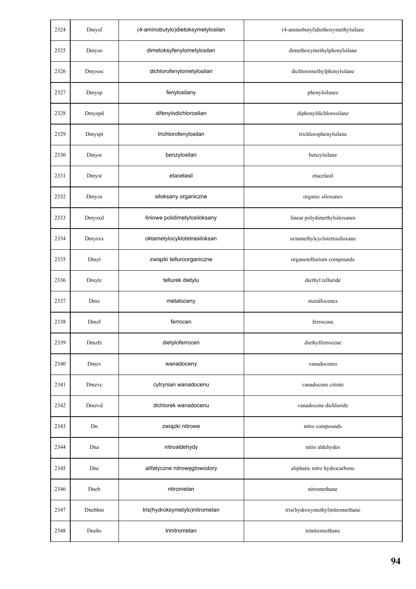| 2324 | Dmysf  | (4-aminobutylo)dietoksymetylosilan | (4-aminobutyl)diethoxymethylsilane |
|------|--------|------------------------------------|------------------------------------|
| 2325 | Dmyso  | dimetoksyfenylometylosilan         | dimethoxymethylphenylsilane        |
| 2326 | Dmysoc | dichlorofenylometylosilan          | dichloromethylphenylsilane         |
| 2327 | Dmysp  | fenylosilany                       | phenylsilanes                      |
| 2328 | Dmyspd | difenylodichlorosilan              | diphenyldichlorosilane             |
| 2329 | Dmyspt | trichlorofenylosilan               | trichlorophenylsilane              |
| 2330 | Dmysr  | benzylosilan                       | benzylsilane                       |
| 2331 | Dmyst  | etacelasil                         | etacelasil                         |
| 2332 | Dmysx  | siloksany organiczne               | organic siloxanes                  |
| 2333 | Dmysxd | liniowe polidimetylosiloksany      | linear polydimethylsiloxanes       |
| 2334 | Dmysxx | oktametylocyklotetrasiloksan       | octamethylcyclotetrasiloxane       |
| 2335 | Dmyt   | związki telluroorganiczne          | organotellurium compounds          |
| 2336 | Dmytc  | tellurek dietylu                   | diethyl telluride                  |
| 2337 | Dmz    | metaloceny                         | metallocenes                       |
| 2338 | Dmzf   | ferrocen                           | ferrocene                          |
| 2339 | Dmzfe  | dietyloferrocen                    | diethylferrocene                   |
| 2340 | Dmzv   | wanadoceny                         | vanadocenes                        |
| 2341 | Dmzvc  | cytrynian wanadocenu               | vanadocene citrate                 |
| 2342 | Dmzvd  | dichlorek wanadocenu               | vanadocene dichloride              |
| 2343 | Dn     | związki nitrowe                    | nitro compounds                    |
| 2344 | Dna    | nitroaldehydy                      | nitro aldehydes                    |
| 2345 | Dne    | alifatyczne nitrowęglowodory       | aliphatic nitro hydrocarbons       |
| 2346 | Dneb   | nitrometan                         | nitromethane                       |
| 2347 | Dnebhm | tris(hydroksymetylo)nitrometan     | tris(hydroxymethyl)nitromethane    |
| 2348 | Dnebs  | trinitrometan                      | trinitromethane                    |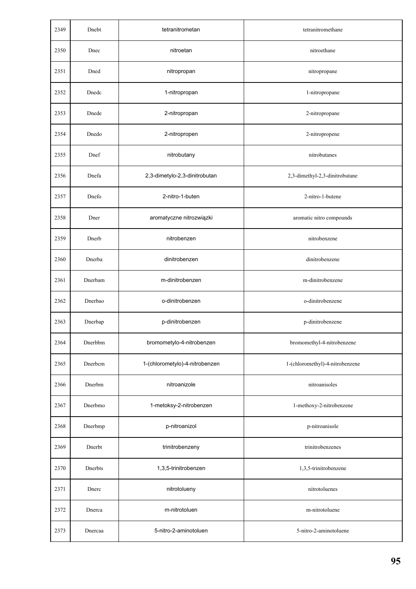| 2349 | Dnebt   | tetranitrometan                | tetranitromethane               |
|------|---------|--------------------------------|---------------------------------|
| 2350 | Dnec    | nitroetan                      | nitroethane                     |
| 2351 | Dned    | nitropropan                    | nitropropane                    |
| 2352 | Dnedc   | 1-nitropropan                  | 1-nitropropane                  |
| 2353 | Dnede   | 2-nitropropan                  | 2-nitropropane                  |
| 2354 | Dnedo   | 2-nitropropen                  | 2-nitropropene                  |
| 2355 | Dnef    | nitrobutany                    | nitrobutanes                    |
| 2356 | Dnefa   | 2,3-dimetylo-2,3-dinitrobutan  | 2,3-dimethyl-2,3-dinitrobutane  |
| 2357 | Dnefo   | 2-nitro-1-buten                | 2-nitro-1-butene                |
| 2358 | Dner    | aromatyczne nitrozwiązki       | aromatic nitro compounds        |
| 2359 | Dnerb   | nitrobenzen                    | nitrobenzene                    |
| 2360 | Dnerba  | dinitrobenzen                  | dinitrobenzene                  |
| 2361 | Dnerbam | m-dinitrobenzen                | m-dinitrobenzene                |
| 2362 | Dnerbao | o-dinitrobenzen                | o-dinitrobenzene                |
| 2363 | Dnerbap | p-dinitrobenzen                | p-dinitrobenzene                |
| 2364 | Dnerbbm | bromometylo-4-nitrobenzen      | bromomethyl-4-nitrobenzene      |
| 2365 | Dnerbcm | 1-(chlorometylo)-4-nitrobenzen | 1-(chloromethyl)-4-nitrobenzene |
| 2366 | Dnerbm  | nitroanizole                   | nitroanisoles                   |
| 2367 | Dnerbmo | 1-metoksy-2-nitrobenzen        | 1-methoxy-2-nitrobenzene        |
| 2368 | Dnerbmp | p-nitroanizol                  | p-nitroanisole                  |
| 2369 | Dnerbt  | trinitrobenzeny                | trinitrobenzenes                |
| 2370 | Dnerbts | 1,3,5-trinitrobenzen           | 1,3,5-trinitrobenzene           |
| 2371 | Dnerc   | nitrotolueny                   | nitrotoluenes                   |
| 2372 | Dnerca  | m-nitrotoluen                  | m-nitrotoluene                  |
| 2373 | Dnercaa | 5-nitro-2-aminotoluen          | 5-nitro-2-aminotoluene          |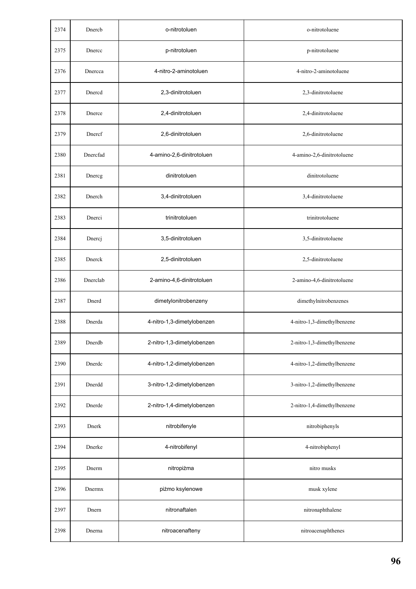| 2374 | Dnercb   | o-nitrotoluen              | o-nitrotoluene              |
|------|----------|----------------------------|-----------------------------|
| 2375 | Dnercc   | p-nitrotoluen              | p-nitrotoluene              |
| 2376 | Dnercca  | 4-nitro-2-aminotoluen      | 4-nitro-2-aminotoluene      |
| 2377 | Dnercd   | 2,3-dinitrotoluen          | 2,3-dinitrotoluene          |
| 2378 | Dnerce   | 2,4-dinitrotoluen          | 2,4-dinitrotoluene          |
| 2379 | Dnercf   | 2,6-dinitrotoluen          | 2,6-dinitrotoluene          |
| 2380 | Dnercfad | 4-amino-2,6-dinitrotoluen  | 4-amino-2,6-dinitrotoluene  |
| 2381 | Dnercg   | dinitrotoluen              | dinitrotoluene              |
| 2382 | Dnerch   | 3,4-dinitrotoluen          | 3,4-dinitrotoluene          |
| 2383 | Dnerci   | trinitrotoluen             | trinitrotoluene             |
| 2384 | Dnercj   | 3,5-dinitrotoluen          | 3,5-dinitrotoluene          |
| 2385 | Dnerck   | 2,5-dinitrotoluen          | 2,5-dinitrotoluene          |
| 2386 | Dnerclab | 2-amino-4,6-dinitrotoluen  | 2-amino-4,6-dinitrotoluene  |
| 2387 | Dnerd    | dimetylonitrobenzeny       | dimethylnitrobenzenes       |
| 2388 | Dnerda   | 4-nitro-1,3-dimetylobenzen | 4-nitro-1,3-dimethylbenzene |
| 2389 | Dnerdb   | 2-nitro-1,3-dimetylobenzen | 2-nitro-1,3-dimethylbenzene |
| 2390 | Dnerdc   | 4-nitro-1,2-dimetylobenzen | 4-nitro-1,2-dimethylbenzene |
| 2391 | Dnerdd   | 3-nitro-1,2-dimetylobenzen | 3-nitro-1,2-dimethylbenzene |
| 2392 | Dnerde   | 2-nitro-1,4-dimetylobenzen | 2-nitro-1,4-dimethylbenzene |
| 2393 | Dnerk    | nitrobifenyle              | nitrobiphenyls              |
| 2394 | Dnerke   | 4-nitrobifenyl             | 4-nitrobiphenyl             |
| 2395 | Dnerm    | nitropiżma                 | nitro musks                 |
| 2396 | Dnermx   | piżmo ksylenowe            | musk xylene                 |
| 2397 | Dnern    | nitronaftalen              | nitronaphthalene            |
| 2398 | Dnerna   | nitroacenafteny            | nitroacenaphthenes          |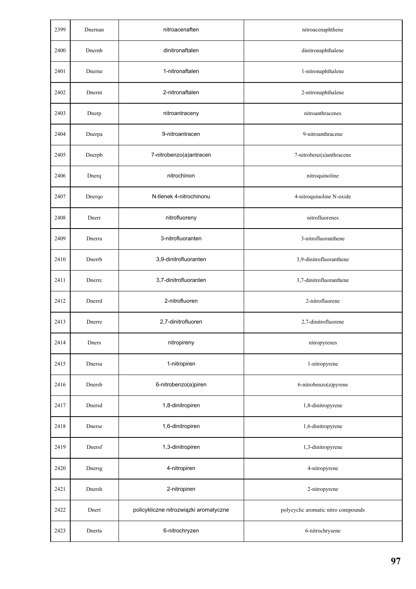| 2399 | Dnernan | nitroacenaften                         | nitroacenaphthene                   |
|------|---------|----------------------------------------|-------------------------------------|
| 2400 | Dnernb  | dinitronaftalen                        | dinitronaphthalene                  |
| 2401 | Dnerne  | 1-nitronaftalen                        | 1-nitronaphthalene                  |
| 2402 | Dnernt  | 2-nitronaftalen                        | 2-nitronaphthalene                  |
| 2403 | Dnerp   | nitroantraceny                         | nitroanthracenes                    |
| 2404 | Dnerpa  | 9-nitroantracen                        | 9-nitroanthracene                   |
| 2405 | Dnerpb  | 7-nitrobenzo(a)antracen                | 7-nitrobenz(a)anthracene            |
| 2406 | Dnerq   | nitrochinon                            | nitroquinoline                      |
| 2407 | Dnerqo  | N-tlenek 4-nitrochinonu                | 4-nitroquinoline N-oxide            |
| 2408 | Dnerr   | nitrofluoreny                          | nitrofluorenes                      |
| 2409 | Dnerra  | 3-nitrofluoranten                      | 3-nitrofluoranthene                 |
| 2410 | Dnerrb  | 3,9-dinitrofluoranten                  | 3,9-dinitrofluoranthene             |
| 2411 | Dnerrc  | 3,7-dinitrofluoranten                  | 3,7-dinitrofluoranthene             |
| 2412 | Dnerrd  | 2-nitrofluoren                         | 2-nitrofluorene                     |
| 2413 | Dnerre  | 2,7-dinitrofluoren                     | 2,7-dinitrofluorene                 |
| 2414 | Dners   | nitropireny                            | nitropyrenes                        |
| 2415 | Dnersa  | 1-nitropiren                           | 1-nitropyrene                       |
| 2416 | Dnersb  | 6-nitrobenzo(a)piren                   | 6-nitrobenzo(a)pyrene               |
| 2417 | Dnersd  | 1,8-dinitropiren                       | 1,8-dinitropyrene                   |
| 2418 | Dnerse  | 1,6-dinitropiren                       | 1,6-dinitropyrene                   |
| 2419 | Dnersf  | 1,3-dinitropiren                       | 1,3-dinitropyrene                   |
| 2420 | Dnersg  | 4-nitropiren                           | 4-nitropyrene                       |
| 2421 | Dnersh  | 2-nitropiren                           | 2-nitropyrene                       |
| 2422 | Dnert   | policykliczne nitrozwiązki aromatyczne | polycyclic aromatic nitro compounds |
| 2423 | Dnerta  | 6-nitrochryzen                         | 6-nitrochrysene                     |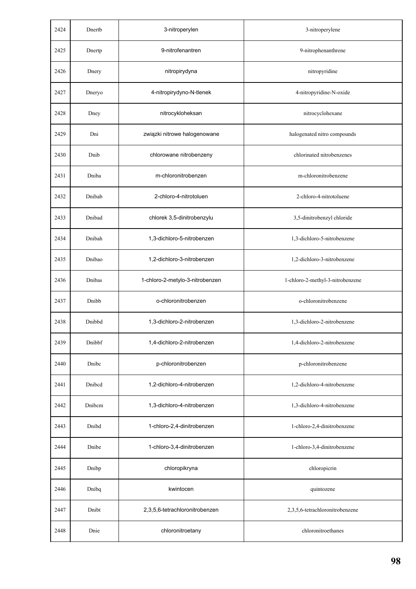| 2424 | Dnertb | 3-nitroperylen                  | 3-nitroperylene                  |
|------|--------|---------------------------------|----------------------------------|
| 2425 | Dnertp | 9-nitrofenantren                | 9-nitrophenanthrene              |
| 2426 | Dnery  | nitropirydyna                   | nitropyridine                    |
| 2427 | Dneryo | 4-nitropirydyno-N-tlenek        | 4-nitropyridine-N-oxide          |
| 2428 | Dney   | nitrocykloheksan                | nitrocyclohexane                 |
| 2429 | Dni    | związki nitrowe halogenowane    | halogenated nitro compounds      |
| 2430 | Dnib   | chlorowane nitrobenzeny         | chlorinated nitrobenzenes        |
| 2431 | Dniba  | m-chloronitrobenzen             | m-chloronitrobenzene             |
| 2432 | Dnibab | 2-chloro-4-nitrotoluen          | 2-chloro-4-nitrotoluene          |
| 2433 | Dnibad | chlorek 3,5-dinitrobenzylu      | 3,5-dinitrobenzyl chloride       |
| 2434 | Dnibah | 1,3-dichloro-5-nitrobenzen      | 1,3-dichloro-5-nitrobenzene      |
| 2435 | Dnibao | 1,2-dichloro-3-nitrobenzen      | 1,2-dichloro-3-nitrobenzene      |
| 2436 | Dnibas | 1-chloro-2-metylo-3-nitrobenzen | 1-chloro-2-methyl-3-nitrobenzene |
| 2437 | Dnibb  | o-chloronitrobenzen             | o-chloronitrobenzene             |
| 2438 | Dnibbd | 1,3-dichloro-2-nitrobenzen      | 1,3-dichloro-2-nitrobenzene      |
| 2439 | Dnibbf | 1,4-dichloro-2-nitrobenzen      | 1,4-dichloro-2-nitrobenzene      |
| 2440 | Dnibc  | p-chloronitrobenzen             | p-chloronitrobenzene             |
| 2441 | Dnibcd | 1,2-dichloro-4-nitrobenzen      | 1,2-dichloro-4-nitrobenzene      |
| 2442 | Dnibcm | 1,3-dichloro-4-nitrobenzen      | 1,3-dichloro-4-nitrobenzene      |
| 2443 | Dnibd  | 1-chloro-2,4-dinitrobenzen      | 1-chloro-2,4-dinitrobenzene      |
| 2444 | Dnibe  | 1-chloro-3,4-dinitrobenzen      | 1-chloro-3,4-dinitrobenzene      |
| 2445 | Dnibp  | chloropikryna                   | chloropicrin                     |
| 2446 | Dnibq  | kwintocen                       | quintozene                       |
| 2447 | Dnibt  | 2,3,5,6-tetrachloronitrobenzen  | 2,3,5,6-tetrachloronitrobenzene  |
| 2448 | Dnie   | chloronitroetany                | chloronitroethanes               |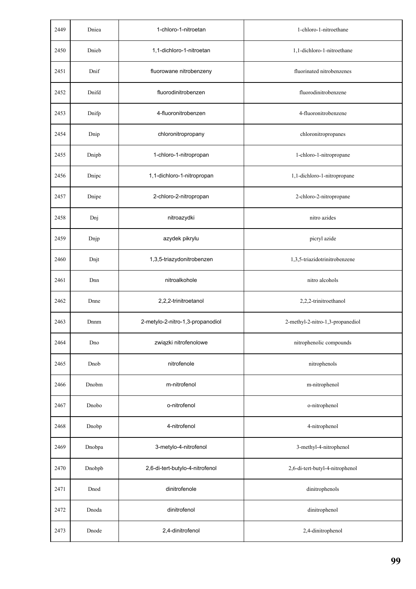| 2449 | Dniea  | 1-chloro-1-nitroetan             | 1-chloro-1-nitroethane           |
|------|--------|----------------------------------|----------------------------------|
| 2450 | Dnieb  | 1,1-dichloro-1-nitroetan         | 1,1-dichloro-1-nitroethane       |
| 2451 | Dnif   | fluorowane nitrobenzeny          | fluorinated nitrobenzenes        |
| 2452 | Dnifd  | fluorodinitrobenzen              | fluorodinitrobenzene             |
| 2453 | Dnifp  | 4-fluoronitrobenzen              | 4-fluoronitrobenzene             |
| 2454 | Dnip   | chloronitropropany               | chloronitropropanes              |
| 2455 | Dnipb  | 1-chloro-1-nitropropan           | 1-chloro-1-nitropropane          |
| 2456 | Dnipc  | 1,1-dichloro-1-nitropropan       | 1,1-dichloro-1-nitropropane      |
| 2457 | Dnipe  | 2-chloro-2-nitropropan           | 2-chloro-2-nitropropane          |
| 2458 | Dnj    | nitroazydki                      | nitro azides                     |
| 2459 | Dnjp   | azydek pikrylu                   | picryl azide                     |
| 2460 | Dnjt   | 1,3,5-triazydonitrobenzen        | 1,3,5-triazidotrinitrobenzene    |
| 2461 | Dnn    | nitroalkohole                    | nitro alcohols                   |
| 2462 | Dnne   | 2,2,2-trinitroetanol             | 2,2,2-trinitroethanol            |
| 2463 | Dnnm   | 2-metylo-2-nitro-1,3-propanodiol | 2-methyl-2-nitro-1,3-propanediol |
| 2464 | Dno    | związki nitrofenolowe            | nitrophenolic compounds          |
| 2465 | Dnob   | nitrofenole                      | nitrophenols                     |
| 2466 | Dnobm  | m-nitrofenol                     | m-nitrophenol                    |
| 2467 | Dnobo  | o-nitrofenol                     | o-nitrophenol                    |
| 2468 | Dnobp  | 4-nitrofenol                     | 4-nitrophenol                    |
| 2469 | Dnobpa | 3-metylo-4-nitrofenol            | 3-methyl-4-nitrophenol           |
| 2470 | Dnobpb | 2,6-di-tert-butylo-4-nitrofenol  | 2,6-di-tert-butyl-4-nitrophenol  |
| 2471 | Dnod   | dinitrofenole                    | dinitrophenols                   |
| 2472 | Dnoda  | dinitrofenol                     | dinitrophenol                    |
| 2473 | Dnode  | 2,4-dinitrofenol                 | 2,4-dinitrophenol                |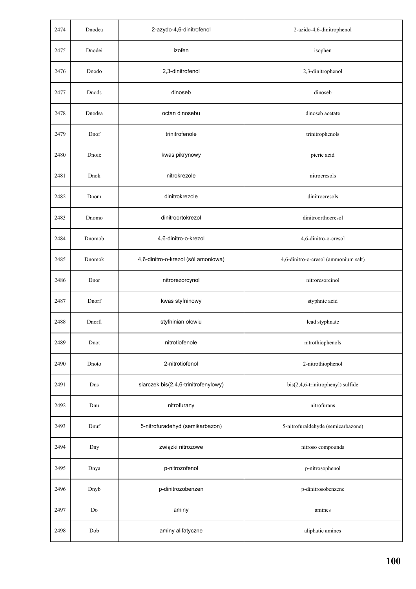| 2474 | Dnodea        | 2-azydo-4,6-dinitrofenol             | 2-azido-4,6-dinitrophenol            |
|------|---------------|--------------------------------------|--------------------------------------|
| 2475 | Dnodei        | izofen                               | isophen                              |
| 2476 | Dnodo         | 2,3-dinitrofenol                     | 2,3-dinitrophenol                    |
| 2477 | Dnods         | dinoseb                              | dinoseb                              |
| 2478 | Dnodsa        | octan dinosebu                       | dinoseb acetate                      |
| 2479 | Dnof          | trinitrofenole                       | trinitrophenols                      |
| 2480 | Dnofe         | kwas pikrynowy                       | picric acid                          |
| 2481 | Dnok          | nitrokrezole                         | nitrocresols                         |
| 2482 | Dnom          | dinitrokrezole                       | dinitrocresols                       |
| 2483 | Dnomo         | dinitroortokrezol                    | dinitroorthocresol                   |
| 2484 | Dnomob        | 4,6-dinitro-o-krezol                 | 4,6-dinitro-o-cresol                 |
| 2485 | Dnomok        | 4,6-dinitro-o-krezol (sól amoniowa)  | 4,6-dinitro-o-cresol (ammonium salt) |
| 2486 | Dnor          | nitrorezorcynol                      | nitroresorcinol                      |
| 2487 | Dnorf         | kwas styfninowy                      | styphnic acid                        |
| 2488 | Dnorfl        | styfninian ołowiu                    | lead styphnate                       |
| 2489 | Dnot          | nitrotiofenole                       | nitrothiophenols                     |
| 2490 | Dnoto         | 2-nitrotiofenol                      | 2-nitrothiophenol                    |
| 2491 | Dns           | siarczek bis(2,4,6-trinitrofenylowy) | bis(2,4,6-trinitrophenyl) sulfide    |
| 2492 | Dnu           | nitrofurany                          | nitrofurans                          |
| 2493 | Dnuf          | 5-nitrofuradehyd (semikarbazon)      | 5-nitrofuraldehyde (semicarbazone)   |
| 2494 | Dny           | związki nitrozowe                    | nitroso compounds                    |
| 2495 | Dnya          | p-nitrozofenol                       | p-nitrosophenol                      |
| 2496 | Dnyb          | p-dinitrozobenzen                    | p-dinitrosobenzene                   |
| 2497 | $\mathrm{Do}$ | aminy                                | amines                               |
| 2498 | Dob           | aminy alifatyczne                    | aliphatic amines                     |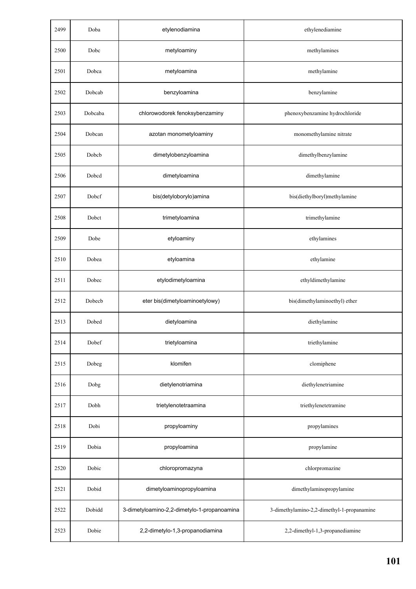| 2499 | Doba    | etylenodiamina                              | ethylenediamine                            |
|------|---------|---------------------------------------------|--------------------------------------------|
| 2500 | Dobc    | metyloaminy                                 | methylamines                               |
| 2501 | Dobca   | metyloamina                                 | methylamine                                |
| 2502 | Dobcab  | benzyloamina                                | benzylamine                                |
| 2503 | Dobcaba | chlorowodorek fenoksybenzaminy              | phenoxybenzamine hydrochloride             |
| 2504 | Dobcan  | azotan monometyloaminy                      | monomethylamine nitrate                    |
| 2505 | Dobcb   | dimetylobenzyloamina                        | dimethylbenzylamine                        |
| 2506 | Dobcd   | dimetyloamina                               | dimethylamine                              |
| 2507 | Dobcf   | bis(detyloborylo)amina                      | bis(diethylboryl)methylamine               |
| 2508 | Dobct   | trimetyloamina                              | trimethylamine                             |
| 2509 | Dobe    | etyloaminy                                  | ethylamines                                |
| 2510 | Dobea   | etyloamina                                  | ethylamine                                 |
| 2511 | Dobec   | etylodimetyloamina                          | ethyldimethylamine                         |
| 2512 | Dobecb  | eter bis(dimetyloaminoetylowy)              | bis(dimethylaminoethyl) ether              |
| 2513 | Dobed   | dietyloamina                                | diethylamine                               |
| 2514 | Dobef   | trietyloamina                               | triethylamine                              |
| 2515 | Dobeg   | klomifen                                    | clomiphene                                 |
| 2516 | Dobg    | dietylenotriamina                           | diethylenetriamine                         |
| 2517 | Dobh    | trietylenotetraamina                        | triethylenetetramine                       |
| 2518 | Dobi    | propyloaminy                                | propylamines                               |
| 2519 | Dobia   | propyloamina                                | propylamine                                |
| 2520 | Dobic   | chloropromazyna                             | chlorpromazine                             |
| 2521 | Dobid   | dimetyloaminopropyloamina                   | dimethylaminopropylamine                   |
| 2522 | Dobidd  | 3-dimetyloamino-2,2-dimetylo-1-propanoamina | 3-dimethylamino-2,2-dimethyl-1-propanamine |
| 2523 | Dobie   | 2,2-dimetylo-1,3-propanodiamina             | 2,2-dimethyl-1,3-propanediamine            |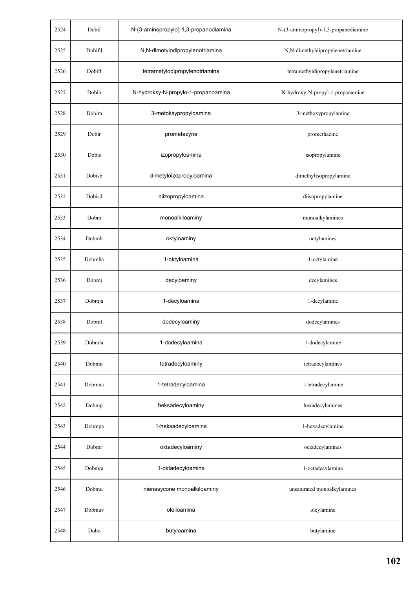| 2524 | Dobif  | N-(3-aminopropylo)-1,3-propanodiamina | N-(3-aminopropyl)-1,3-propanediamine |
|------|--------|---------------------------------------|--------------------------------------|
| 2525 | Dobifd | N,N-dimetylodipropylenotriamina       | N,N-dimethyldipropylenetriamine      |
| 2526 | Dobift | tetrametylodipropylenotriamina        | tetramethyldipropylenetriamine       |
| 2527 | Dobih  | N-hydroksy-N-propylo-1-propanoamina   | N-hydroxy-N-propyl-1-propanamine     |
| 2528 | Dobim  | 3-metoksypropyloamina                 | 3-methoxypropylamine                 |
| 2529 | Dobir  | prometazyna                           | promethazine                         |
| 2530 | Dobis  | izopropyloamina                       | isopropylamine                       |
| 2531 | Dobisb | dimetyloizopropyloamina               | dimethylisopropylamine               |
| 2532 | Dobisd | diizopropyloamina                     | diisopropylamine                     |
| 2533 | Dobm   | monoalkiloaminy                       | monoalkylamines                      |
| 2534 | Dobmh  | oktyloaminy                           | octylamines                          |
| 2535 | Dobmha | 1-oktyloamina                         | 1-octylamine                         |
| 2536 | Dobmj  | decyloaminy                           | decylamines                          |
| 2537 | Dobmja | 1-decyloamina                         | 1-decylamine                         |
| 2538 | Dobml  | dodecyloaminy                         | dodecylamines                        |
| 2539 | Dobmla | 1-dodecyloamina                       | 1-dodecylamine                       |
| 2540 | Dobmn  | tetradecyloaminy                      | tetradecylamines                     |
| 2541 | Dobmna | 1-tetradecyloamina                    | 1-tetradecylamine                    |
| 2542 | Dobmp  | heksadecyloaminy                      | hexadecylamines                      |
| 2543 | Dobmpa | 1-heksadecyloamina                    | 1-hexadecylamine                     |
| 2544 | Dobmr  | oktadecyloaminy                       | octadecylamines                      |
| 2545 | Dobmra | 1-oktadecyloamina                     | 1-octadecylamine                     |
| 2546 | Dobmu  | nienasycone monoalkiloaminy           | unsaturated monoalkylamines          |
| 2547 | Dobmuv | oleiloamina                           | oleylamine                           |
| 2548 | Dobo   | butyloamina                           | butylamine                           |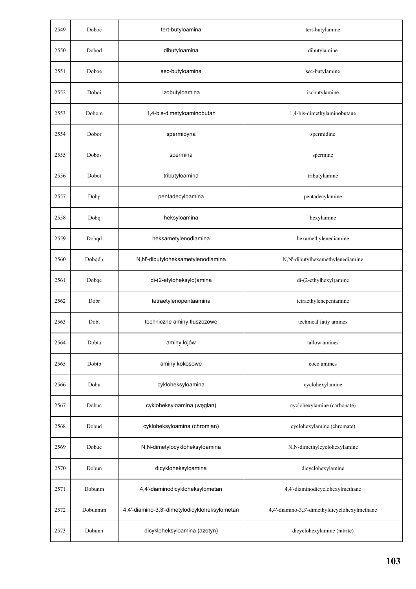| 2549 | Doboc   | tert-butyloamina                              | tert-butylamine                               |
|------|---------|-----------------------------------------------|-----------------------------------------------|
| 2550 | Dobod   | dibutyloamina                                 | dibutylamine                                  |
| 2551 | Doboe   | sec-butyloamina                               | sec-butylamine                                |
| 2552 | Doboi   | izobutyloamina                                | isobutylamine                                 |
| 2553 | Dobom   | 1,4-bis-dimetyloaminobutan                    | 1,4-bis-dimethylaminobutane                   |
| 2554 | Dobor   | spermidyna                                    | spermidine                                    |
| 2555 | Dobos   | spermina                                      | spermine                                      |
| 2556 | Dobot   | tributyloamina                                | tributylamine                                 |
| 2557 | Dobp    | pentadecyloamina                              | pentadecylamine                               |
| 2558 | Dobq    | heksyloamina                                  | hexylamine                                    |
| 2559 | Dobqd   | heksametylenodiamina                          | hexamethylenediamine                          |
| 2560 | Dobqdb  | N,N'-dibutyloheksametylenodiamina             | N,N'-dibutylhexamethylenediamine              |
| 2561 | Dobqe   | di-(2-etyloheksylo)amina                      | di-(2-ethylhexyl)amine                        |
| 2562 | Dobr    | tetraetylenopentaamina                        | tetraethylenepentamine                        |
| 2563 | Dobt    | techniczne aminy tłuszczowe                   | technical fatty amines                        |
| 2564 | Dobta   | aminy łojów                                   | tallow amines                                 |
| 2565 | Dobtb   | aminy kokosowe                                | coco amines                                   |
| 2566 | Dobu    | cykloheksyloamina                             | cyclohexylamine                               |
| 2567 | Dobuc   | cykloheksyloamina (węglan)                    | cyclohexylamine (carbonate)                   |
| 2568 | Dobud   | cykloheksyloamina (chromian)                  | cyclohexylamine (chromate)                    |
| 2569 | Dobue   | N,N-dimetylocykloheksyloamina                 | N,N-dimethylcyclohexylamine                   |
| 2570 | Dobun   | dicykloheksyloamina                           | dicyclohexylamine                             |
| 2571 | Dobunm  | 4,4'-diaminodicykloheksylometan               | 4,4'-diaminodicyclohexylmethane               |
| 2572 | Dobunmm | 4,4'-diamino-3,3'-dimetylodicykloheksylometan | 4,4'-diamino-3,3'-dimethyldicyclohexylmethane |
| 2573 | Dobunn  | dicykloheksyloamina (azotyn)                  | dicyclohexylamine (nitrite)                   |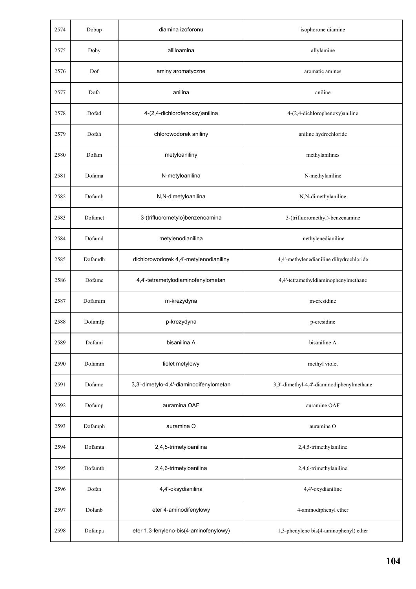| 2574 | Dobup   | diamina izoforonu                       | isophorone diamine                        |
|------|---------|-----------------------------------------|-------------------------------------------|
| 2575 | Doby    | alliloamina                             | allylamine                                |
| 2576 | Dof     | aminy aromatyczne                       | aromatic amines                           |
| 2577 | Dofa    | anilina                                 | aniline                                   |
| 2578 | Dofad   | 4-(2,4-dichlorofenoksy)anilina          | 4-(2,4-dichlorophenoxy)aniline            |
| 2579 | Dofah   | chlorowodorek aniliny                   | aniline hydrochloride                     |
| 2580 | Dofam   | metyloaniliny                           | methylanilines                            |
| 2581 | Dofama  | N-metyloanilina                         | N-methylaniline                           |
| 2582 | Dofamb  | N,N-dimetyloanilina                     | N,N-dimethylaniline                       |
| 2583 | Dofamct | 3-(trifluorometylo)benzenoamina         | 3-(trifluoromethyl)-benzenamine           |
| 2584 | Dofamd  | metylenodianilina                       | methylenedianiline                        |
| 2585 | Dofamdh | dichlorowodorek 4,4'-metylenodianiliny  | 4,4'-methylenedianiline dihydrochloride   |
| 2586 | Dofame  | 4,4'-tetrametylodiaminofenylometan      | 4,4'-tetramethyldiaminophenylmethane      |
| 2587 | Dofamfm | m-krezydyna                             | m-cresidine                               |
| 2588 | Dofamfp | p-krezydyna                             | p-cresidine                               |
| 2589 | Dofami  | bisanilina A                            | bisaniline A                              |
| 2590 | Dofamm  | fiolet metylowy                         | methyl violet                             |
| 2591 | Dofamo  | 3,3'-dimetylo-4,4'-diaminodifenylometan | 3,3'-dimethyl-4,4'-diaminodiphenylmethane |
| 2592 | Dofamp  | auramina OAF                            | auramine OAF                              |
| 2593 | Dofamph | auramina O                              | auramine O                                |
| 2594 | Dofamta | 2,4,5-trimetyloanilina                  | 2,4,5-trimethylaniline                    |
| 2595 | Dofamtb | 2,4,6-trimetyloanilina                  | 2,4,6-trimethylaniline                    |
| 2596 | Dofan   | 4,4'-oksydianilina                      | 4,4'-oxydianiline                         |
| 2597 | Dofanb  | eter 4-aminodifenylowy                  | 4-aminodiphenyl ether                     |
| 2598 | Dofanpa | eter 1,3-fenyleno-bis(4-aminofenylowy)  | 1,3-phenylene bis(4-aminophenyl) ether    |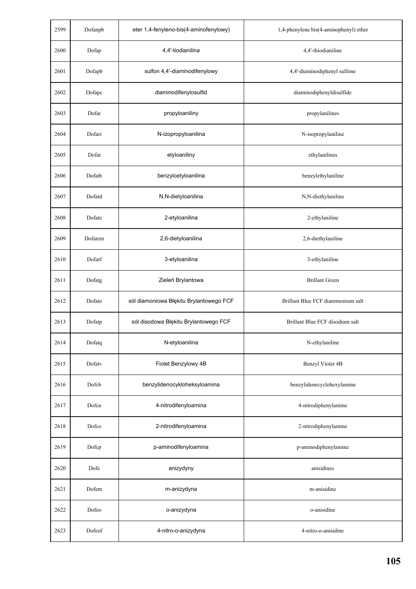| 2599 | Dofanpb | eter 1,4-fenyleno-bis(4-aminofenylowy)  | 1,4-phenylene bis(4-aminophenyl) ether |
|------|---------|-----------------------------------------|----------------------------------------|
| 2600 | Dofap   | 4,4'-tiodianilina                       | 4,4'-thiodianiline                     |
| 2601 | Dofapb  | sulfon 4,4'-diaminodifenylowy           | 4,4'-diaminodiphenyl sulfone           |
| 2602 | Dofapc  | diaminodifenylosulfid                   | diaminodiphenyldisulfide               |
| 2603 | Dofar   | propyloaniliny                          | propylanilines                         |
| 2604 | Dofari  | N-izopropyloanilina                     | N-isopropylaniline                     |
| 2605 | Dofat   | etyloaniliny                            | ethylanilines                          |
| 2606 | Dofatb  | benzyloetyloanilina                     | benzylethylaniline                     |
| 2607 | Dofatd  | N,N-dietyloanilina                      | N,N-diethylaniline                     |
| 2608 | Dofate  | 2-etyloanilina                          | 2-ethylaniline                         |
| 2609 | Dofatem | 2,6-dietyloanilina                      | 2,6-diethylaniline                     |
| 2610 | Dofatf  | 3-etyloanilina                          | 3-ethylaniline                         |
| 2611 | Dofatg  | Zieleń Brylantowa                       | <b>Brillant Green</b>                  |
| 2612 | Dofato  | sól diamoniowa Błękitu Brylantowego FCF | Brillant Blue FCF diammonium salt      |
| 2613 | Dofatp  | sól disodowa Błękitu Brylantowego FCF   | Brillant Blue FCF disodium salt        |
| 2614 | Dofatq  | N-etyloanilina                          | N-ethylaniline                         |
| 2615 | Dofatv  | Fiolet Benzylowy 4B                     | Benzyl Violet 4B                       |
| 2616 | Dofcb   | benzylidenocykloheksyloamina            | benzylidenecyclohexylamine             |
| 2617 | Dofen   | 4-nitrodifenyloamina                    | 4-nitrodiphenylamine                   |
| 2618 | Dofco   | 2-nitrodifenyloamina                    | 2-nitrodiphenylamine                   |
| 2619 | Dofcp   | p-aminodifenyloamina                    | p-aminodiphenylamine                   |
| 2620 | Dofe    | anizydyny                               | anisidines                             |
| 2621 | Dofem   | m-anizydyna                             | m-anisidine                            |
| 2622 | Dofeo   | o-anizydyna                             | o-anisidine                            |
| 2623 | Dofeof  | 4-nitro-o-anizydyna                     | 4-nitro-o-anisidine                    |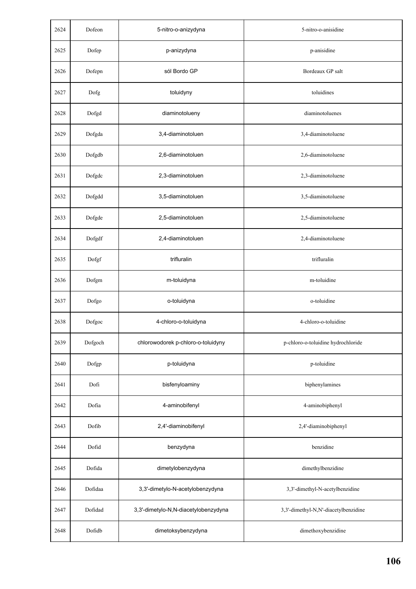| 2624 | Dofeon  | 5-nitro-o-anizydyna                  | 5-nitro-o-anisidine                  |
|------|---------|--------------------------------------|--------------------------------------|
| 2625 | Dofep   | p-anizydyna                          | p-anisidine                          |
| 2626 | Dofepn  | sól Bordo GP                         | Bordeaux GP salt                     |
| 2627 | Dofg    | toluidyny                            | toluidines                           |
| 2628 | Dofgd   | diaminotolueny                       | diaminotoluenes                      |
| 2629 | Dofgda  | 3,4-diaminotoluen                    | 3,4-diaminotoluene                   |
| 2630 | Dofgdb  | 2,6-diaminotoluen                    | 2,6-diaminotoluene                   |
| 2631 | Dofgdc  | 2,3-diaminotoluen                    | 2,3-diaminotoluene                   |
| 2632 | Dofgdd  | 3,5-diaminotoluen                    | 3,5-diaminotoluene                   |
| 2633 | Dofgde  | 2,5-diaminotoluen                    | 2,5-diaminotoluene                   |
| 2634 | Dofgdf  | 2,4-diaminotoluen                    | 2,4-diaminotoluene                   |
| 2635 | Dofgf   | trifluralin                          | trifluralin                          |
| 2636 | Dofgm   | m-toluidyna                          | m-toluidine                          |
| 2637 | Dofgo   | o-toluidyna                          | o-toluidine                          |
| 2638 | Dofgoc  | 4-chloro-o-toluidyna                 | 4-chloro-o-toluidine                 |
| 2639 | Dofgoch | chlorowodorek p-chloro-o-toluidyny   | p-chloro-o-toluidine hydrochloride   |
| 2640 | Dofgp   | p-toluidyna                          | p-toluidine                          |
| 2641 | Dofi    | bisfenyloaminy                       | biphenylamines                       |
| 2642 | Dofia   | 4-aminobifenyl                       | 4-aminobiphenyl                      |
| 2643 | Dofib   | 2,4'-diaminobifenyl                  | 2,4'-diaminobiphenyl                 |
| 2644 | Dofid   | benzydyna                            | benzidine                            |
| 2645 | Dofida  | dimetylobenzydyna                    | dimethylbenzidine                    |
| 2646 | Dofidaa | 3,3'-dimetylo-N-acetylobenzydyna     | 3,3'-dimethyl-N-acetylbenzidine      |
| 2647 | Dofidad | 3,3'-dimetylo-N,N-diacetylobenzydyna | 3,3'-dimethyl-N,N'-diacetylbenzidine |
| 2648 | Dofidb  | dimetoksybenzydyna                   | dimethoxybenzidine                   |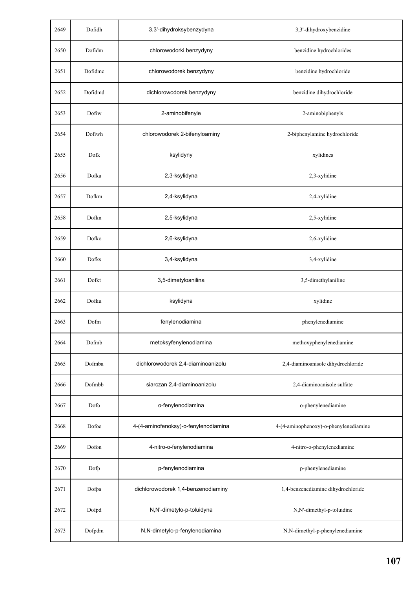| 2649 | Dofidh  | 3,3'-dihydroksybenzydyna             | 3,3'-dihydroxybenzidine               |
|------|---------|--------------------------------------|---------------------------------------|
| 2650 | Dofidm  | chlorowodorki benzydyny              | benzidine hydrochlorides              |
| 2651 | Dofidme | chlorowodorek benzydyny              | benzidine hydrochloride               |
| 2652 | Dofidmd | dichlorowodorek benzydyny            | benzidine dihydrochloride             |
| 2653 | Dofiw   | 2-aminobifenyle                      | 2-aminobiphenyls                      |
| 2654 | Dofiwh  | chlorowodorek 2-bifenyloaminy        | 2-biphenylamine hydrochloride         |
| 2655 | Dofk    | ksylidyny                            | xylidines                             |
| 2656 | Dofka   | 2,3-ksylidyna                        | 2,3-xylidine                          |
| 2657 | Dofkm   | 2,4-ksylidyna                        | 2,4-xylidine                          |
| 2658 | Dofkn   | 2,5-ksylidyna                        | 2,5-xylidine                          |
| 2659 | Dofko   | 2,6-ksylidyna                        | 2,6-xylidine                          |
| 2660 | Dofks   | 3,4-ksylidyna                        | 3,4-xylidine                          |
| 2661 | Dofkt   | 3,5-dimetyloanilina                  | 3,5-dimethylaniline                   |
| 2662 | Dofku   | ksylidyna                            | xylidine                              |
| 2663 | Dofm    | fenylenodiamina                      | phenylenediamine                      |
| 2664 | Dofmb   | metoksyfenylenodiamina               | methoxyphenylenediamine               |
| 2665 | Dofmba  | dichlorowodorek 2,4-diaminoanizolu   | 2,4-diaminoanisole dihydrochloride    |
| 2666 | Dofmbb  | siarczan 2,4-diaminoanizolu          | 2,4-diaminoanisole sulfate            |
| 2667 | Dofo    | o-fenylenodiamina                    | o-phenylenediamine                    |
| 2668 | Dofoe   | 4-(4-aminofenoksy)-o-fenylenodiamina | 4-(4-aminophenoxy)-o-phenylenediamine |
| 2669 | Dofon   | 4-nitro-o-fenylenodiamina            | 4-nitro-o-phenylenediamine            |
| 2670 | Dofp    | p-fenylenodiamina                    | p-phenylenediamine                    |
| 2671 | Dofpa   | dichlorowodorek 1,4-benzenodiaminy   | 1,4-benzenediamine dihydrochloride    |
| 2672 | Dofpd   | N,N'-dimetylo-p-toluidyna            | N,N'-dimethyl-p-toluidine             |
| 2673 | Dofpdm  | N,N-dimetylo-p-fenylenodiamina       | N,N-dimethyl-p-phenylenediamine       |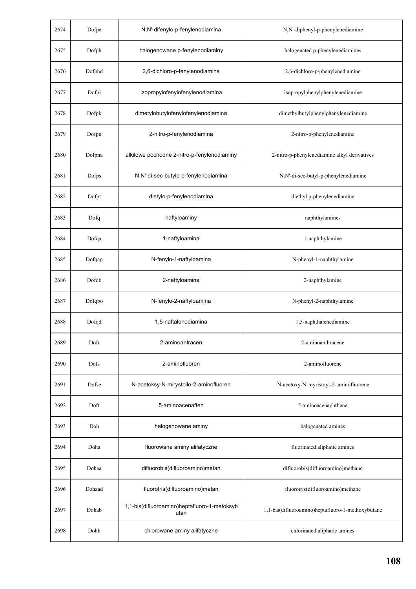| 2674 | Dofpe  | N,N'-difenylo-p-fenylenodiamina                      | N,N'-diphenyl-p-phenylenediamine                  |
|------|--------|------------------------------------------------------|---------------------------------------------------|
| 2675 | Dofph  | halogenowane p-fenylenodiaminy                       | halogenated p-phenylenediamines                   |
| 2676 | Dofphd | 2,6-dichloro-p-fenylenodiamina                       | 2,6-dichloro-p-phenylenediamine                   |
| 2677 | Dofpi  | izopropylofenylofenylenodiamina                      | isopropylphenylphenylenediamine                   |
| 2678 | Dofpk  | dimetylobutylofenylofenylenodiamina                  | dimethylbutylphenylphenylenediamine               |
| 2679 | Dofpn  | 2-nitro-p-fenylenodiamina                            | 2-nitro-p-phenylenediamine                        |
| 2680 | Dofpna | alkilowe pochodne 2-nitro-p-fenylenodiaminy          | 2-nitro-p-phenylenediamine alkyl derivatives      |
| 2681 | Dofps  | N,N'-di-sec-butylo-p-fenylenodiamina                 | N,N'-di-sec-butyl-p-phenylenediamine              |
| 2682 | Dofpt  | dietylo-p-fenylenodiamina                            | diethyl p-phenylenediamine                        |
| 2683 | Dofq   | naftyloaminy                                         | naphthylamines                                    |
| 2684 | Dofqa  | 1-naftyloamina                                       | 1-naphthylamine                                   |
| 2685 | Dofqap | N-fenylo-1-naftyloamina                              | N-phenyl-1-naphthylamine                          |
| 2686 | Dofqb  | 2-naftyloamina                                       | 2-naphthylamine                                   |
| 2687 | Dofqbo | N-fenylo-2-naftyloamina                              | N-phenyl-2-naphthylamine                          |
| 2688 | Dofqd  | 1,5-naftalenodiamina                                 | 1,5-naphthalenediamine                            |
| 2689 | Dofr   | 2-aminoantracen                                      | 2-aminoanthracene                                 |
| 2690 | Dofs   | 2-aminofluoren                                       | 2-aminofluorene                                   |
| 2691 | Dofse  | N-acetoksy-N-mirystoilo-2-aminofluoren               | N-acetoxy-N-myristoyl-2-aminofluorene             |
| 2692 | Doft   | 5-aminoacenaften                                     | 5-aminoacenaphthene                               |
| 2693 | Doh    | halogenowane aminy                                   | halogenated amines                                |
| 2694 | Doha   | fluorowane aminy alifatyczne                         | fluorinated aliphatic amines                      |
| 2695 | Dohaa  | difluorobis(difluoroamino)metan                      | difluorobis(difluoroamino)methane                 |
| 2696 | Dohaad | fluorotris(difluoroamino)metan                       | fluorotris(difluoroamino)methane                  |
| 2697 | Dohab  | 1,1-bis(difluoroamino)heptafluoro-1-metoksyb<br>utan | 1,1-bis(difluoroamino)heptafluoro-1-methoxybutane |
| 2698 | Dohb   | chlorowane aminy alifatyczne                         | chlorinated aliphatic amines                      |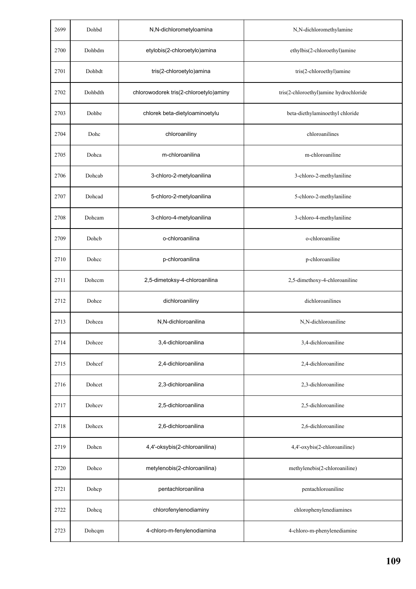| 2699 | Dohbd   | N,N-dichlorometyloamina                | N,N-dichloromethylamine                |
|------|---------|----------------------------------------|----------------------------------------|
| 2700 | Dohbdm  | etylobis(2-chloroetylo)amina           | ethylbis(2-chloroethyl)amine           |
| 2701 | Dohbdt  | tris(2-chloroetylo)amina               | tris(2-chloroethyl)amine               |
| 2702 | Dohbdth | chlorowodorek tris(2-chloroetylo)aminy | tris(2-chloroethyl)amine hydrochloride |
| 2703 | Dohbe   | chlorek beta-dietyloaminoetylu         | beta-diethylaminoethyl chloride        |
| 2704 | Dohc    | chloroaniliny                          | chloroanilines                         |
| 2705 | Dohca   | m-chloroanilina                        | m-chloroaniline                        |
| 2706 | Dohcab  | 3-chloro-2-metyloanilina               | 3-chloro-2-methylaniline               |
| 2707 | Dohcad  | 5-chloro-2-metyloanilina               | 5-chloro-2-methylaniline               |
| 2708 | Dohcam  | 3-chloro-4-metyloanilina               | 3-chloro-4-methylaniline               |
| 2709 | Dohcb   | o-chloroanilina                        | o-chloroaniline                        |
| 2710 | Dohcc   | p-chloroanilina                        | p-chloroaniline                        |
| 2711 | Dohccm  | 2,5-dimetoksy-4-chloroanilina          | 2,5-dimethoxy-4-chloroaniline          |
| 2712 | Dohce   | dichloroaniliny                        | dichloroanilines                       |
| 2713 | Dohcea  | N,N-dichloroanilina                    | N,N-dichloroaniline                    |
| 2714 | Dohcee  | 3,4-dichloroanilina                    | 3,4-dichloroaniline                    |
| 2715 | Dohcef  | 2,4-dichloroanilina                    | 2,4-dichloroaniline                    |
| 2716 | Dohcet  | 2,3-dichloroanilina                    | 2,3-dichloroaniline                    |
| 2717 | Dohcev  | 2,5-dichloroanilina                    | 2,5-dichloroaniline                    |
| 2718 | Dohcex  | 2,6-dichloroanilina                    | 2,6-dichloroaniline                    |
| 2719 | Dohcn   | 4,4'-oksybis(2-chloroanilina)          | 4,4'-oxybis(2-chloroaniline)           |
| 2720 | Dohco   | metylenobis(2-chloroanilina)           | methylenebis(2-chloroaniline)          |
| 2721 | Dohcp   | pentachloroanilina                     | pentachloroaniline                     |
| 2722 | Dohcq   | chlorofenylenodiaminy                  | chlorophenylenediamines                |
| 2723 | Dohcqm  | 4-chloro-m-fenylenodiamina             | 4-chloro-m-phenylenediamine            |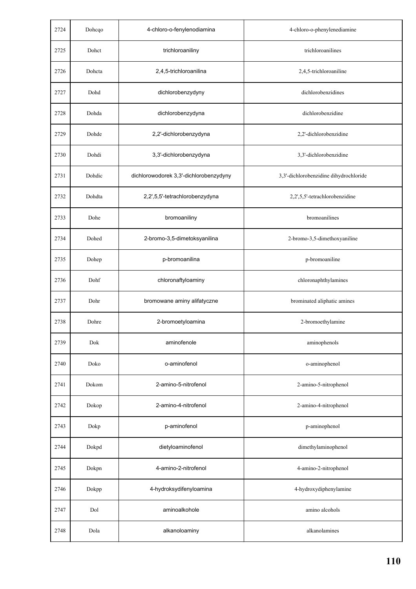| 2724 | Dohcqo | 4-chloro-o-fenylenodiamina             | 4-chloro-o-phenylenediamine            |
|------|--------|----------------------------------------|----------------------------------------|
| 2725 | Dohct  | trichloroaniliny                       | trichloroanilines                      |
| 2726 | Dohcta | 2,4,5-trichloroanilina                 | 2,4,5-trichloroaniline                 |
| 2727 | Dohd   | dichlorobenzydyny                      | dichlorobenzidines                     |
| 2728 | Dohda  | dichlorobenzydyna                      | dichlorobenzidine                      |
| 2729 | Dohde  | 2,2'-dichlorobenzydyna                 | 2,2'-dichlorobenzidine                 |
| 2730 | Dohdi  | 3,3'-dichlorobenzydyna                 | 3,3'-dichlorobenzidine                 |
| 2731 | Dohdic | dichlorowodorek 3,3'-dichlorobenzydyny | 3,3'-dichlorobenzidine dihydrochloride |
| 2732 | Dohdta | 2,2',5,5'-tetrachlorobenzydyna         | 2,2',5,5'-tetrachlorobenzidine         |
| 2733 | Dohe   | bromoaniliny                           | bromoanilines                          |
| 2734 | Dohed  | 2-bromo-3,5-dimetoksyanilina           | 2-bromo-3,5-dimethoxyaniline           |
| 2735 | Dohep  | p-bromoanilina                         | p-bromoaniline                         |
| 2736 | Dohf   | chloronaftyloaminy                     | chloronaphthylamines                   |
| 2737 | Dohr   | bromowane aminy alifatyczne            | brominated aliphatic amines            |
| 2738 | Dohre  | 2-bromoetyloamina                      | 2-bromoethylamine                      |
| 2739 | Dok    | aminofenole                            | aminophenols                           |
| 2740 | Doko   | o-aminofenol                           | o-aminophenol                          |
| 2741 | Dokom  | 2-amino-5-nitrofenol                   | 2-amino-5-nitrophenol                  |
| 2742 | Dokop  | 2-amino-4-nitrofenol                   | 2-amino-4-nitrophenol                  |
| 2743 | Dokp   | p-aminofenol                           | p-aminophenol                          |
| 2744 | Dokpd  | dietyloaminofenol                      | dimethylaminophenol                    |
| 2745 | Dokpn  | 4-amino-2-nitrofenol                   | 4-amino-2-nitrophenol                  |
| 2746 | Dokpp  | 4-hydroksydifenyloamina                | 4-hydroxydiphenylamine                 |
| 2747 | Dol    | aminoalkohole                          | amino alcohols                         |
| 2748 | Dola   | alkanoloaminy                          | alkanolamines                          |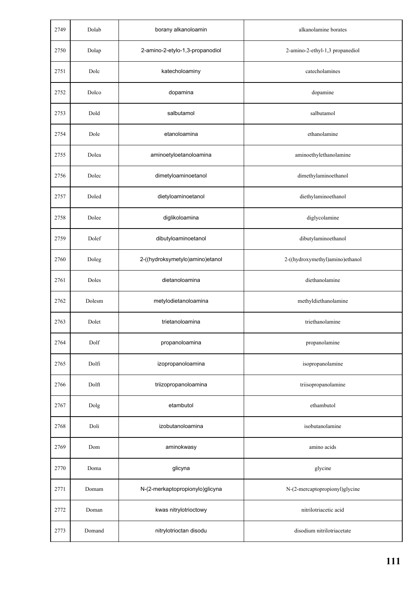| 2749 | Dolab  | borany alkanoloamin             | alkanolamine borates            |
|------|--------|---------------------------------|---------------------------------|
| 2750 | Dolap  | 2-amino-2-etylo-1,3-propanodiol | 2-amino-2-ethyl-1,3 propanediol |
| 2751 | Dolc   | katecholoaminy                  | catecholamines                  |
| 2752 | Dolco  | dopamina                        | dopamine                        |
| 2753 | Dold   | salbutamol                      | salbutamol                      |
| 2754 | Dole   | etanoloamina                    | ethanolamine                    |
| 2755 | Dolea  | aminoetyloetanoloamina          | aminoethylethanolamine          |
| 2756 | Dolec  | dimetyloaminoetanol             | dimethylaminoethanol            |
| 2757 | Doled  | dietyloaminoetanol              | diethylaminoethanol             |
| 2758 | Dolee  | diglikoloamina                  | diglycolamine                   |
| 2759 | Dolef  | dibutyloaminoetanol             | dibutylaminoethanol             |
| 2760 | Doleg  | 2-((hydroksymetylo)amino)etanol | 2-((hydroxymethyl)amino)ethanol |
| 2761 | Doles  | dietanoloamina                  | diethanolamine                  |
| 2762 | Dolesm | metylodietanoloamina            | methyldiethanolamine            |
| 2763 | Dolet  | trietanoloamina                 | triethanolamine                 |
| 2764 | Dolf   | propanoloamina                  | propanolamine                   |
| 2765 | Dolfi  | izopropanoloamina               | isopropanolamine                |
| 2766 | Dolft  | triizopropanoloamina            | triisopropanolamine             |
| 2767 | Dolg   | etambutol                       | ethambutol                      |
| 2768 | Doli   | izobutanoloamina                | isobutanolamine                 |
| 2769 | Dom    | aminokwasy                      | amino acids                     |
| 2770 | Doma   | glicyna                         | glycine                         |
| 2771 | Domam  | N-(2-merkaptopropionylo)glicyna | N-(2-mercaptopropionyl)glycine  |
| 2772 | Doman  | kwas nitrylotrioctowy           | nitrilotriacetic acid           |
| 2773 | Domand | nitrylotrioctan disodu          | disodium nitrilotriacetate      |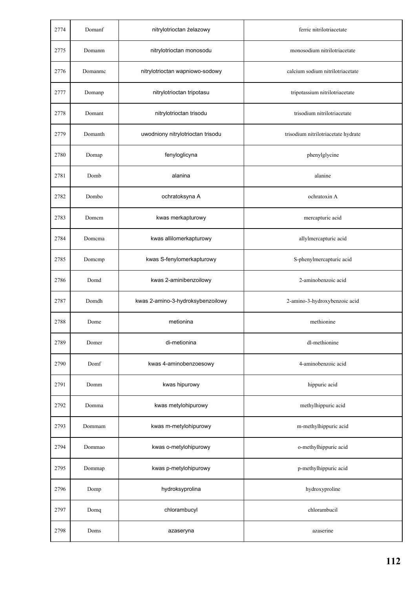| 2774 | Domanf  | nitrylotrioctan żelazowy          | ferric nitrilotriacetate            |
|------|---------|-----------------------------------|-------------------------------------|
| 2775 | Domanm  | nitrylotrioctan monosodu          | monosodium nitrilotriacetate        |
| 2776 | Domanmc | nitrylotrioctan wapniowo-sodowy   | calcium sodium nitrilotriacetate    |
| 2777 | Domanp  | nitrylotrioctan tripotasu         | tripotassium nitrilotriacetate      |
| 2778 | Domant  | nitrylotrioctan trisodu           | trisodium nitrilotriacetate         |
| 2779 | Domanth | uwodniony nitrylotrioctan trisodu | trisodium nitrilotriacetate hydrate |
| 2780 | Domap   | fenyloglicyna                     | phenylglycine                       |
| 2781 | Domb    | alanina                           | alanine                             |
| 2782 | Dombo   | ochratoksyna A                    | ochratoxin A                        |
| 2783 | Domem   | kwas merkapturowy                 | mercapturic acid                    |
| 2784 | Domema  | kwas allilomerkapturowy           | allylmercapturic acid               |
| 2785 | Domcmp  | kwas S-fenylomerkapturowy         | S-phenylmercapturic acid            |
| 2786 | Domd    | kwas 2-aminibenzoilowy            | 2-aminobenzoic acid                 |
| 2787 | Domdh   | kwas 2-amino-3-hydroksybenzoilowy | 2-amino-3-hydroxybenzoic acid       |
| 2788 | Dome    | metionina                         | methionine                          |
| 2789 | Domer   | di-metionina                      | dl-methionine                       |
| 2790 | Domf    | kwas 4-aminobenzoesowy            | 4-aminobenzoic acid                 |
| 2791 | Domm    | kwas hipurowy                     | hippuric acid                       |
| 2792 | Domma   | kwas metylohipurowy               | methylhippuric acid                 |
| 2793 | Dommam  | kwas m-metylohipurowy             | m-methylhippuric acid               |
| 2794 | Dommao  | kwas o-metylohipurowy             | o-methylhippuric acid               |
| 2795 | Dommap  | kwas p-metylohipurowy             | p-methylhippuric acid               |
| 2796 | Domp    | hydroksyprolina                   | hydroxyproline                      |
| 2797 | Domq    | chlorambucyl                      | chlorambucil                        |
| 2798 | Doms    | azaseryna                         | azaserine                           |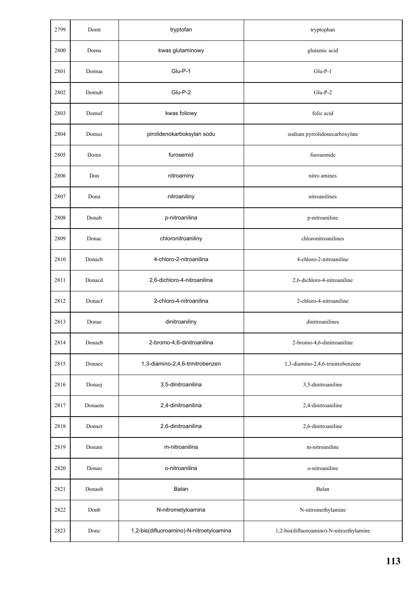| 2799 | Domt   | tryptofan                                | tryptophan                               |
|------|--------|------------------------------------------|------------------------------------------|
| 2800 | Domu   | kwas glutaminowy                         | glutamic acid                            |
| 2801 | Domua  | Glu-P-1                                  | $Glu-P-1$                                |
| 2802 | Domub  | Glu-P-2                                  | $Glu-P-2$                                |
| 2803 | Domuf  | kwas foliowy                             | folic acid                               |
| 2804 | Domus  | pirolidenokarboksylan sodu               | sodium pyrrolidonecarboxylate            |
| 2805 | Domx   | furosemid                                | furosemide                               |
| 2806 | Don    | nitroaminy                               | nitro amines                             |
| 2807 | Dona   | nitroaniliny                             | nitroanilines                            |
| 2808 | Donab  | p-nitroanilina                           | p-nitroaniline                           |
| 2809 | Donac  | chloronitroaniliny                       | chloronitroanilines                      |
| 2810 | Donacb | 4-chloro-2-nitroanilina                  | 4-chloro-2-nitroaniline                  |
| 2811 | Donacd | 2,6-dichloro-4-nitroanilina              | 2,6-dichloro-4-nitroaniline              |
| 2812 | Donacf | 2-chloro-4-nitroanilina                  | 2-chloro-4-nitroaniline                  |
| 2813 | Donae  | dinitroaniliny                           | dinitroanilines                          |
| 2814 | Donaeb | 2-bromo-4,6-dinitroanilina               | 2-bromo-4,6-dinitroaniline               |
| 2815 | Donaee | 1,3-diamino-2,4,6-trinitrobenzen         | 1,3-diamino-2,4,6-trinitrobenzene        |
| 2816 | Donaej | 3,5-dinitroanilina                       | 3,5-dinitroaniline                       |
| 2817 | Donaem | 2,4-dinitroanilina                       | 2,4-dinitroaniline                       |
| 2818 | Donaet | 2,6-dinitroanilina                       | 2,6-dinitroaniline                       |
| 2819 | Donam  | m-nitroanilina                           | m-nitroaniline                           |
| 2820 | Donao  | o-nitroanilina                           | o-nitroaniline                           |
| 2821 | Donaob | Balan                                    | Balan                                    |
| 2822 | Donb   | N-nitrometyloamina                       | N-nitromethylamine                       |
| 2823 | Donc   | 1,2-bis(difluoroamino)-N-nitroetyloamina | 1,2-bis(difluoroamino)-N-nitroethylamine |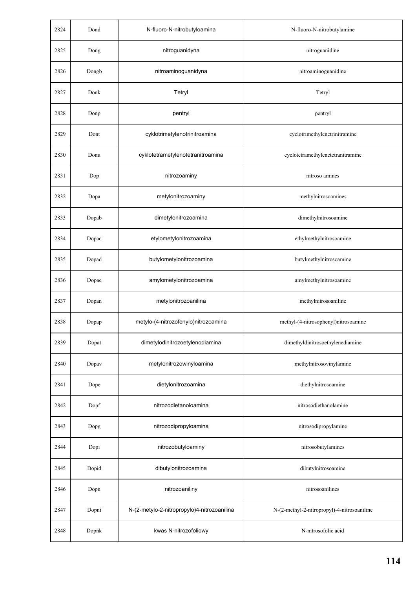| 2824 | Dond  | N-fluoro-N-nitrobutyloamina                 | N-fluoro-N-nitrobutylamine                  |
|------|-------|---------------------------------------------|---------------------------------------------|
| 2825 | Dong  | nitroguanidyna                              | nitroguanidine                              |
| 2826 | Dongb | nitroaminoguanidyna                         | nitroaminoguanidine                         |
| 2827 | Donk  | Tetryl                                      | Tetryl                                      |
| 2828 | Donp  | pentryl                                     | pentryl                                     |
| 2829 | Dont  | cyklotrimetylenotrinitroamina               | cyclotrimethylenetrinitramine               |
| 2830 | Donu  | cyklotetrametylenotetranitroamina           | cyclotetramethylenetetranitramine           |
| 2831 | Dop   | nitrozoaminy                                | nitroso amines                              |
| 2832 | Dopa  | metylonitrozoaminy                          | methylnitrosoamines                         |
| 2833 | Dopab | dimetylonitrozoamina                        | dimethylnitrosoamine                        |
| 2834 | Dopac | etylometylonitrozoamina                     | ethylmethylnitrosoamine                     |
| 2835 | Dopad | butylometylonitrozoamina                    | butylmethylnitrosoamine                     |
| 2836 | Dopae | amylometylonitrozoamina                     | amylmethylnitrosoamine                      |
| 2837 | Dopan | metylonitrozoanilina                        | methylnitrosoaniline                        |
| 2838 | Dopap | metylo-(4-nitrozofenylo)nitrozoamina        | methyl-(4-nitrosophenyl)nitrosoamine        |
| 2839 | Dopat | dimetylodinitrozoetylenodiamina             | dimethyldinitrosoethylenediamine            |
| 2840 | Dopav | metylonitrozowinyloamina                    | methylnitrosovinylamine                     |
| 2841 | Dope  | dietylonitrozoamina                         | diethylnitrosoamine                         |
| 2842 | Dopf  | nitrozodietanoloamina                       | nitrosodiethanolamine                       |
| 2843 | Dopg  | nitrozodipropyloamina                       | nitrosodipropylamine                        |
| 2844 | Dopi  | nitrozobutyloaminy                          | nitrosobutylamines                          |
| 2845 | Dopid | dibutylonitrozoamina                        | dibutylnitrosoamine                         |
| 2846 | Dopn  | nitrozoaniliny                              | nitrosoanilines                             |
| 2847 | Dopni | N-(2-metylo-2-nitropropylo)4-nitrozoanilina | N-(2-methyl-2-nitropropyl)-4-nitrosoaniline |
| 2848 | Dopnk | kwas N-nitrozofoliowy                       | N-nitrosofolic acid                         |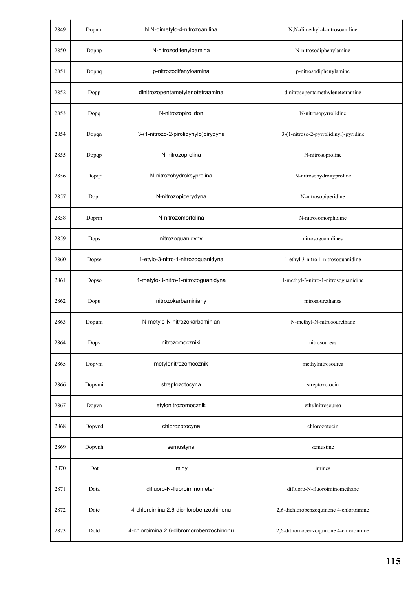| 2849 | Dopnm  | N,N-dimetylo-4-nitrozoanilina           | N,N-dimethyl-4-nitrosoaniline          |
|------|--------|-----------------------------------------|----------------------------------------|
| 2850 | Dopnp  | N-nitrozodifenyloamina                  | N-nitrosodiphenylamine                 |
| 2851 | Dopnq  | p-nitrozodifenyloamina                  | p-nitrosodiphenylamine                 |
| 2852 | Dopp   | dinitrozopentametylenotetraamina        | dinitrosopentamethylenetetramine       |
| 2853 | Dopq   | N-nitrozopirolidon                      | N-nitrosopyrrolidine                   |
| 2854 | Dopqn  | 3-(1-nitrozo-2-pirolidynylo)pirydyna    | 3-(1-nitroso-2-pyrrolidinyl)-pyridine  |
| 2855 | Dopqp  | N-nitrozoprolina                        | N-nitrosoproline                       |
| 2856 | Dopqr  | N-nitrozohydroksyprolina                | N-nitrosohydroxyproline                |
| 2857 | Dopr   | N-nitrozopiperydyna                     | N-nitrosopiperidine                    |
| 2858 | Doprm  | N-nitrozomorfolina                      | N-nitrosomorpholine                    |
| 2859 | Dops   | nitrozoguanidyny                        | nitrosoguanidines                      |
| 2860 | Dopse  | 1-etylo-3-nitro-1-nitrozoguanidyna      | 1-ethyl 3-nitro 1-nitrosoguanidine     |
| 2861 | Dopso  | 1-metylo-3-nitro-1-nitrozoguanidyna     | 1-methyl-3-nitro-1-nitrosoguanidine    |
| 2862 | Dopu   | nitrozokarbaminiany                     | nitrosourethanes                       |
| 2863 | Dopum  | N-metylo-N-nitrozokarbaminian           | N-methyl-N-nitrosourethane             |
| 2864 | Dopv   | nitrozomoczniki                         | nitrosoureas                           |
| 2865 | Dopvm  | metylonitrozomocznik                    | methylnitrosourea                      |
| 2866 | Dopvmi | streptozotocyna                         | streptozotocin                         |
| 2867 | Dopvn  | etylonitrozomocznik                     | ethylnitrosourea                       |
| 2868 | Dopvnd | chlorozotocyna                          | chlorozotocin                          |
| 2869 | Dopvnh | semustyna                               | semustine                              |
| 2870 | Dot    | iminy                                   | imines                                 |
| 2871 | Dota   | difluoro-N-fluoroiminometan             | difluoro-N-fluoroiminomethane          |
| 2872 | Dote   | 4-chloroimina 2,6-dichlorobenzochinonu  | 2,6-dichlorobenzoquinone 4-chloroimine |
| 2873 | Dotd   | 4-chloroimina 2,6-dibromorobenzochinonu | 2,6-dibromobenzoquinone 4-chloroimine  |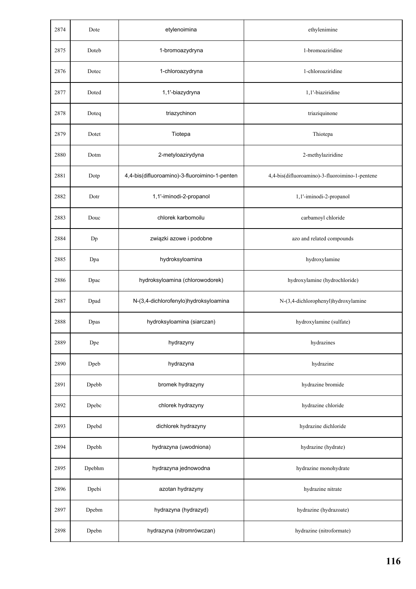| 2874 | Dote   | etylenoimina                                  | ethylenimine                                   |
|------|--------|-----------------------------------------------|------------------------------------------------|
| 2875 | Doteb  | 1-bromoazydryna                               | 1-bromoaziridine                               |
| 2876 | Dotec  | 1-chloroazydryna                              | 1-chloroaziridine                              |
| 2877 | Doted  | 1,1'-biazydryna                               | 1,1'-biaziridine                               |
| 2878 | Doteq  | triazychinon                                  | triaziquinone                                  |
| 2879 | Dotet  | Tiotepa                                       | Thiotepa                                       |
| 2880 | Dotm   | 2-metyloazirydyna                             | 2-methylaziridine                              |
| 2881 | Dotp   | 4,4-bis(difluoroamino)-3-fluoroimino-1-penten | 4,4-bis(difluoroamino)-3-fluoroimino-1-pentene |
| 2882 | Dotr   | 1,1'-iminodi-2-propanol                       | 1,1'-iminodi-2-propanol                        |
| 2883 | Douc   | chlorek karbomoilu                            | carbamoyl chloride                             |
| 2884 | Dp     | związki azowe i podobne                       | azo and related compounds                      |
| 2885 | Dpa    | hydroksyloamina                               | hydroxylamine                                  |
| 2886 | Dpac   | hydroksyloamina (chlorowodorek)               | hydroxylamine (hydrochloride)                  |
| 2887 | Dpad   | N-(3,4-dichlorofenylo)hydroksyloamina         | N-(3,4-dichlorophenyl)hydroxylamine            |
| 2888 | Dpas   | hydroksyloamina (siarczan)                    | hydroxylamine (sulfate)                        |
| 2889 | Dpe    | hydrazyny                                     | hydrazines                                     |
| 2890 | Dpeb   | hydrazyna                                     | hydrazine                                      |
| 2891 | Dpebb  | bromek hydrazyny                              | hydrazine bromide                              |
| 2892 | Dpebc  | chlorek hydrazyny                             | hydrazine chloride                             |
| 2893 | Dpebd  | dichlorek hydrazyny                           | hydrazine dichloride                           |
| 2894 | Dpebh  | hydrazyna (uwodniona)                         | hydrazine (hydrate)                            |
| 2895 | Dpebhm | hydrazyna jednowodna                          | hydrazine monohydrate                          |
| 2896 | Dpebi  | azotan hydrazyny                              | hydrazine nitrate                              |
| 2897 | Dpebm  | hydrazyna (hydrazyd)                          | hydrazine (hydrazoate)                         |
| 2898 | Dpebn  | hydrazyna (nitromrówczan)                     | hydrazine (nitroformate)                       |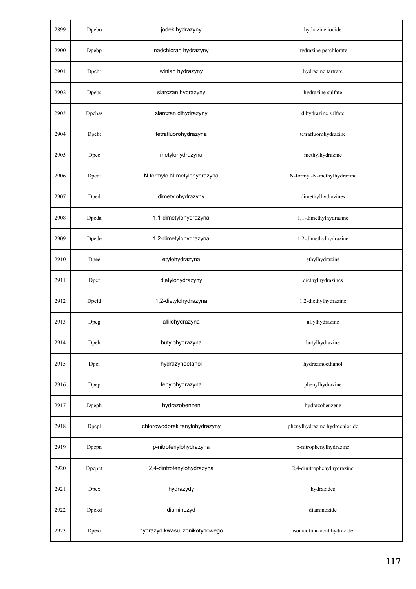| 2899 | Dpebo         | jodek hydrazyny                | hydrazine iodide              |
|------|---------------|--------------------------------|-------------------------------|
| 2900 | Dpebp         | nadchloran hydrazyny           | hydrazine perchlorate         |
| 2901 | Dpebr         | winian hydrazyny               | hydrazine tartrate            |
| 2902 | Dpebs         | siarczan hydrazyny             | hydrazine sulfate             |
| 2903 | <b>Dpebss</b> | siarczan dihydrazyny           | dihydrazine sulfate           |
| 2904 | Dpebt         | tetrafluorohydrazyna           | tetrafluorohydrazine          |
| 2905 | Dpec          | metylohydrazyna                | methylhydrazine               |
| 2906 | Dpecf         | N-formylo-N-metylohydrazyna    | N-formyl-N-methylhydrazine    |
| 2907 | Dped          | dimetylohydrazyny              | dimethylhydrazines            |
| 2908 | Dpeda         | 1,1-dimetylohydrazyna          | 1,1-dimethylhydrazine         |
| 2909 | Dpede         | 1,2-dimetylohydrazyna          | 1,2-dimethylhydrazine         |
| 2910 | Dpee          | etylohydrazyna                 | ethylhydrazine                |
| 2911 | Dpef          | dietylohydrazyny               | diethylhydrazines             |
| 2912 | Dpefd         | 1,2-dietylohydrazyna           | 1,2-diethylhydrazine          |
| 2913 | Dpeg          | allilohydrazyna                | allylhydrazine                |
| 2914 | Dpeh          | butylohydrazyna                | butylhydrazine                |
| 2915 | Dpei          | hydrazynoetanol                | hydrazinoethanol              |
| 2916 | Dpep          | fenylohydrazyna                | phenylhydrazine               |
| 2917 | Dpeph         | hydrazobenzen                  | hydrazobenzene                |
| 2918 | Dpepl         | chlorowodorek fenylohydrazyny  | phenylhydrazine hydrochloride |
| 2919 | Dpepn         | p-nitrofenylohydrazyna         | p-nitrophenylhydrazine        |
| 2920 | Dpepnt        | 2,4-dintrofenylohydrazyna      | 2,4-dinitrophenylhydrazine    |
| 2921 | Dpex          | hydrazydy                      | hydrazides                    |
| 2922 | Dpexd         | diaminozyd                     | diaminozide                   |
| 2923 | Dpexi         | hydrazyd kwasu izonikotynowego | isonicotinic acid hydrazide   |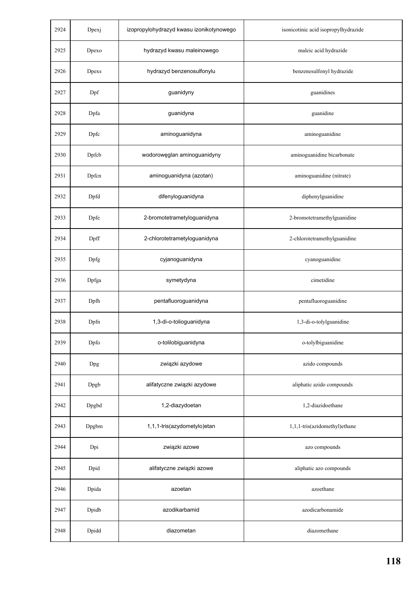| 2924 | Dpexj | izopropylohydrazyd kwasu izonikotynowego | isonicotinic acid isopropylhydrazide |
|------|-------|------------------------------------------|--------------------------------------|
| 2925 | Dpexo | hydrazyd kwasu maleinowego               | maleic acid hydrazide                |
| 2926 | Dpexs | hydrazyd benzenosulfonylu                | benzenesulfonyl hydrazide            |
| 2927 | Dpf   | guanidyny                                | guanidines                           |
| 2928 | Dpfa  | guanidyna                                | guanidine                            |
| 2929 | Dpfc  | aminoguanidyna                           | aminoguanidine                       |
| 2930 | Dpfcb | wodorowęglan aminoguanidyny              | aminoguanidine bicarbonate           |
| 2931 | Dpfcn | aminoguanidyna (azotan)                  | aminoguanidine (nitrate)             |
| 2932 | Dpfd  | difenyloguanidyna                        | diphenylguanidine                    |
| 2933 | Dpfe  | 2-bromotetrametyloguanidyna              | 2-bromotetramethylguanidine          |
| 2934 | Dpff  | 2-chlorotetrametyloguanidyna             | 2-chlorotetramethylguanidine         |
| 2935 | Dpfg  | cyjanoguanidyna                          | cyanoguanidine                       |
| 2936 | Dpfga | symetydyna                               | cimetidine                           |
| 2937 | Dpfh  | pentafluoroguanidyna                     | pentafluoroguanidine                 |
| 2938 | Dpfn  | 1,3-di-o-tolioguanidyna                  | 1,3-di-o-tolylguanidine              |
| 2939 | Dpfo  | o-tolilobiguanidyna                      | o-tolylbiguanidine                   |
| 2940 | Dpg   | związki azydowe                          | azido compounds                      |
| 2941 | Dpgb  | alifatyczne związki azydowe              | aliphatic azido compounds            |
| 2942 | Dpgbd | 1,2-diazydoetan                          | 1,2-diazidoethane                    |
| 2943 | Dpgbm | 1,1,1-tris(azydometylo)etan              | 1,1,1-tris(azidomethyl)ethane        |
| 2944 | Dpi   | związki azowe                            | azo compounds                        |
| 2945 | Dpid  | alifatyczne związki azowe                | aliphatic azo compounds              |
| 2946 | Dpida | azoetan                                  | azoethane                            |
| 2947 | Dpidb | azodikarbamid                            | azodicarbonamide                     |
| 2948 | Dpidd | diazometan                               | diazomethane                         |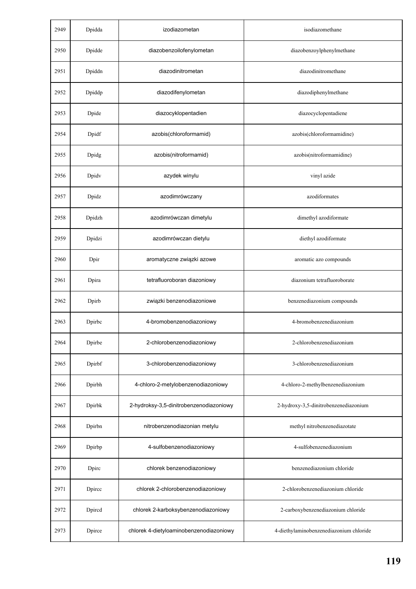| 2949 | Dpidda | izodiazometan                           | isodiazomethane                         |
|------|--------|-----------------------------------------|-----------------------------------------|
| 2950 | Dpidde | diazobenzoilofenylometan                | diazobenzoylphenylmethane               |
| 2951 | Dpiddn | diazodinitrometan                       | diazodinitromethane                     |
| 2952 | Dpiddp | diazodifenylometan                      | diazodiphenylmethane                    |
| 2953 | Dpide  | diazocyklopentadien                     | diazocyclopentadiene                    |
| 2954 | Dpidf  | azobis(chloroformamid)                  | azobis(chloroformamidine)               |
| 2955 | Dpidg  | azobis(nitroformamid)                   | azobis(nitroformamidine)                |
| 2956 | Dpidv  | azydek winylu                           | vinyl azide                             |
| 2957 | Dpidz  | azodimrówczany                          | azodiformates                           |
| 2958 | Dpidzh | azodimrówczan dimetylu                  | dimethyl azodiformate                   |
| 2959 | Dpidzi | azodimrówczan dietylu                   | diethyl azodiformate                    |
| 2960 | Dpir   | aromatyczne związki azowe               | aromatic azo compounds                  |
| 2961 | Dpira  | tetrafluoroboran diazoniowy             | diazonium tetrafluoroborate             |
| 2962 | Dpirb  | związki benzenodiazoniowe               | benzenediazonium compounds              |
| 2963 | Dpirbc | 4-bromobenzenodiazoniowy                | 4-bromobenzenediazonium                 |
| 2964 | Dpirbe | 2-chlorobenzenodiazoniowy               | 2-chlorobenzenediazonium                |
| 2965 | Dpirbf | 3-chlorobenzenodiazoniowy               | 3-chlorobenzenediazonium                |
| 2966 | Dpirbh | 4-chloro-2-metylobenzenodiazoniowy      | 4-chloro-2-methylbenzenediazonium       |
| 2967 | Dpirbk | 2-hydroksy-3,5-dinitrobenzenodiazoniowy | 2-hydroxy-3,5-dinitrobenzenediazonium   |
| 2968 | Dpirbn | nitrobenzenodiazonian metylu            | methyl nitrobenzenediazotate            |
| 2969 | Dpirbp | 4-sulfobenzenodiazoniowy                | 4-sulfobenzenediazonium                 |
| 2970 | Dpirc  | chlorek benzenodiazoniowy               | benzenediazonium chloride               |
| 2971 | Dpircc | chlorek 2-chlorobenzenodiazoniowy       | 2-chlorobenzenediazonium chloride       |
| 2972 | Dpired | chlorek 2-karboksybenzenodiazoniowy     | 2-carboxybenzenediazonium chloride      |
| 2973 | Dpirce | chlorek 4-dietyloaminobenzenodiazoniowy | 4-diethylaminobenzenediazonium chloride |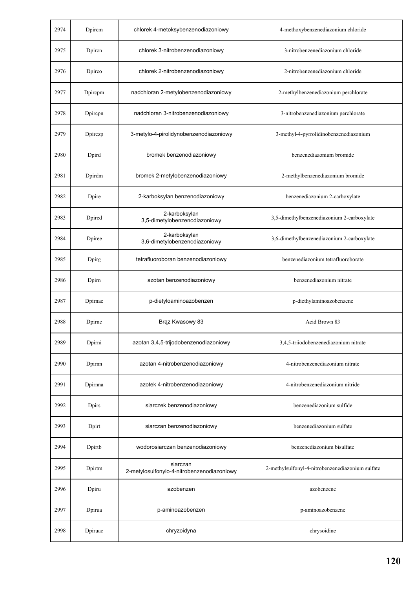| 2974 | Dpircm       | chlorek 4-metoksybenzenodiazoniowy                     | 4-methoxybenzenediazonium chloride               |
|------|--------------|--------------------------------------------------------|--------------------------------------------------|
| 2975 | Dpiren       | chlorek 3-nitrobenzenodiazoniowy                       | 3-nitrobenzenediazonium chloride                 |
| 2976 | Dpirco       | chlorek 2-nitrobenzenodiazoniowy                       | 2-nitrobenzenediazonium chloride                 |
| 2977 | Dpircpm      | nadchloran 2-metylobenzenodiazoniowy                   | 2-methylbenzenediazonium perchlorate             |
| 2978 | Dpircpn      | nadchloran 3-nitrobenzenodiazoniowy                    | 3-nitrobenzenediazonium perchlorate              |
| 2979 | Dpirczp      | 3-metylo-4-pirolidynobenzenodiazoniowy                 | 3-methyl-4-pyrrolidinobenzenediazonium           |
| 2980 | Dpird        | bromek benzenodiazoniowy                               | benzenediazonium bromide                         |
| 2981 | Dpirdm       | bromek 2-metylobenzenodiazoniowy                       | 2-methylbenzenediazonium bromide                 |
| 2982 | Dpire        | 2-karboksylan benzenodiazoniowy                        | benzenediazonium 2-carboxylate                   |
| 2983 | Dpired       | 2-karboksylan<br>3,5-dimetylobenzenodiazoniowy         | 3,5-dimethylbenzenediazonium 2-carboxylate       |
| 2984 | Dpiree       | 2-karboksylan<br>3,6-dimetylobenzenodiazoniowy         | 3,6-dimethylbenzenediazonium 2-carboxylate       |
| 2985 | Dpirg        | tetrafluoroboran benzenodiazoniowy                     | benzenediazonium tetrafluoroborate               |
| 2986 | Dpirn        | azotan benzenodiazoniowy                               | benzenediazonium nitrate                         |
| 2987 | Dpirnae      | p-dietyloaminoazobenzen                                | p-diethylaminoazobenzene                         |
| 2988 | Dpirnc       | Brąz Kwasowy 83                                        | Acid Brown 83                                    |
| 2989 | Dpirni       | azotan 3,4,5-trijodobenzenodiazoniowy                  | 3,4,5-triiodobenzenediazonium nitrate            |
| 2990 | Dpirnn       | azotan 4-nitrobenzenodiazoniowy                        | 4-nitrobenzenediazonium nitrate                  |
| 2991 | Dpirnna      | azotek 4-nitrobenzenodiazoniowy                        | 4-nitrobenzenediazonium nitride                  |
| 2992 | <b>Dpirs</b> | siarczek benzenodiazoniowy                             | benzenediazonium sulfide                         |
| 2993 | Dpirt        | siarczan benzenodiazoniowy                             | benzenediazonium sulfate                         |
| 2994 | Dpirtb       | wodorosiarczan benzenodiazoniowy                       | benzenediazonium bisulfate                       |
| 2995 | Dpirtm       | siarczan<br>2-metylosulfonylo-4-nitrobenzenodiazoniowy | 2-methylsulfonyl-4-nitrobenzenediazonium sulfate |
| 2996 | Dpiru        | azobenzen                                              | azobenzene                                       |
| 2997 | Dpirua       | p-aminoazobenzen                                       | p-aminoazobenzene                                |
| 2998 | Dpiruac      | chryzoidyna                                            | chrysoidine                                      |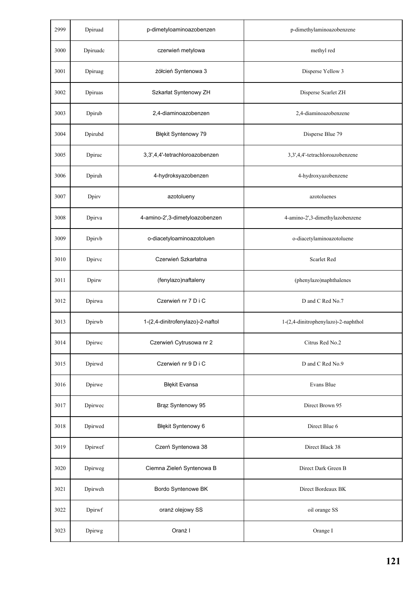| 2999 | Dpiruad  | p-dimetyloaminoazobenzen         | p-dimethylaminoazobenzene           |
|------|----------|----------------------------------|-------------------------------------|
| 3000 | Dpiruadc | czerwień metylowa                | methyl red                          |
| 3001 | Dpiruag  | żółcień Syntenowa 3              | Disperse Yellow 3                   |
| 3002 | Dpiruas  | Szkarłat Syntenowy ZH            | Disperse Scarlet ZH                 |
| 3003 | Dpirub   | 2,4-diaminoazobenzen             | 2,4-diaminoazobenzene               |
| 3004 | Dpirubd  | Błękit Syntenowy 79              | Disperse Blue 79                    |
| 3005 | Dpiruc   | 3,3',4,4'-tetrachloroazobenzen   | 3,3',4,4'-tetrachloroazobenzene     |
| 3006 | Dpiruh   | 4-hydroksyazobenzen              | 4-hydroxyazobenzene                 |
| 3007 | Dpirv    | azotolueny                       | azotoluenes                         |
| 3008 | Dpirva   | 4-amino-2',3-dimetyloazobenzen   | 4-amino-2',3-dimethylazobenzene     |
| 3009 | Dpirvb   | o-diacetyloaminoazotoluen        | o-diacetylaminoazotoluene           |
| 3010 | Dpirvc   | Czerwień Szkarłatna              | Scarlet Red                         |
| 3011 | Dpirw    | (fenylazo)naftaleny              | (phenylazo)naphthalenes             |
| 3012 | Dpirwa   | Czerwień nr 7 D i C              | D and C Red No.7                    |
| 3013 | Dpirwb   | 1-(2,4-dinitrofenylazo)-2-naftol | 1-(2,4-dinitrophenylazo)-2-naphthol |
| 3014 | Dpirwc   | Czerwień Cytrusowa nr 2          | Citrus Red No.2                     |
| 3015 | Dpirwd   | Czerwień nr 9 D i C              | D and C Red No.9                    |
| 3016 | Dpirwe   | <b>Błękit Evansa</b>             | Evans Blue                          |
| 3017 | Dpirwec  | Brąz Syntenowy 95                | Direct Brown 95                     |
| 3018 | Dpirwed  | Błękit Syntenowy 6               | Direct Blue 6                       |
| 3019 | Dpirwef  | Czerń Syntenowa 38               | Direct Black 38                     |
| 3020 | Dpirweg  | Ciemna Zieleń Syntenowa B        | Direct Dark Green B                 |
| 3021 | Dpirweh  | Bordo Syntenowe BK               | Direct Bordeaux BK                  |
| 3022 | Dpirwf   | oranż olejowy SS                 | oil orange SS                       |
| 3023 | Dpirwg   | Oranż I                          | Orange I                            |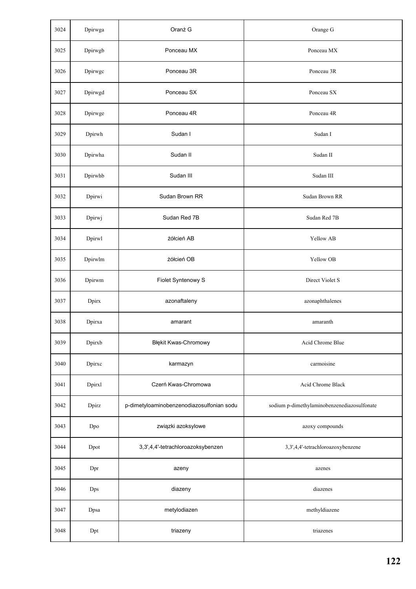| 3024 | Dpirwga | Oranż G                                   | Orange G                                    |
|------|---------|-------------------------------------------|---------------------------------------------|
| 3025 | Dpirwgb | Ponceau MX                                | Ponceau MX                                  |
| 3026 | Dpirwgc | Ponceau 3R                                | Ponceau 3R                                  |
| 3027 | Dpirwgd | Ponceau SX                                | Ponceau SX                                  |
| 3028 | Dpirwge | Ponceau 4R                                | Ponceau 4R                                  |
| 3029 | Dpirwh  | Sudan I                                   | Sudan I                                     |
| 3030 | Dpirwha | Sudan II                                  | Sudan II                                    |
| 3031 | Dpirwhb | Sudan III                                 | Sudan III                                   |
| 3032 | Dpirwi  | Sudan Brown RR                            | Sudan Brown RR                              |
| 3033 | Dpirwj  | Sudan Red 7B                              | Sudan Red 7B                                |
| 3034 | Dpirwl  | żółcień AB                                | Yellow AB                                   |
| 3035 | Dpirwlm | żółcień OB                                | Yellow OB                                   |
| 3036 | Dpirwm  | Fiolet Syntenowy S                        | Direct Violet S                             |
| 3037 | Dpirx   | azonaftaleny                              | azonaphthalenes                             |
| 3038 | Dpirxa  | amarant                                   | amaranth                                    |
| 3039 | Dpirxb  | Błękit Kwas-Chromowy                      | Acid Chrome Blue                            |
| 3040 | Dpirxc  | karmazyn                                  | carmoisine                                  |
| 3041 | Dpirxl  | Czerń Kwas-Chromowa                       | Acid Chrome Black                           |
| 3042 | Dpirz   | p-dimetyloaminobenzenodiazosulfonian sodu | sodium p-dimethylaminobenzenediazosulfonate |
| 3043 | Dpo     | związki azoksylowe                        | azoxy compounds                             |
| 3044 | Dpot    | 3,3',4,4'-tetrachloroazoksybenzen         | 3,3',4,4'-tetrachloroazoxybenzene           |
| 3045 | Dpr     | azeny                                     | azenes                                      |
| 3046 | Dps     | diazeny                                   | diazenes                                    |
| 3047 | Dpsa    | metylodiazen                              | methyldiazene                               |
| 3048 | Dpt     | triazeny                                  | triazenes                                   |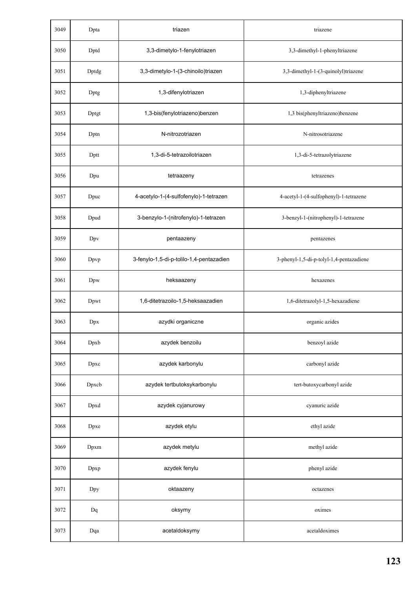| 3049 | Dpta  | triazen                                  | triazene                                 |
|------|-------|------------------------------------------|------------------------------------------|
| 3050 | Dptd  | 3,3-dimetylo-1-fenylotriazen             | 3,3-dimethyl-1-phenyltriazene            |
| 3051 | Dptdg | 3,3-dimetylo-1-(3-chinoilo)triazen       | 3,3-dimethyl-1-(3-quinolyl)triazene      |
| 3052 | Dptg  | 1,3-difenylotriazen                      | 1,3-diphenyltriazene                     |
| 3053 | Dptgt | 1,3-bis(fenylotriazeno)benzen            | 1,3 bis(phenyltriazeno)benzene           |
| 3054 | Dptn  | N-nitrozotriazen                         | N-nitrosotriazene                        |
| 3055 | Dptt  | 1,3-di-5-tetrazoilotriazen               | 1,3-di-5-tetrazolytriazene               |
| 3056 | Dpu   | tetraazeny                               | tetrazenes                               |
| 3057 | Dpuc  | 4-acetylo-1-(4-sulfofenylo)-1-tetrazen   | 4-acetyl-1-(4-sulfophenyl)-1-tetrazene   |
| 3058 | Dpud  | 3-benzylo-1-(nitrofenylo)-1-tetrazen     | 3-benzyl-1-(nitrophenyl)-1-tetrazene     |
| 3059 | Dpv   | pentaazeny                               | pentazenes                               |
| 3060 | Dpvp  | 3-fenylo-1,5-di-p-tolilo-1,4-pentazadien | 3-phenyl-1,5-di-p-tolyl-1,4-pentazadiene |
| 3061 | Dpw   | heksaazeny                               | hexazenes                                |
| 3062 | Dpwt  | 1,6-ditetrazoilo-1,5-heksaazadien        | 1,6-ditetrazolyl-1,5-hexazadiene         |
| 3063 | Dpx   | azydki organiczne                        | organic azides                           |
| 3064 | Dpxb  | azydek benzoilu                          | benzoyl azide                            |
| 3065 | Dpxc  | azydek karbonylu                         | carbonyl azide                           |
| 3066 | Dpxcb | azydek tertbutoksykarbonylu              | tert-butoxycarbonyl azide                |
| 3067 | Dpxd  | azydek cyjanurowy                        | cyanuric azide                           |
| 3068 | Dpxe  | azydek etylu                             | ethyl azide                              |
| 3069 | Dpxm  | azydek metylu                            | methyl azide                             |
| 3070 | Dpxp  | azydek fenylu                            | phenyl azide                             |
| 3071 | Dpy   | oktaazeny                                | octazenes                                |
| 3072 | Dq    | oksymy                                   | oximes                                   |
| 3073 | Dqa   | acetaldoksymy                            | acetaldoximes                            |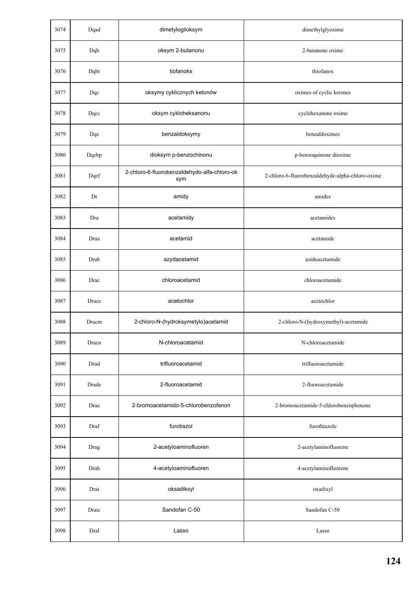| 3074 | Dqad  | dimetyloglioksym                                    | dimethylglyoxime                                 |
|------|-------|-----------------------------------------------------|--------------------------------------------------|
| 3075 | Dqb   | oksym 2-butanonu                                    | 2-butanone oxime                                 |
| 3076 | Dqbt  | tiofanoks                                           | thiofanox                                        |
| 3077 | Dqc   | oksymy cyklicznych ketonów                          | oximes of cyclic ketones                         |
| 3078 | Dqcc  | oksym cykloheksanonu                                | cyclohexanone oxime                              |
| 3079 | Dqe   | benzaldoksymy                                       | benzaldoximes                                    |
| 3080 | Dqebp | dioksym p-benzochinonu                              | p-benzoquinone dioxime                           |
| 3081 | Dqef  | 2-chloro-6-fluorobenzaldehydo-alfa-chloro-ok<br>sym | 2-chloro-6-fluorobenzaldehyde-alpha-chloro-oxime |
| 3082 | Dr    | amidy                                               | amides                                           |
| 3083 | Dra   | acetamidy                                           | acetamides                                       |
| 3084 | Draa  | acetamid                                            | acetamide                                        |
| 3085 | Drab  | azydacetamid                                        | azidoacetamide                                   |
| 3086 | Drac  | chloroacetamid                                      | chloroacetamide                                  |
| 3087 | Drace | acetochlor                                          | acetochlor                                       |
| 3088 | Dracm | 2-chloro-N-(hydroksymetylo)acetamid                 | 2-chloro-N-(hydroxymethyl)-acetamide             |
| 3089 | Dracn | N-chloroacetamid                                    | N-chloroacetamide                                |
| 3090 | Drad  | trifluoroacetamid                                   | trifluoroacetamide                               |
| 3091 | Drade | 2-fluoroacetamid                                    | 2-fluoroacetamide                                |
| 3092 | Drae  | 2-bromoacetamido-5-chlorobenzofenon                 | 2-bromoacetamide-5-chlorobenzophenone            |
| 3093 | Draf  | furotiazol                                          | furothiazole                                     |
| 3094 | Drag  | 2-acetyloaminofluoren                               | 2-acetylaminofluorene                            |
| 3095 | Drah  | 4-acetyloaminofluoren                               | 4-acetylaminofluorene                            |
| 3096 | Drai  | oksadiksyl                                          | oxadixyl                                         |
| 3097 | Draic | Sandofan C-50                                       | Sandofan C-50                                    |
| 3098 | Dral  | Lasso                                               | Lasso                                            |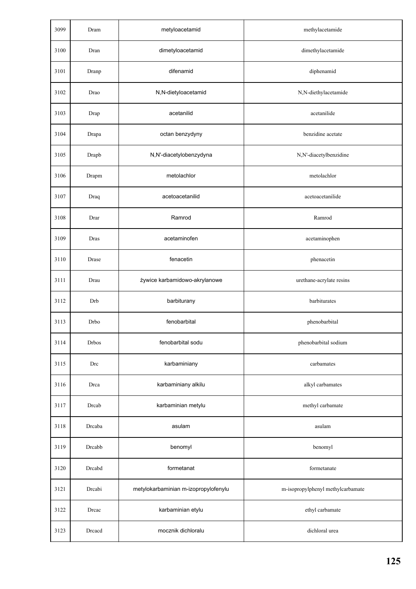| 3099 | Dram         | metyloacetamid                       | methylacetamide                   |
|------|--------------|--------------------------------------|-----------------------------------|
| 3100 | Dran         | dimetyloacetamid                     | dimethylacetamide                 |
| 3101 | Dranp        | difenamid                            | diphenamid                        |
| 3102 | Drao         | N,N-dietyloacetamid                  | N,N-diethylacetamide              |
| 3103 | Drap         | acetanilid                           | acetanilide                       |
| 3104 | Drapa        | octan benzydyny                      | benzidine acetate                 |
| 3105 | Drapb        | N,N'-diacetylobenzydyna              | N,N'-diacetylbenzidine            |
| 3106 | Drapm        | metolachlor                          | metolachlor                       |
| 3107 | Draq         | acetoacetanilid                      | acetoacetanilide                  |
| 3108 | Drar         | Ramrod                               | Ramrod                            |
| 3109 | Dras         | acetaminofen                         | acetaminophen                     |
| 3110 | Drase        | fenacetin                            | phenacetin                        |
| 3111 | Drau         | żywice karbamidowo-akrylanowe        | urethane-acrylate resins          |
| 3112 | Drb          | barbiturany                          | barbiturates                      |
| 3113 | Drbo         | fenobarbital                         | phenobarbital                     |
| 3114 | <b>Drbos</b> | fenobarbital sodu                    | phenobarbital sodium              |
| 3115 | Drc          | karbaminiany                         | carbamates                        |
| 3116 | Drca         | karbaminiany alkilu                  | alkyl carbamates                  |
| 3117 | Drcab        | karbaminian metylu                   | methyl carbamate                  |
| 3118 | Drcaba       | asulam                               | asulam                            |
| 3119 | Drcabb       | benomyl                              | benomyl                           |
| 3120 | Drcabd       | formetanat                           | formetanate                       |
| 3121 | Drcabi       | metylokarbaminian m-izopropylofenylu | m-isopropylphenyl methylcarbamate |
| 3122 | Drcac        | karbaminian etylu                    | ethyl carbamate                   |
| 3123 | Drcacd       | mocznik dichloralu                   | dichloral urea                    |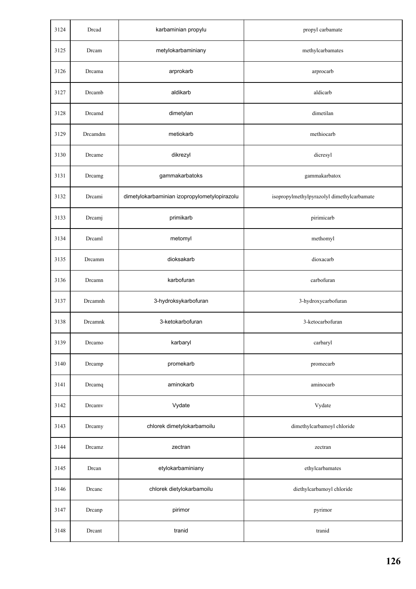| 3124 | Drcad   | karbaminian propylu                          | propyl carbamate                           |
|------|---------|----------------------------------------------|--------------------------------------------|
| 3125 | Drcam   | metylokarbaminiany                           | methylcarbamates                           |
| 3126 | Drcama  | arprokarb                                    | arprocarb                                  |
| 3127 | Drcamb  | aldikarb                                     | aldicarb                                   |
| 3128 | Drcamd  | dimetylan                                    | dimetilan                                  |
| 3129 | Drcamdm | metiokarb                                    | methiocarb                                 |
| 3130 | Drcame  | dikrezyl                                     | dicresyl                                   |
| 3131 | Drcamg  | gammakarbatoks                               | gammakarbatox                              |
| 3132 | Drcami  | dimetylokarbaminian izopropylometylopirazolu | isopropylmethylpyrazolyl dimethylcarbamate |
| 3133 | Drcamj  | primikarb                                    | pirimicarb                                 |
| 3134 | Drcaml  | metomyl                                      | methomyl                                   |
| 3135 | Drcamm  | dioksakarb                                   | dioxacarb                                  |
| 3136 | Drcamn  | karbofuran                                   | carbofuran                                 |
| 3137 | Drcamnh | 3-hydroksykarbofuran                         | 3-hydroxycarbofuran                        |
| 3138 | Drcamnk | 3-ketokarbofuran                             | 3-ketocarbofuran                           |
| 3139 | Drcamo  | karbaryl                                     | carbaryl                                   |
| 3140 | Drcamp  | promekarb                                    | promecarb                                  |
| 3141 | Drcamq  | aminokarb                                    | aminocarb                                  |
| 3142 | Drcamv  | Vydate                                       | Vydate                                     |
| 3143 | Drcamy  | chlorek dimetylokarbamoilu                   | dimethylcarbamoyl chloride                 |
| 3144 | Drcamz  | zectran                                      | zectran                                    |
| 3145 | Drcan   | etylokarbaminiany                            | ethylcarbamates                            |
| 3146 | Drcanc  | chlorek dietylokarbamoilu                    | diethylcarbamoyl chloride                  |
| 3147 | Drcanp  | pirimor                                      | pyrimor                                    |
| 3148 | Drcant  | tranid                                       | tranid                                     |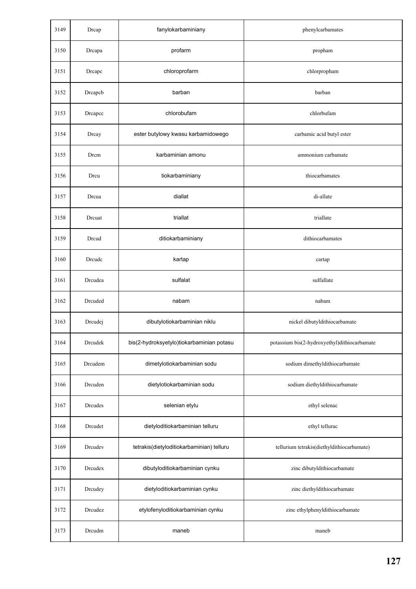| 3149 | Drcap   | fanylokarbaminiany                        | phenylcarbamates                             |
|------|---------|-------------------------------------------|----------------------------------------------|
| 3150 | Drcapa  | profarm                                   | propham                                      |
| 3151 | Drcapc  | chloroprofarm                             | chlorpropham                                 |
| 3152 | Drcapcb | barban                                    | barban                                       |
| 3153 | Drcapcc | chlorobufam                               | chlorbufam                                   |
| 3154 | Drcay   | ester butylowy kwasu karbamidowego        | carbamic acid butyl ester                    |
| 3155 | Drcm    | karbaminian amonu                         | ammonium carbamate                           |
| 3156 | Drcu    | tiokarbaminiany                           | thiocarbamates                               |
| 3157 | Drcua   | diallat                                   | di-allate                                    |
| 3158 | Drcuat  | triallat                                  | triallate                                    |
| 3159 | Drcud   | ditiokarbaminiany                         | dithiocarbamates                             |
| 3160 | Drcudc  | kartap                                    | cartap                                       |
| 3161 | Drcudea | sulfalat                                  | sulfallate                                   |
| 3162 | Drcuded | nabam                                     | nabam                                        |
| 3163 | Drcudej | dibutylotiokarbaminian niklu              | nickel dibutyldithiocarbamate                |
| 3164 | Drcudek | bis(2-hydroksyetylo)tiokarbaminian potasu | potassium bis(2-hydroxyethyl)dithiocarbamate |
| 3165 | Drcudem | dimetylotiokarbaminian sodu               | sodium dimethyldithiocarbamate               |
| 3166 | Drcuden | dietylotiokarbaminian sodu                | sodium diethyldithiocarbamate                |
| 3167 | Drcudes | selenian etylu                            | ethyl selenac                                |
| 3168 | Drcudet | dietyloditiokarbaminian telluru           | ethyl tellurac                               |
| 3169 | Drcudev | tetrakis(dietyloditiokarbaminian) telluru | tellurium tetrakis(diethyldithiocarbamate)   |
| 3170 | Drcudex | dibutyloditiokarbaminian cynku            | zinc dibutyldithiocarbamate                  |
| 3171 | Drcudey | dietyloditiokarbaminian cynku             | zinc diethyldithiocarbamate                  |
| 3172 | Drcudez | etylofenyloditiokarbaminian cynku         | zinc ethylphenyldithiocarbamate              |
| 3173 | Drcudm  | maneb                                     | maneb                                        |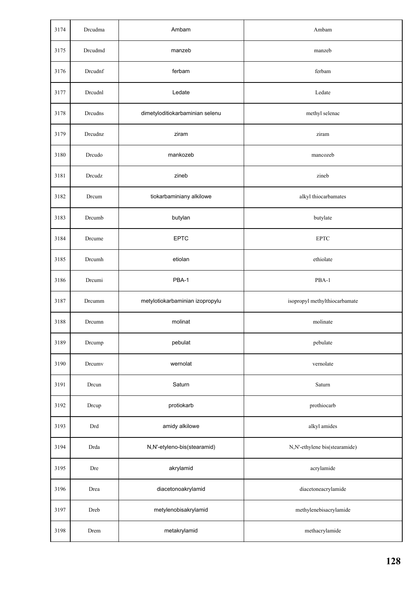| 3174 | Drcudma | Ambam                           | Ambam                         |
|------|---------|---------------------------------|-------------------------------|
| 3175 | Drcudmd | manzeb                          | manzeb                        |
| 3176 | Drcudnf | ferbam                          | ferbam                        |
| 3177 | Drcudnl | Ledate                          | Ledate                        |
| 3178 | Drcudns | dimetyloditiokarbaminian selenu | methyl selenac                |
| 3179 | Drcudnz | ziram                           | ziram                         |
| 3180 | Drcudo  | mankozeb                        | mancozeb                      |
| 3181 | Drcudz  | zineb                           | zineb                         |
| 3182 | Drcum   | tiokarbaminiany alkilowe        | alkyl thiocarbamates          |
| 3183 | Drcumb  | butylan                         | butylate                      |
| 3184 | Drcume  | <b>EPTC</b>                     | $\ensuremath{\mathrm{EPTC}}$  |
| 3185 | Drcumh  | etiolan                         | ethiolate                     |
| 3186 | Drcumi  | PBA-1                           | PBA-1                         |
| 3187 | Drcumm  | metylotiokarbaminian izopropylu | isopropyl methylthiocarbamate |
| 3188 | Drcumn  | molinat                         | molinate                      |
| 3189 | Drcump  | pebulat                         | pebulate                      |
| 3190 | Drcumv  | wernolat                        | vernolate                     |
| 3191 | Drcun   | Saturn                          | Saturn                        |
| 3192 | Drcup   | protiokarb                      | prothiocarb                   |
| 3193 | Drd     | amidy alkilowe                  | alkyl amides                  |
| 3194 | Drda    | N,N'-etyleno-bis(stearamid)     | N,N'-ethylene bis(stearamide) |
| 3195 | Dre     | akrylamid                       | acrylamide                    |
| 3196 | Drea    | diacetonoakrylamid              | diacetoneacrylamide           |
| 3197 | Dreb    | metylenobisakrylamid            | methylenebisacrylamide        |
| 3198 | Drem    | metakrylamid                    | methacrylamide                |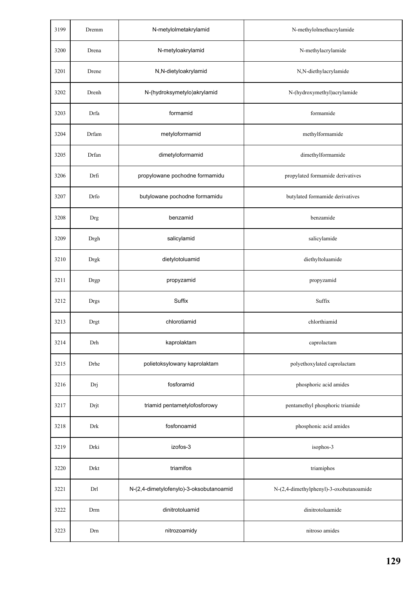| 3199 | Dremm       | N-metylolmetakrylamid                   | N-methylolmethacrylamide                |
|------|-------------|-----------------------------------------|-----------------------------------------|
| 3200 | Drena       | N-metyloakrylamid                       | N-methylacrylamide                      |
| 3201 | Drene       | N,N-dietyloakrylamid                    | N,N-diethylacrylamide                   |
| 3202 | Drenh       | N-(hydroksymetylo)akrylamid             | N-(hydroxymethyl)acrylamide             |
| 3203 | Drfa        | formamid                                | formamide                               |
| 3204 | Drfam       | metyloformamid                          | methylformamide                         |
| 3205 | Drfan       | dimetyloformamid                        | dimethylformamide                       |
| 3206 | Drfi        | propylowane pochodne formamidu          | propylated formamide derivatives        |
| 3207 | Drfo        | butylowane pochodne formamidu           | butylated formamide derivatives         |
| 3208 | Drg         | benzamid                                | benzamide                               |
| 3209 | Drgh        | salicylamid                             | salicylamide                            |
| 3210 | <b>Drgk</b> | dietylotoluamid                         | diethyltoluamide                        |
| 3211 | Drgp        | propyzamid                              | propyzamid                              |
| 3212 | <b>Drgs</b> | Suffix                                  | Suffix                                  |
| 3213 | Drgt        | chlorotiamid                            | chlorthiamid                            |
| 3214 | Drh         | kaprolaktam                             | caprolactam                             |
| 3215 | Drhe        | polietoksylowany kaprolaktam            | polyethoxylated caprolactam             |
| 3216 | Drj         | fosforamid                              | phosphoric acid amides                  |
| 3217 | Drjt        | triamid pentametylofosforowy            | pentamethyl phosphoric triamide         |
| 3218 | Drk         | fosfonoamid                             | phosphonic acid amides                  |
| 3219 | Drki        | izofos-3                                | isophos-3                               |
| 3220 | Drkt        | triamifos                               | triamiphos                              |
| 3221 | Drl         | N-(2,4-dimetylofenylo)-3-oksobutanoamid | N-(2,4-dimethylphenyl)-3-oxobutanoamide |
| 3222 | Drm         | dinitrotoluamid                         | dinitrotoluamide                        |
| 3223 | Drn         | nitrozoamidy                            | nitroso amides                          |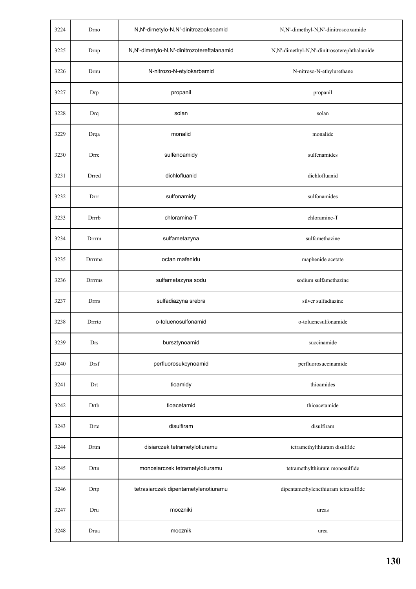| 3224 | Drno         | N,N'-dimetylo-N,N'-dinitrozooksoamid       | N,N'-dimethyl-N,N'-dinitrosooxamide         |
|------|--------------|--------------------------------------------|---------------------------------------------|
| 3225 | Drnp         | N,N'-dimetylo-N,N'-dinitrozotereftalanamid | N,N'-dimethyl-N,N'-dinitrosoterephthalamide |
| 3226 | Drnu         | N-nitrozo-N-etylokarbamid                  | N-nitroso-N-ethylurethane                   |
| 3227 | Drp          | propanil                                   | propanil                                    |
| 3228 | Drq          | solan                                      | solan                                       |
| 3229 | Drqa         | monalid                                    | monalide                                    |
| 3230 | Drre         | sulfenoamidy                               | sulfenamides                                |
| 3231 | Drred        | dichlofluanid                              | dichlofluanid                               |
| 3232 | Drrr         | sulfonamidy                                | sulfonamides                                |
| 3233 | Drrrb        | chloramina-T                               | chloramine-T                                |
| 3234 | Drrrm        | sulfametazyna                              | sulfamethazine                              |
| 3235 | Drrrma       | octan mafenidu                             | maphenide acetate                           |
| 3236 | <b>Drrms</b> | sulfametazyna sodu                         | sodium sulfamethazine                       |
| 3237 | Drrrs        | sulfadiazyna srebra                        | silver sulfadiazine                         |
| 3238 | Drrrto       | o-toluenosulfonamid                        | o-toluenesulfonamide                        |
| 3239 | Drs          | bursztynoamid                              | succinamide                                 |
| 3240 | Drsf         | perfluorosukcynoamid                       | perfluorosuccinamide                        |
| 3241 | Drt          | tioamidy                                   | thioamides                                  |
| 3242 | Drtb         | tioacetamid                                | thioacetamide                               |
| 3243 | Drte         | disulfiram                                 | disulfiram                                  |
| 3244 | Drtm         | disiarczek tetrametylotiuramu              | tetramethylthiuram disulfide                |
| 3245 | Drtn         | monosiarczek tetrametylotiuramu            | tetramethylthiuram monosulfide              |
| 3246 | Drtp         | tetrasiarczek dipentametylenotiuramu       | dipentamethylenethiuram tetrasulfide        |
| 3247 | Dru          | moczniki                                   | ureas                                       |
| 3248 | Drua         | mocznik                                    | urea                                        |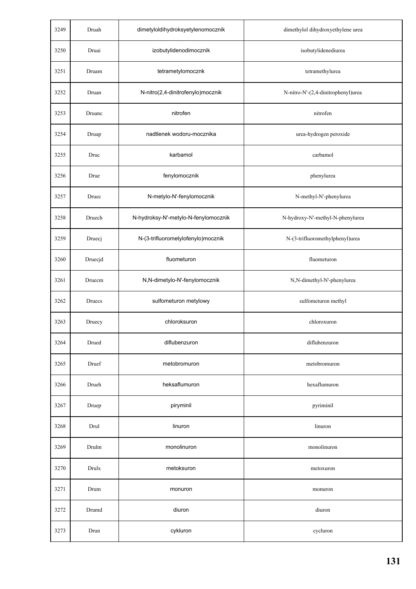| 3249 | Druah   | dimetyloldihydroksyetylenomocznik    | dimethylol dihydroxyethylene urea  |
|------|---------|--------------------------------------|------------------------------------|
| 3250 | Druai   | izobutylidenodimocznik               | isobutylidenediurea                |
| 3251 | Druam   | tetrametylomocznk                    | tetramethylurea                    |
| 3252 | Druan   | N-nitro(2,4-dinitrofenylo)mocznik    | N-nitro-N'-(2,4-dinitrophenyl)urea |
| 3253 | Druanc  | nitrofen                             | nitrofen                           |
| 3254 | Druap   | nadtlenek wodoru-mocznika            | urea-hydrogen peroxide             |
| 3255 | Druc    | karbamol                             | carbamol                           |
| 3256 | Drue    | fenylomocznik                        | phenylurea                         |
| 3257 | Druec   | N-metylo-N'-fenylomocznik            | N-methyl-N'-phenylurea             |
| 3258 | Druech  | N-hydroksy-N'-metylo-N-fenylomocznik | N-hydroxy-N'-methyl-N-phenylurea   |
| 3259 | Druecj  | N-(3-trifluorometylofenylo)mocznik   | N-(3-trifluoromethylphenyl)urea    |
| 3260 | Druecjd | fluometuron                          | fluometuron                        |
| 3261 | Druecm  | N,N-dimetylo-N'-fenylomocznik        | N,N-dimethyl-N'-phenylurea         |
| 3262 | Druecs  | sulfometuron metylowy                | sulfometuron methyl                |
| 3263 | Druecy  | chloroksuron                         | chloroxuron                        |
| 3264 | Drued   | diflubenzuron                        | diflubenzuron                      |
| 3265 | Druef   | metobromuron                         | metobromuron                       |
| 3266 | Drueh   | heksaflumuron                        | hexaflumuron                       |
| 3267 | Druep   | piryminil                            | pyriminil                          |
| 3268 | Drul    | linuron                              | linuron                            |
| 3269 | Drulm   | monolinuron                          | monolinuron                        |
| 3270 | Drulx   | metoksuron                           | metoxuron                          |
| 3271 | Drum    | monuron                              | monuron                            |
| 3272 | Drumd   | diuron                               | diuron                             |
| 3273 | Drun    | cykluron                             | cycluron                           |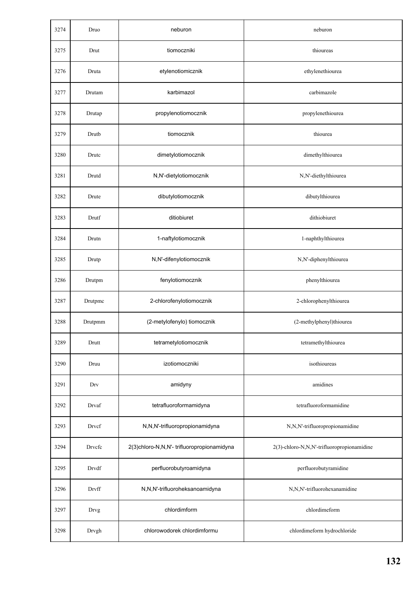| 3274 | Druo    | neburon                                    | neburon                                    |
|------|---------|--------------------------------------------|--------------------------------------------|
| 3275 | Drut    | tiomoczniki                                | thioureas                                  |
| 3276 | Druta   | etylenotiomicznik                          | ethylenethiourea                           |
| 3277 | Drutam  | karbimazol                                 | carbimazole                                |
| 3278 | Drutap  | propylenotiomocznik                        | propylenethiourea                          |
| 3279 | Drutb   | tiomocznik                                 | thiourea                                   |
| 3280 | Drutc   | dimetylotiomocznik                         | dimethylthiourea                           |
| 3281 | Drutd   | N,N'-dietylotiomocznik                     | N,N'-diethylthiourea                       |
| 3282 | Drute   | dibutylotiomocznik                         | dibutylthiourea                            |
| 3283 | Drutf   | ditiobiuret                                | dithiobiuret                               |
| 3284 | Drutn   | 1-naftylotiomocznik                        | 1-naphthylthiourea                         |
| 3285 | Drutp   | N,N'-difenylotiomocznik                    | N,N'-diphenylthiourea                      |
| 3286 | Drutpm  | fenylotiomocznik                           | phenylthiourea                             |
| 3287 | Drutpmc | 2-chlorofenylotiomocznik                   | 2-chlorophenylthiourea                     |
| 3288 | Drutpmm | (2-metylofenylo) tiomocznik                | (2-methylphenyl)thiourea                   |
| 3289 | Drutt   | tetrametylotiomocznik                      | tetramethylthiourea                        |
| 3290 | Druu    | izotiomoczniki                             | isothioureas                               |
| 3291 | Drv     | amidyny                                    | amidines                                   |
| 3292 | Drvaf   | tetrafluoroformamidyna                     | tetrafluoroformamidine                     |
| 3293 | Drvcf   | N,N,N'-trifluoropropionamidyna             | N,N,N'-trifluoropropionamidine             |
| 3294 | Drvcfc  | 2(3)chloro-N,N,N'- trifluoropropionamidyna | 2(3)-chloro-N,N,N'-trifluoropropionamidine |
| 3295 | Drvdf   | perfluorobutyroamidyna                     | perfluorobutyramidine                      |
| 3296 | Drvff   | N,N,N'-trifluoroheksanoamidyna             | N,N,N'-trifluorohexanamidine               |
| 3297 | Drvg    | chlordimform                               | chlordimeform                              |
| 3298 | Drvgh   | chlorowodorek chlordimformu                | chlordimeform hydrochloride                |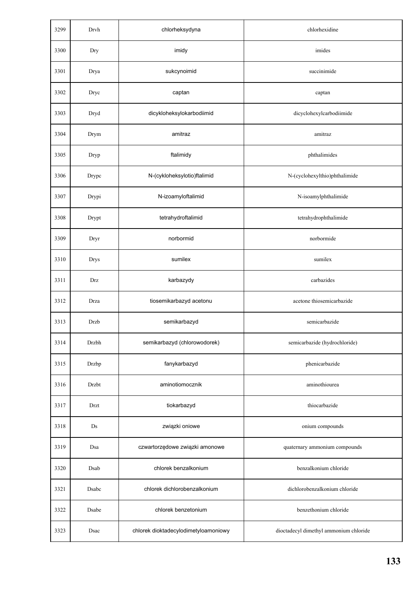| 3299 | Drvh  | chlorheksydyna                       | chlorhexidine                          |
|------|-------|--------------------------------------|----------------------------------------|
| 3300 | Dry   | imidy                                | imides                                 |
| 3301 | Drya  | sukcynoimid                          | succinimide                            |
| 3302 | Dryc  | captan                               | captan                                 |
| 3303 | Dryd  | dicykloheksylokarbodiimid            | dicyclohexylcarbodiimide               |
| 3304 | Drym  | amitraz                              | amitraz                                |
| 3305 | Dryp  | ftalimidy                            | phthalimides                           |
| 3306 | Drypc | N-(cykloheksylotio)ftalimid          | N-(cyclohexylthio)phthalimide          |
| 3307 | Drypi | N-izoamyloftalimid                   | N-isoamylphthalimide                   |
| 3308 | Drypt | tetrahydroftalimid                   | tetrahydrophthalimide                  |
| 3309 | Dryr  | norbormid                            | norbormide                             |
| 3310 | Drys  | sumilex                              | sumilex                                |
| 3311 | Drz   | karbazydy                            | carbazides                             |
| 3312 | Drza  | tiosemikarbazyd acetonu              | acetone thiosemicarbazide              |
| 3313 | Drzb  | semikarbazyd                         | semicarbazide                          |
| 3314 | Drzbh | semikarbazyd (chlorowodorek)         | semicarbazide (hydrochloride)          |
| 3315 | Drzbp | fanykarbazyd                         | phenicarbazide                         |
| 3316 | Drzbt | aminotiomocznik                      | aminothiourea                          |
| 3317 | Drzt  | tiokarbazyd                          | thiocarbazide                          |
| 3318 | Ds    | związki oniowe                       | onium compounds                        |
| 3319 | Dsa   | czwartorzędowe związki amonowe       | quaternary ammonium compounds          |
| 3320 | Dsab  | chlorek benzalkonium                 | benzalkonium chloride                  |
| 3321 | Dsabc | chlorek dichlorobenzalkonium         | dichlorobenzalkonium chloride          |
| 3322 | Dsabe | chlorek benzetonium                  | benzethonium chloride                  |
| 3323 | Dsac  | chlorek dioktadecylodimetyloamoniowy | dioctadecyl dimethyl ammonium chloride |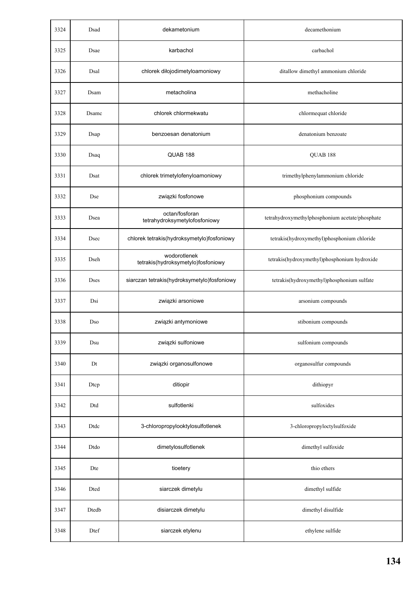| 3324 | Dsad         | dekametonium                                       | decamethonium                                   |
|------|--------------|----------------------------------------------------|-------------------------------------------------|
| 3325 | Dsae         | karbachol                                          | carbachol                                       |
| 3326 | Dsal         | chlorek diłojodimetyloamoniowy                     | ditallow dimethyl ammonium chloride             |
| 3327 | Dsam         | metacholina                                        | methacholine                                    |
| 3328 | Dsamc        | chlorek chlormekwatu                               | chlormequat chloride                            |
| 3329 | Dsap         | benzoesan denatonium                               | denatonium benzoate                             |
| 3330 | Dsaq         | QUAB 188                                           | QUAB 188                                        |
| 3331 | Dsat         | chlorek trimetylofenyloamoniowy                    | trimethylphenylammonium chloride                |
| 3332 | Dse          | związki fosfonowe                                  | phosphonium compounds                           |
| 3333 | Dsea         | octan/fosforan<br>tetrahydroksymetylofosfoniowy    | tetrahydroxymethylphosphonium acetate/phosphate |
| 3334 | Dsec         | chlorek tetrakis(hydroksymetylo)fosfoniowy         | tetrakis(hydroxymethyl)phosphonium chloride     |
| 3335 | Dseh         | wodorotlenek<br>tetrakis(hydroksymetylo)fosfoniowy | tetrakis(hydroxymethyl)phosphonium hydroxide    |
| 3336 | <b>Dses</b>  | siarczan tetrakis(hydroksymetylo)fosfoniowy        | tetrakis(hydroxymethyl)phosphonium sulfate      |
| 3337 | Dsi          | związki arsoniowe                                  | arsonium compounds                              |
| 3338 | Dso          | związki antymoniowe                                | stibonium compounds                             |
| 3339 | $_{\rm Dsu}$ | związki sulfoniowe                                 | sulfonium compounds                             |
| 3340 | Dt           | związki organosulfonowe                            | organosulfur compounds                          |
| 3341 | Dtcp         | ditiopir                                           | dithiopyr                                       |
| 3342 | Dtd          | sulfotlenki                                        | sulfoxides                                      |
| 3343 | Dtdc         | 3-chloropropylooktylosulfotlenek                   | 3-chloropropyloctylsulfoxide                    |
| 3344 | Dtdo         | dimetylosulfotlenek                                | dimethyl sulfoxide                              |
| 3345 | Dte          | tioetery                                           | thio ethers                                     |
| 3346 | Dted         | siarczek dimetylu                                  | dimethyl sulfide                                |
| 3347 | $Dtedb$      | disiarczek dimetylu                                | dimethyl disulfide                              |
| 3348 | Dtef         | siarczek etylenu                                   | ethylene sulfide                                |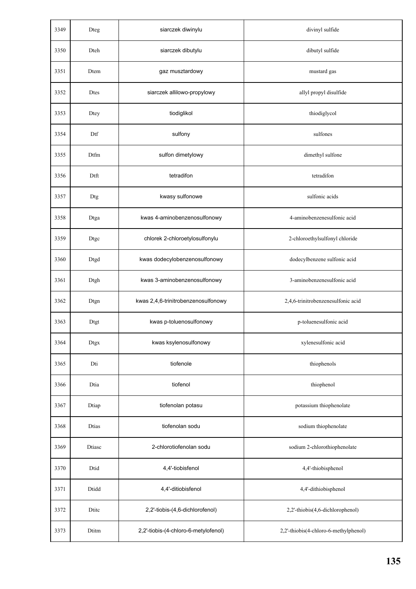| 3349 | Dteg         | siarczek diwinylu                    | divinyl sulfide                       |
|------|--------------|--------------------------------------|---------------------------------------|
| 3350 | Dteh         | siarczek dibutylu                    | dibutyl sulfide                       |
| 3351 | Dtem         | gaz musztardowy                      | mustard gas                           |
| 3352 | <b>Dtes</b>  | siarczek allilowo-propylowy          | allyl propyl disulfide                |
| 3353 | Dtey         | tiodiglikol                          | thiodiglycol                          |
| 3354 | Dtf          | sulfony                              | sulfones                              |
| 3355 | Dtfm         | sulfon dimetylowy                    | dimethyl sulfone                      |
| 3356 | Dtft         | tetradifon                           | tetradifon                            |
| 3357 | Dtg          | kwasy sulfonowe                      | sulfonic acids                        |
| 3358 | Dtga         | kwas 4-aminobenzenosulfonowy         | 4-aminobenzenesulfonic acid           |
| 3359 | Dtgc         | chlorek 2-chloroetylosulfonylu       | 2-chloroethylsulfonyl chloride        |
| 3360 | Dtgd         | kwas dodecylobenzenosulfonowy        | dodecylbenzene sulfonic acid          |
| 3361 | Dtgh         | kwas 3-aminobenzenosulfonowy         | 3-aminobenzenesulfonic acid           |
| 3362 | Dtgn         | kwas 2,4,6-trinitrobenzenosulfonowy  | 2,4,6-trinitrobenzenesulfonic acid    |
| 3363 | Dtgt         | kwas p-toluenosulfonowy              | p-toluenesulfonic acid                |
| 3364 | Dtgx         | kwas ksylenosulfonowy                | xylenesulfonic acid                   |
| 3365 | Dti          | tiofenole                            | thiophenols                           |
| 3366 | Dtia         | tiofenol                             | thiophenol                            |
| 3367 | Dtiap        | tiofenolan potasu                    | potassium thiophenolate               |
| 3368 | <b>Dtias</b> | tiofenolan sodu                      | sodium thiophenolate                  |
| 3369 | Dtiasc       | 2-chlorotiofenolan sodu              | sodium 2-chlorothiophenolate          |
| 3370 | Dtid         | 4,4'-tiobisfenol                     | 4,4'-thiobisphenol                    |
| 3371 | Dtidd        | 4,4'-ditiobisfenol                   | 4,4'-dithiobisphenol                  |
| 3372 | Dtite        | 2,2'-tiobis-(4,6-dichlorofenol)      | 2,2'-thiobis(4,6-dichlorophenol)      |
| 3373 | Dtitm        | 2,2'-tiobis-(4-chloro-6-metylofenol) | 2,2'-thiobis(4-chloro-6-methylphenol) |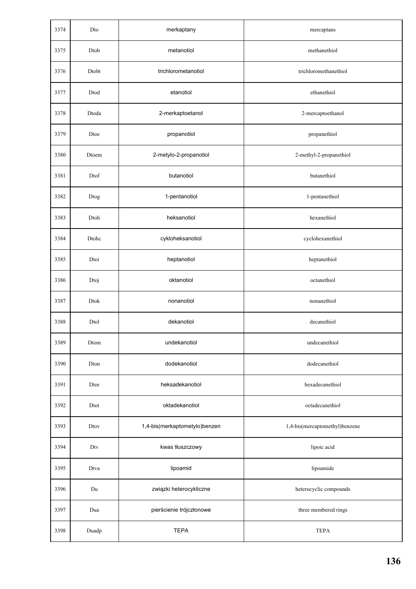| 3374 | Dto                   | merkaptany                    | mercaptans                     |
|------|-----------------------|-------------------------------|--------------------------------|
| 3375 | Dtob                  | metanotiol                    | methanethiol                   |
| 3376 | Dtobt                 | trichlorometanotiol           | trichloromethanethiol          |
| 3377 | Dtod                  | etanotiol                     | ethanethiol                    |
| 3378 | Dtoda                 | 2-merkaptoetanol              | 2-mercaptoethanol              |
| 3379 | Dtoe                  | propanotiol                   | propanethiol                   |
| 3380 | Dtoem                 | 2-metylo-2-propanotiol        | 2-methyl-2-propanethiol        |
| 3381 | Dtof                  | butanotiol                    | butanethiol                    |
| 3382 | $\operatorname{Dtog}$ | 1-pentanotiol                 | 1-pentanethiol                 |
| 3383 | Dtoh                  | heksanotiol                   | hexanethiol                    |
| 3384 | Dtohc                 | cykloheksanotiol              | cyclohexanethiol               |
| 3385 | Dtoi                  | heptanotiol                   | heptanethiol                   |
| 3386 | Dtoj                  | oktanotiol                    | octanethiol                    |
| 3387 | Dtok                  | nonanotiol                    | nonanethiol                    |
| 3388 | Dtol                  | dekanotiol                    | decanethiol                    |
| 3389 | Dtom                  | undekanotiol                  | undecanethiol                  |
| 3390 | Dton                  | dodekanotiol                  | dodecanethiol                  |
| 3391 | Dtor                  | heksadekanotiol               | hexadecanethiol                |
| 3392 | Dtot                  | oktadekanotiol                | octadecanethiol                |
| 3393 | Dtov                  | 1,4-bis(merkaptometylo)benzen | 1,4-bis(mercaptomethyl)benzene |
| 3394 | Dtv                   | kwas tłuszczowy               | lipoic acid                    |
| 3395 | Dtva                  | lipoamid                      | lipoamide                      |
| 3396 | Du                    | związki heterocykliczne       | heterocyclic compounds         |
| 3397 | Dua                   | pierścienie trójczłonowe      | three membered rings           |
| 3398 | Duadp                 | <b>TEPA</b>                   | <b>TEPA</b>                    |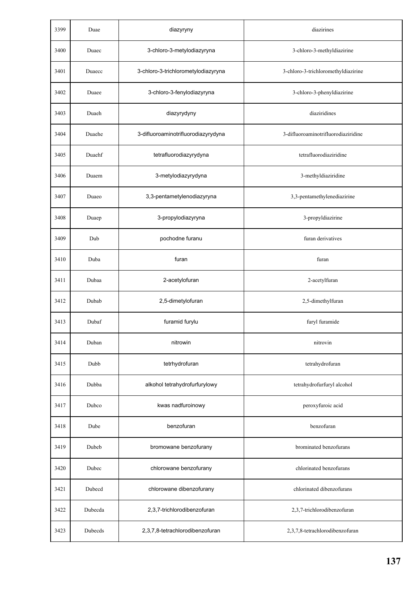| 3399 | Duae    | diazyryny                           | diazirines                          |
|------|---------|-------------------------------------|-------------------------------------|
| 3400 | Duaec   | 3-chloro-3-metylodiazyryna          | 3-chloro-3-methyldiazirine          |
| 3401 | Duaecc  | 3-chloro-3-trichlorometylodiazyryna | 3-chloro-3-trichloromethyldiazirine |
| 3402 | Duaee   | 3-chloro-3-fenylodiazyryna          | 3-chloro-3-phenyldiazirine          |
| 3403 | Duaeh   | diazyrydyny                         | diaziridines                        |
| 3404 | Duaehe  | 3-difluoroaminotrifluorodiazyrydyna | 3-difluoroaminotrifluorodiaziridine |
| 3405 | Duaehf  | tetrafluorodiazyrydyna              | tetrafluorodiaziridine              |
| 3406 | Duaem   | 3-metylodiazyrydyna                 | 3-methyldiaziridine                 |
| 3407 | Duaeo   | 3,3-pentametylenodiazyryna          | 3,3-pentamethylenediazirine         |
| 3408 | Duaep   | 3-propylodiazyryna                  | 3-propyldiazirine                   |
| 3409 | Dub     | pochodne furanu                     | furan derivatives                   |
| 3410 | Duba    | furan                               | furan                               |
| 3411 | Dubaa   | 2-acetylofuran                      | 2-acetylfuran                       |
| 3412 | Dubab   | 2,5-dimetylofuran                   | 2,5-dimethylfuran                   |
| 3413 | Dubaf   | furamid furylu                      | furyl furamide                      |
| 3414 | Duban   | nitrowin                            | nitrovin                            |
| 3415 | Dubb    | tetrhydrofuran                      | tetrahydrofuran                     |
| 3416 | Dubba   | alkohol tetrahydrofurfurylowy       | tetrahydrofurfuryl alcohol          |
| 3417 | Dubco   | kwas nadfuroinowy                   | peroxyfuroic acid                   |
| 3418 | Dube    | benzofuran                          | benzofuran                          |
| 3419 | Dubeb   | bromowane benzofurany               | brominated benzofurans              |
| 3420 | Dubec   | chlorowane benzofurany              | chlorinated benzofurans             |
| 3421 | Dubecd  | chlorowane dibenzofurany            | chlorinated dibenzofurans           |
| 3422 | Dubecda | 2,3,7-trichlorodibenzofuran         | 2,3,7-trichlorodibenzofuran         |
| 3423 | Dubecds | 2,3,7,8-tetrachlorodibenzofuran     | 2,3,7,8-tetrachlorodibenzofuran     |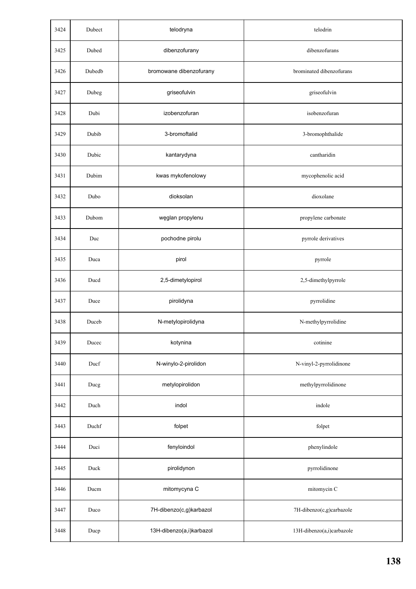| 3424 | Dubect | telodryna                | telodrin                  |
|------|--------|--------------------------|---------------------------|
| 3425 | Dubed  | dibenzofurany            | dibenzofurans             |
| 3426 | Dubedb | bromowane dibenzofurany  | brominated dibenzofurans  |
| 3427 | Dubeg  | griseofulvin             | griseofulvin              |
| 3428 | Dubi   | izobenzofuran            | isobenzofuran             |
| 3429 | Dubib  | 3-bromoftalid            | 3-bromophthalide          |
| 3430 | Dubic  | kantarydyna              | cantharidin               |
| 3431 | Dubim  | kwas mykofenolowy        | mycophenolic acid         |
| 3432 | Dubo   | dioksolan                | dioxolane                 |
| 3433 | Dubom  | węglan propylenu         | propylene carbonate       |
| 3434 | Duc    | pochodne pirolu          | pyrrole derivatives       |
| 3435 | Duca   | pirol                    | pyrrole                   |
| 3436 | Ducd   | 2,5-dimetylopirol        | 2,5-dimethylpyrrole       |
| 3437 | Duce   | pirolidyna               | pyrrolidine               |
| 3438 | Duceb  | N-metylopirolidyna       | N-methylpyrrolidine       |
| 3439 | Ducec  | kotynina                 | cotinine                  |
| 3440 | Ducf   | N-winylo-2-pirolidon     | N-vinyl-2-pyrrolidinone   |
| 3441 | Ducg   | metylopirolidon          | methylpyrrolidinone       |
| 3442 | Duch   | indol                    | indole                    |
| 3443 | Duchf  | folpet                   | folpet                    |
| 3444 | Duci   | fenyloindol              | phenylindole              |
| 3445 | Duck   | pirolidynon              | pyrrolidinone             |
| 3446 | Ducm   | mitomycyna C             | mitomycin C               |
| 3447 | Duco   | 7H-dibenzo(c,g)karbazol  | 7H-dibenzo(c,g)carbazole  |
| 3448 | Ducp   | 13H-dibenzo(a,i)karbazol | 13H-dibenzo(a,i)carbazole |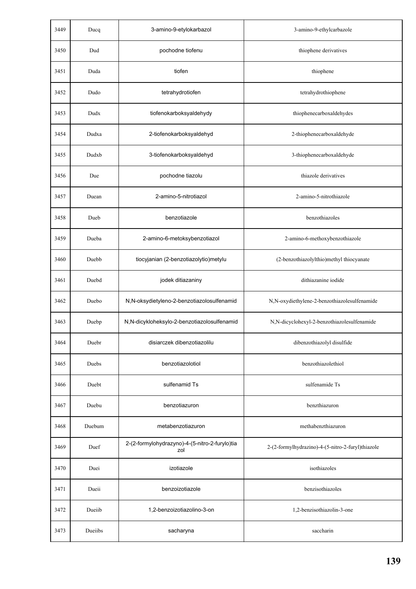| 3449 | Ducq    | 3-amino-9-etylokarbazol                               | 3-amino-9-ethylcarbazole                          |
|------|---------|-------------------------------------------------------|---------------------------------------------------|
| 3450 | Dud     | pochodne tiofenu                                      | thiophene derivatives                             |
| 3451 | Duda    | tiofen                                                | thiophene                                         |
| 3452 | Dudo    | tetrahydrotiofen                                      | tetrahydrothiophene                               |
| 3453 | Dudx    | tiofenokarboksyaldehydy                               | thiophenecarboxaldehydes                          |
| 3454 | Dudxa   | 2-tiofenokarboksyaldehyd                              | 2-thiophenecarboxaldehyde                         |
| 3455 | Dudxb   | 3-tiofenokarboksyaldehyd                              | 3-thiophenecarboxaldehyde                         |
| 3456 | Due     | pochodne tiazolu                                      | thiazole derivatives                              |
| 3457 | Duean   | 2-amino-5-nitrotiazol                                 | 2-amino-5-nitrothiazole                           |
| 3458 | Dueb    | benzotiazole                                          | benzothiazoles                                    |
| 3459 | Dueba   | 2-amino-6-metoksybenzotiazol                          | 2-amino-6-methoxybenzothiazole                    |
| 3460 | Duebb   | tiocyjanian (2-benzotiazolytio)metylu                 | (2-benzothiazolylthio)methyl thiocyanate          |
| 3461 | Duebd   | jodek ditiazaniny                                     | dithiazanine iodide                               |
| 3462 | Duebo   | N,N-oksydietyleno-2-benzotiazolosulfenamid            | N,N-oxydiethylene-2-benzothiazolesulfenamide      |
| 3463 | Duebp   | N,N-dicykloheksylo-2-benzotiazolosulfenamid           | N,N-dicyclohexyl-2-benzothiazolesulfenamide       |
| 3464 | Duebr   | disiarczek dibenzotiazolilu                           | dibenzothiazolyl disulfide                        |
| 3465 | Duebs   | benzotiazolotiol                                      | benzothiazolethiol                                |
| 3466 | Duebt   | sulfenamid Ts                                         | sulfenamide Ts                                    |
| 3467 | Duebu   | benzotiazuron                                         | benzthiazuron                                     |
| 3468 | Duebum  | metabenzotiazuron                                     | methabenzthiazuron                                |
| 3469 | Duef    | 2-(2-formylohydrazyno)-4-(5-nitro-2-furylo)tia<br>zol | 2-(2-formylhydrazino)-4-(5-nitro-2-furyl)thiazole |
| 3470 | Duei    | izotiazole                                            | isothiazoles                                      |
| 3471 | Dueii   | benzoizotiazole                                       | benzisothiazoles                                  |
| 3472 | Dueiib  | 1,2-benzoizotiazolino-3-on                            | 1,2-benzisothiazolin-3-one                        |
| 3473 | Dueiibs | sacharyna                                             | saccharin                                         |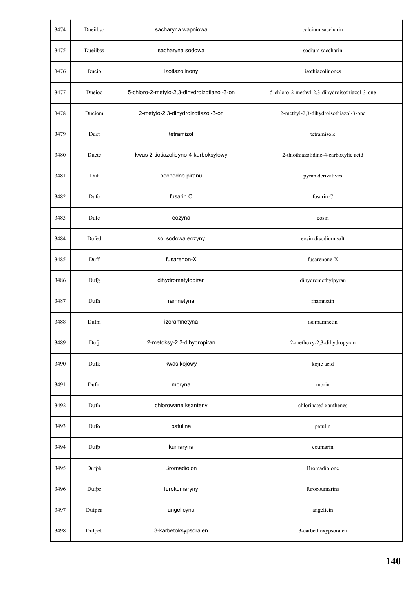| 3474 | Dueiibsc | sacharyna wapniowa                          | calcium saccharin                             |
|------|----------|---------------------------------------------|-----------------------------------------------|
| 3475 | Dueiibss | sacharyna sodowa                            | sodium saccharin                              |
| 3476 | Dueio    | izotiazolinony                              | isothiazolinones                              |
| 3477 | Dueioc   | 5-chloro-2-metylo-2,3-dihydroizotiazol-3-on | 5-chloro-2-methyl-2,3-dihydroisothiazol-3-one |
| 3478 | Dueiom   | 2-metylo-2,3-dihydroizotiazol-3-on          | 2-methyl-2,3-dihydroisothiazol-3-one          |
| 3479 | Duet     | tetramizol                                  | tetramisole                                   |
| 3480 | Duetc    | kwas 2-tiotiazolidyno-4-karboksylowy        | 2-thiothiazolidine-4-carboxylic acid          |
| 3481 | Duf      | pochodne piranu                             | pyran derivatives                             |
| 3482 | Dufc     | fusarin C                                   | fusarin C                                     |
| 3483 | Dufe     | eozyna                                      | eosin                                         |
| 3484 | Dufed    | sól sodowa eozyny                           | eosin disodium salt                           |
| 3485 | Duff     | fusarenon-X                                 | fusarenone-X                                  |
| 3486 | Dufg     | dihydrometylopiran                          | dihydromethylpyran                            |
| 3487 | Dufh     | ramnetyna                                   | rhamnetin                                     |
| 3488 | Dufhi    | izoramnetyna                                | isorhamnetin                                  |
| 3489 | Dufj     | 2-metoksy-2,3-dihydropiran                  | 2-methoxy-2,3-dihydropyran                    |
| 3490 | Dufk     | kwas kojowy                                 | kojic acid                                    |
| 3491 | Dufm     | moryna                                      | morin                                         |
| 3492 | Dufn     | chlorowane ksanteny                         | chlorinated xanthenes                         |
| 3493 | Dufo     | patulina                                    | patulin                                       |
| 3494 | Dufp     | kumaryna                                    | coumarin                                      |
| 3495 | Dufpb    | Bromadiolon                                 | Bromadiolone                                  |
| 3496 | Dufpe    | furokumaryny                                | furocoumarins                                 |
| 3497 | Dufpea   | angelicyna                                  | angelicin                                     |
| 3498 | Dufpeb   | 3-karbetoksypsoralen                        | 3-carbethoxypsoralen                          |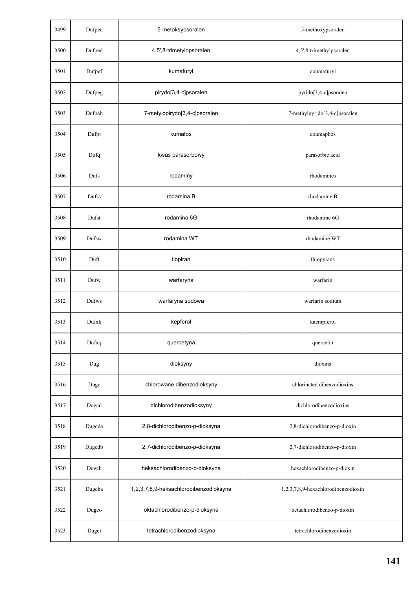| 3499 | Dufpec | 5-metoksypsoralen                      | 5-methoxypsoralen                   |
|------|--------|----------------------------------------|-------------------------------------|
| 3500 | Dufped | 4,5',8-trimetylopsoralen               | 4,5',8-trimethylpsoralen            |
| 3501 | Dufpef | kumafuryl                              | coumafuryl                          |
| 3502 | Dufpeg | pirydo[3,4-c]psoralen                  | pyrido[3,4-c]psoralen               |
| 3503 | Dufpeh | 7-metylopirydo[3,4-c]psoralen          | 7-methylpyrido[3,4-c]psoralen       |
| 3504 | Dufpt  | kumafos                                | coumaphos                           |
| 3505 | Dufq   | kwas parasorbowy                       | parasorbic acid                     |
| 3506 | Dufs   | rodaminy                               | rhodamines                          |
| 3507 | Dufss  | rodamina B                             | rhodamine B                         |
| 3508 | Dufst  | rodamina 6G                            | rhodamine 6G                        |
| 3509 | Dufsw  | rodamina WT                            | rhodamine WT                        |
| 3510 | Duft   | tiopiran                               | thiopyrans                          |
| 3511 | Dufw   | warfaryna                              | warfarin                            |
| 3512 | Dufws  | warfaryna sodowa                       | warfarin sodium                     |
| 3513 | Dufxk  | kepferol                               | kaempferol                          |
| 3514 | Dufxq  | quercetyna                             | quercetin                           |
| 3515 | Dug    | dioksyny                               | dioxins                             |
| 3516 | Dugc   | chlorowane dibenzodioksyny             | chlorinated dibenzodioxins          |
| 3517 | Dugcd  | dichlorodibenzodioksyny                | dichlorodibenzodioxins              |
| 3518 | Dugcda | 2,8-dichlorodibenzo-p-dioksyna         | 2,8-dichlorodibenzo-p-dioxin        |
| 3519 | Dugcdb | 2,7-dichlorodibenzo-p-dioksyna         | 2,7-dichlorodibenzo-p-dioxin        |
| 3520 | Dugch  | heksachlorodibenzo-p-dioksyna          | hexachlorodibenzo-p-dioxin          |
| 3521 | Dugcha | 1,2,3,7,8,9-heksachlorodibenzodioksyna | 1,2,3,7,8,9-hexachlorodibenzodioxin |
| 3522 | Dugco  | oktachlorodibenzo-p-dioksyna           | octachlorodibenzo-p-dioxin          |
| 3523 | Dugct  | tetrachlorodibenzodioksyna             | tetrachlorodibenzodioxin            |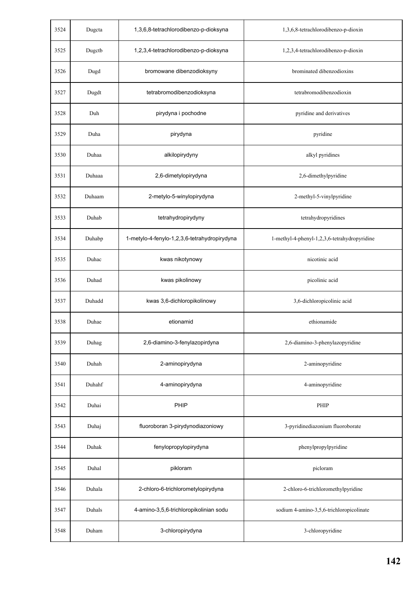| 3524 | Dugcta | 1,3,6,8-tetrachlorodibenzo-p-dioksyna        | 1,3,6,8-tetrachlorodibenzo-p-dioxin          |
|------|--------|----------------------------------------------|----------------------------------------------|
| 3525 | Dugctb | 1,2,3,4-tetrachlorodibenzo-p-dioksyna        | 1,2,3,4-tetrachlorodibenzo-p-dioxin          |
| 3526 | Dugd   | bromowane dibenzodioksyny                    | brominated dibenzodioxins                    |
| 3527 | Dugdt  | tetrabromodibenzodioksyna                    | tetrabromodibenzodioxin                      |
| 3528 | Duh    | pirydyna i pochodne                          | pyridine and derivatives                     |
| 3529 | Duha   | pirydyna                                     | pyridine                                     |
| 3530 | Duhaa  | alkilopirydyny                               | alkyl pyridines                              |
| 3531 | Duhaaa | 2,6-dimetylopirydyna                         | 2,6-dimethylpyridine                         |
| 3532 | Duhaam | 2-metylo-5-winylopirydyna                    | 2-methyl-5-vinylpyridine                     |
| 3533 | Duhab  | tetrahydropirydyny                           | tetrahydropyridines                          |
| 3534 | Duhabp | 1-metylo-4-fenylo-1,2,3,6-tetrahydropirydyna | 1-methyl-4-phenyl-1,2,3,6-tetrahydropyridine |
| 3535 | Duhac  | kwas nikotynowy                              | nicotinic acid                               |
| 3536 | Duhad  | kwas pikolinowy                              | picolinic acid                               |
| 3537 | Duhadd | kwas 3,6-dichloropikolinowy                  | 3,6-dichloropicolinic acid                   |
| 3538 | Duhae  | etionamid                                    | ethionamide                                  |
| 3539 | Duhag  | 2,6-diamino-3-fenylazopirdyna                | 2,6-diamino-3-phenylazopyridine              |
| 3540 | Duhah  | 2-aminopirydyna                              | 2-aminopyridine                              |
| 3541 | Duhahf | 4-aminopirydyna                              | 4-aminopyridine                              |
| 3542 | Duhai  | PHIP                                         | PHIP                                         |
| 3543 | Duhaj  | fluoroboran 3-pirydynodiazoniowy             | 3-pyridinediazonium fluoroborate             |
| 3544 | Duhak  | fenylopropylopirydyna                        | phenylpropylpyridine                         |
| 3545 | Duhal  | pikloram                                     | picloram                                     |
| 3546 | Duhala | 2-chloro-6-trichlorometylopirydyna           | 2-chloro-6-trichloromethylpyridine           |
| 3547 | Duhals | 4-amino-3,5,6-trichloropikolinian sodu       | sodium 4-amino-3,5,6-trichloropicolinate     |
| 3548 | Duham  | 3-chloropirydyna                             | 3-chloropyridine                             |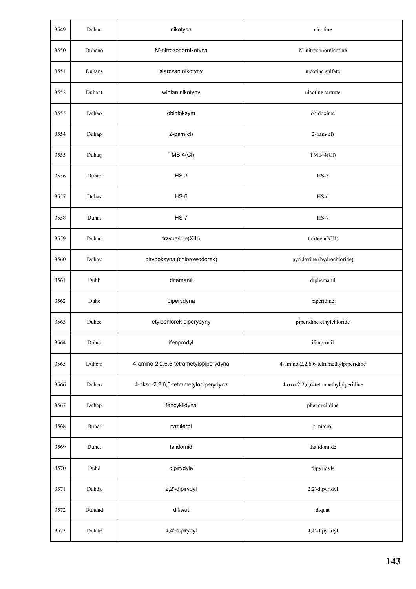| 3549 | Duhan  | nikotyna                              | nicotine                              |
|------|--------|---------------------------------------|---------------------------------------|
| 3550 | Duhano | N'-nitrozonornikotyna                 | N'-nitrosonornicotine                 |
| 3551 | Duhans | siarczan nikotyny                     | nicotine sulfate                      |
| 3552 | Duhant | winian nikotyny                       | nicotine tartrate                     |
| 3553 | Duhao  | obidioksym                            | obidoxime                             |
| 3554 | Duhap  | 2-pam(cl)                             | 2-pam(cl)                             |
| 3555 | Duhaq  | $TMB-4$ (CI)                          | $TMB-4$ (Cl)                          |
| 3556 | Duhar  | $HS-3$                                | $HS-3$                                |
| 3557 | Duhas  | $HS-6$                                | $HS-6$                                |
| 3558 | Duhat  | $HS-7$                                | $HS-7$                                |
| 3559 | Duhau  | trzynaście(XIII)                      | thirteen(XIII)                        |
| 3560 | Duhav  | pirydoksyna (chlorowodorek)           | pyridoxine (hydrochloride)            |
| 3561 | Duhb   | difemanil                             | diphemanil                            |
| 3562 | Duhc   | piperydyna                            | piperidine                            |
| 3563 | Duhce  | etylochlorek piperydyny               | piperidine ethylchloride              |
| 3564 | Duhci  | ifenprodyl                            | ifenprodil                            |
| 3565 | Duhcm  | 4-amino-2,2,6,6-tetrametylopiperydyna | 4-amino-2,2,6,6-tetramethylpiperidine |
| 3566 | Duhco  | 4-okso-2,2,6,6-tetrametylopiperydyna  | 4-oxo-2,2,6,6-tetramethylpiperidine   |
| 3567 | Duhcp  | fencyklidyna                          | phencyclidine                         |
| 3568 | Duhcr  | rymiterol                             | rimiterol                             |
| 3569 | Duhct  | talidomid                             | thalidomide                           |
| 3570 | Duhd   | dipirydyle                            | dipyridyls                            |
| 3571 | Duhda  | 2,2'-dipirydyl                        | 2,2'-dipyridyl                        |
| 3572 | Duhdad | dikwat                                | diquat                                |
| 3573 | Duhde  | 4,4'-dipirydyl                        | 4,4'-dipyridyl                        |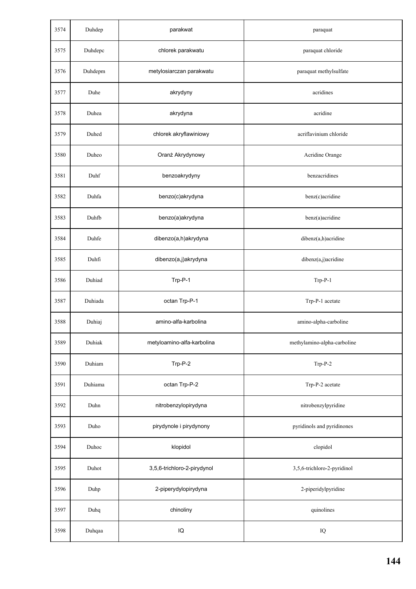| 3574 | Duhdep  | parakwat                    | paraquat                    |
|------|---------|-----------------------------|-----------------------------|
| 3575 | Duhdepc | chlorek parakwatu           | paraquat chloride           |
| 3576 | Duhdepm | metylosiarczan parakwatu    | paraquat methylsulfate      |
| 3577 | Duhe    | akrydyny                    | acridines                   |
| 3578 | Duhea   | akrydyna                    | acridine                    |
| 3579 | Duhed   | chlorek akryflawiniowy      | acriflavinium chloride      |
| 3580 | Duheo   | Oranż Akrydynowy            | Acridine Orange             |
| 3581 | Duhf    | benzoakrydyny               | benzacridines               |
| 3582 | Duhfa   | benzo(c)akrydyna            | benz(c)acridine             |
| 3583 | Duhfb   | benzo(a)akrydyna            | benz(a)acridine             |
| 3584 | Duhfe   | dibenzo(a,h)akrydyna        | dibenz(a,h)acridine         |
| 3585 | Duhfi   | dibenzo(a,j)akrydyna        | dibenz(a,j)acridine         |
| 3586 | Duhiad  | Trp-P-1                     | $Trp-P-1$                   |
| 3587 | Duhiada | octan Trp-P-1               | Trp-P-1 acetate             |
| 3588 | Duhiaj  | amino-alfa-karbolina        | amino-alpha-carboline       |
| 3589 | Duhiak  | metyloamino-alfa-karbolina  | methylamino-alpha-carboline |
| 3590 | Duhiam  | Trp-P-2                     | $Trp-P-2$                   |
| 3591 | Duhiama | octan Trp-P-2               | Trp-P-2 acetate             |
| 3592 | Duhn    | nitrobenzylopirydyna        | nitrobenzylpyridine         |
| 3593 | Duho    | pirydynole i pirydynony     | pyridinols and pyridinones  |
| 3594 | Duhoc   | klopidol                    | clopidol                    |
| 3595 | Duhot   | 3,5,6-trichloro-2-pirydynol | 3,5,6-trichloro-2-pyridinol |
| 3596 | Duhp    | 2-piperydylopirydyna        | 2-piperidylpyridine         |
| 3597 | Duhq    | chinoliny                   | quinolines                  |
| 3598 | Duhqaa  | $\sf{IQ}$                   | IQ                          |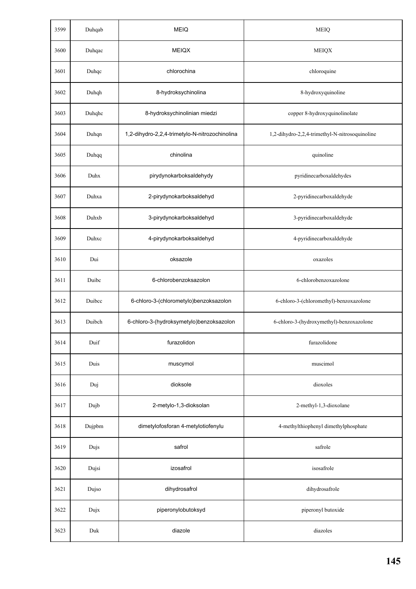| 3599 | Duhqab | <b>MEIQ</b>                                    | <b>MEIQ</b>                                    |
|------|--------|------------------------------------------------|------------------------------------------------|
| 3600 | Duhqac | <b>MEIQX</b>                                   | <b>MEIQX</b>                                   |
| 3601 | Duhqc  | chlorochina                                    | chloroquine                                    |
| 3602 | Duhqh  | 8-hydroksychinolina                            | 8-hydroxyquinoline                             |
| 3603 | Duhqhc | 8-hydroksychinolinian miedzi                   | copper 8-hydroxyquinolinolate                  |
| 3604 | Duhqn  | 1,2-dihydro-2,2,4-trimetylo-N-nitrozochinolina | 1,2-dihydro-2,2,4-trimethyl-N-nitrosoquinoline |
| 3605 | Duhqq  | chinolina                                      | quinoline                                      |
| 3606 | Duhx   | pirydynokarboksaldehydy                        | pyridinecarboxaldehydes                        |
| 3607 | Duhxa  | 2-pirydynokarboksaldehyd                       | 2-pyridinecarboxaldehyde                       |
| 3608 | Duhxb  | 3-pirydynokarboksaldehyd                       | 3-pyridinecarboxaldehyde                       |
| 3609 | Duhxc  | 4-pirydynokarboksaldehyd                       | 4-pyridinecarboxaldehyde                       |
| 3610 | Dui    | oksazole                                       | oxazoles                                       |
| 3611 | Duibc  | 6-chlorobenzoksazolon                          | 6-chlorobenzoxazolone                          |
| 3612 | Duibcc | 6-chloro-3-(chlorometylo)benzoksazolon         | 6-chloro-3-(chloromethyl)-benzoxazolone        |
| 3613 | Duibch | 6-chloro-3-(hydroksymetylo)benzoksazolon       | 6-chloro-3-(hydroxymethyl)-benzoxazolone       |
| 3614 | Duif   | furazolidon                                    | furazolidone                                   |
| 3615 | Duis   | muscymol                                       | muscimol                                       |
| 3616 | Duj    | dioksole                                       | dioxoles                                       |
| 3617 | Dujb   | 2-metylo-1,3-dioksolan                         | 2-methyl-1,3-dioxolane                         |
| 3618 | Dujpbm | dimetylofosforan 4-metylotiofenylu             | 4-methylthiophenyl dimethylphosphate           |
| 3619 | Dujs   | safrol                                         | safrole                                        |
| 3620 | Dujsi  | izosafrol                                      | isosafrole                                     |
| 3621 | Dujso  | dihydrosafrol                                  | dihydrosafrole                                 |
| 3622 | Dujx   | piperonylobutoksyd                             | piperonyl butoxide                             |
| 3623 | Duk    | diazole                                        | diazoles                                       |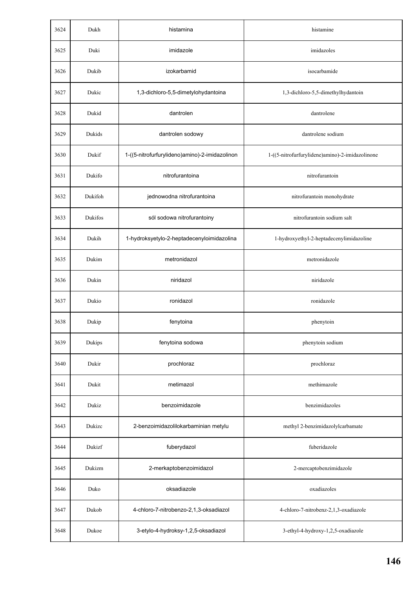| 3624 | Dukh    | histamina                                      | histamine                                       |
|------|---------|------------------------------------------------|-------------------------------------------------|
| 3625 | Duki    | imidazole                                      | imidazoles                                      |
| 3626 | Dukib   | izokarbamid                                    | isocarbamide                                    |
| 3627 | Dukic   | 1,3-dichloro-5,5-dimetylohydantoina            | 1,3-dichloro-5,5-dimethylhydantoin              |
| 3628 | Dukid   | dantrolen                                      | dantrolene                                      |
| 3629 | Dukids  | dantrolen sodowy                               | dantrolene sodium                               |
| 3630 | Dukif   | 1-((5-nitrofurfurylideno)amino)-2-imidazolinon | 1-((5-nitrofurfurylidene)amino)-2-imidazolinone |
| 3631 | Dukifo  | nitrofurantoina                                | nitrofurantoin                                  |
| 3632 | Dukifoh | jednowodna nitrofurantoina                     | nitrofurantoin monohydrate                      |
| 3633 | Dukifos | sól sodowa nitrofurantoiny                     | nitrofurantoin sodium salt                      |
| 3634 | Dukih   | 1-hydroksyetylo-2-heptadecenyloimidazolina     | 1-hydroxyethyl-2-heptadecenylimidazoline        |
| 3635 | Dukim   | metronidazol                                   | metronidazole                                   |
| 3636 | Dukin   | niridazol                                      | niridazole                                      |
| 3637 | Dukio   | ronidazol                                      | ronidazole                                      |
| 3638 | Dukip   | fenytoina                                      | phenytoin                                       |
| 3639 | Dukips  | fenytoina sodowa                               | phenytoin sodium                                |
| 3640 | Dukir   | prochloraz                                     | prochloraz                                      |
| 3641 | Dukit   | metimazol                                      | methimazole                                     |
| 3642 | Dukiz   | benzoimidazole                                 | benzimidazoles                                  |
| 3643 | Dukizc  | 2-benzoimidazolilokarbaminian metylu           | methyl 2-benzimidazolylcarbamate                |
| 3644 | Dukizf  | fuberydazol                                    | fuberidazole                                    |
| 3645 | Dukizm  | 2-merkaptobenzoimidazol                        | 2-mercaptobenzimidazole                         |
| 3646 | Duko    | oksadiazole                                    | oxadiazoles                                     |
| 3647 | Dukob   | 4-chloro-7-nitrobenzo-2,1,3-oksadiazol         | 4-chloro-7-nitrobenz-2,1,3-oxadiazole           |
| 3648 | Dukoe   | 3-etylo-4-hydroksy-1,2,5-oksadiazol            | 3-ethyl-4-hydroxy-1,2,5-oxadiazole              |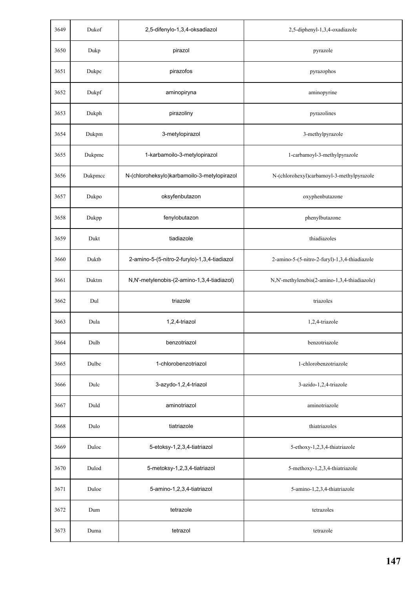| 3649 | Dukof   | 2,5-difenylo-1,3,4-oksadiazol                | 2,5-diphenyl-1,3,4-oxadiazole                 |
|------|---------|----------------------------------------------|-----------------------------------------------|
| 3650 | Dukp    | pirazol                                      | pyrazole                                      |
| 3651 | Dukpc   | pirazofos                                    | pyrazophos                                    |
| 3652 | Dukpf   | aminopiryna                                  | aminopyrine                                   |
| 3653 | Dukph   | pirazoliny                                   | pyrazolines                                   |
| 3654 | Dukpm   | 3-metylopirazol                              | 3-methylpyrazole                              |
| 3655 | Dukpmc  | 1-karbamoilo-3-metylopirazol                 | 1-carbamoyl-3-methylpyrazole                  |
| 3656 | Dukpmcc | N-(chloroheksylo)karbamoilo-3-metylopirazol  | N-(chlorohexyl)carbamoyl-3-methylpyrazole     |
| 3657 | Dukpo   | oksyfenbutazon                               | oxyphenbutazone                               |
| 3658 | Dukpp   | fenylobutazon                                | phenylbutazone                                |
| 3659 | Dukt    | tiadiazole                                   | thiadiazoles                                  |
| 3660 | Duktb   | 2-amino-5-(5-nitro-2-furylo)-1,3,4-tiadiazol | 2-amino-5-(5-nitro-2-furyl)-1,3,4-thiadiazole |
| 3661 | Duktm   | N,N'-metylenobis-(2-amino-1,3,4-tiadiazol)   | N,N'-methylenebis(2-amino-1,3,4-thiadiazole)  |
| 3662 | Dul     | triazole                                     | triazoles                                     |
| 3663 | Dula    | 1,2,4-triazol                                | 1,2,4-triazole                                |
| 3664 | Dulb    | benzotriazol                                 | benzotriazole                                 |
| 3665 | Dulbc   | 1-chlorobenzotriazol                         | 1-chlorobenzotriazole                         |
| 3666 | Dulc    | 3-azydo-1,2,4-triazol                        | 3-azido-1,2,4-triazole                        |
| 3667 | Duld    | aminotriazol                                 | aminotriazole                                 |
| 3668 | Dulo    | tiatriazole                                  | thiatriazoles                                 |
| 3669 | Duloc   | 5-etoksy-1,2,3,4-tiatriazol                  | 5-ethoxy-1,2,3,4-thiatriazole                 |
| 3670 | Dulod   | 5-metoksy-1,2,3,4-tiatriazol                 | 5-methoxy-1,2,3,4-thiatriazole                |
| 3671 | Duloe   | 5-amino-1,2,3,4-tiatriazol                   | 5-amino-1,2,3,4-thiatriazole                  |
| 3672 | Dum     | tetrazole                                    | tetrazoles                                    |
| 3673 | Duma    | tetrazol                                     | tetrazole                                     |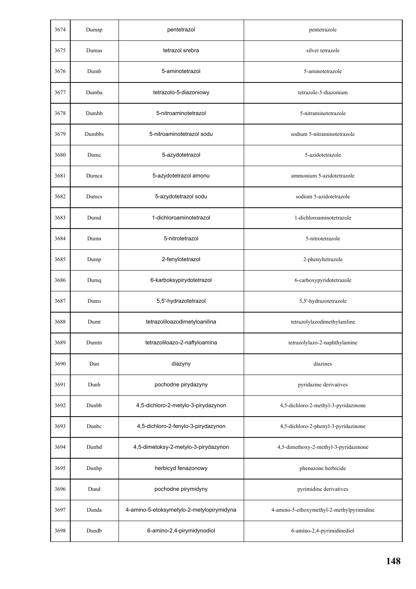| 3674 | Dumap  | pentetrazol                               | pentetrazole                              |
|------|--------|-------------------------------------------|-------------------------------------------|
| 3675 | Dumas  | tetrazol srebra                           | silver tetrazole                          |
| 3676 | Dumb   | 5-aminotetrazol                           | 5-aminotetrazole                          |
| 3677 | Dumba  | tetrazolo-5-diazoniowy                    | tetrazole-5-diazonium                     |
| 3678 | Dumbb  | 5-nitroaminotetrazol                      | 5-nitraminotetrazole                      |
| 3679 | Dumbbs | 5-nitroaminotetrazol sodu                 | sodium 5-nitraminotetrazole               |
| 3680 | Dumc   | 5-azydotetrazol                           | 5-azidotetrazole                          |
| 3681 | Dumca  | 5-azydotetrazol amonu                     | ammonium 5-azidotetrazole                 |
| 3682 | Dumcs  | 5-azydotetrazol sodu                      | sodium 5-azidotetrazole                   |
| 3683 | Dumd   | 1-dichloroaminotetrazol                   | 1-dichloroaminotetrazole                  |
| 3684 | Dumn   | 5-nitrotetrazol                           | 5-nitrotetrazole                          |
| 3685 | Dump   | 2-fenylotetrazol                          | 2-phenyltetrazole                         |
| 3686 | Dumq   | 6-karboksypirydotetrazol                  | 6-carboxypyridotetrazole                  |
| 3687 | Dums   | 5,5'-hydrazotetrazol                      | 5,5'-hydrazotetrazole                     |
| 3688 | Dumt   | tetrazoliloazodimetyloanilina             | tetrazolylazodimethylaniline              |
| 3689 | Dumtn  | tetrazoliloazo-2-naftyloamina             | tetrazolylazo-2-naphthylamine             |
| 3690 | Dun    | diazyny                                   | diazines                                  |
| 3691 | Dunb   | pochodne pirydazyny                       | pyridazine derivatives                    |
| 3692 | Dunbb  | 4,5-dichloro-2-metylo-3-pirydazynon       | 4,5-dichloro-2-methyl-3-pyridazinone      |
| 3693 | Dunbc  | 4,5-dichloro-2-fenylo-3-pirydazynon       | 4,5-dichloro-2-phenyl-3-pyridazinone      |
| 3694 | Dunbd  | 4,5-dimetoksy-2-metylo-3-pirydazynon      | 4,5-dimethoxy-2-methyl-3-pyridazinone     |
| 3695 | Dunbp  | herbicyd fenazonowy                       | phenazone herbicide                       |
| 3696 | Dund   | pochodne pirymidyny                       | pyrimidine derivatives                    |
| 3697 | Dunda  | 4-amino-5-etoksymetylo-2-metylopirymidyna | 4-amino-5-ethoxymethyl-2-methylpyrimidine |
| 3698 | Dundb  | 6-amino-2,4-pirymidynodiol                | 6-amino-2,4-pyrimidinediol                |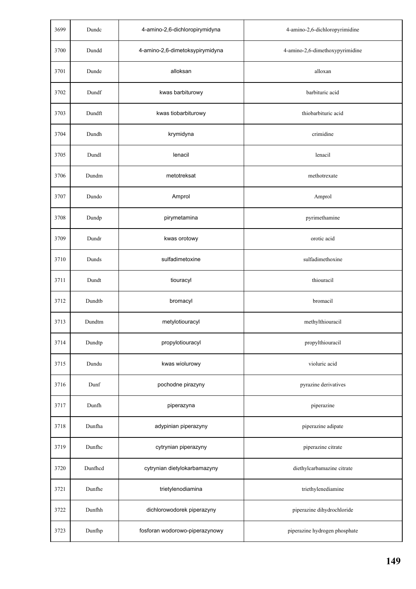| 3699 | Dundc   | 4-amino-2,6-dichloropirymidyna  | 4-amino-2,6-dichloropyrimidine  |
|------|---------|---------------------------------|---------------------------------|
| 3700 | Dundd   | 4-amino-2,6-dimetoksypirymidyna | 4-amino-2,6-dimethoxypyrimidine |
| 3701 | Dunde   | alloksan                        | alloxan                         |
| 3702 | Dundf   | kwas barbiturowy                | barbituric acid                 |
| 3703 | Dundft  | kwas tiobarbiturowy             | thiobarbituric acid             |
| 3704 | Dundh   | krymidyna                       | crimidine                       |
| 3705 | Dundl   | lenacil                         | lenacil                         |
| 3706 | Dundm   | metotreksat                     | methotrexate                    |
| 3707 | Dundo   | Amprol                          | Amprol                          |
| 3708 | Dundp   | pirymetamina                    | pyrimethamine                   |
| 3709 | Dundr   | kwas orotowy                    | orotic acid                     |
| 3710 | Dunds   | sulfadimetoxine                 | sulfadimethoxine                |
| 3711 | Dundt   | tiouracyl                       | thiouracil                      |
| 3712 | Dundtb  | bromacyl                        | bromacil                        |
| 3713 | Dundtm  | metylotiouracyl                 | methylthiouracil                |
| 3714 | Dundtp  | propylotiouracyl                | propylthiouracil                |
| 3715 | Dundu   | kwas wiolurowy                  | violuric acid                   |
| 3716 | Dunf    | pochodne pirazyny               | pyrazine derivatives            |
| 3717 | Dunfh   | piperazyna                      | piperazine                      |
| 3718 | Dunfha  | adypinian piperazyny            | piperazine adipate              |
| 3719 | Dunfhc  | cytrynian piperazyny            | piperazine citrate              |
| 3720 | Dunfhcd | cytrynian dietylokarbamazyny    | diethylcarbamazine citrate      |
| 3721 | Dunfhe  | trietylenodiamina               | triethylenediamine              |
| 3722 | Dunfhh  | dichlorowodorek piperazyny      | piperazine dihydrochloride      |
| 3723 | Dunfhp  | fosforan wodorowo-piperazynowy  | piperazine hydrogen phosphate   |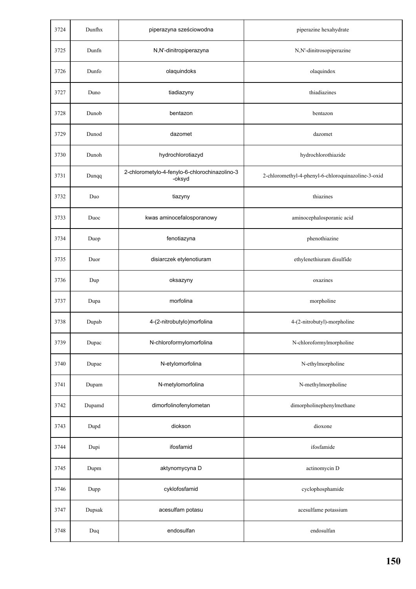| 3724 | Dunfhx | piperazyna sześciowodna                                 | piperazine hexahydrate                             |
|------|--------|---------------------------------------------------------|----------------------------------------------------|
| 3725 | Dunfn  | N,N'-dinitropiperazyna                                  | N,N'-dinitrosopiperazine                           |
| 3726 | Dunfo  | olaquindoks                                             | olaquindox                                         |
| 3727 | Duno   | tiadiazyny                                              | thiadiazines                                       |
| 3728 | Dunob  | bentazon                                                | bentazon                                           |
| 3729 | Dunod  | dazomet                                                 | dazomet                                            |
| 3730 | Dunoh  | hydrochlorotiazyd                                       | hydrochlorothiazide                                |
| 3731 | Dunqq  | 2-chlorometylo-4-fenylo-6-chlorochinazolino-3<br>-oksyd | 2-chloromethyl-4-phenyl-6-chloroquinazoline-3-oxid |
| 3732 | Duo    | tiazyny                                                 | thiazines                                          |
| 3733 | Duoc   | kwas aminocefalosporanowy                               | aminocephalosporanic acid                          |
| 3734 | Duop   | fenotiazyna                                             | phenothiazine                                      |
| 3735 | Duor   | disiarczek etylenotiuram                                | ethylenethiuram disulfide                          |
| 3736 | Dup    | oksazyny                                                | oxazines                                           |
| 3737 | Dupa   | morfolina                                               | morpholine                                         |
| 3738 | Dupab  | 4-(2-nitrobutylo)morfolina                              | 4-(2-nitrobutyl)-morpholine                        |
| 3739 | Dupac  | N-chloroformylomorfolina                                | N-chloroformylmorpholine                           |
| 3740 | Dupae  | N-etylomorfolina                                        | N-ethylmorpholine                                  |
| 3741 | Dupam  | N-metylomorfolina                                       | N-methylmorpholine                                 |
| 3742 | Dupamd | dimorfolinofenylometan                                  | dimorpholinephenylmethane                          |
| 3743 | Dupd   | diokson                                                 | dioxone                                            |
| 3744 | Dupi   | ifosfamid                                               | ifosfamide                                         |
| 3745 | Dupm   | aktynomycyna D                                          | actinomycin D                                      |
| 3746 | Dupp   | cyklofosfamid                                           | cyclophosphamide                                   |
| 3747 | Dupsak | acesulfam potasu                                        | acesulfame potassium                               |
| 3748 | Duq    | endosulfan                                              | endosulfan                                         |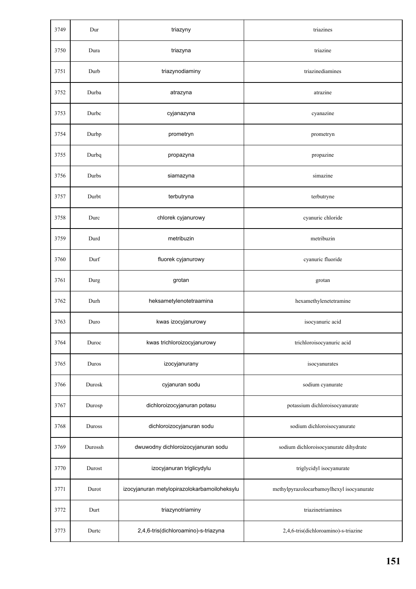| 3749 | Dur     | triazyny                                     | triazines                                 |
|------|---------|----------------------------------------------|-------------------------------------------|
| 3750 | Dura    | triazyna                                     | triazine                                  |
| 3751 | Durb    | triazynodiaminy                              | triazinediamines                          |
| 3752 | Durba   | atrazyna                                     | atrazine                                  |
| 3753 | Durbc   | cyjanazyna                                   | cyanazine                                 |
| 3754 | Durbp   | prometryn                                    | prometryn                                 |
| 3755 | Durbq   | propazyna                                    | propazine                                 |
| 3756 | Durbs   | siamazyna                                    | simazine                                  |
| 3757 | Durbt   | terbutryna                                   | terbutryne                                |
| 3758 | Durc    | chlorek cyjanurowy                           | cyanuric chloride                         |
| 3759 | Durd    | metribuzin                                   | metribuzin                                |
| 3760 | Durf    | fluorek cyjanurowy                           | cyanuric fluoride                         |
| 3761 | Durg    | grotan                                       | grotan                                    |
| 3762 | Durh    | heksametylenotetraamina                      | hexamethylenetetramine                    |
| 3763 | Duro    | kwas izocyjanurowy                           | isocyanuric acid                          |
| 3764 | Duroc   | kwas trichloroizocyjanurowy                  | trichloroisocyanuric acid                 |
| 3765 | Duros   | izocyjanurany                                | isocyanurates                             |
| 3766 | Durosk  | cyjanuran sodu                               | sodium cyanurate                          |
| 3767 | Durosp  | dichloroizocyjanuran potasu                  | potassium dichloroisocyanurate            |
| 3768 | Duross  | dichloroizocyjanuran sodu                    | sodium dichloroisocyanurate               |
| 3769 | Durossh | dwuwodny dichloroizocyjanuran sodu           | sodium dichloroisocyanurate dihydrate     |
| 3770 | Durost  | izocyjanuran triglicydylu                    | triglycidyl isocyanurate                  |
| 3771 | Durot   | izocyjanuran metylopirazolokarbamoiloheksylu | methylpyrazolocarbamoylhexyl isocyanurate |
| 3772 | Durt    | triazynotriaminy                             | triazinetriamines                         |
| 3773 | Durtc   | 2,4,6-tris(dichloroamino)-s-triazyna         | 2,4,6-tris(dichloroamino)-s-triazine      |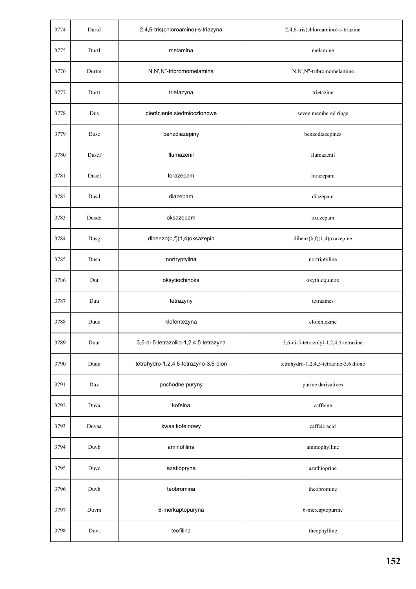| 3774 | Durtd | 2,4,6-tris(chloroamino)-s-triazyna     | 2,4,6-tris(chloroamino)-s-triazine     |
|------|-------|----------------------------------------|----------------------------------------|
| 3775 | Durtl | melamina                               | melamine                               |
| 3776 | Durtm | N,N',N"-tribromomelamina               | N,N',N"-tribromomelamine               |
| 3777 | Durtt | trietazyna                             | trietazine                             |
| 3778 | Dus   | pierścienie siedmioczłonowe            | seven membered rings                   |
| 3779 | Dusc  | benzdiazepiny                          | benzodiazepines                        |
| 3780 | Duscf | flumazenil                             | flumazenil                             |
| 3781 | Duscl | lorazepam                              | lorazepam                              |
| 3782 | Dusd  | diazepam                               | diazepam                               |
| 3783 | Dusdo | oksazepam                              | oxazepam                               |
| 3784 | Dusg  | dibenzo(b,f)(1,4)oksazepin             | dibenz(b,f)(1,4)oxazepine              |
| 3785 | Dusn  | nortryptylina                          | nortriptyline                          |
| 3786 | Dut   | oksytiochinoks                         | oxythioquinox                          |
| 3787 | Duu   | tetrazyny                              | tetrazines                             |
| 3788 | Duuc  | klofentezyna                           | clofentezine                           |
| 3789 | Duut  | 3,6-di-5-tetrazolilo-1,2,4,5-tetrazyna | 3,6-di-5-tetrazolyl-1,2,4,5-tetrazine  |
| 3790 | Duuu  | tetrahydro-1,2,4,5-tetrazyno-3,6-dion  | tetrahydro-1,2,4,5-tetrazine-3,6 dione |
| 3791 | Duv   | pochodne puryny                        | purine derivatives                     |
| 3792 | Duva  | kofeina                                | caffeine                               |
| 3793 | Duvaa | kwas kofeinowy                         | caffeic acid                           |
| 3794 | Duvb  | aminofilina                            | aminophylline                          |
| 3795 | Duvc  | azatiopryna                            | azathioprine                           |
| 3796 | Duvh  | teobromina                             | theobromine                            |
| 3797 | Duvm  | 6-merkaptopuryna                       | 6-mercaptopurine                       |
| 3798 | Duvt  | teofilina                              | theophylline                           |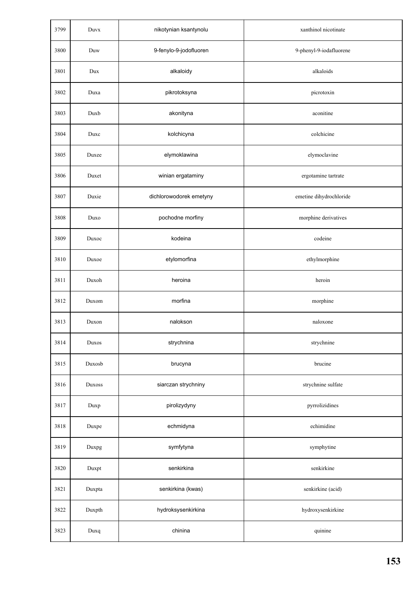| 3799 | Duvx   | nikotynian ksantynolu   | xanthinol nicotinate    |
|------|--------|-------------------------|-------------------------|
| 3800 | Duw    | 9-fenylo-9-jodofluoren  | 9-phenyl-9-iodafluorene |
| 3801 | Dux    | alkaloidy               | alkaloids               |
| 3802 | Duxa   | pikrotoksyna            | picrotoxin              |
| 3803 | Duxb   | akonityna               | aconitine               |
| 3804 | Duxc   | kolchicyna              | colchicine              |
| 3805 | Duxee  | elymoklawina            | elymoclavine            |
| 3806 | Duxet  | winian ergataminy       | ergotamine tartrate     |
| 3807 | Duxie  | dichlorowodorek emetyny | emetine dihydrochloride |
| 3808 | Duxo   | pochodne morfiny        | morphine derivatives    |
| 3809 | Duxoc  | kodeina                 | codeine                 |
| 3810 | Duxoe  | etylomorfina            | ethylmorphine           |
| 3811 | Duxoh  | heroina                 | heroin                  |
| 3812 | Duxom  | morfina                 | morphine                |
| 3813 | Duxon  | nalokson                | naloxone                |
| 3814 | Duxos  | strychnina              | strychnine              |
| 3815 | Duxosb | brucyna                 | brucine                 |
| 3816 | Duxoss | siarczan strychniny     | strychnine sulfate      |
| 3817 | Duxp   | pirolizydyny            | pyrrolizidines          |
| 3818 | Duxpe  | echmidyna               | echimidine              |
| 3819 | Duxpg  | symfytyna               | symphytine              |
| 3820 | Duxpt  | senkirkina              | senkirkine              |
| 3821 | Duxpta | senkirkina (kwas)       | senkirkine (acid)       |
| 3822 | Duxpth | hydroksysenkirkina      | hydroxysenkirkine       |
| 3823 | Duxq   | chinina                 | quinine                 |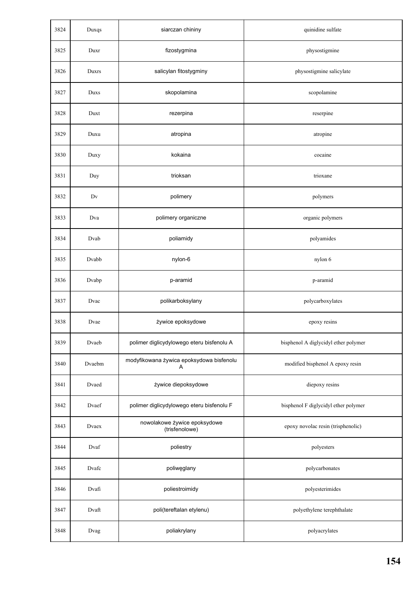| 3824 | Duxqs  | siarczan chininy                               | quinidine sulfate                    |
|------|--------|------------------------------------------------|--------------------------------------|
| 3825 | Duxr   | fizostygmina                                   | physostigmine                        |
| 3826 | Duxrs  | salicylan fitostygminy                         | physostigmine salicylate             |
| 3827 | Duxs   | skopolamina                                    | scopolamine                          |
| 3828 | Duxt   | rezerpina                                      | reserpine                            |
| 3829 | Duxu   | atropina                                       | atropine                             |
| 3830 | Duxy   | kokaina                                        | cocaine                              |
| 3831 | Duy    | trioksan                                       | trioxane                             |
| 3832 | Dv     | polimery                                       | polymers                             |
| 3833 | Dva    | polimery organiczne                            | organic polymers                     |
| 3834 | Dvab   | poliamidy                                      | polyamides                           |
| 3835 | Dvabb  | nylon-6                                        | nylon 6                              |
| 3836 | Dvabp  | p-aramid                                       | p-aramid                             |
| 3837 | Dvac   | polikarboksylany                               | polycarboxylates                     |
| 3838 | Dvae   | żywice epoksydowe                              | epoxy resins                         |
| 3839 | Dvaeb  | polimer diglicydylowego eteru bisfenolu A      | bisphenol A diglycidyl ether polymer |
| 3840 | Dvaebm | modyfikowana żywica epoksydowa bisfenolu<br>A  | modified bisphenol A epoxy resin     |
| 3841 | Dvaed  | żywice diepoksydowe                            | diepoxy resins                       |
| 3842 | Dvaef  | polimer diglicydylowego eteru bisfenolu F      | bisphenol F diglycidyl ether polymer |
| 3843 | Dvaex  | nowolakowe żywice epoksydowe<br>(trisfenolowe) | epoxy novolac resin (trisphenolic)   |
| 3844 | Dvaf   | poliestry                                      | polyesters                           |
| 3845 | Dvafc  | poliwęglany                                    | polycarbonates                       |
| 3846 | Dvafi  | poliestroimidy                                 | polyesterimides                      |
| 3847 | Dvaft  | poli(tereftalan etylenu)                       | polyethylene terephthalate           |
| 3848 | Dvag   | poliakrylany                                   | polyacrylates                        |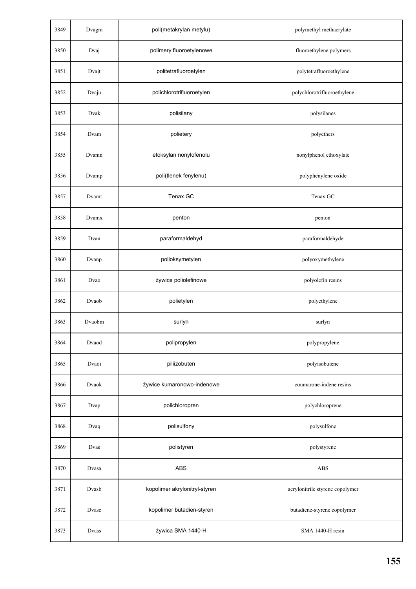| 3849 | Dvagm        | poli(metakrylan metylu)       | polymethyl methacrylate         |
|------|--------------|-------------------------------|---------------------------------|
| 3850 | Dvaj         | polimery fluoroetylenowe      | fluoroethylene polymers         |
| 3851 | Dvajt        | politetrafluoroetylen         | polytetrafluoroethylene         |
| 3852 | Dvaju        | polichlorotrifluoroetylen     | polychlorotrifluoroethylene     |
| 3853 | Dvak         | polisilany                    | polysilanes                     |
| 3854 | Dvam         | polietery                     | polyethers                      |
| 3855 | Dvamn        | etoksylan nonylofenolu        | nonylphenol ethoxylate          |
| 3856 | Dvamp        | poli(tlenek fenylenu)         | polyphenylene oxide             |
| 3857 | Dvamt        | Tenax GC                      | Tenax GC                        |
| 3858 | Dvamx        | penton                        | penton                          |
| 3859 | Dvan         | paraformaldehyd               | paraformaldehyde                |
| 3860 | Dvanp        | polioksymetylen               | polyoxymethylene                |
| 3861 | Dvao         | żywice poliolefinowe          | polyolefin resins               |
| 3862 | Dvaob        | polietylen                    | polyethylene                    |
| 3863 | Dvaobm       | surlyn                        | surlyn                          |
| 3864 | Dvaod        | polipropylen                  | polypropylene                   |
| 3865 | Dvaoi        | piliizobuten                  | polyisobutene                   |
| 3866 | Dvaok        | żywice kumaronowo-indenowe    | coumarone-indene resins         |
| 3867 | Dvap         | polichloropren                | polychloroprene                 |
| 3868 | Dvaq         | polisulfony                   | polysulfone                     |
| 3869 | Dvas         | polistyren                    | polystyrene                     |
| 3870 | Dvasa        | <b>ABS</b>                    | <b>ABS</b>                      |
| 3871 | Dvasb        | kopolimer akrylonitryl-styren | acrylonitrile styrene copolymer |
| 3872 | Dvasc        | kopolimer butadien-styren     | butadiene-styrene copolymer     |
| 3873 | <b>Dvass</b> | żywica SMA 1440-H             | SMA 1440-H resin                |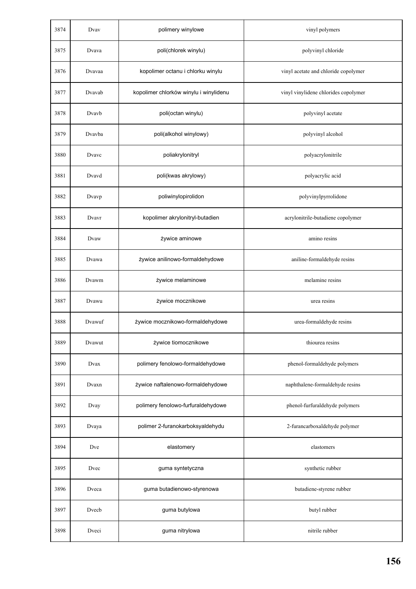| 3874 | Dvay   | polimery winylowe                      | vinyl polymers                       |
|------|--------|----------------------------------------|--------------------------------------|
| 3875 | Dvava  | poli(chlorek winylu)                   | polyvinyl chloride                   |
| 3876 | Dvavaa | kopolimer octanu i chlorku winylu      | vinyl acetate and chloride copolymer |
| 3877 | Dvavab | kopolimer chlorków winylu i winylidenu | vinyl vinylidene chlorides copolymer |
| 3878 | Dvavb  | poli(octan winylu)                     | polyvinyl acetate                    |
| 3879 | Dvavba | poli(alkohol winylowy)                 | polyvinyl alcohol                    |
| 3880 | Dvavc  | poliakrylonitryl                       | polyacrylonitrile                    |
| 3881 | Dvavd  | poli(kwas akrylowy)                    | polyacrylic acid                     |
| 3882 | Dvavp  | poliwinylopirolidon                    | polyvinylpyrrolidone                 |
| 3883 | Dvavr  | kopolimer akrylonitryl-butadien        | acrylonitrile-butadiene copolymer    |
| 3884 | Dvaw   | żywice aminowe                         | amino resins                         |
| 3885 | Dvawa  | żywice anilinowo-formaldehydowe        | aniline-formaldehyde resins          |
| 3886 | Dvawm  | żywice melaminowe                      | melamine resins                      |
| 3887 | Dvawu  | żywice mocznikowe                      | urea resins                          |
| 3888 | Dvawuf | żywice mocznikowo-formaldehydowe       | urea-formaldehyde resins             |
| 3889 | Dvawut | żywice tiomocznikowe                   | thiourea resins                      |
| 3890 | Dvax   | polimery fenolowo-formaldehydowe       | phenol-formaldehyde polymers         |
| 3891 | Dvaxn  | żywice naftalenowo-formaldehydowe      | naphthalene-formaldehyde resins      |
| 3892 | Dvay   | polimery fenolowo-furfuraldehydowe     | phenol-furfuraldehyde polymers       |
| 3893 | Dvaya  | polimer 2-furanokarboksyaldehydu       | 2-furancarboxaldehyde polymer        |
| 3894 | Dve    | elastomery                             | elastomers                           |
| 3895 | Dvec   | guma syntetyczna                       | synthetic rubber                     |
| 3896 | Dveca  | guma butadienowo-styrenowa             | butadiene-styrene rubber             |
| 3897 | Dvecb  | guma butylowa                          | butyl rubber                         |
| 3898 | Dveci  | guma nitrylowa                         | nitrile rubber                       |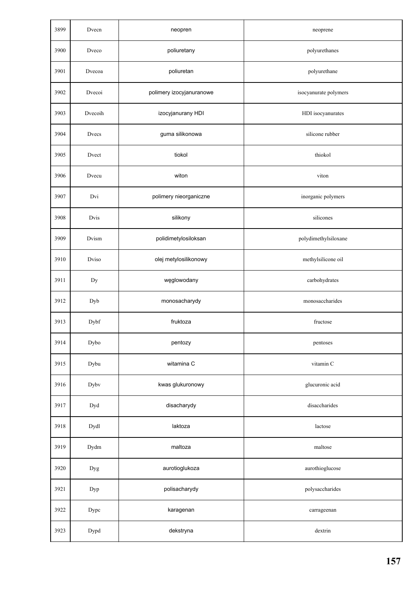| 3899 | Dvecn   | neopren                  | neoprene              |
|------|---------|--------------------------|-----------------------|
| 3900 | Dveco   | poliuretany              | polyurethanes         |
| 3901 | Dvecoa  | poliuretan               | polyurethane          |
| 3902 | Dvecoi  | polimery izocyjanuranowe | isocyanurate polymers |
| 3903 | Dvecoih | izocyjanurany HDI        | HDI isocyanurates     |
| 3904 | Dvecs   | guma silikonowa          | silicone rubber       |
| 3905 | Dvect   | tiokol                   | thiokol               |
| 3906 | Dvecu   | witon                    | viton                 |
| 3907 | Dvi     | polimery nieorganiczne   | inorganic polymers    |
| 3908 | Dvis    | silikony                 | silicones             |
| 3909 | Dvism   | polidimetylosiloksan     | polydimethylsiloxane  |
| 3910 | Dviso   | olej metylosilikonowy    | methylsilicone oil    |
| 3911 | Dy      | węglowodany              | carbohydrates         |
| 3912 | Dyb     | monosacharydy            | monosaccharides       |
| 3913 | Dybf    | fruktoza                 | fructose              |
| 3914 | Dybo    | pentozy                  | pentoses              |
| 3915 | Dybu    | witamina C               | vitamin C             |
| 3916 | Dybv    | kwas glukuronowy         | glucuronic acid       |
| 3917 | Dyd     | disacharydy              | disaccharides         |
| 3918 | Dydl    | laktoza                  | lactose               |
| 3919 | Dydm    | maltoza                  | maltose               |
| 3920 | Dyg     | aurotioglukoza           | aurothioglucose       |
| 3921 | Dyp     | polisacharydy            | polysaccharides       |
| 3922 | Dypc    | karagenan                | carrageenan           |
| 3923 | Dypd    | dekstryna                | dextrin               |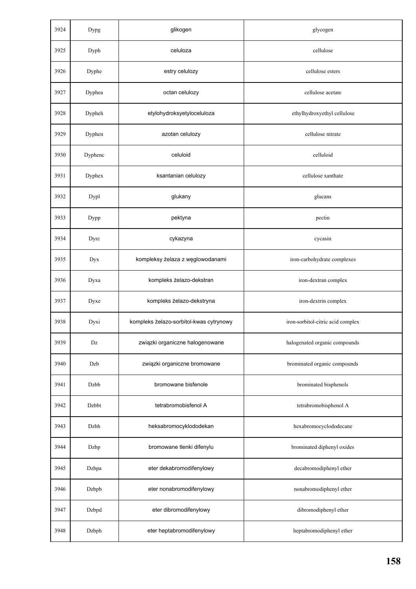| 3924 | Dypg    | glikogen                                | glycogen                          |
|------|---------|-----------------------------------------|-----------------------------------|
| 3925 | Dyph    | celuloza                                | cellulose                         |
| 3926 | Dyphe   | estry celulozy                          | cellulose esters                  |
| 3927 | Dyphea  | octan celulozy                          | cellulose acetate                 |
| 3928 | Dypheh  | etylohydroksyetyloceluloza              | ethylhydroxyethyl cellulose       |
| 3929 | Dyphen  | azotan celulozy                         | cellulose nitrate                 |
| 3930 | Dyphenc | celuloid                                | celluloid                         |
| 3931 | Dyphex  | ksantanian celulozy                     | cellulose xanthate                |
| 3932 | Dypl    | glukany                                 | glucans                           |
| 3933 | Dypp    | pektyna                                 | pectin                            |
| 3934 | Dyrc    | cykazyna                                | cycasin                           |
| 3935 | Dyx     | kompleksy żelaza z węglowodanami        | iron-carbohydrate complexes       |
| 3936 | Dyxa    | kompleks żelazo-dekstran                | iron-dextran complex              |
| 3937 | Dyxe    | kompleks żelazo-dekstryna               | iron-dextrin complex              |
| 3938 | Dyxi    | kompleks żelazo-sorbitol-kwas cytrynowy | iron-sorbitol-citric acid complex |
| 3939 | Dz      | związki organiczne halogenowane         | halogenated organic compounds     |
| 3940 | Dzb     | związki organiczne bromowane            | brominated organic compounds      |
| 3941 | Dzbb    | bromowane bisfenole                     | brominated bisphenols             |
| 3942 | Dzbbt   | tetrabromobisfenol A                    | tetrabromobisphenol A             |
| 3943 | Dzbh    | heksabromocyklododekan                  | hexabromocyclododecane            |
| 3944 | Dzbp    | bromowane tlenki difenylu               | brominated diphenyl oxides        |
| 3945 | Dzbpa   | eter dekabromodifenylowy                | decabromodiphenyl ether           |
| 3946 | Dzbpb   | eter nonabromodifenylowy                | nonabromodiphenyl ether           |
| 3947 | Dzbpd   | eter dibromodifenylowy                  | dibromodiphenyl ether             |
| 3948 | Dzbph   | eter heptabromodifenylowy               | heptabromodiphenyl ether          |